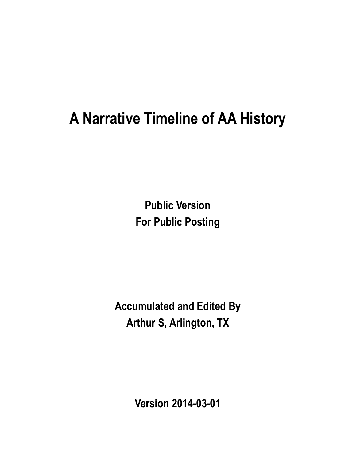# **A Narrative Timeline of AA History**

**Public Version For Public Posting**

**Accumulated and Edited By Arthur S, Arlington, TX**

**Version 2014-03-01**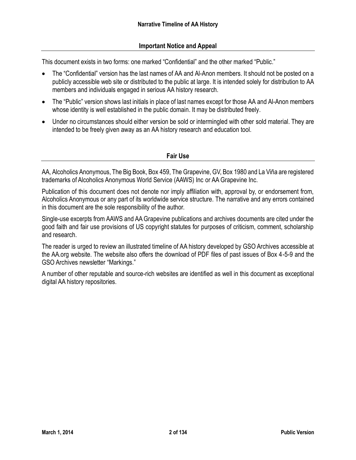### **Important Notice and Appeal**

This document exists in two forms: one marked "Confidential" and the other marked "Public."

- The "Confidential" version has the last names of AA and Al-Anon members. It should not be posted on a publicly accessible web site or distributed to the public at large. It is intended solely for distribution to AA members and individuals engaged in serious AA history research.
- The "Public" version shows last initials in place of last names except for those AA and Al-Anon members whose identity is well established in the public domain. It may be distributed freely.
- Under no circumstances should either version be sold or intermingled with other sold material. They are intended to be freely given away as an AA history research and education tool.

#### **Fair Use**

AA, Alcoholics Anonymous, The Big Book, Box 459, The Grapevine, GV, Box 1980 and La Viña are registered trademarks of Alcoholics Anonymous World Service (AAWS) Inc or AA Grapevine Inc.

Publication of this document does not denote nor imply affiliation with, approval by, or endorsement from, Alcoholics Anonymous or any part of its worldwide service structure. The narrative and any errors contained in this document are the sole responsibility of the author.

Single-use excerpts from AAWS and AA Grapevine publications and archives documents are cited under the good faith and fair use provisions of US copyright statutes for purposes of criticism, comment, scholarship and research.

The reader is urged to review an illustrated timeline of AA history developed by GSO Archives accessible at the AA.org website. The website also offers the download of PDF files of past issues of Box 4-5-9 and the GSO Archives newsletter "Markings."

A number of other reputable and source-rich websites are identified as well in this document as exceptional digital AA history repositories.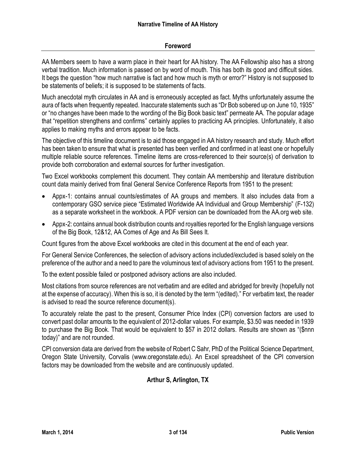### **Foreword**

AA Members seem to have a warm place in their heart for AA history. The AA Fellowship also has a strong verbal tradition. Much information is passed on by word of mouth. This has both its good and difficult sides. It begs the question "how much narrative is fact and how much is myth or error?" History is not supposed to be statements of beliefs; it is supposed to be statements of facts.

Much anecdotal myth circulates in AA and is erroneously accepted as fact. Myths unfortunately assume the aura of facts when frequently repeated. Inaccurate statements such as "Dr Bob sobered up on June 10, 1935" or "no changes have been made to the wording of the Big Book basic text" permeate AA. The popular adage that "repetition strengthens and confirms" certainly applies to practicing AA principles. Unfortunately, it also applies to making myths and errors appear to be facts.

The objective of this timeline document is to aid those engaged in AA history research and study. Much effort has been taken to ensure that what is presented has been verified and confirmed in at least one or hopefully multiple reliable source references. Timeline items are cross-referenced to their source(s) of derivation to provide both corroboration and external sources for further investigation.

Two Excel workbooks complement this document. They contain AA membership and literature distribution count data mainly derived from final General Service Conference Reports from 1951 to the present:

- Appx-1: contains annual counts/estimates of AA groups and members. It also includes data from a contemporary GSO service piece "Estimated Worldwide AA Individual and Group Membership" (F-132) as a separate worksheet in the workbook. A PDF version can be downloaded from the AA.org web site.
- Appx-2: contains annual book distribution counts and royalties reported for the English language versions of the Big Book, 12&12, AA Comes of Age and As Bill Sees It.

Count figures from the above Excel workbooks are cited in this document at the end of each year.

For General Service Conferences, the selection of advisory actions included/excluded is based solely on the preference of the author and a need to pare the voluminous text of advisory actions from 1951 to the present.

To the extent possible failed or postponed advisory actions are also included.

Most citations from source references are not verbatim and are edited and abridged for brevity (hopefully not at the expense of accuracy). When this is so, it is denoted by the term "(edited)." For verbatim text, the reader is advised to read the source reference document(s).

To accurately relate the past to the present, Consumer Price Index (CPI) conversion factors are used to convert past dollar amounts to the equivalent of 2012-dollar values. For example, \$3.50 was needed in 1939 to purchase the Big Book. That would be equivalent to \$57 in 2012 dollars. Results are shown as "(\$nnn today)" and are not rounded.

CPI conversion data are derived from the website of Robert C Sahr, PhD of the Political Science Department, Oregon State University, Corvalis (www.oregonstate.edu). An Excel spreadsheet of the CPI conversion factors may be downloaded from the website and are continuously updated.

# **Arthur S, Arlington, TX**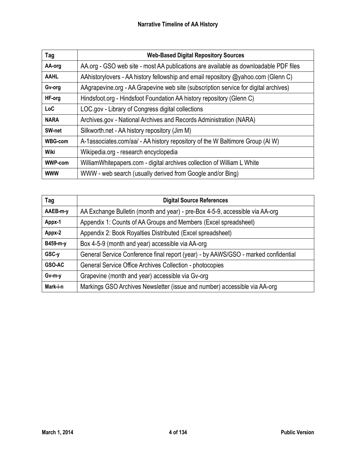| Tag            | <b>Web-Based Digital Repository Sources</b>                                          |
|----------------|--------------------------------------------------------------------------------------|
| AA-org         | AA.org - GSO web site - most AA publications are available as downloadable PDF files |
| <b>AAHL</b>    | AAhistorylovers - AA history fellowship and email repository @yahoo.com (Glenn C)    |
| Gv-org         | AAgrapevine.org - AA Grapevine web site (subscription service for digital archives)  |
| HF-org         | Hindsfoot.org - Hindsfoot Foundation AA history repository (Glenn C)                 |
| LoC            | LOC.gov - Library of Congress digital collections                                    |
| <b>NARA</b>    | Archives.gov - National Archives and Records Administration (NARA)                   |
| SW-net         | Silkworth.net - AA history repository (Jim M)                                        |
| <b>WBG-com</b> | A-1associates.com/aa/ - AA history repository of the W Baltimore Group (AI W)        |
| Wiki           | Wikipedia.org - research encyclopedia                                                |
| <b>WWP-com</b> | WilliamWhitepapers.com - digital archives collection of William L White              |
| <b>WWW</b>     | WWW - web search (usually derived from Google and/or Bing)                           |

| Tag      | <b>Digital Source References</b>                                                   |
|----------|------------------------------------------------------------------------------------|
| AAEB-m-y | AA Exchange Bulletin (month and year) - pre-Box 4-5-9, accessible via AA-org       |
| Appx-1   | Appendix 1: Counts of AA Groups and Members (Excel spreadsheet)                    |
| Appx-2   | Appendix 2: Book Royalties Distributed (Excel spreadsheet)                         |
| B459-m-y | Box 4-5-9 (month and year) accessible via AA-org                                   |
| GSC-y    | General Service Conference final report (year) - by AAWS/GSO - marked confidential |
| GSO-AC   | General Service Office Archives Collection - photocopies                           |
| Gv-m-y   | Grapevine (month and year) accessible via Gv-org                                   |
| Mark-i-n | Markings GSO Archives Newsletter (issue and number) accessible via AA-org          |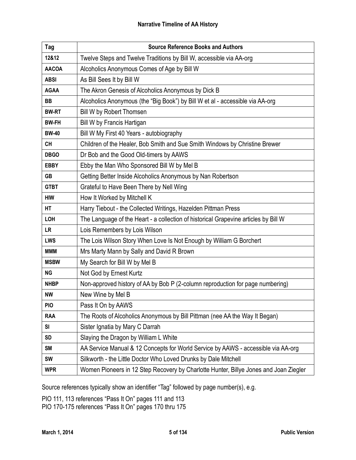| Tag          | <b>Source Reference Books and Authors</b>                                             |
|--------------|---------------------------------------------------------------------------------------|
| 12&12        | Twelve Steps and Twelve Traditions by Bill W, accessible via AA-org                   |
| <b>AACOA</b> | Alcoholics Anonymous Comes of Age by Bill W                                           |
| <b>ABSI</b>  | As Bill Sees It by Bill W                                                             |
| <b>AGAA</b>  | The Akron Genesis of Alcoholics Anonymous by Dick B                                   |
| <b>BB</b>    | Alcoholics Anonymous (the "Big Book") by Bill W et al - accessible via AA-org         |
| <b>BW-RT</b> | Bill W by Robert Thomsen                                                              |
| <b>BW-FH</b> | Bill W by Francis Hartigan                                                            |
| <b>BW-40</b> | Bill W My First 40 Years - autobiography                                              |
| <b>CH</b>    | Children of the Healer, Bob Smith and Sue Smith Windows by Christine Brewer           |
| <b>DBGO</b>  | Dr Bob and the Good Old-timers by AAWS                                                |
| <b>EBBY</b>  | Ebby the Man Who Sponsored Bill W by Mel B                                            |
| <b>GB</b>    | Getting Better Inside Alcoholics Anonymous by Nan Robertson                           |
| <b>GTBT</b>  | Grateful to Have Been There by Nell Wing                                              |
| <b>HIW</b>   | How It Worked by Mitchell K                                                           |
| HT           | Harry Tiebout - the Collected Writings, Hazelden Pittman Press                        |
| LOH          | The Language of the Heart - a collection of historical Grapevine articles by Bill W   |
| <b>LR</b>    | Lois Remembers by Lois Wilson                                                         |
| LWS          | The Lois Wilson Story When Love Is Not Enough by William G Borchert                   |
| <b>MMM</b>   | Mrs Marty Mann by Sally and David R Brown                                             |
| <b>MSBW</b>  | My Search for Bill W by Mel B                                                         |
| <b>NG</b>    | Not God by Ernest Kurtz                                                               |
| <b>NHBP</b>  | Non-approved history of AA by Bob P (2-column reproduction for page numbering)        |
| <b>NW</b>    | New Wine by Mel B                                                                     |
| <b>PIO</b>   | Pass It On by AAWS                                                                    |
| <b>RAA</b>   | The Roots of Alcoholics Anonymous by Bill Pittman (nee AA the Way It Began)           |
| SI           | Sister Ignatia by Mary C Darrah                                                       |
| <b>SD</b>    | Slaying the Dragon by William L White                                                 |
| <b>SM</b>    | AA Service Manual & 12 Concepts for World Service by AAWS - accessible via AA-org     |
| <b>SW</b>    | Silkworth - the Little Doctor Who Loved Drunks by Dale Mitchell                       |
| <b>WPR</b>   | Women Pioneers in 12 Step Recovery by Charlotte Hunter, Billye Jones and Joan Ziegler |

Source references typically show an identifier "Tag" followed by page number(s), e.g.

PIO 111, 113 references "Pass It On" pages 111 and 113 PIO 170-175 references "Pass It On" pages 170 thru 175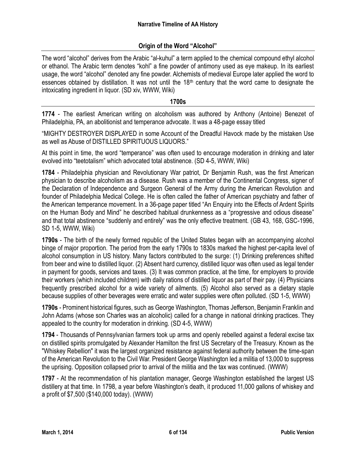# **Origin of the Word "Alcohol"**

The word "alcohol" derives from the Arabic "al-kuhul" a term applied to the chemical compound ethyl alcohol or ethanol. The Arabic term denotes "kohl" a fine powder of antimony used as eye makeup. In its earliest usage, the word "alcohol" denoted any fine powder. Alchemists of medieval Europe later applied the word to essences obtained by distillation. It was not until the 18<sup>th</sup> century that the word came to designate the intoxicating ingredient in liquor. (SD xiv, WWW, Wiki)

#### **1700s**

**1774** - The earliest American writing on alcoholism was authored by Anthony (Antoine) Benezet of Philadelphia, PA, an abolitionist and temperance advocate. It was a 48-page essay titled

"MIGHTY DESTROYER DISPLAYED in some Account of the Dreadful Havock made by the mistaken Use as well as Abuse of DISTILLED SPIRITUOUS LIQUORS."

At this point in time, the word "temperance" was often used to encourage moderation in drinking and later evolved into "teetotalism" which advocated total abstinence. (SD 4-5, WWW, Wiki)

**1784** - Philadelphia physician and Revolutionary War patriot, Dr Benjamin Rush, was the first American physician to describe alcoholism as a disease. Rush was a member of the Continental Congress, signer of the Declaration of Independence and Surgeon General of the Army during the American Revolution and founder of Philadelphia Medical College. He is often called the father of American psychiatry and father of the American temperance movement. In a 36-page paper titled "An Enquiry into the Effects of Ardent Spirits on the Human Body and Mind" he described habitual drunkenness as a "progressive and odious disease" and that total abstinence "suddenly and entirely" was the only effective treatment. (GB 43, 168, GSC-1996, SD 1-5, WWW, Wiki)

**1790s** - The birth of the newly formed republic of the United States began with an accompanying alcohol binge of major proportion. The period from the early 1790s to 1830s marked the highest per-capita level of alcohol consumption in US history. Many factors contributed to the surge: (1) Drinking preferences shifted from beer and wine to distilled liquor. (2) Absent hard currency, distilled liquor was often used as legal tender in payment for goods, services and taxes. (3) It was common practice, at the time, for employers to provide their workers (which included children) with daily rations of distilled liquor as part of their pay. (4) Physicians frequently prescribed alcohol for a wide variety of ailments. (5) Alcohol also served as a dietary staple because supplies of other beverages were erratic and water supplies were often polluted. (SD 1-5, WWW)

**1790s** - Prominent historical figures, such as George Washington, Thomas Jefferson, Benjamin Franklin and John Adams (whose son Charles was an alcoholic) called for a change in national drinking practices. They appealed to the country for moderation in drinking. (SD 4-5, WWW)

**1794** - Thousands of Pennsylvanian farmers took up arms and openly rebelled against a federal excise tax on distilled spirits promulgated by Alexander Hamilton the first US Secretary of the Treasury. Known as the "Whiskey Rebellion" it was the largest organized resistance against federal authority between the time-span of the American Revolution to the Civil War. President George Washington led a militia of 13,000 to suppress the uprising. Opposition collapsed prior to arrival of the militia and the tax was continued. (WWW)

**1797** - At the recommendation of his plantation manager, George Washington established the largest US distillery at that time. In 1798, a year before Washington's death, it produced 11,000 gallons of whiskey and a profit of \$7,500 (\$140,000 today). (WWW)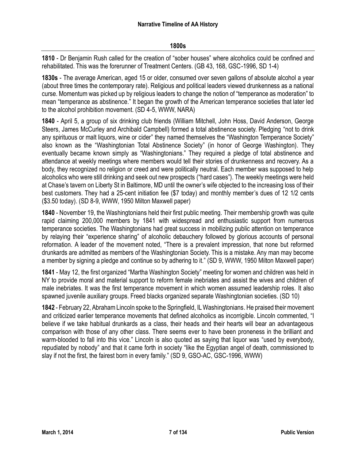#### **1800s**

**1810** - Dr Benjamin Rush called for the creation of "sober houses" where alcoholics could be confined and rehabilitated. This was the forerunner of Treatment Centers. (GB 43, 168, GSC-1996, SD 1-4)

**1830s** - The average American, aged 15 or older, consumed over seven gallons of absolute alcohol a year (about three times the contemporary rate). Religious and political leaders viewed drunkenness as a national curse. Momentum was picked up by religious leaders to change the notion of "temperance as moderation" to mean "temperance as abstinence." It began the growth of the American temperance societies that later led to the alcohol prohibition movement. (SD 4-5, WWW, NARA)

**1840** - April 5, a group of six drinking club friends (William Mitchell, John Hoss, David Anderson, George Steers, James McCurley and Archibald Campbell) formed a total abstinence society. Pledging "not to drink any spirituous or malt liquors, wine or cider" they named themselves the "Washington Temperance Society" also known as the "Washingtonian Total Abstinence Society" (in honor of George Washington). They eventually became known simply as "Washingtonians." They required a pledge of total abstinence and attendance at weekly meetings where members would tell their stories of drunkenness and recovery. As a body, they recognized no religion or creed and were politically neutral. Each member was supposed to help alcoholics who were still drinking and seek out new prospects ("hard cases"). The weekly meetings were held at Chase's tavern on Liberty St in Baltimore, MD until the owner's wife objected to the increasing loss of their best customers. They had a 25-cent initiation fee (\$7 today) and monthly member's dues of 12 1/2 cents (\$3.50 today). (SD 8-9, WWW, 1950 Milton Maxwell paper)

**1840** - November 19, the Washingtonians held their first public meeting. Their membership growth was quite rapid claiming 200,000 members by 1841 with widespread and enthusiastic support from numerous temperance societies. The Washingtonians had great success in mobilizing public attention on temperance by relaying their "experience sharing" of alcoholic debauchery followed by glorious accounts of personal reformation. A leader of the movement noted, "There is a prevalent impression, that none but reformed drunkards are admitted as members of the Washingtonian Society. This is a mistake. Any man may become a member by signing a pledge and continue so by adhering to it." (SD 9, WWW, 1950 Milton Maxwell paper)

**1841** - May 12, the first organized "Martha Washington Society" meeting for women and children was held in NY to provide moral and material support to reform female inebriates and assist the wives and children of male inebriates. It was the first temperance movement in which women assumed leadership roles. It also spawned juvenile auxiliary groups. Freed blacks organized separate Washingtonian societies. (SD 10)

**1842** - February 22, Abraham Lincoln spoke to the Springfield, IL Washingtonians. He praised their movement and criticized earlier temperance movements that defined alcoholics as incorrigible. Lincoln commented, "I believe if we take habitual drunkards as a class, their heads and their hearts will bear an advantageous comparison with those of any other class. There seems ever to have been proneness in the brilliant and warm-blooded to fall into this vice." Lincoln is also quoted as saying that liquor was "used by everybody, repudiated by nobody" and that it came forth in society "like the Egyptian angel of death, commissioned to slay if not the first, the fairest born in every family." (SD 9, GSO-AC, GSC-1996, WWW)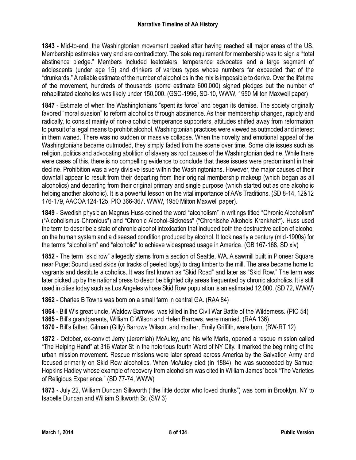**1843** - Mid-to-end, the Washingtonian movement peaked after having reached all major areas of the US. Membership estimates vary and are contradictory. The sole requirement for membership was to sign a "total abstinence pledge." Members included teetotalers, temperance advocates and a large segment of adolescents (under age 15) and drinkers of various types whose numbers far exceeded that of the "drunkards." A reliable estimate of the number of alcoholics in the mix is impossible to derive. Over the lifetime of the movement, hundreds of thousands (some estimate 600,000) signed pledges but the number of rehabilitated alcoholics was likely under 150,000. (GSC-1996, SD-10, WWW, 1950 Milton Maxwell paper)

**1847** - Estimate of when the Washingtonians "spent its force" and began its demise. The society originally favored "moral suasion" to reform alcoholics through abstinence. As their membership changed, rapidly and radically, to consist mainly of non-alcoholic temperance supporters, attitudes shifted away from reformation to pursuit of a legal means to prohibit alcohol. Washingtonian practices were viewed as outmoded and interest in them waned. There was no sudden or massive collapse. When the novelty and emotional appeal of the Washingtonians became outmoded, they simply faded from the scene over time. Some cite issues such as religion, politics and advocating abolition of slavery as root causes of the Washingtonian decline. While there were cases of this, there is no compelling evidence to conclude that these issues were predominant in their decline. Prohibition was a very divisive issue within the Washingtonians. However, the major causes of their downfall appear to result from their departing from their original membership makeup (which began as all alcoholics) and departing from their original primary and single purpose (which started out as one alcoholic helping another alcoholic). It is a powerful lesson on the vital importance of AA's Traditions. (SD 8-14, 12&12 176-179, AACOA 124-125, PIO 366-367. WWW, 1950 Milton Maxwell paper).

**1849** - Swedish physician Magnus Huss coined the word "alcoholism" in writings titled "Chronic Alcoholism" ("Alcoholismus Chronicus") and "Chronic Alcohol-Sickness" ("Chronische Alkohols Krankheit"). Huss used the term to describe a state of chronic alcohol intoxication that included both the destructive action of alcohol on the human system and a diseased condition produced by alcohol. It took nearly a century (mid-1900s) for the terms "alcoholism" and "alcoholic" to achieve widespread usage in America. (GB 167-168, SD xiv)

**1852** - The term "skid row" allegedly stems from a section of Seattle, WA. A sawmill built in Pioneer Square near Puget Sound used skids (or tracks of peeled logs) to drag timber to the mill. The area became home to vagrants and destitute alcoholics. It was first known as "Skid Road" and later as "Skid Row." The term was later picked up by the national press to describe blighted city areas frequented by chronic alcoholics. It is still used in cities today such as Los Angeles whose Skid Row population is an estimated 12,000. (SD 72, WWW)

**1862** - Charles B Towns was born on a small farm in central GA. (RAA 84)

**1864** - Bill W's great uncle, Waldow Barrows, was killed in the Civil War Battle of the Wilderness. (PIO 54)

**1865** - Bill's grandparents, William C Wilson and Helen Barrows, were married. (RAA 136)

**1870** - Bill's father, Gilman (Gilly) Barrows Wilson, and mother, Emily Griffith, were born. (BW-RT 12)

**1872** - October, ex-convict Jerry (Jeremiah) McAuley, and his wife Maria, opened a rescue mission called "The Helping Hand" at 316 Water St in the notorious fourth Ward of NY City. It marked the beginning of the urban mission movement. Rescue missions were later spread across America by the Salvation Army and focused primarily on Skid Row alcoholics. When McAuley died (in 1884), he was succeeded by Samuel Hopkins Hadley whose example of recovery from alcoholism was cited in William James' book "The Varieties of Religious Experience." (SD 77-74, WWW)

**1873** - July 22, William Duncan Silkworth ("the little doctor who loved drunks") was born in Brooklyn, NY to Isabelle Duncan and William Silkworth Sr. (SW 3)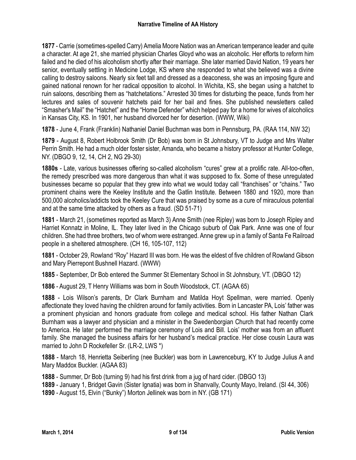**1877** - Carrie (sometimes-spelled Carry) Amelia Moore Nation was an American temperance leader and quite a character. At age 21, she married physician Charles Gloyd who was an alcoholic. Her efforts to reform him failed and he died of his alcoholism shortly after their marriage. She later married David Nation, 19 years her senior, eventually settling in Medicine Lodge, KS where she responded to what she believed was a divine calling to destroy saloons. Nearly six feet tall and dressed as a deaconess, she was an imposing figure and gained national renown for her radical opposition to alcohol. In Wichita, KS, she began using a hatchet to ruin saloons, describing them as "hatchetations." Arrested 30 times for disturbing the peace, funds from her lectures and sales of souvenir hatchets paid for her bail and fines. She published newsletters called "Smasher's Mail" the "Hatchet" and the "Home Defender" which helped pay for a home for wives of alcoholics in Kansas City, KS. In 1901, her husband divorced her for desertion. (WWW, Wiki)

**1878** - June 4, Frank (Franklin) Nathaniel Daniel Buchman was born in Pennsburg, PA. (RAA 114, NW 32)

**1879** - August 8, Robert Holbrook Smith (Dr Bob) was born in St Johnsbury, VT to Judge and Mrs Walter Perrin Smith. He had a much older foster sister, Amanda, who became a history professor at Hunter College, NY. (DBGO 9, 12, 14, CH 2, NG 29-30)

**1880s** - Late, various businesses offering so-called alcoholism "cures" grew at a prolific rate. All-too-often, the remedy prescribed was more dangerous than what it was supposed to fix. Some of these unregulated businesses became so popular that they grew into what we would today call "franchises" or "chains." Two prominent chains were the Keeley Institute and the Gatlin Institute. Between 1880 and 1920, more than 500,000 alcoholics/addicts took the Keeley Cure that was praised by some as a cure of miraculous potential and at the same time attacked by others as a fraud. (SD 51-71)

**1881** - March 21, (sometimes reported as March 3) Anne Smith (nee Ripley) was born to Joseph Ripley and Harriet Konnatz in Moline, IL. They later lived in the Chicago suburb of Oak Park. Anne was one of four children. She had three brothers, two of whom were estranged. Anne grew up in a family of Santa Fe Railroad people in a sheltered atmosphere. (CH 16, 105-107, 112)

**1881** - October 29, Rowland "Roy" Hazard III was born. He was the eldest of five children of Rowland Gibson and Mary Pierrepont Bushnell Hazard. (WWW)

**1885** - September, Dr Bob entered the Summer St Elementary School in St Johnsbury, VT. (DBGO 12)

**1886** - August 29, T Henry Williams was born in South Woodstock, CT. (AGAA 65)

**1888** - Lois Wilson's parents, Dr Clark Burnham and Matilda Hoyt Spellman, were married. Openly affectionate they loved having the children around for family activities. Born in Lancaster PA, Lois' father was a prominent physician and honors graduate from college and medical school. His father Nathan Clark Burnham was a lawyer and physician and a minister in the Swedenborgian Church that had recently come to America. He later performed the marriage ceremony of Lois and Bill. Lois' mother was from an affluent family. She managed the business affairs for her husband's medical practice. Her close cousin Laura was married to John D Rockefeller Sr. (LR-2, LWS \*)

**1888** - March 18, Henrietta Seiberling (nee Buckler) was born in Lawrenceburg, KY to Judge Julius A and Mary Maddox Buckler. (AGAA 83)

**1888** - Summer, Dr Bob (turning 9) had his first drink from a jug of hard cider. (DBGO 13)

**1889** - January 1, Bridget Gavin (Sister Ignatia) was born in Shanvally, County Mayo, Ireland. (SI 44, 306) **1890** - August 15, Elvin ("Bunky") Morton Jellinek was born in NY. (GB 171)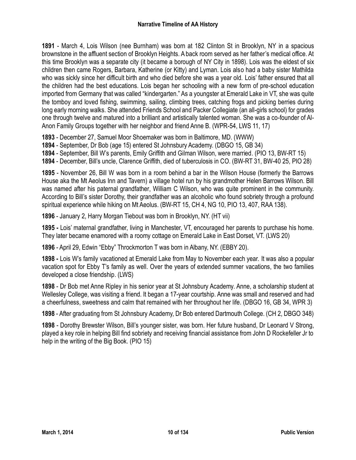**1891** - March 4, Lois Wilson (nee Burnham) was born at 182 Clinton St in Brooklyn, NY in a spacious brownstone in the affluent section of Brooklyn Heights. A back room served as her father's medical office. At this time Brooklyn was a separate city (it became a borough of NY City in 1898). Lois was the eldest of six children then came Rogers, Barbara, Katherine (or Kitty) and Lyman. Lois also had a baby sister Mathilda who was sickly since her difficult birth and who died before she was a year old. Lois' father ensured that all the children had the best educations. Lois began her schooling with a new form of pre-school education imported from Germany that was called "kindergarten." As a youngster at Emerald Lake in VT, she was quite the tomboy and loved fishing, swimming, sailing, climbing trees, catching frogs and picking berries during long early morning walks. She attended Friends School and Packer Collegiate (an all-girls school) for grades one through twelve and matured into a brilliant and artistically talented woman. She was a co-founder of Al-Anon Family Groups together with her neighbor and friend Anne B. (WPR-54, LWS 11, 17)

**1893** - December 27, Samuel Moor Shoemaker was born in Baltimore, MD. (WWW)

**1894** - September, Dr Bob (age 15) entered St Johnsbury Academy. (DBGO 15, GB 34)

**1894** - September, Bill W's parents, Emily Griffith and Gilman Wilson, were married. (PIO 13, BW-RT 15)

**1894** - December, Bill's uncle, Clarence Griffith, died of tuberculosis in CO. (BW-RT 31, BW-40 25, PIO 28)

**1895** - November 26, Bill W was born in a room behind a bar in the Wilson House (formerly the Barrows House aka the Mt Aeolus Inn and Tavern) a village hotel run by his grandmother Helen Barrows Wilson. Bill was named after his paternal grandfather, William C Wilson, who was quite prominent in the community. According to Bill's sister Dorothy, their grandfather was an alcoholic who found sobriety through a profound spiritual experience while hiking on Mt Aeolus. (BW-RT 15, CH 4, NG 10, PIO 13, 407, RAA 138).

**1896** - January 2, Harry Morgan Tiebout was born in Brooklyn, NY. (HT vii)

**1895 -** Lois' maternal grandfather, living in Manchester, VT, encouraged her parents to purchase his home. They later became enamored with a roomy cottage on Emerald Lake in East Dorset, VT. (LWS 20)

**1896** - April 29, Edwin "Ebby" Throckmorton T was born in Albany, NY. (EBBY 20).

**1898 -** Lois W's family vacationed at Emerald Lake from May to November each year. It was also a popular vacation spot for Ebby T's family as well. Over the years of extended summer vacations, the two families developed a close friendship. (LWS)

**1898** - Dr Bob met Anne Ripley in his senior year at St Johnsbury Academy. Anne, a scholarship student at Wellesley College, was visiting a friend. It began a 17-year courtship. Anne was small and reserved and had a cheerfulness, sweetness and calm that remained with her throughout her life. (DBGO 16, GB 34, WPR 3)

**1898** - After graduating from St Johnsbury Academy, Dr Bob entered Dartmouth College. (CH 2, DBGO 348)

**1898** - Dorothy Brewster Wilson, Bill's younger sister, was born. Her future husband, Dr Leonard V Strong, played a key role in helping Bill find sobriety and receiving financial assistance from John D Rockefeller Jr to help in the writing of the Big Book. (PIO 15)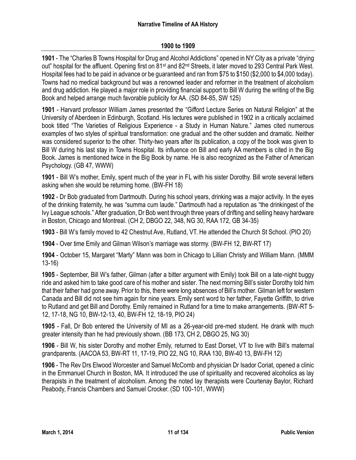# **1900 to 1909**

**1901** - The "Charles B Towns Hospital for Drug and Alcohol Addictions" opened in NY City as a private "drying out" hospital for the affluent. Opening first on 81<sup>st</sup> and 82<sup>nd</sup> Streets, it later moved to 293 Central Park West. Hospital fees had to be paid in advance or be guaranteed and ran from \$75 to \$150 (\$2,000 to \$4,000 today). Towns had no medical background but was a renowned leader and reformer in the treatment of alcoholism and drug addiction. He played a major role in providing financial support to Bill W during the writing of the Big Book and helped arrange much favorable publicity for AA. (SD 84-85, SW 125)

**1901** - Harvard professor William James presented the "Gifford Lecture Series on Natural Religion" at the University of Aberdeen in Edinburgh, Scotland. His lectures were published in 1902 in a critically acclaimed book titled "The Varieties of Religious Experience - a Study in Human Nature." James cited numerous examples of two styles of spiritual transformation: one gradual and the other sudden and dramatic. Neither was considered superior to the other. Thirty-two years after its publication, a copy of the book was given to Bill W during his last stay in Towns Hospital. Its influence on Bill and early AA members is cited in the Big Book. James is mentioned twice in the Big Book by name. He is also recognized as the Father of American Psychology. (GB 47, WWW)

**1901** - Bill W's mother, Emily, spent much of the year in FL with his sister Dorothy. Bill wrote several letters asking when she would be returning home. (BW-FH 18)

**1902** - Dr Bob graduated from Dartmouth. During his school years, drinking was a major activity. In the eyes of the drinking fraternity, he was "summa cum laude." Dartmouth had a reputation as "the drinkingest of the Ivy League schools." After graduation, Dr Bob went through three years of drifting and selling heavy hardware in Boston, Chicago and Montreal. (CH 2, DBGO 22, 348, NG 30, RAA 172, GB 34-35)

**1903** - Bill W's family moved to 42 Chestnut Ave, Rutland, VT. He attended the Church St School. (PIO 20)

**1904** - Over time Emily and Gilman Wilson's marriage was stormy. (BW-FH 12, BW-RT 17)

**1904** - October 15, Margaret "Marty" Mann was born in Chicago to Lillian Christy and William Mann. (MMM 13-16)

**1905** - September, Bill W's father, Gilman (after a bitter argument with Emily) took Bill on a late-night buggy ride and asked him to take good care of his mother and sister. The next morning Bill's sister Dorothy told him that their father had gone away. Prior to this, there were long absences of Bill's mother. Gilman left for western Canada and Bill did not see him again for nine years. Emily sent word to her father, Fayette Griffith, to drive to Rutland and get Bill and Dorothy. Emily remained in Rutland for a time to make arrangements. (BW-RT 5- 12, 17-18, NG 10, BW-12-13, 40, BW-FH 12, 18-19, PIO 24)

**1905** - Fall, Dr Bob entered the University of MI as a 26-year-old pre-med student. He drank with much greater intensity than he had previously shown. (BB 173, CH 2, DBGO 25, NG 30)

**1906** - Bill W, his sister Dorothy and mother Emily, returned to East Dorset, VT to live with Bill's maternal grandparents. (AACOA 53, BW-RT 11, 17-19, PIO 22, NG 10, RAA 130, BW-40 13, BW-FH 12)

**1906** - The Rev Drs Elwood Worcester and Samuel McComb and physician Dr Isador Coriat, opened a clinic in the Emmanuel Church in Boston, MA. It introduced the use of spirituality and recovered alcoholics as lay therapists in the treatment of alcoholism. Among the noted lay therapists were Courtenay Baylor, Richard Peabody, Francis Chambers and Samuel Crocker. (SD 100-101, WWW)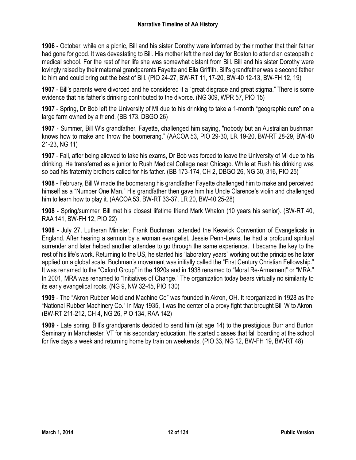**1906** - October, while on a picnic, Bill and his sister Dorothy were informed by their mother that their father had gone for good. It was devastating to Bill. His mother left the next day for Boston to attend an osteopathic medical school. For the rest of her life she was somewhat distant from Bill. Bill and his sister Dorothy were lovingly raised by their maternal grandparents Fayette and Ella Griffith. Bill's grandfather was a second father to him and could bring out the best of Bill. (PIO 24-27, BW-RT 11, 17-20, BW-40 12-13, BW-FH 12, 19)

**1907** - Bill's parents were divorced and he considered it a "great disgrace and great stigma." There is some evidence that his father's drinking contributed to the divorce. (NG 309, WPR 57, PIO 15)

**1907** - Spring, Dr Bob left the University of MI due to his drinking to take a 1-month "geographic cure" on a large farm owned by a friend. (BB 173, DBGO 26)

**1907** - Summer, Bill W's grandfather, Fayette, challenged him saying, "nobody but an Australian bushman knows how to make and throw the boomerang." (AACOA 53, PIO 29-30, LR 19-20, BW-RT 28-29, BW-40 21-23, NG 11)

**1907** - Fall, after being allowed to take his exams, Dr Bob was forced to leave the University of MI due to his drinking. He transferred as a junior to Rush Medical College near Chicago. While at Rush his drinking was so bad his fraternity brothers called for his father. (BB 173-174, CH 2, DBGO 26, NG 30, 316, PIO 25)

**1908** - February, Bill W made the boomerang his grandfather Fayette challenged him to make and perceived himself as a "Number One Man." His grandfather then gave him his Uncle Clarence's violin and challenged him to learn how to play it. (AACOA 53, BW-RT 33-37, LR 20, BW-40 25-28)

**1908** - Spring/summer, Bill met his closest lifetime friend Mark Whalon (10 years his senior). (BW-RT 40, RAA 141, BW-FH 12, PIO 22)

**1908** - July 27, Lutheran Minister, Frank Buchman, attended the Keswick Convention of Evangelicals in England. After hearing a sermon by a woman evangelist, Jessie Penn-Lewis, he had a profound spiritual surrender and later helped another attendee to go through the same experience. It became the key to the rest of his life's work. Returning to the US, he started his "laboratory years" working out the principles he later applied on a global scale. Buchman's movement was initially called the "First Century Christian Fellowship." It was renamed to the "Oxford Group" in the 1920s and in 1938 renamed to "Moral Re-Armament" or "MRA." In 2001, MRA was renamed to "Initiatives of Change." The organization today bears virtually no similarity to its early evangelical roots. (NG 9, NW 32-45, PIO 130)

**1909** - The "Akron Rubber Mold and Machine Co" was founded in Akron, OH. It reorganized in 1928 as the "National Rubber Machinery Co." In May 1935, it was the center of a proxy fight that brought Bill W to Akron. (BW-RT 211-212, CH 4, NG 26, PIO 134, RAA 142)

**1909** - Late spring, Bill's grandparents decided to send him (at age 14) to the prestigious Burr and Burton Seminary in Manchester, VT for his secondary education. He started classes that fall boarding at the school for five days a week and returning home by train on weekends. (PIO 33, NG 12, BW-FH 19, BW-RT 48)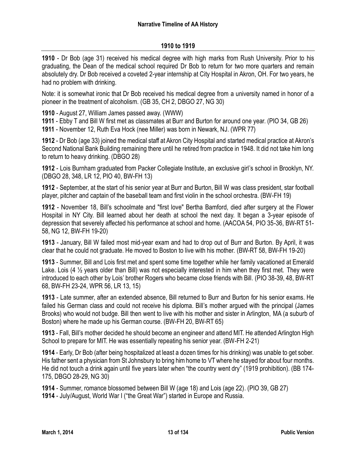# **1910 to 1919**

**1910** - Dr Bob (age 31) received his medical degree with high marks from Rush University. Prior to his graduating, the Dean of the medical school required Dr Bob to return for two more quarters and remain absolutely dry. Dr Bob received a coveted 2-year internship at City Hospital in Akron, OH. For two years, he had no problem with drinking.

Note: it is somewhat ironic that Dr Bob received his medical degree from a university named in honor of a pioneer in the treatment of alcoholism. (GB 35, CH 2, DBGO 27, NG 30)

**1910** - August 27, William James passed away. (WWW)

**1911** - Ebby T and Bill W first met as classmates at Burr and Burton for around one year. (PIO 34, GB 26) **1911** - November 12, Ruth Eva Hock (nee Miller) was born in Newark, NJ. (WPR 77)

**1912** - Dr Bob (age 33) joined the medical staff at Akron City Hospital and started medical practice at Akron's Second National Bank Building remaining there until he retired from practice in 1948. It did not take him long to return to heavy drinking. (DBGO 28)

**1912** - Lois Burnham graduated from Packer Collegiate Institute, an exclusive girl's school in Brooklyn, NY. (DBGO 28, 348, LR 12, PIO 40, BW-FH 13)

**1912** - September, at the start of his senior year at Burr and Burton, Bill W was class president, star football player, pitcher and captain of the baseball team and first violin in the school orchestra. (BW-FH 19)

**1912** - November 18, Bill's schoolmate and "first love" Bertha Bamford, died after surgery at the Flower Hospital in NY City. Bill learned about her death at school the next day. It began a 3-year episode of depression that severely affected his performance at school and home. (AACOA 54, PIO 35-36, BW-RT 51- 58, NG 12, BW-FH 19-20)

**1913** - January, Bill W failed most mid-year exam and had to drop out of Burr and Burton. By April, it was clear that he could not graduate. He moved to Boston to live with his mother. (BW-RT 58, BW-FH 19-20)

**1913** - Summer, Bill and Lois first met and spent some time together while her family vacationed at Emerald Lake. Lois (4  $\frac{1}{2}$  years older than Bill) was not especially interested in him when they first met. They were introduced to each other by Lois' brother Rogers who became close friends with Bill. (PIO 38-39, 48, BW-RT 68, BW-FH 23-24, WPR 56, LR 13, 15)

**1913** - Late summer, after an extended absence, Bill returned to Burr and Burton for his senior exams. He failed his German class and could not receive his diploma. Bill's mother argued with the principal (James Brooks) who would not budge. Bill then went to live with his mother and sister in Arlington, MA (a suburb of Boston) where he made up his German course. (BW-FH 20, BW-RT 65)

**1913** - Fall, Bill's mother decided he should become an engineer and attend MIT. He attended Arlington High School to prepare for MIT. He was essentially repeating his senior year. (BW-FH 2-21)

**1914** - Early, Dr Bob (after being hospitalized at least a dozen times for his drinking) was unable to get sober. His father sent a physician from St Johnsbury to bring him home to VT where he stayed for about four months. He did not touch a drink again until five years later when "the country went dry" (1919 prohibition). (BB 174- 175, DBGO 28-29, NG 30)

**1914** - Summer, romance blossomed between Bill W (age 18) and Lois (age 22). (PIO 39, GB 27) **1914** - July/August, World War I ("the Great War") started in Europe and Russia.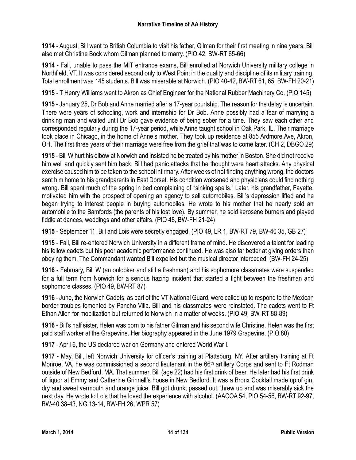**1914** - August, Bill went to British Columbia to visit his father, Gilman for their first meeting in nine years. Bill also met Christine Bock whom Gilman planned to marry. (PIO 42, BW-RT 65-66)

**1914** - Fall, unable to pass the MIT entrance exams, Bill enrolled at Norwich University military college in Northfield, VT. It was considered second only to West Point in the quality and discipline of its military training. Total enrollment was 145 students. Bill was miserable at Norwich. (PIO 40-42, BW-RT 61, 65, BW-FH 20-21)

**1915** - T Henry Williams went to Akron as Chief Engineer for the National Rubber Machinery Co. (PIO 145)

**1915** - January 25, Dr Bob and Anne married after a 17-year courtship. The reason for the delay is uncertain. There were years of schooling, work and internship for Dr Bob. Anne possibly had a fear of marrying a drinking man and waited until Dr Bob gave evidence of being sober for a time. They saw each other and corresponded regularly during the 17-year period, while Anne taught school in Oak Park, IL. Their marriage took place in Chicago, in the home of Anne's mother. They took up residence at 855 Ardmore Ave, Akron, OH. The first three years of their marriage were free from the grief that was to come later. (CH 2, DBGO 29)

**1915** - Bill W hurt his elbow at Norwich and insisted he be treated by his mother in Boston. She did not receive him well and quickly sent him back. Bill had panic attacks that he thought were heart attacks. Any physical exercise caused him to be taken to the school infirmary. After weeks of not finding anything wrong, the doctors sent him home to his grandparents in East Dorset. His condition worsened and physicians could find nothing wrong. Bill spent much of the spring in bed complaining of "sinking spells." Later, his grandfather, Fayette, motivated him with the prospect of opening an agency to sell automobiles. Bill's depression lifted and he began trying to interest people in buying automobiles. He wrote to his mother that he nearly sold an automobile to the Bamfords (the parents of his lost love). By summer, he sold kerosene burners and played fiddle at dances, weddings and other affairs. (PIO 48, BW-FH 21-24)

**1915** - September 11, Bill and Lois were secretly engaged. (PIO 49, LR 1, BW-RT 79, BW-40 35, GB 27)

**1915** - Fall, Bill re-entered Norwich University in a different frame of mind. He discovered a talent for leading his fellow cadets but his poor academic performance continued. He was also far better at giving orders than obeying them. The Commandant wanted Bill expelled but the musical director interceded. (BW-FH 24-25)

**1916** - February, Bill W (an onlooker and still a freshman) and his sophomore classmates were suspended for a full term from Norwich for a serious hazing incident that started a fight between the freshman and sophomore classes. (PIO 49, BW-RT 87)

**1916** - June, the Norwich Cadets, as part of the VT National Guard, were called up to respond to the Mexican border troubles fomented by Pancho Villa. Bill and his classmates were reinstated. The cadets went to Ft Ethan Allen for mobilization but returned to Norwich in a matter of weeks. (PIO 49, BW-RT 88-89)

**1916** - Bill's half sister, Helen was born to his father Gilman and his second wife Christine. Helen was the first paid staff worker at the Grapevine. Her biography appeared in the June 1979 Grapevine. (PIO 80)

**1917** - April 6, the US declared war on Germany and entered World War I.

**1917** - May, Bill, left Norwich University for officer's training at Plattsburg, NY. After artillery training at Ft Monroe, VA, he was commissioned a second lieutenant in the 66<sup>th</sup> artillery Corps and sent to Ft Rodman outside of New Bedford, MA. That summer, Bill (age 22) had his first drink of beer. He later had his first drink of liquor at Emmy and Catherine Grinnell's house in New Bedford. It was a Bronx Cocktail made up of gin, dry and sweet vermouth and orange juice. Bill got drunk, passed out, threw up and was miserably sick the next day. He wrote to Lois that he loved the experience with alcohol. (AACOA 54, PIO 54-56, BW-RT 92-97, BW-40 38-43, NG 13-14, BW-FH 26, WPR 57)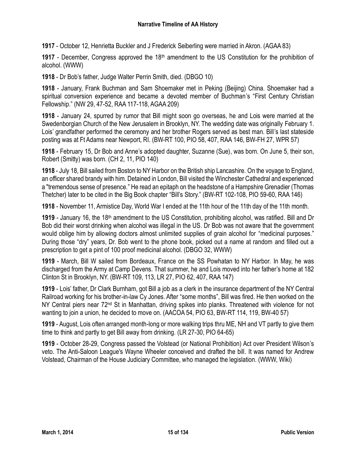**1917** - October 12, Henrietta Buckler and J Frederick Seiberling were married in Akron. (AGAA 83)

1917 - December, Congress approved the 18<sup>th</sup> amendment to the US Constitution for the prohibition of alcohol. (WWW)

**1918** - Dr Bob's father, Judge Walter Perrin Smith, died. (DBGO 10)

**1918** - January, Frank Buchman and Sam Shoemaker met in Peking (Beijing) China. Shoemaker had a spiritual conversion experience and became a devoted member of Buchman's "First Century Christian Fellowship." (NW 29, 47-52, RAA 117-118, AGAA 209)

**1918** - January 24, spurred by rumor that Bill might soon go overseas, he and Lois were married at the Swedenborgian Church of the New Jerusalem in Brooklyn, NY. The wedding date was originally February 1. Lois' grandfather performed the ceremony and her brother Rogers served as best man. Bill's last stateside posting was at Ft Adams near Newport, RI. (BW-RT 100, PIO 58, 407, RAA 146, BW-FH 27, WPR 57)

**1918** - February 15, Dr Bob and Anne's adopted daughter, Suzanne (Sue), was born. On June 5, their son, Robert (Smitty) was born. (CH 2, 11, PIO 140)

**1918** - July 18, Bill sailed from Boston to NY Harbor on the British ship Lancashire. On the voyage to England, an officer shared brandy with him. Detained in London, Bill visited the Winchester Cathedral and experienced a "tremendous sense of presence." He read an epitaph on the headstone of a Hampshire Grenadier (Thomas Thetcher) later to be cited in the Big Book chapter "Bill's Story." (BW-RT 102-108, PIO 59-60, RAA 146)

**1918** - November 11, Armistice Day, World War I ended at the 11th hour of the 11th day of the 11th month.

**1919** - January 16, the 18th amendment to the US Constitution, prohibiting alcohol, was ratified. Bill and Dr Bob did their worst drinking when alcohol was illegal in the US. Dr Bob was not aware that the government would oblige him by allowing doctors almost unlimited supplies of grain alcohol for "medicinal purposes." During those "dry" years, Dr. Bob went to the phone book, picked out a name at random and filled out a prescription to get a pint of 100 proof medicinal alcohol. (DBGO 32, WWW)

**1919** - March, Bill W sailed from Bordeaux, France on the SS Powhatan to NY Harbor. In May, he was discharged from the Army at Camp Devens. That summer, he and Lois moved into her father's home at 182 Clinton St in Brooklyn, NY. (BW-RT 109, 113, LR 27, PIO 62, 407, RAA 147)

**1919** - Lois' father, Dr Clark Burnham, got Bill a job as a clerk in the insurance department of the NY Central Railroad working for his brother-in-law Cy Jones. After "some months", Bill was fired. He then worked on the NY Central piers near 72<sup>nd</sup> St in Manhattan, driving spikes into planks. Threatened with violence for not wanting to join a union, he decided to move on. (AACOA 54, PIO 63, BW-RT 114, 119, BW-40 57)

**1919** - August, Lois often arranged month-long or more walking trips thru ME, NH and VT partly to give them time to think and partly to get Bill away from drinking. (LR 27-30, PIO 64-65)

**1919** - October 28-29, Congress passed the Volstead (or National Prohibition) Act over President Wilson's veto. The Anti-Saloon League's Wayne Wheeler conceived and drafted the bill. It was named for Andrew Volstead, Chairman of the House Judiciary Committee, who managed the legislation. (WWW, Wiki)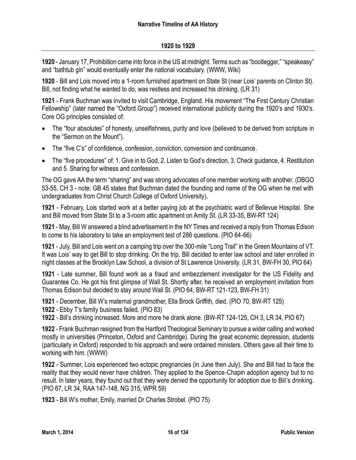#### **1920 to 1929**

**1920** - January 17, Prohibition came into force in the US at midnight. Terms such as "bootlegger," "speakeasy" and "bathtub gin" would eventually enter the national vocabulary. (WWW, Wiki)

**1920** - Bill and Lois moved into a 1-room furnished apartment on State St (near Lois' parents on Clinton St). Bill, not finding what he wanted to do, was restless and increased his drinking. (LR 31)

**1921** - Frank Buchman was invited to visit Cambridge, England. His movement "The First Century Christian Fellowship" (later named the "Oxford Group") received international publicity during the 1920's and 1930's. Core OG principles consisted of:

- The "four absolutes" of honesty, unselfishness, purity and love (believed to be derived from scripture in the "Sermon on the Mount").
- The "five C's" of confidence, confession, conviction, conversion and continuance.
- The "five procedures" of: 1. Give in to God, 2. Listen to God's direction, 3. Check guidance, 4. Restitution and 5. Sharing for witness and confession.

The OG gave AA the term "sharing" and was strong advocates of one member working with another. (DBGO 53-55, CH 3 - note: GB 45 states that Buchman dated the founding and name of the OG when he met with undergraduates from Christ Church College of Oxford University).

**1921** - February, Lois started work at a better paying job at the psychiatric ward of Bellevue Hospital. She and Bill moved from State St to a 3-room attic apartment on Amity St. (LR 33-35, BW-RT 124)

**1921** - May, Bill W answered a blind advertisement in the NY Times and received a reply from Thomas Edison to come to his laboratory to take an employment test of 286 questions. (PIO 64-66)

**1921** - July, Bill and Lois went on a camping trip over the 300-mile "Long Trail" in the Green Mountains of VT. It was Lois' way to get Bill to stop drinking. On the trip, Bill decided to enter law school and later enrolled in night classes at the Brooklyn Law School, a division of St Lawrence University. (LR 31, BW-FH 30, PIO 64)

**1921** - Late summer, Bill found work as a fraud and embezzlement investigator for the US Fidelity and Guarantee Co. He got his first glimpse of Wall St. Shortly after, he received an employment invitation from Thomas Edison but decided to stay around Wall St. (PIO 64, BW-RT 121-123, BW-FH 31)

**1921** - December, Bill W's maternal grandmother, Ella Brock Griffith, died. (PIO 70, BW-RT 125)

**1922** - Ebby T's family business failed. (PIO 83)

**1922** - Bill's drinking increased. More and more he drank alone. (BW-RT 124-125, CH 3, LR 34, PIO 67)

**1922** - Frank Buchman resigned from the Hartford Theological Seminary to pursue a wider calling and worked mostly in universities (Princeton, Oxford and Cambridge). During the great economic depression, students (particularly in Oxford) responded to his approach and were ordained ministers. Others gave all their time to working with him. (WWW)

**1922** - Summer, Lois experienced two ectopic pregnancies (in June then July). She and Bill had to face the reality that they would never have children. They applied to the Spence-Chapin adoption agency but to no result. In later years, they found out that they were denied the opportunity for adoption due to Bill's drinking. (PIO 67, LR 34, RAA 147-148, NG 315, WPR 59)

**1923** - Bill W's mother, Emily, married Dr Charles Strobel. (PIO 75)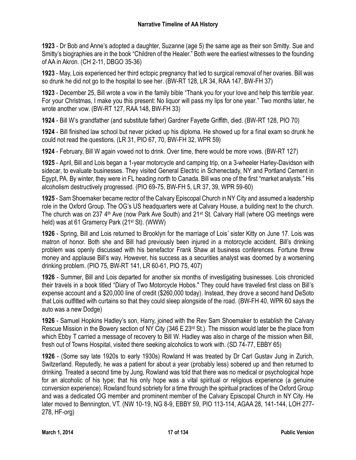**1923** - Dr Bob and Anne's adopted a daughter, Suzanne (age 5) the same age as their son Smitty. Sue and Smitty's biographies are in the book "Children of the Healer." Both were the earliest witnesses to the founding of AA in Akron. (CH 2-11, DBGO 35-36)

**1923** - May, Lois experienced her third ectopic pregnancy that led to surgical removal of her ovaries. Bill was so drunk he did not go to the hospital to see her. (BW-RT 128, LR 34, RAA 147, BW-FH 37)

**1923** - December 25, Bill wrote a vow in the family bible "Thank you for your love and help this terrible year. For your Christmas, I make you this present: No liquor will pass my lips for one year." Two months later, he wrote another vow. (BW-RT 127, RAA 148, BW-FH 33)

**1924** - Bill W's grandfather (and substitute father) Gardner Fayette Griffith, died. (BW-RT 128, PIO 70)

**1924** - Bill finished law school but never picked up his diploma. He showed up for a final exam so drunk he could not read the questions. (LR 31, PIO 67, 70, BW-FH 32, WPR 59)

**1924** - February, Bill W again vowed not to drink. Over time, there would be more vows. (BW-RT 127)

**1925** - April, Bill and Lois began a 1-year motorcycle and camping trip, on a 3-wheeler Harley-Davidson with sidecar, to evaluate businesses. They visited General Electric in Schenectady, NY and Portland Cement in Egypt, PA. By winter, they were in FL heading north to Canada. Bill was one of the first "market analysts." His alcoholism destructively progressed. (PIO 69-75, BW-FH 5, LR 37, 39, WPR 59-60)

**1925** - Sam Shoemaker became rector of the Calvary Episcopal Church in NY City and assumed a leadership role in the Oxford Group. The OG's US headquarters were at Calvary House, a building next to the church. The church was on 237 4<sup>th</sup> Ave (now Park Ave South) and 21<sup>st</sup> St. Calvary Hall (where OG meetings were held) was at 61 Gramercy Park (21st St). (WWW)

**1926** - Spring, Bill and Lois returned to Brooklyn for the marriage of Lois' sister Kitty on June 17. Lois was matron of honor. Both she and Bill had previously been injured in a motorcycle accident. Bill's drinking problem was openly discussed with his benefactor Frank Shaw at business conferences. Fortune threw money and applause Bill's way. However, his success as a securities analyst was doomed by a worsening drinking problem. (PIO 75, BW-RT 141, LR 60-61, PIO 75, 407)

**1926** - Summer, Bill and Lois departed for another six months of investigating businesses. Lois chronicled their travels in a book titled "Diary of Two Motorcycle Hobos." They could have traveled first class on Bill's expense account and a \$20,000 line of credit (\$260,000 today). Instead, they drove a second hand DeSoto that Lois outfitted with curtains so that they could sleep alongside of the road. (BW-FH 40, WPR 60 says the auto was a new Dodge)

**1926** - Samuel Hopkins Hadley's son, Harry, joined with the Rev Sam Shoemaker to establish the Calvary Rescue Mission in the Bowery section of NY City (346 E 23rd St.). The mission would later be the place from which Ebby T carried a message of recovery to Bill W. Hadley was also in charge of the mission when Bill, fresh out of Towns Hospital, visited there seeking alcoholics to work with. (SD 74-77, EBBY 65)

**1926** - (Some say late 1920s to early 1930s) Rowland H was treated by Dr Carl Gustav Jung in Zurich, Switzerland. Reputedly, he was a patient for about a year (probably less) sobered up and then returned to drinking. Treated a second time by Jung, Rowland was told that there was no medical or psychological hope for an alcoholic of his type; that his only hope was a vital spiritual or religious experience (a genuine conversion experience). Rowland found sobriety for a time through the spiritual practices of the Oxford Group and was a dedicated OG member and prominent member of the Calvary Episcopal Church in NY City. He later moved to Bennington, VT. (NW 10-19, NG 8-9, EBBY 59, PIO 113-114, AGAA 28, 141-144, LOH 277- 278, HF-org)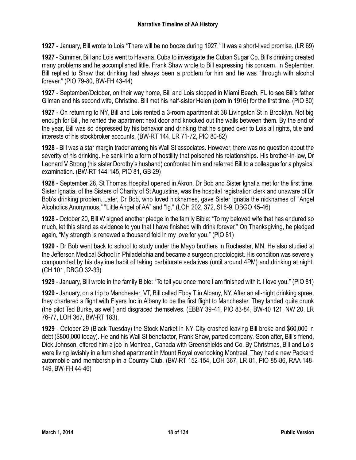**1927** - January, Bill wrote to Lois "There will be no booze during 1927." It was a short-lived promise. (LR 69)

**1927** - Summer, Bill and Lois went to Havana, Cuba to investigate the Cuban Sugar Co. Bill's drinking created many problems and he accomplished little. Frank Shaw wrote to Bill expressing his concern. In September, Bill replied to Shaw that drinking had always been a problem for him and he was "through with alcohol forever." (PIO 79-80, BW-FH 43-44)

**1927** - September/October, on their way home, Bill and Lois stopped in Miami Beach, FL to see Bill's father Gilman and his second wife, Christine. Bill met his half-sister Helen (born in 1916) for the first time. (PIO 80)

**1927** - On returning to NY, Bill and Lois rented a 3-room apartment at 38 Livingston St in Brooklyn. Not big enough for Bill, he rented the apartment next door and knocked out the walls between them. By the end of the year, Bill was so depressed by his behavior and drinking that he signed over to Lois all rights, title and interests of his stockbroker accounts. (BW-RT 144, LR 71-72, PIO 80-82)

**1928** - Bill was a star margin trader among his Wall St associates. However, there was no question about the severity of his drinking. He sank into a form of hostility that poisoned his relationships. His brother-in-law, Dr Leonard V Strong (his sister Dorothy's husband) confronted him and referred Bill to a colleague for a physical examination. (BW-RT 144-145, PIO 81, GB 29)

**1928** - September 28, St Thomas Hospital opened in Akron. Dr Bob and Sister Ignatia met for the first time. Sister Ignatia, of the Sisters of Charity of St Augustine, was the hospital registration clerk and unaware of Dr Bob's drinking problem. Later, Dr Bob, who loved nicknames, gave Sister Ignatia the nicknames of "Angel Alcoholics Anonymous," "Little Angel of AA" and "Ig." (LOH 202, 372, SI 6-9, DBGO 45-46)

**1928** - October 20, Bill W signed another pledge in the family Bible: "To my beloved wife that has endured so much, let this stand as evidence to you that I have finished with drink forever." On Thanksgiving, he pledged again, "My strength is renewed a thousand fold in my love for you." (PIO 81)

**1929** - Dr Bob went back to school to study under the Mayo brothers in Rochester, MN. He also studied at the Jefferson Medical School in Philadelphia and became a surgeon proctologist. His condition was severely compounded by his daytime habit of taking barbiturate sedatives (until around 4PM) and drinking at night. (CH 101, DBGO 32-33)

**1929** - January, Bill wrote in the family Bible: "To tell you once more I am finished with it. I love you." (PIO 81)

**1929** - January, on a trip to Manchester, VT, Bill called Ebby T in Albany, NY. After an all-night drinking spree, they chartered a flight with Flyers Inc in Albany to be the first flight to Manchester. They landed quite drunk (the pilot Ted Burke, as well) and disgraced themselves. (EBBY 39-41, PIO 83-84, BW-40 121, NW 20, LR 76-77, LOH 367, BW-RT 183).

**1929** - October 29 (Black Tuesday) the Stock Market in NY City crashed leaving Bill broke and \$60,000 in debt (\$800,000 today). He and his Wall St benefactor, Frank Shaw, parted company. Soon after, Bill's friend, Dick Johnson, offered him a job in Montreal, Canada with Greenshields and Co. By Christmas, Bill and Lois were living lavishly in a furnished apartment in Mount Royal overlooking Montreal. They had a new Packard automobile and membership in a Country Club. (BW-RT 152-154, LOH 367, LR 81, PIO 85-86, RAA 148- 149, BW-FH 44-46)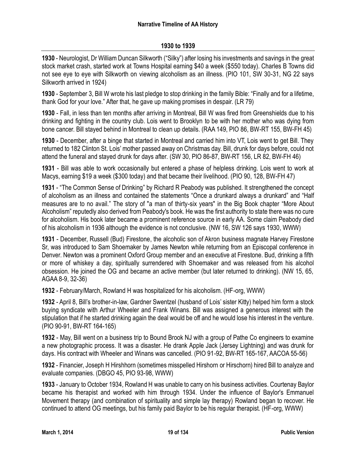## **1930 to 1939**

**1930** - Neurologist, Dr William Duncan Silkworth ("Silky") after losing his investments and savings in the great stock market crash, started work at Towns Hospital earning \$40 a week (\$550 today). Charles B Towns did not see eye to eye with Silkworth on viewing alcoholism as an illness. (PIO 101, SW 30-31, NG 22 says Silkworth arrived in 1924)

**1930** - September 3, Bill W wrote his last pledge to stop drinking in the family Bible: "Finally and for a lifetime, thank God for your love." After that, he gave up making promises in despair. (LR 79)

**1930** - Fall, in less than ten months after arriving in Montreal, Bill W was fired from Greenshields due to his drinking and fighting in the country club. Lois went to Brooklyn to be with her mother who was dying from bone cancer. Bill stayed behind in Montreal to clean up details. (RAA 149, PIO 86, BW-RT 155, BW-FH 45)

**1930** - December, after a binge that started in Montreal and carried him into VT, Lois went to get Bill. They returned to 182 Clinton St. Lois' mother passed away on Christmas day. Bill, drunk for days before, could not attend the funeral and stayed drunk for days after. (SW 30, PIO 86-87, BW-RT 156, LR 82, BW-FH 46)

**1931** - Bill was able to work occasionally but entered a phase of helpless drinking. Lois went to work at Macys, earning \$19 a week (\$300 today) and that became their livelihood. (PIO 90, 128, BW-FH 47)

**1931** - "The Common Sense of Drinking" by Richard R Peabody was published. It strengthened the concept of alcoholism as an illness and contained the statements "Once a drunkard always a drunkard" and "Half measures are to no avail." The story of "a man of thirty-six years" in the Big Book chapter "More About Alcoholism" reputedly also derived from Peabody's book. He was the first authority to state there was no cure for alcoholism. His book later became a prominent reference source in early AA. Some claim Peabody died of his alcoholism in 1936 although the evidence is not conclusive. (NW 16, SW 126 says 1930, WWW)

**1931** - December, Russell (Bud) Firestone, the alcoholic son of Akron business magnate Harvey Firestone Sr, was introduced to Sam Shoemaker by James Newton while returning from an Episcopal conference in Denver. Newton was a prominent Oxford Group member and an executive at Firestone. Bud, drinking a fifth or more of whiskey a day, spiritually surrendered with Shoemaker and was released from his alcohol obsession. He joined the OG and became an active member (but later returned to drinking). (NW 15, 65, AGAA 8-9, 32-36)

**1932** - February/March, Rowland H was hospitalized for his alcoholism. (HF-org, WWW)

**1932** - April 8, Bill's brother-in-law, Gardner Swentzel (husband of Lois' sister Kitty) helped him form a stock buying syndicate with Arthur Wheeler and Frank Winans. Bill was assigned a generous interest with the stipulation that if he started drinking again the deal would be off and he would lose his interest in the venture. (PIO 90-91, BW-RT 164-165)

**1932** - May, Bill went on a business trip to Bound Brook NJ with a group of Pathe Co engineers to examine a new photographic process. It was a disaster. He drank Apple Jack (Jersey Lightning) and was drunk for days. His contract with Wheeler and Winans was cancelled. (PIO 91-92, BW-RT 165-167, AACOA 55-56)

**1932** - Financier, Joseph H Hirshhorn (sometimes misspelled Hirshorn or Hirschorn) hired Bill to analyze and evaluate companies. (DBGO 45, PIO 93-98, WWW)

**1933** - January to October 1934, Rowland H was unable to carry on his business activities. Courtenay Baylor became his therapist and worked with him through 1934. Under the influence of Baylor's Emmanuel Movement therapy (and combination of spirituality and simple lay therapy) Rowland began to recover. He continued to attend OG meetings, but his family paid Baylor to be his regular therapist. (HF-org, WWW)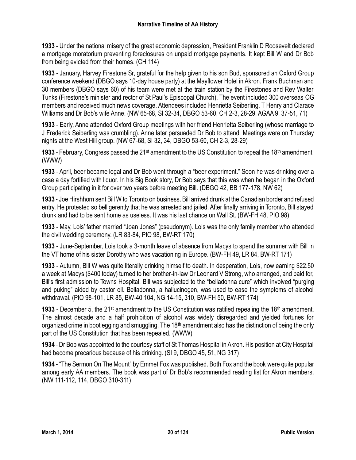**1933** - Under the national misery of the great economic depression, President Franklin D Roosevelt declared a mortgage moratorium preventing foreclosures on unpaid mortgage payments. It kept Bill W and Dr Bob from being evicted from their homes. (CH 114)

**1933** - January, Harvey Firestone Sr, grateful for the help given to his son Bud, sponsored an Oxford Group conference weekend (DBGO says 10-day house party) at the Mayflower Hotel in Akron. Frank Buchman and 30 members (DBGO says 60) of his team were met at the train station by the Firestones and Rev Walter Tunks (Firestone's minister and rector of St Paul's Episcopal Church). The event included 300 overseas OG members and received much news coverage. Attendees included Henrietta Seiberling, T Henry and Clarace Williams and Dr Bob's wife Anne. (NW 65-68, SI 32-34, DBGO 53-60, CH 2-3, 28-29, AGAA 9, 37-51, 71)

**1933** - Early, Anne attended Oxford Group meetings with her friend Henrietta Seiberling (whose marriage to J Frederick Seiberling was crumbling). Anne later persuaded Dr Bob to attend. Meetings were on Thursday nights at the West Hill group. (NW 67-68, SI 32, 34, DBGO 53-60, CH 2-3, 28-29)

**1933** - February, Congress passed the 21<sup>st</sup> amendment to the US Constitution to repeal the 18<sup>th</sup> amendment. (WWW)

**1933** - April, beer became legal and Dr Bob went through a "beer experiment." Soon he was drinking over a case a day fortified with liquor. In his Big Book story, Dr Bob says that this was when he began in the Oxford Group participating in it for over two years before meeting Bill. (DBGO 42, BB 177-178, NW 62)

**1933** - Joe Hirshhorn sent Bill W to Toronto on business. Bill arrived drunk at the Canadian border and refused entry. He protested so belligerently that he was arrested and jailed. After finally arriving in Toronto, Bill stayed drunk and had to be sent home as useless. It was his last chance on Wall St. (BW-FH 48, PIO 98)

**1933** - May, Lois' father married "Joan Jones" (pseudonym). Lois was the only family member who attended the civil wedding ceremony. (LR 83-84, PIO 98, BW-RT 170)

**1933** - June-September, Lois took a 3-month leave of absence from Macys to spend the summer with Bill in the VT home of his sister Dorothy who was vacationing in Europe. (BW-FH 49, LR 84, BW-RT 171)

**1933** - Autumn, Bill W was quite literally drinking himself to death. In desperation, Lois, now earning \$22.50 a week at Macys (\$400 today) turned to her brother-in-law Dr Leonard V Strong, who arranged, and paid for, Bill's first admission to Towns Hospital. Bill was subjected to the "belladonna cure" which involved "purging and puking" aided by castor oil. Belladonna, a hallucinogen, was used to ease the symptoms of alcohol withdrawal. (PIO 98-101, LR 85, BW-40 104, NG 14-15, 310, BW-FH 50, BW-RT 174)

**1933** - December 5, the 21<sup>st</sup> amendment to the US Constitution was ratified repealing the 18<sup>th</sup> amendment. The almost decade and a half prohibition of alcohol was widely disregarded and yielded fortunes for organized crime in bootlegging and smuggling. The 18<sup>th</sup> amendment also has the distinction of being the only part of the US Constitution that has been repealed. (WWW)

**1934** - Dr Bob was appointed to the courtesy staff of St Thomas Hospital in Akron. His position at City Hospital had become precarious because of his drinking. (SI 9, DBGO 45, 51, NG 317)

**1934** - "The Sermon On The Mount" by Emmet Fox was published. Both Fox and the book were quite popular among early AA members. The book was part of Dr Bob's recommended reading list for Akron members. (NW 111-112, 114, DBGO 310-311)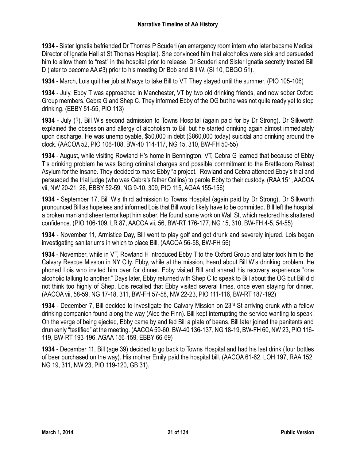**1934** - Sister Ignatia befriended Dr Thomas P Scuderi (an emergency room intern who later became Medical Director of Ignatia Hall at St Thomas Hospital). She convinced him that alcoholics were sick and persuaded him to allow them to "rest" in the hospital prior to release. Dr Scuderi and Sister Ignatia secretly treated Bill D (later to become AA #3) prior to his meeting Dr Bob and Bill W. (SI 10, DBGO 51).

**1934** - March, Lois quit her job at Macys to take Bill to VT. They stayed until the summer. (PIO 105-106)

**1934** - July, Ebby T was approached in Manchester, VT by two old drinking friends, and now sober Oxford Group members, Cebra G and Shep C. They informed Ebby of the OG but he was not quite ready yet to stop drinking. (EBBY 51-55, PIO 113)

**1934** - July (?), Bill W's second admission to Towns Hospital (again paid for by Dr Strong). Dr Silkworth explained the obsession and allergy of alcoholism to Bill but he started drinking again almost immediately upon discharge. He was unemployable, \$50,000 in debt (\$860,000 today) suicidal and drinking around the clock. (AACOA 52, PIO 106-108, BW-40 114-117, NG 15, 310, BW-FH 50-55)

**1934** - August, while visiting Rowland H's home in Bennington, VT, Cebra G learned that because of Ebby T's drinking problem he was facing criminal charges and possible commitment to the Brattleboro Retreat Asylum for the Insane. They decided to make Ebby "a project." Rowland and Cebra attended Ebby's trial and persuaded the trial judge (who was Cebra's father Collins) to parole Ebby to their custody. (RAA 151, AACOA vii, NW 20-21, 26, EBBY 52-59, NG 9-10, 309, PIO 115, AGAA 155-156)

**1934** - September 17, Bill W's third admission to Towns Hospital (again paid by Dr Strong). Dr Silkworth pronounced Bill as hopeless and informed Lois that Bill would likely have to be committed. Bill left the hospital a broken man and sheer terror kept him sober. He found some work on Wall St, which restored his shattered confidence. (PIO 106-109, LR 87, AACOA vii, 56, BW-RT 176-177, NG 15, 310, BW-FH 4-5, 54-55)

**1934** - November 11, Armistice Day, Bill went to play golf and got drunk and severely injured. Lois began investigating sanitariums in which to place Bill. (AACOA 56-58, BW-FH 56)

**1934** - November, while in VT, Rowland H introduced Ebby T to the Oxford Group and later took him to the Calvary Rescue Mission in NY City. Ebby, while at the mission, heard about Bill W's drinking problem. He phoned Lois who invited him over for dinner. Ebby visited Bill and shared his recovery experience "one alcoholic talking to another." Days later, Ebby returned with Shep C to speak to Bill about the OG but Bill did not think too highly of Shep. Lois recalled that Ebby visited several times, once even staying for dinner. (AACOA vii, 58-59, NG 17-18, 311, BW-FH 57-58, NW 22-23, PIO 111-116, BW-RT 187-192)

**1934** - December 7, Bill decided to investigate the Calvary Mission on 23rd St arriving drunk with a fellow drinking companion found along the way (Alec the Finn). Bill kept interrupting the service wanting to speak. On the verge of being ejected, Ebby came by and fed Bill a plate of beans. Bill later joined the penitents and drunkenly "testified" at the meeting. (AACOA 59-60, BW-40 136-137, NG 18-19, BW-FH 60, NW 23, PIO 116- 119, BW-RT 193-196, AGAA 156-159, EBBY 66-69)

**1934** - December 11, Bill (age 39) decided to go back to Towns Hospital and had his last drink (four bottles of beer purchased on the way). His mother Emily paid the hospital bill. (AACOA 61-62, LOH 197, RAA 152, NG 19, 311, NW 23, PIO 119-120, GB 31).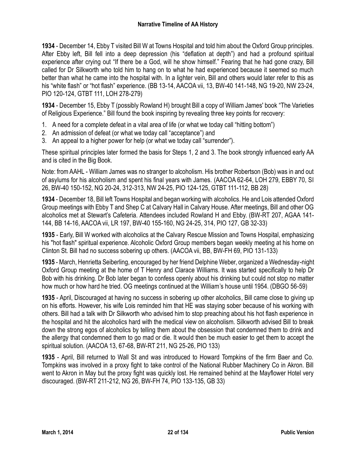**1934** - December 14, Ebby T visited Bill W at Towns Hospital and told him about the Oxford Group principles. After Ebby left, Bill fell into a deep depression (his "deflation at depth") and had a profound spiritual experience after crying out "If there be a God, will he show himself." Fearing that he had gone crazy, Bill called for Dr Silkworth who told him to hang on to what he had experienced because it seemed so much better than what he came into the hospital with. In a lighter vein, Bill and others would later refer to this as his "white flash" or "hot flash" experience. (BB 13-14, AACOA vii, 13, BW-40 141-148, NG 19-20, NW 23-24, PIO 120-124, GTBT 111, LOH 278-279)

**1934** - December 15, Ebby T (possibly Rowland H) brought Bill a copy of William James' book "The Varieties of Religious Experience." Bill found the book inspiring by revealing three key points for recovery:

- 1. A need for a complete defeat in a vital area of life (or what we today call "hitting bottom")
- 2. An admission of defeat (or what we today call "acceptance") and
- 3. An appeal to a higher power for help (or what we today call "surrender").

These spiritual principles later formed the basis for Steps 1, 2 and 3. The book strongly influenced early AA and is cited in the Big Book.

Note: from AAHL - William James was no stranger to alcoholism. His brother Robertson (Bob) was in and out of asylums for his alcoholism and spent his final years with James. (AACOA 62-64, LOH 279, EBBY 70, SI 26, BW-40 150-152, NG 20-24, 312-313, NW 24-25, PIO 124-125, GTBT 111-112, BB 28)

**1934** - December 18, Bill left Towns Hospital and began working with alcoholics. He and Lois attended Oxford Group meetings with Ebby T and Shep C at Calvary Hall in Calvary House. After meetings, Bill and other OG alcoholics met at Stewart's Cafeteria. Attendees included Rowland H and Ebby. (BW-RT 207, AGAA 141- 144, BB 14-16, AACOA vii, LR 197, BW-40 155-160, NG 24-25, 314, PIO 127, GB 32-33)

**1935** - Early, Bill W worked with alcoholics at the Calvary Rescue Mission and Towns Hospital, emphasizing his "hot flash" spiritual experience. Alcoholic Oxford Group members began weekly meeting at his home on Clinton St. Bill had no success sobering up others. (AACOA vii, BB, BW-FH 69, PIO 131-133)

**1935** - March, Henrietta Seiberling, encouraged by her friend Delphine Weber, organized a Wednesday-night Oxford Group meeting at the home of T Henry and Clarace Williams. It was started specifically to help Dr Bob with his drinking. Dr Bob later began to confess openly about his drinking but could not stop no matter how much or how hard he tried. OG meetings continued at the William's house until 1954. (DBGO 56-59)

**1935** - April, Discouraged at having no success in sobering up other alcoholics, Bill came close to giving up on his efforts. However, his wife Lois reminded him that HE was staying sober because of his working with others. Bill had a talk with Dr Silkworth who advised him to stop preaching about his hot flash experience in the hospital and hit the alcoholics hard with the medical view on alcoholism. Silkworth advised Bill to break down the strong egos of alcoholics by telling them about the obsession that condemned them to drink and the allergy that condemned them to go mad or die. It would then be much easier to get them to accept the spiritual solution. (AACOA 13, 67-68, BW-RT 211, NG 25-26, PIO 133)

**1935** - April, Bill returned to Wall St and was introduced to Howard Tompkins of the firm Baer and Co. Tompkins was involved in a proxy fight to take control of the National Rubber Machinery Co in Akron. Bill went to Akron in May but the proxy fight was quickly lost. He remained behind at the Mayflower Hotel very discouraged. (BW-RT 211-212, NG 26, BW-FH 74, PIO 133-135, GB 33)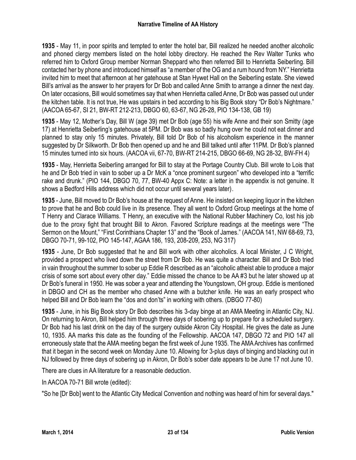**1935** - May 11, in poor spirits and tempted to enter the hotel bar, Bill realized he needed another alcoholic and phoned clergy members listed on the hotel lobby directory. He reached the Rev Walter Tunks who referred him to Oxford Group member Norman Sheppard who then referred Bill to Henrietta Seiberling. Bill contacted her by phone and introduced himself as "a member of the OG and a rum hound from NY." Henrietta invited him to meet that afternoon at her gatehouse at Stan Hywet Hall on the Seiberling estate. She viewed Bill's arrival as the answer to her prayers for Dr Bob and called Anne Smith to arrange a dinner the next day. On later occasions, Bill would sometimes say that when Henrietta called Anne, Dr Bob was passed out under the kitchen table. It is not true, He was upstairs in bed according to his Big Book story "Dr Bob's Nightmare." (AACOA 65-67, SI 21, BW-RT 212-213, DBGO 60, 63-67, NG 26-28, PIO 134-138, GB 19)

**1935** - May 12, Mother's Day, Bill W (age 39) met Dr Bob (age 55) his wife Anne and their son Smitty (age 17) at Henrietta Seiberling's gatehouse at 5PM. Dr Bob was so badly hung over he could not eat dinner and planned to stay only 15 minutes. Privately, Bill told Dr Bob of his alcoholism experience in the manner suggested by Dr Silkworth. Dr Bob then opened up and he and Bill talked until after 11PM. Dr Bob's planned 15 minutes turned into six hours. (AACOA vii, 67-70, BW-RT 214-215, DBGO 66-69, NG 28-32, BW-FH 4)

**1935** - May, Henrietta Seiberling arranged for Bill to stay at the Portage Country Club. Bill wrote to Lois that he and Dr Bob tried in vain to sober up a Dr McK a "once prominent surgeon" who developed into a "terrific rake and drunk." (PIO 144, DBGO 70, 77, BW-40 Appx C: Note: a letter in the appendix is not genuine. It shows a Bedford Hills address which did not occur until several years later).

**1935** - June, Bill moved to Dr Bob's house at the request of Anne. He insisted on keeping liquor in the kitchen to prove that he and Bob could live in its presence. They all went to Oxford Group meetings at the home of T Henry and Clarace Williams. T Henry, an executive with the National Rubber Machinery Co, lost his job due to the proxy fight that brought Bill to Akron. Favored Scripture readings at the meetings were "The Sermon on the Mount," "First Corinthians Chapter 13" and the "Book of James." (AACOA 141, NW 68-69, 73, DBGO 70-71, 99-102, PIO 145-147, AGAA 186, 193, 208-209, 253, NG 317)

**1935** - June, Dr Bob suggested that he and Bill work with other alcoholics. A local Minister, J C Wright, provided a prospect who lived down the street from Dr Bob. He was quite a character. Bill and Dr Bob tried in vain throughout the summer to sober up Eddie R described as an "alcoholic atheist able to produce a major crisis of some sort about every other day." Eddie missed the chance to be AA #3 but he later showed up at Dr Bob's funeral in 1950. He was sober a year and attending the Youngstown, OH group. Eddie is mentioned in DBGO and CH as the member who chased Anne with a butcher knife. He was an early prospect who helped Bill and Dr Bob learn the "dos and don'ts" in working with others. (DBGO 77-80)

**1935** - June, in his Big Book story Dr Bob describes his 3-day binge at an AMA Meeting in Atlantic City, NJ. On returning to Akron, Bill helped him through three days of sobering up to prepare for a scheduled surgery. Dr Bob had his last drink on the day of the surgery outside Akron City Hospital. He gives the date as June 10, 1935. AA marks this date as the founding of the Fellowship. AACOA 147, DBGO 72 and PIO 147 all erroneously state that the AMA meeting began the first week of June 1935. The AMA Archives has confirmed that it began in the second week on Monday June 10. Allowing for 3-plus days of binging and blacking out in NJ followed by three days of sobering up in Akron, Dr Bob's sober date appears to be June 17 not June 10.

There are clues in AA literature for a reasonable deduction.

In AACOA 70-71 Bill wrote (edited):

"So he [Dr Bob] went to the Atlantic City Medical Convention and nothing was heard of him for several days."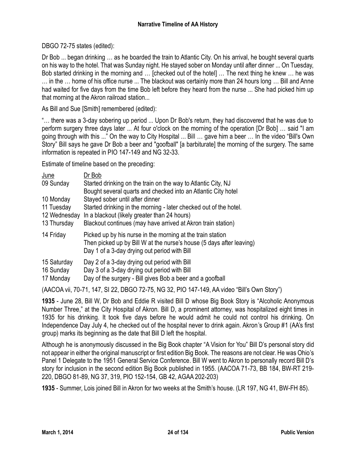DBGO 72-75 states (edited):

Dr Bob ... began drinking … as he boarded the train to Atlantic City. On his arrival, he bought several quarts on his way to the hotel. That was Sunday night. He stayed sober on Monday until after dinner ... On Tuesday, Bob started drinking in the morning and … [checked out of the hotel] … The next thing he knew … he was … in the … home of his office nurse ... The blackout was certainly more than 24 hours long … Bill and Anne had waited for five days from the time Bob left before they heard from the nurse ... She had picked him up that morning at the Akron railroad station...

As Bill and Sue [Smith] remembered (edited):

"… there was a 3-day sobering up period ... Upon Dr Bob's return, they had discovered that he was due to perform surgery three days later ... At four o'clock on the morning of the operation [Dr Bob] … said "I am going through with this ..." On the way to City Hospital ... Bill … gave him a beer … In the video "Bill's Own Story" Bill says he gave Dr Bob a beer and "goofball" [a barbiturate] the morning of the surgery. The same information is repeated in PIO 147-149 and NG 32-33.

Estimate of timeline based on the preceding:

| <u>June</u>                           | Dr Bob                                                                                                                                                                             |
|---------------------------------------|------------------------------------------------------------------------------------------------------------------------------------------------------------------------------------|
| 09 Sunday                             | Started drinking on the train on the way to Atlantic City, NJ                                                                                                                      |
|                                       | Bought several quarts and checked into an Atlantic City hotel                                                                                                                      |
| 10 Monday                             | Stayed sober until after dinner                                                                                                                                                    |
| 11 Tuesday                            | Started drinking in the morning - later checked out of the hotel.                                                                                                                  |
| 12 Wednesday                          | In a blackout (likely greater than 24 hours)                                                                                                                                       |
| 13 Thursday                           | Blackout continues (may have arrived at Akron train station)                                                                                                                       |
| 14 Friday                             | Picked up by his nurse in the morning at the train station<br>Then picked up by Bill W at the nurse's house (5 days after leaving)<br>Day 1 of a 3-day drying out period with Bill |
| 15 Saturday<br>16 Sunday<br>17 Monday | Day 2 of a 3-day drying out period with Bill<br>Day 3 of a 3-day drying out period with Bill<br>Day of the surgery - Bill gives Bob a beer and a goofball                          |

(AACOA vii, 70-71, 147, SI 22, DBGO 72-75, NG 32, PIO 147-149, AA video "Bill's Own Story")

**1935** - June 28, Bill W, Dr Bob and Eddie R visited Bill D whose Big Book Story is "Alcoholic Anonymous Number Three," at the City Hospital of Akron. Bill D, a prominent attorney, was hospitalized eight times in 1935 for his drinking. It took five days before he would admit he could not control his drinking. On Independence Day July 4, he checked out of the hospital never to drink again. Akron's Group #1 (AA's first group) marks its beginning as the date that Bill D left the hospital.

Although he is anonymously discussed in the Big Book chapter "A Vision for You" Bill D's personal story did not appear in either the original manuscript or first edition Big Book. The reasons are not clear. He was Ohio's Panel 1 Delegate to the 1951 General Service Conference. Bill W went to Akron to personally record Bill D's story for inclusion in the second edition Big Book published in 1955. (AACOA 71-73, BB 184, BW-RT 219- 220, DBGO 81-89, NG 37, 319, PIO 152-154, GB 42, AGAA 202-203)

**1935** - Summer, Lois joined Bill in Akron for two weeks at the Smith's house. (LR 197, NG 41, BW-FH 85).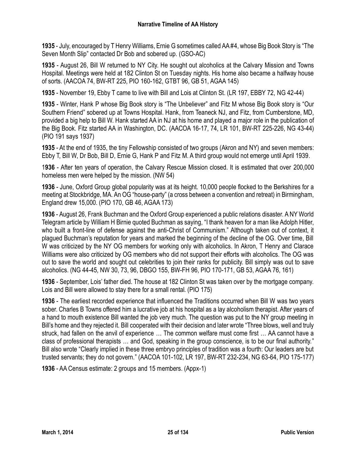**1935** - July, encouraged by T Henry Williams, Ernie G sometimes called AA #4, whose Big Book Story is "The Seven Month Slip" contacted Dr Bob and sobered up. (GSO-AC)

**1935** - August 26, Bill W returned to NY City. He sought out alcoholics at the Calvary Mission and Towns Hospital. Meetings were held at 182 Clinton St on Tuesday nights. His home also became a halfway house of sorts. (AACOA 74, BW-RT 225, PIO 160-162, GTBT 96, GB 51, AGAA 145)

**1935** - November 19, Ebby T came to live with Bill and Lois at Clinton St. (LR 197, EBBY 72, NG 42-44)

**1935** - Winter, Hank P whose Big Book story is "The Unbeliever" and Fitz M whose Big Book story is "Our Southern Friend" sobered up at Towns Hospital. Hank, from Teaneck NJ, and Fitz, from Cumberstone, MD, provided a big help to Bill W. Hank started AA in NJ at his home and played a major role in the publication of the Big Book. Fitz started AA in Washington, DC. (AACOA 16-17, 74, LR 101, BW-RT 225-226, NG 43-44) (PIO 191 says 1937)

**1935** - At the end of 1935, the tiny Fellowship consisted of two groups (Akron and NY) and seven members: Ebby T, Bill W, Dr Bob, Bill D, Ernie G, Hank P and Fitz M. A third group would not emerge until April 1939.

1**936** - After ten years of operation, the Calvary Rescue Mission closed. It is estimated that over 200,000 homeless men were helped by the mission. (NW 54)

**1936** - June, Oxford Group global popularity was at its height. 10,000 people flocked to the Berkshires for a meeting at Stockbridge, MA. An OG "house-party" (a cross between a convention and retreat) in Birmingham, England drew 15,000. (PIO 170, GB 46, AGAA 173)

**1936** - August 26, Frank Buchman and the Oxford Group experienced a public relations disaster. A NY World Telegram article by William H Birnie quoted Buchman as saying, "I thank heaven for a man like Adolph Hitler, who built a front-line of defense against the anti-Christ of Communism." Although taken out of context, it plagued Buchman's reputation for years and marked the beginning of the decline of the OG. Over time, Bill W was criticized by the NY OG members for working only with alcoholics. In Akron, T Henry and Clarace Williams were also criticized by OG members who did not support their efforts with alcoholics. The OG was out to save the world and sought out celebrities to join their ranks for publicity. Bill simply was out to save alcoholics. (NG 44-45, NW 30, 73, 96, DBGO 155, BW-FH 96, PIO 170-171, GB 53, AGAA 76, 161)

**1936** - September, Lois' father died. The house at 182 Clinton St was taken over by the mortgage company. Lois and Bill were allowed to stay there for a small rental. (PIO 175)

**1936** - The earliest recorded experience that influenced the Traditions occurred when Bill W was two years sober. Charles B Towns offered him a lucrative job at his hospital as a lay alcoholism therapist. After years of a hand to mouth existence Bill wanted the job very much. The question was put to the NY group meeting in Bill's home and they rejected it. Bill cooperated with their decision and later wrote "Three blows, well and truly struck, had fallen on the anvil of experience … The common welfare must come first … AA cannot have a class of professional therapists … and God, speaking in the group conscience, is to be our final authority." Bill also wrote "Clearly implied in these three embryo principles of tradition was a fourth: Our leaders are but trusted servants; they do not govern." (AACOA 101-102, LR 197, BW-RT 232-234, NG 63-64, PIO 175-177)

**1936** - AA Census estimate: 2 groups and 15 members. (Appx-1)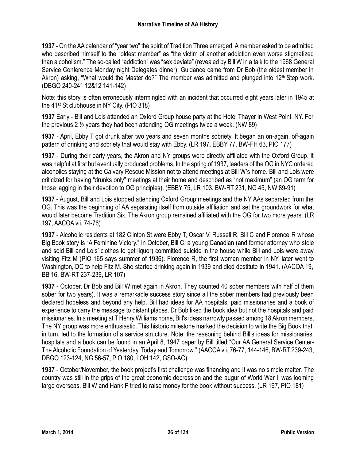**1937** - On the AA calendar of "year two" the spirit of Tradition Three emerged. A member asked to be admitted who described himself to the "oldest member" as "the victim of another addiction even worse stigmatized than alcoholism." The so-called "addiction" was "sex deviate" (revealed by Bill W in a talk to the 1968 General Service Conference Monday night Delegates dinner). Guidance came from Dr Bob (the oldest member in Akron) asking, "What would the Master do?" The member was admitted and plunged into 12<sup>th</sup> Step work. (DBGO 240-241 12&12 141-142)

Note: this story is often erroneously intermingled with an incident that occurred eight years later in 1945 at the 41st St clubhouse in NY City. (PIO 318)

**1937** Early - Bill and Lois attended an Oxford Group house party at the Hotel Thayer in West Point, NY. For the previous 2 ½ years they had been attending OG meetings twice a week. (NW 89)

**1937** - April, Ebby T got drunk after two years and seven months sobriety. It began an on-again, off-again pattern of drinking and sobriety that would stay with Ebby. (LR 197, EBBY 77, BW-FH 63, PIO 177)

**1937** - During their early years, the Akron and NY groups were directly affiliated with the Oxford Group. It was helpful at first but eventually produced problems. In the spring of 1937, leaders of the OG in NYC ordered alcoholics staying at the Calvary Rescue Mission not to attend meetings at Bill W's home. Bill and Lois were criticized for having "drunks only" meetings at their home and described as "not maximum" (an OG term for those lagging in their devotion to OG principles). (EBBY 75, LR 103, BW-RT 231, NG 45, NW 89-91)

**1937** - August, Bill and Lois stopped attending Oxford Group meetings and the NY AAs separated from the OG. This was the beginning of AA separating itself from outside affiliation and set the groundwork for what would later become Tradition Six. The Akron group remained affiliated with the OG for two more years. (LR 197, AACOA vii, 74-76)

**1937** - Alcoholic residents at 182 Clinton St were Ebby T, Oscar V, Russell R, Bill C and Florence R whose Big Book story is "A Feminine Victory." In October, Bill C, a young Canadian (and former attorney who stole and sold Bill and Lois' clothes to get liquor) committed suicide in the house while Bill and Lois were away visiting Fitz M (PIO 165 says summer of 1936). Florence R, the first woman member in NY, later went to Washington, DC to help Fitz M. She started drinking again in 1939 and died destitute in 1941. (AACOA 19, BB 16, BW-RT 237-239, LR 107)

**1937** - October, Dr Bob and Bill W met again in Akron. They counted 40 sober members with half of them sober for two years). It was a remarkable success story since all the sober members had previously been declared hopeless and beyond any help. Bill had ideas for AA hospitals, paid missionaries and a book of experience to carry the message to distant places. Dr Bob liked the book idea but not the hospitals and paid missionaries. In a meeting at T Henry Williams home, Bill's ideas narrowly passed among 18 Akron members. The NY group was more enthusiastic. This historic milestone marked the decision to write the Big Book that, in turn, led to the formation of a service structure. Note: the reasoning behind Bill's ideas for missionaries, hospitals and a book can be found in an April 8, 1947 paper by Bill titled "Our AA General Service Center-The Alcoholic Foundation of Yesterday, Today and Tomorrow." (AACOA vii, 76-77, 144-146, BW-RT 239-243, DBGO 123-124, NG 56-57, PIO 180, LOH 142, GSO-AC)

**1937** - October/November, the book project's first challenge was financing and it was no simple matter. The country was still in the grips of the great economic depression and the augur of World War II was looming large overseas. Bill W and Hank P tried to raise money for the book without success. (LR 197, PIO 181)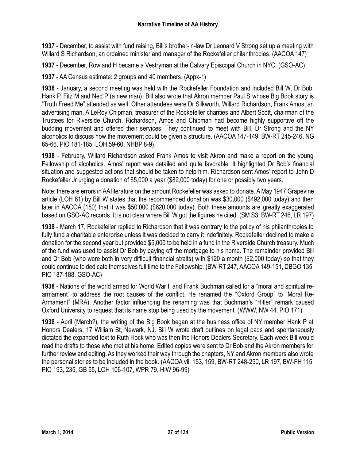**1937** - December, to assist with fund raising, Bill's brother-in-law Dr Leonard V Strong set up a meeting with Willard S Richardson, an ordained minister and manager of the Rockefeller philanthropies. (AACOA 147)

**1937** - December, Rowland H became a Vestryman at the Calvary Episcopal Church in NYC. (GSO-AC)

**1937** - AA Census estimate: 2 groups and 40 members. (Appx-1)

**1938** - January, a second meeting was held with the Rockefeller Foundation and included Bill W, Dr Bob, Hank P, Fitz M and Ned P (a new man). Bill also wrote that Akron member Paul S whose Big Book story is "Truth Freed Me" attended as well. Other attendees were Dr Silkworth, Willard Richardson, Frank Amos, an advertising man, A LeRoy Chipman, treasurer of the Rockefeller charities and Albert Scott, chairman of the Trustees for Riverside Church. Richardson, Amos and Chipman had become highly supportive off the budding movement and offered their services. They continued to meet with Bill, Dr Strong and the NY alcoholics to discuss how the movement could be given a structure. (AACOA 147-149, BW-RT 245-246, NG 65-66, PIO 181-185, LOH 59-60, NHBP 8-9).

**1938** - February, Willard Richardson asked Frank Amos to visit Akron and make a report on the young Fellowship of alcoholics. Amos' report was detailed and quite favorable. It highlighted Dr Bob's financial situation and suggested actions that should be taken to help him. Richardson sent Amos' report to John D Rockefeller Jr urging a donation of \$5,000 a year (\$82,000 today) for one or possibly two years.

Note: there are errors in AA literature on the amount Rockefeller was asked to donate. AMay 1947 Grapevine article (LOH 61) by Bill W states that the recommended donation was \$30,000 (\$492,000 today) and then later in AACOA (150) that it was \$50,000 (\$820,000 today). Both these amounts are greatly exaggerated based on GSO-AC records. It is not clear where Bill W got the figures he cited. (SM S3, BW-RT 246, LR 197)

**1938** - March 17, Rockefeller replied to Richardson that it was contrary to the policy of his philanthropies to fully fund a charitable enterprise unless it was decided to carry it indefinitely. Rockefeller declined to make a donation for the second year but provided \$5,000 to be held in a fund in the Riverside Church treasury. Much of the fund was used to assist Dr Bob by paying off the mortgage to his home. The remainder provided Bill and Dr Bob (who were both in very difficult financial straits) with \$120 a month (\$2,000 today) so that they could continue to dedicate themselves full time to the Fellowship. (BW-RT 247, AACOA 149-151, DBGO 135, PIO 187-188, GSO-AC)

**1938** - Nations of the world armed for World War II and Frank Buchman called for a "moral and spiritual rearmament" to address the root causes of the conflict. He renamed the "Oxford Group" to "Moral Re-Armament" (MRA). Another factor influencing the renaming was that Buchman's "Hitler" remark caused Oxford University to request that its name stop being used by the movement. (WWW, NW 44, PIO 171)

**1938** - April (March?), the writing of the Big Book began at the business office of NY member Hank P at Honors Dealers, 17 William St, Newark, NJ. Bill W wrote draft outlines on legal pads and spontaneously dictated the expanded text to Ruth Hock who was then the Honors Dealers Secretary. Each week Bill would read the drafts to those who met at his home. Edited copies were sent to Dr Bob and the Akron members for further review and editing. As they worked their way through the chapters, NY and Akron members also wrote the personal stories to be included in the book. (AACOA vii, 153, 159, BW-RT 248-250, LR 197, BW-FH 115, PIO 193, 235, GB 55, LOH 106-107, WPR 79, HIW 96-99)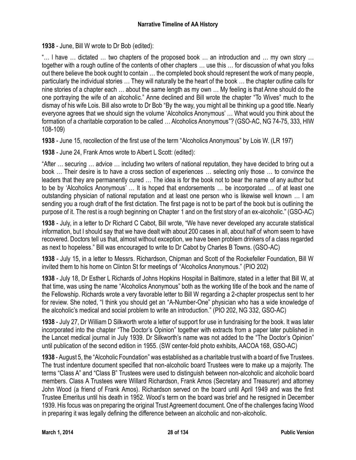**1938** - June, Bill W wrote to Dr Bob (edited):

"… l have … dictated … two chapters of the proposed book … an introduction and … my own story … together with a rough outline of the contents of other chapters … use this … for discussion of what you folks out there believe the book ought to contain … the completed book should represent the work of many people, particularly the individual stories … They will naturally be the heart of the book … the chapter outline calls for nine stories of a chapter each … about the same length as my own … My feeling is that Anne should do the one portraying the wife of an alcoholic." Anne declined and Bill wrote the chapter "To Wives" much to the dismay of his wife Lois. Bill also wrote to Dr Bob "By the way, you might all be thinking up a good title. Nearly everyone agrees that we should sign the volume 'Alcoholics Anonymous' … What would you think about the formation of a charitable corporation to be called … Alcoholics Anonymous"? (GSO-AC, NG 74-75, 333, HIW 108-109)

**1938** - June 15, recollection of the first use of the term "Alcoholics Anonymous" by Lois W. (LR 197)

**1938** - June 24, Frank Amos wrote to Albert L Scott: (edited):

"After … securing … advice … including two writers of national reputation, they have decided to bring out a book … Their desire is to have a cross section of experiences … selecting only those … to convince the leaders that they are permanently cured … The idea is for the book not to bear the name of any author but to be by 'Alcoholics Anonymous' … It is hoped that endorsements … be incorporated … of at least one outstanding physician of national reputation and at least one person who is likewise well known … I am sending you a rough draft of the first dictation. The first page is not to be part of the book but is outlining the purpose of it. The rest is a rough beginning on Chapter 1 and on the first story of an ex-alcoholic." (GSO-AC)

**1938** - July, in a letter to Dr Richard C Cabot, Bill wrote, "We have never developed any accurate statistical information, but I should say that we have dealt with about 200 cases in all, about half of whom seem to have recovered. Doctors tell us that, almost without exception, we have been problem drinkers of a class regarded as next to hopeless." Bill was encouraged to write to Dr Cabot by Charles B Towns. (GSO-AC)

**1938** - July 15, in a letter to Messrs. Richardson, Chipman and Scott of the Rockefeller Foundation, Bill W invited them to his home on Clinton St for meetings of "Alcoholics Anonymous." (PIO 202)

**1938** - July 18, Dr Esther L Richards of Johns Hopkins Hospital in Baltimore, stated in a letter that Bill W, at that time, was using the name "Alcoholics Anonymous" both as the working title of the book and the name of the Fellowship. Richards wrote a very favorable letter to Bill W regarding a 2-chapter prospectus sent to her for review. She noted, "I think you should get an "A-Number-One" physician who has a wide knowledge of the alcoholic's medical and social problem to write an introduction." (PIO 202, NG 332, GSO-AC)

**1938** - July 27, Dr William D Silkworth wrote a letter of support for use in fundraising for the book. It was later incorporated into the chapter "The Doctor's Opinion" together with extracts from a paper later published in the Lancet medical journal in July 1939. Dr Silkworth's name was not added to the "The Doctor's Opinion" until publication of the second edition in 1955. (SW center-fold photo exhibits, AACOA 168, GSO-AC)

**1938** - August 5, the "Alcoholic Foundation" was established as a charitable trust with a board of five Trustees. The trust indenture document specified that non-alcoholic board Trustees were to make up a majority. The terms "Class A" and "Class B" Trustees were used to distinguish between non-alcoholic and alcoholic board members. Class A Trustees were Willard Richardson, Frank Amos (Secretary and Treasurer) and attorney John Wood (a friend of Frank Amos). Richardson served on the board until April 1949 and was the first Trustee Emeritus until his death in 1952. Wood's term on the board was brief and he resigned in December 1939. His focus was on preparing the original Trust Agreement document. One of the challenges facing Wood in preparing it was legally defining the difference between an alcoholic and non-alcoholic.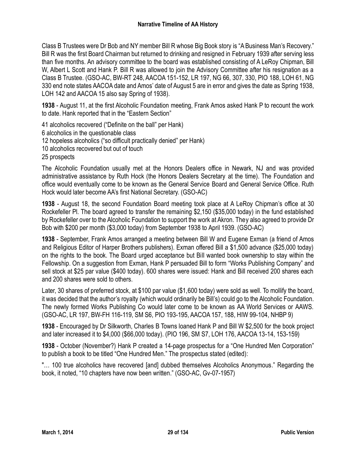Class B Trustees were Dr Bob and NY member Bill R whose Big Book story is "A Business Man's Recovery." Bill R was the first Board Chairman but returned to drinking and resigned in February 1939 after serving less than five months. An advisory committee to the board was established consisting of A LeRoy Chipman, Bill W, Albert L Scott and Hank P. Bill R was allowed to join the Advisory Committee after his resignation as a Class B Trustee. (GSO-AC, BW-RT 248, AACOA 151-152, LR 197, NG 66, 307, 330, PIO 188, LOH 61, NG 330 end note states AACOA date and Amos' date of August 5 are in error and gives the date as Spring 1938, LOH 142 and AACOA 15 also say Spring of 1938).

**1938** - August 11, at the first Alcoholic Foundation meeting, Frank Amos asked Hank P to recount the work to date. Hank reported that in the "Eastern Section"

41 alcoholics recovered ("Definite on the ball" per Hank) 6 alcoholics in the questionable class 12 hopeless alcoholics ("so difficult practically denied" per Hank) 10 alcoholics recovered but out of touch 25 prospects

The Alcoholic Foundation usually met at the Honors Dealers office in Newark, NJ and was provided administrative assistance by Ruth Hock (the Honors Dealers Secretary at the time). The Foundation and office would eventually come to be known as the General Service Board and General Service Office. Ruth Hock would later become AA's first National Secretary. (GSO-AC)

**1938** - August 18, the second Foundation Board meeting took place at A LeRoy Chipman's office at 30 Rockefeller Pl. The board agreed to transfer the remaining \$2,150 (\$35,000 today) in the fund established by Rockefeller over to the Alcoholic Foundation to support the work at Akron. They also agreed to provide Dr Bob with \$200 per month (\$3,000 today) from September 1938 to April 1939. (GSO-AC)

**1938** - September, Frank Amos arranged a meeting between Bill W and Eugene Exman (a friend of Amos and Religious Editor of Harper Brothers publishers). Exman offered Bill a \$1,500 advance (\$25,000 today) on the rights to the book. The Board urged acceptance but Bill wanted book ownership to stay within the Fellowship. On a suggestion from Exman, Hank P persuaded Bill to form "Works Publishing Company" and sell stock at \$25 par value (\$400 today). 600 shares were issued: Hank and Bill received 200 shares each and 200 shares were sold to others.

Later, 30 shares of preferred stock, at \$100 par value (\$1,600 today) were sold as well. To mollify the board, it was decided that the author's royalty (which would ordinarily be Bill's) could go to the Alcoholic Foundation. The newly formed Works Publishing Co would later come to be known as AA World Services or AAWS. (GSO-AC, LR 197, BW-FH 116-119, SM S6, PIO 193-195, AACOA 157, 188, HIW 99-104, NHBP 9)

**1938** - Encouraged by Dr Silkworth, Charles B Towns loaned Hank P and Bill W \$2,500 for the book project and later increased it to \$4,000 (\$66,000 today). (PIO 196, SM S7, LOH 176, AACOA 13-14, 153-159)

**1938** - October (November?) Hank P created a 14-page prospectus for a "One Hundred Men Corporation" to publish a book to be titled "One Hundred Men." The prospectus stated (edited):

"… 100 true alcoholics have recovered [and] dubbed themselves Alcoholics Anonymous." Regarding the book, it noted, "10 chapters have now been written." (GSO-AC, Gv-07-1957)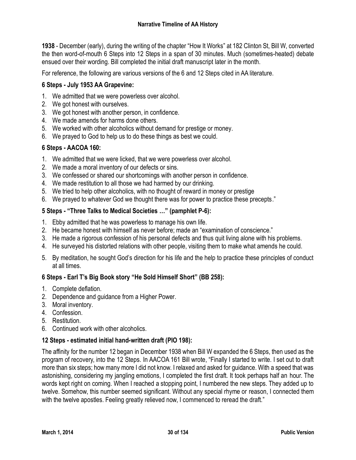**1938** - December (early), during the writing of the chapter "How It Works" at 182 Clinton St, Bill W, converted the then word-of-mouth 6 Steps into 12 Steps in a span of 30 minutes. Much (sometimes-heated) debate ensued over their wording. Bill completed the initial draft manuscript later in the month.

For reference, the following are various versions of the 6 and 12 Steps cited in AA literature.

# **6 Steps - July 1953 AA Grapevine:**

- 1. We admitted that we were powerless over alcohol.
- 2. We got honest with ourselves.
- 3. We got honest with another person, in confidence.
- 4. We made amends for harms done others.
- 5. We worked with other alcoholics without demand for prestige or money.
- 6. We prayed to God to help us to do these things as best we could.

# **6 Steps - AACOA 160:**

- 1. We admitted that we were licked, that we were powerless over alcohol.
- 2. We made a moral inventory of our defects or sins.
- 3. We confessed or shared our shortcomings with another person in confidence.
- 4. We made restitution to all those we had harmed by our drinking.
- 5. We tried to help other alcoholics, with no thought of reward in money or prestige
- 6. We prayed to whatever God we thought there was for power to practice these precepts."

# **5 Steps - "Three Talks to Medical Societies …" (pamphlet P-6):**

- 1. Ebby admitted that he was powerless to manage his own life.
- 2. He became honest with himself as never before; made an "examination of conscience."
- 3. He made a rigorous confession of his personal defects and thus quit living alone with his problems.
- 4. He surveyed his distorted relations with other people, visiting them to make what amends he could.
- 5. By meditation, he sought God's direction for his life and the help to practice these principles of conduct at all times.

# **6 Steps - Earl T's Big Book story "He Sold Himself Short" (BB 258):**

- 1. Complete deflation.
- 2. Dependence and guidance from a Higher Power.
- 3. Moral inventory.
- 4. Confession.
- 5. Restitution.
- 6. Continued work with other alcoholics.

# **12 Steps - estimated initial hand-written draft (PIO 198):**

The affinity for the number 12 began in December 1938 when Bill W expanded the 6 Steps, then used as the program of recovery, into the 12 Steps. In AACOA 161 Bill wrote, "Finally I started to write. I set out to draft more than six steps; how many more I did not know. I relaxed and asked for guidance. With a speed that was astonishing, considering my jangling emotions, I completed the first draft. It took perhaps half an hour. The words kept right on coming. When I reached a stopping point, I numbered the new steps. They added up to twelve. Somehow, this number seemed significant. Without any special rhyme or reason, I connected them with the twelve apostles. Feeling greatly relieved now, I commenced to reread the draft."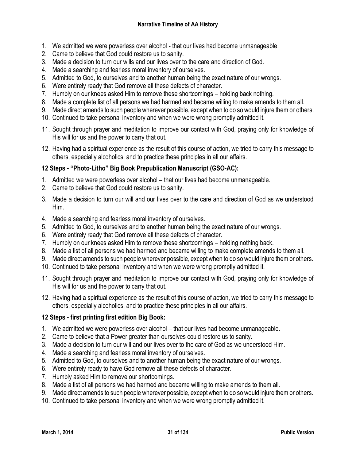- 1. We admitted we were powerless over alcohol that our lives had become unmanageable.
- 2. Came to believe that God could restore us to sanity.
- 3. Made a decision to turn our wills and our lives over to the care and direction of God.
- 4. Made a searching and fearless moral inventory of ourselves.
- 5. Admitted to God, to ourselves and to another human being the exact nature of our wrongs.
- 6. Were entirely ready that God remove all these defects of character.
- 7. Humbly on our knees asked Him to remove these shortcomings holding back nothing.
- 8. Made a complete list of all persons we had harmed and became willing to make amends to them all.
- 9. Made direct amends to such people wherever possible, except when to do so would injure them or others.
- 10. Continued to take personal inventory and when we were wrong promptly admitted it.
- 11. Sought through prayer and meditation to improve our contact with God, praying only for knowledge of His will for us and the power to carry that out.
- 12. Having had a spiritual experience as the result of this course of action, we tried to carry this message to others, especially alcoholics, and to practice these principles in all our affairs.

# **12 Steps - "Photo-Litho" Big Book Prepublication Manuscript (GSO-AC):**

- 1. Admitted we were powerless over alcohol that our lives had become unmanageable.
- 2. Came to believe that God could restore us to sanity.
- 3. Made a decision to turn our will and our lives over to the care and direction of God as we understood Him.
- 4. Made a searching and fearless moral inventory of ourselves.
- 5. Admitted to God, to ourselves and to another human being the exact nature of our wrongs.
- 6. Were entirely ready that God remove all these defects of character.
- 7. Humbly on our knees asked Him to remove these shortcomings holding nothing back.
- 8. Made a list of all persons we had harmed and became willing to make complete amends to them all.
- 9. Made direct amends to such people wherever possible, except when to do so would injure them or others.
- 10. Continued to take personal inventory and when we were wrong promptly admitted it.
- 11. Sought through prayer and meditation to improve our contact with God, praying only for knowledge of His will for us and the power to carry that out.
- 12. Having had a spiritual experience as the result of this course of action, we tried to carry this message to others, especially alcoholics, and to practice these principles in all our affairs.

# **12 Steps - first printing first edition Big Book:**

- 1. We admitted we were powerless over alcohol that our lives had become unmanageable.
- 2. Came to believe that a Power greater than ourselves could restore us to sanity.
- 3. Made a decision to turn our will and our lives over to the care of God as we understood Him.
- 4. Made a searching and fearless moral inventory of ourselves.
- 5. Admitted to God, to ourselves and to another human being the exact nature of our wrongs.
- 6. Were entirely ready to have God remove all these defects of character.
- 7. Humbly asked Him to remove our shortcomings.
- 8. Made a list of all persons we had harmed and became willing to make amends to them all.
- 9. Made direct amends to such people wherever possible, except when to do so would injure them or others.
- 10. Continued to take personal inventory and when we were wrong promptly admitted it.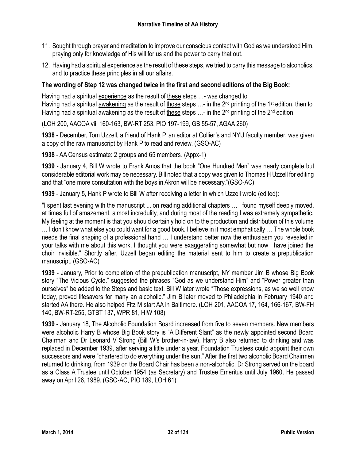- 11. Sought through prayer and meditation to improve our conscious contact with God as we understood Him, praying only for knowledge of His will for us and the power to carry that out.
- 12. Having had a spiritual experience as the result of these steps, we tried to carry this message to alcoholics, and to practice these principles in all our affairs.

# **The wording of Step 12 was changed twice in the first and second editions of the Big Book:**

Having had a spiritual experience as the result of these steps …- was changed to Having had a spiritual awakening as the result of those steps ...- in the 2<sup>nd</sup> printing of the 1<sup>st</sup> edition, then to Having had a spiritual awakening as the result of these steps ...- in the 2<sup>nd</sup> printing of the 2<sup>nd</sup> edition

(LOH 200, AACOA vii, 160-163, BW-RT 253, PIO 197-199, GB 55-57, AGAA 260)

**1938** - December, Tom Uzzell, a friend of Hank P, an editor at Collier's and NYU faculty member, was given a copy of the raw manuscript by Hank P to read and review. (GSO-AC)

**1938** - AA Census estimate: 2 groups and 65 members. (Appx-1)

**1939** - January 4, Bill W wrote to Frank Amos that the book "One Hundred Men" was nearly complete but considerable editorial work may be necessary. Bill noted that a copy was given to Thomas H Uzzell for editing and that "one more consultation with the boys in Akron will be necessary."(GSO-AC)

**1939** - January 5, Hank P wrote to Bill W after receiving a letter in which Uzzell wrote (edited):

"I spent last evening with the manuscript ... on reading additional chapters … I found myself deeply moved, at times full of amazement, almost incredulity, and during most of the reading I was extremely sympathetic. My feeling at the moment is that you should certainly hold on to the production and distribution of this volume … I don't know what else you could want for a good book. I believe in it most emphatically … The whole book needs the final shaping of a professional hand … I understand better now the enthusiasm you revealed in your talks with me about this work. I thought you were exaggerating somewhat but now I have joined the choir invisible." Shortly after, Uzzell began editing the material sent to him to create a prepublication manuscript. (GSO-AC)

**1939** - January, Prior to completion of the prepublication manuscript, NY member Jim B whose Big Book story "The Vicious Cycle." suggested the phrases "God as we understand Him" and "Power greater than ourselves" be added to the Steps and basic text. Bill W later wrote "Those expressions, as we so well know today, proved lifesavers for many an alcoholic." Jim B later moved to Philadelphia in February 1940 and started AA there. He also helped Fitz M start AA in Baltimore. (LOH 201, AACOA 17, 164, 166-167, BW-FH 140, BW-RT-255, GTBT 137, WPR 81, HIW 108)

**1939** - January 18, The Alcoholic Foundation Board increased from five to seven members. New members were alcoholic Harry B whose Big Book story is "A Different Slant" as the newly appointed second Board Chairman and Dr Leonard V Strong (Bill W's brother-in-law). Harry B also returned to drinking and was replaced in December 1939, after serving a little under a year. Foundation Trustees could appoint their own successors and were "chartered to do everything under the sun." After the first two alcoholic Board Chairmen returned to drinking, from 1939 on the Board Chair has been a non-alcoholic. Dr Strong served on the board as a Class A Trustee until October 1954 (as Secretary) and Trustee Emeritus until July 1960. He passed away on April 26, 1989. (GSO-AC, PIO 189, LOH 61)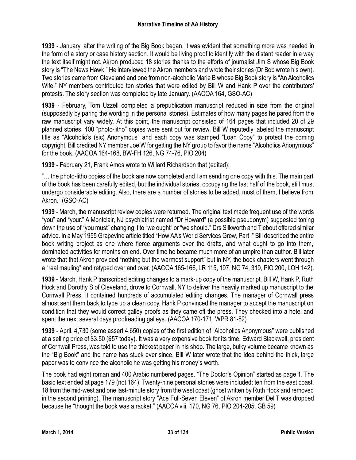**1939** - January, after the writing of the Big Book began, it was evident that something more was needed in the form of a story or case history section. It would be living proof to identify with the distant reader in a way the text itself might not. Akron produced 18 stories thanks to the efforts of journalist Jim S whose Big Book story is "The News Hawk." He interviewed the Akron members and wrote their stories (Dr Bob wrote his own). Two stories came from Cleveland and one from non-alcoholic Marie B whose Big Book story is "An Alcoholics Wife." NY members contributed ten stories that were edited by Bill W and Hank P over the contributors' protests. The story section was completed by late January. (AACOA 164, GSO-AC)

**1939** - February, Tom Uzzell completed a prepublication manuscript reduced in size from the original (supposedly by paring the wording in the personal stories). Estimates of how many pages he pared from the raw manuscript vary widely. At this point, the manuscript consisted of 164 pages that included 20 of 29 planned stories. 400 "photo-litho" copies were sent out for review. Bill W reputedly labeled the manuscript title as "Alcoholic's (sic) Anonymous" and each copy was stamped "Loan Copy" to protect the coming copyright. Bill credited NY member Joe W for getting the NY group to favor the name "Alcoholics Anonymous" for the book. (AACOA 164-168, BW-FH 126, NG 74-76, PIO 204)

**1939** - February 21, Frank Amos wrote to Willard Richardson that (edited):

"… the photo-litho copies of the book are now completed and I am sending one copy with this. The main part of the book has been carefully edited, but the individual stories, occupying the last half of the book, still must undergo considerable editing. Also, there are a number of stories to be added, most of them, I believe from Akron." (GSO-AC)

**1939** - March, the manuscript review copies were returned. The original text made frequent use of the words "you" and "your." A Montclair, NJ psychiatrist named "Dr Howard" (a possible pseudonym) suggested toning down the use of "you must" changing it to "we ought" or "we should." Drs Silkworth and Tiebout offered similar advice. In a May 1955 Grapevine article titled "How AA's World Services Grew, Part I" Bill described the entire book writing project as one where fierce arguments over the drafts, and what ought to go into them, dominated activities for months on end. Over time he became much more of an umpire than author. Bill later wrote that that Akron provided "nothing but the warmest support" but in NY, the book chapters went through a "real mauling" and retyped over and over. (AACOA 165-166, LR 115, 197, NG 74, 319, PIO 200, LOH 142).

**1939** - March, Hank P transcribed editing changes to a mark-up copy of the manuscript. Bill W, Hank P, Ruth Hock and Dorothy S of Cleveland, drove to Cornwall, NY to deliver the heavily marked up manuscript to the Cornwall Press. It contained hundreds of accumulated editing changes. The manager of Cornwall press almost sent them back to type up a clean copy. Hank P convinced the manager to accept the manuscript on condition that they would correct galley proofs as they came off the press. They checked into a hotel and spent the next several days proofreading galleys. (AACOA 170-171, WPR 81-82)

**1939** - April, 4,730 (some assert 4,650) copies of the first edition of "Alcoholics Anonymous" were published at a selling price of \$3.50 (\$57 today). It was a very expensive book for its time. Edward Blackwell, president of Cornwall Press, was told to use the thickest paper in his shop. The large, bulky volume became known as the "Big Book" and the name has stuck ever since. Bill W later wrote that the idea behind the thick, large paper was to convince the alcoholic he was getting his money's worth.

The book had eight roman and 400 Arabic numbered pages. "The Doctor's Opinion" started as page 1. The basic text ended at page 179 (not 164). Twenty-nine personal stories were included: ten from the east coast, 18 from the mid-west and one last-minute story from the west coast (ghost written by Ruth Hock and removed in the second printing). The manuscript story "Ace Full-Seven Eleven" of Akron member Del T was dropped because he "thought the book was a racket." (AACOA viii, 170, NG 76, PIO 204-205, GB 59)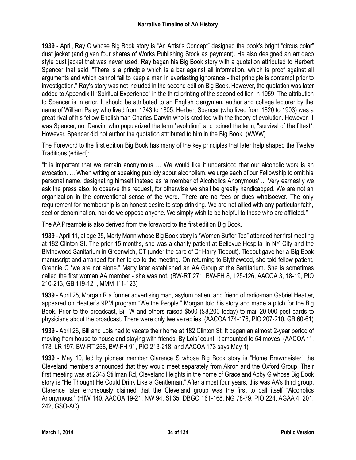**1939** - April, Ray C whose Big Book story is "An Artist's Concept" designed the book's bright "circus color" dust jacket (and given four shares of Works Publishing Stock as payment). He also designed an art deco style dust jacket that was never used. Ray began his Big Book story with a quotation attributed to Herbert Spencer that said, "There is a principle which is a bar against all information, which is proof against all arguments and which cannot fail to keep a man in everlasting ignorance - that principle is contempt prior to investigation." Ray's story was not included in the second edition Big Book. However, the quotation was later added to Appendix II "Spiritual Experience" in the third printing of the second edition in 1959. The attribution to Spencer is in error. It should be attributed to an English clergyman, author and college lecturer by the name of William Paley who lived from 1743 to 1805. Herbert Spencer (who lived from 1820 to 1903) was a great rival of his fellow Englishman Charles Darwin who is credited with the theory of evolution. However, it was Spencer, not Darwin, who popularized the term "evolution" and coined the term, "survival of the fittest". However, Spencer did not author the quotation attributed to him in the Big Book. (WWW)

The Foreword to the first edition Big Book has many of the key principles that later help shaped the Twelve Traditions (edited):

"It is important that we remain anonymous … We would like it understood that our alcoholic work is an avocation. … When writing or speaking publicly about alcoholism, we urge each of our Fellowship to omit his personal name, designating himself instead as 'a member of Alcoholics Anonymous' ... Very earnestly we ask the press also, to observe this request, for otherwise we shall be greatly handicapped. We are not an organization in the conventional sense of the word. There are no fees or dues whatsoever. The only requirement for membership is an honest desire to stop drinking. We are not allied with any particular faith, sect or denomination, nor do we oppose anyone. We simply wish to be helpful to those who are afflicted."

The AA Preamble is also derived from the foreword to the first edition Big Book.

**1939** - April 11, at age 35, Marty Mann whose Big Book story is "Women Suffer Too" attended her first meeting at 182 Clinton St. The prior 15 months, she was a charity patient at Bellevue Hospital in NY City and the Blythewood Sanitarium in Greenwich, CT (under the care of Dr Harry Tiebout). Tiebout gave her a Big Book manuscript and arranged for her to go to the meeting. On returning to Blythewood, she told fellow patient, Grennie C "we are not alone." Marty later established an AA Group at the Sanitarium. She is sometimes called the first woman AA member - she was not. (BW-RT 271, BW-FH 8, 125-126, AACOA 3, 18-19, PIO 210-213, GB 119-121, MMM 111-123)

**1939** - April 25, Morgan R a former advertising man, asylum patient and friend of radio-man Gabriel Heatter, appeared on Heatter's 9PM program "We the People." Morgan told his story and made a pitch for the Big Book. Prior to the broadcast, Bill W and others raised \$500 (\$8,200 today) to mail 20,000 post cards to physicians about the broadcast. There were only twelve replies. (AACOA 174-176, PIO 207-210, GB 60-61)

**1939** - April 26, Bill and Lois had to vacate their home at 182 Clinton St. It began an almost 2-year period of moving from house to house and staying with friends. By Lois' count, it amounted to 54 moves. (AACOA 11, 173, LR 197, BW-RT 258, BW-FH 91, PIO 213-218, and AACOA 173 says May 1)

**1939** - May 10, led by pioneer member Clarence S whose Big Book story is "Home Brewmeister" the Cleveland members announced that they would meet separately from Akron and the Oxford Group. Their first meeting was at 2345 Stillman Rd, Cleveland Heights in the home of Grace and Abby G whose Big Book story is "He Thought He Could Drink Like a Gentleman." After almost four years, this was AA's third group. Clarence later erroneously claimed that the Cleveland group was the first to call itself "Alcoholics Anonymous." (HIW 140, AACOA 19-21, NW 94, SI 35, DBGO 161-168, NG 78-79, PIO 224, AGAA 4, 201, 242, GSO-AC).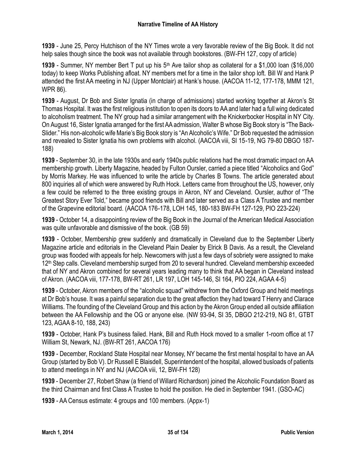**1939** - June 25, Percy Hutchison of the NY Times wrote a very favorable review of the Big Book. It did not help sales though since the book was not available through bookstores. (BW-FH 127, copy of article)

**1939** - Summer, NY member Bert T put up his 5<sup>th</sup> Ave tailor shop as collateral for a \$1,000 loan (\$16,000 today) to keep Works Publishing afloat. NY members met for a time in the tailor shop loft. Bill W and Hank P attended the first AA meeting in NJ (Upper Montclair) at Hank's house. (AACOA 11-12, 177-178, MMM 121, WPR 86).

**1939** - August, Dr Bob and Sister Ignatia (in charge of admissions) started working together at Akron's St Thomas Hospital. It was the first religious institution to open its doors to AA and later had a full wing dedicated to alcoholism treatment. The NY group had a similar arrangement with the Knickerbocker Hospital in NY City. On August 16, Sister Ignatia arranged for the first AA admission, Walter B whose Big Book story is "The Back-Slider." His non-alcoholic wife Marie's Big Book story is "An Alcoholic's Wife." Dr Bob requested the admission and revealed to Sister Ignatia his own problems with alcohol. (AACOA viii, SI 15-19, NG 79-80 DBGO 187- 188)

**1939** - September 30, in the late 1930s and early 1940s public relations had the most dramatic impact on AA membership growth. Liberty Magazine, headed by Fulton Oursler, carried a piece titled "Alcoholics and God" by Morris Markey. He was influenced to write the article by Charles B Towns. The article generated about 800 inquiries all of which were answered by Ruth Hock. Letters came from throughout the US, however, only a few could be referred to the three existing groups in Akron, NY and Cleveland. Oursler, author of "The Greatest Story Ever Told," became good friends with Bill and later served as a Class A Trustee and member of the Grapevine editorial board. (AACOA 176-178, LOH 145, 180-183 BW-FH 127-129, PIO 223-224)

**1939** - October 14, a disappointing review of the Big Book in the Journal of the American Medical Association was quite unfavorable and dismissive of the book. (GB 59)

**1939** - October, Membership grew suddenly and dramatically in Cleveland due to the September Liberty Magazine article and editorials in the Cleveland Plain Dealer by Elrick B Davis. As a result, the Cleveland group was flooded with appeals for help. Newcomers with just a few days of sobriety were assigned to make 12<sup>th</sup> Step calls. Cleveland membership surged from 20 to several hundred. Cleveland membership exceeded that of NY and Akron combined for several years leading many to think that AA began in Cleveland instead of Akron. (AACOA viii, 177-178, BW-RT 261, LR 197, LOH 145-146, SI 164, PIO 224, AGAA 4-5)

**1939** - October, Akron members of the "alcoholic squad" withdrew from the Oxford Group and held meetings at Dr Bob's house. It was a painful separation due to the great affection they had toward T Henry and Clarace Williams. The founding of the Cleveland Group and this action by the Akron Group ended all outside affiliation between the AA Fellowship and the OG or anyone else. (NW 93-94, SI 35, DBGO 212-219, NG 81, GTBT 123, AGAA 8-10, 188, 243)

**1939** - October, Hank P's business failed. Hank, Bill and Ruth Hock moved to a smaller 1-room office at 17 William St, Newark, NJ. (BW-RT 261, AACOA 176)

**1939** - December, Rockland State Hospital near Monsey, NY became the first mental hospital to have an AA Group (started by Bob V). Dr Russell E Blaisdell, Superintendent of the hospital, allowed busloads of patients to attend meetings in NY and NJ (AACOA viii, 12, BW-FH 128)

**1939** - December 27, Robert Shaw (a friend of Willard Richardson) joined the Alcoholic Foundation Board as the third Chairman and first Class A Trustee to hold the position. He died in September 1941. (GSO-AC)

**1939** - AA Census estimate: 4 groups and 100 members. (Appx-1)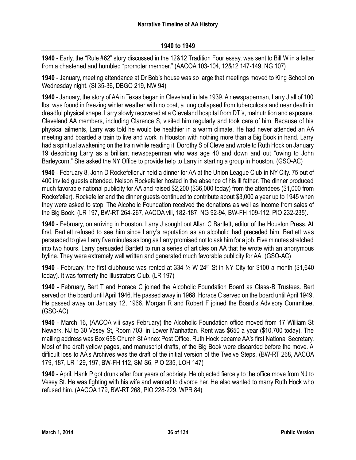**1940** - Early, the "Rule #62" story discussed in the 12&12 Tradition Four essay, was sent to Bill W in a letter from a chastened and humbled "promoter member." (AACOA 103-104, 12&12 147-149, NG 107)

**1940** - January, meeting attendance at Dr Bob's house was so large that meetings moved to King School on Wednesday night. (SI 35-36, DBGO 219, NW 94)

**1940** - January, the story of AA in Texas began in Cleveland in late 1939. A newspaperman, Larry J all of 100 lbs, was found in freezing winter weather with no coat, a lung collapsed from tuberculosis and near death in dreadful physical shape. Larry slowly recovered at a Cleveland hospital from DT's, malnutrition and exposure. Cleveland AA members, including Clarence S, visited him regularly and took care of him. Because of his physical ailments, Larry was told he would be healthier in a warm climate. He had never attended an AA meeting and boarded a train to live and work in Houston with nothing more than a Big Book in hand. Larry had a spiritual awakening on the train while reading it. Dorothy S of Cleveland wrote to Ruth Hock on January 19 describing Larry as a brilliant newspaperman who was age 40 and down and out "owing to John Barleycorn." She asked the NY Office to provide help to Larry in starting a group in Houston. (GSO-AC)

**1940** - February 8, John D Rockefeller Jr held a dinner for AA at the Union League Club in NY City. 75 out of 400 invited guests attended. Nelson Rockefeller hosted in the absence of his ill father. The dinner produced much favorable national publicity for AA and raised \$2,200 (\$36,000 today) from the attendees (\$1,000 from Rockefeller). Rockefeller and the dinner guests continued to contribute about \$3,000 a year up to 1945 when they were asked to stop. The Alcoholic Foundation received the donations as well as income from sales of the Big Book. (LR 197, BW-RT 264-267, AACOA viii, 182-187, NG 92-94, BW-FH 109-112, PIO 232-235).

**1940** - February, on arriving in Houston, Larry J sought out Allan C Bartlett, editor of the Houston Press. At first, Bartlett refused to see him since Larry's reputation as an alcoholic had preceded him. Bartlett was persuaded to give Larry five minutes as long as Larry promised not to ask him for a job. Five minutes stretched into two hours. Larry persuaded Bartlett to run a series of articles on AA that he wrote with an anonymous byline. They were extremely well written and generated much favorable publicity for AA. (GSO-AC)

**1940** - February, the first clubhouse was rented at 334 ½ W 24th St in NY City for \$100 a month (\$1,640 today). It was formerly the Illustrators Club. (LR 197)

**1940** - February, Bert T and Horace C joined the Alcoholic Foundation Board as Class-B Trustees. Bert served on the board until April 1946. He passed away in 1968. Horace C served on the board until April 1949. He passed away on January 12, 1966. Morgan R and Robert F joined the Board's Advisory Committee. (GSO-AC)

**1940** - March 16, (AACOA viii says February) the Alcoholic Foundation office moved from 17 William St Newark, NJ to 30 Vesey St, Room 703, in Lower Manhattan. Rent was \$650 a year (\$10,700 today). The mailing address was Box 658 Church St Annex Post Office. Ruth Hock became AA's first National Secretary. Most of the draft yellow pages, and manuscript drafts, of the Big Book were discarded before the move. A difficult loss to AA's Archives was the draft of the initial version of the Twelve Steps. (BW-RT 268, AACOA 179, 187, LR 129, 197, BW-FH 112, SM S6, PIO 235, LOH 147)

**1940** - April, Hank P got drunk after four years of sobriety. He objected fiercely to the office move from NJ to Vesey St. He was fighting with his wife and wanted to divorce her. He also wanted to marry Ruth Hock who refused him. (AACOA 179, BW-RT 268, PIO 228-229, WPR 84)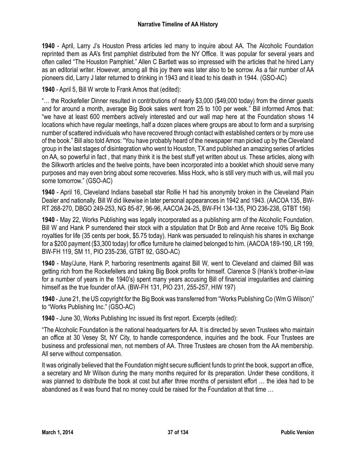**1940** - April, Larry J's Houston Press articles led many to inquire about AA. The Alcoholic Foundation reprinted them as AA's first pamphlet distributed from the NY Office. It was popular for several years and often called "The Houston Pamphlet." Allen C Bartlett was so impressed with the articles that he hired Larry as an editorial writer. However, among all this joy there was later also to be sorrow. As a fair number of AA pioneers did, Larry J later returned to drinking in 1943 and it lead to his death in 1944. (GSO-AC)

**1940** - April 5, Bill W wrote to Frank Amos that (edited):

"… the Rockefeller Dinner resulted in contributions of nearly \$3,000 (\$49,000 today) from the dinner guests and for around a month, average Big Book sales went from 25 to 100 per week." Bill informed Amos that: "we have at least 600 members actively interested and our wall map here at the Foundation shows 14 locations which have regular meetings, half a dozen places where groups are about to form and a surprising number of scattered individuals who have recovered through contact with established centers or by more use of the book." Bill also told Amos: "You have probably heard of the newspaper man picked up by the Cleveland group in the last stages of disintegration who went to Houston, TX and published an amazing series of articles on AA, so powerful in fact , that many think it is the best stuff yet written about us. These articles, along with the Silkworth articles and the twelve points, have been incorporated into a booklet which should serve many purposes and may even bring about some recoveries. Miss Hock, who is still very much with us, will mail you some tomorrow." (GSO-AC)

**1940** - April 16, Cleveland Indians baseball star Rollie H had his anonymity broken in the Cleveland Plain Dealer and nationally. Bill W did likewise in later personal appearances in 1942 and 1943. (AACOA 135, BW-RT 268-270, DBGO 249-253, NG 85-87, 96-96, AACOA 24-25, BW-FH 134-135, PIO 236-238, GTBT 156)

**1940** - May 22, Works Publishing was legally incorporated as a publishing arm of the Alcoholic Foundation. Bill W and Hank P surrendered their stock with a stipulation that Dr Bob and Anne receive 10% Big Book royalties for life (35 cents per book, \$5.75 today). Hank was persuaded to relinquish his shares in exchange for a \$200 payment (\$3,300 today) for office furniture he claimed belonged to him. (AACOA 189-190, LR 199, BW-FH 119, SM 11, PIO 235-236, GTBT 92, GSO-AC)

**1940** - May/June, Hank P, harboring resentments against Bill W, went to Cleveland and claimed Bill was getting rich from the Rockefellers and taking Big Book profits for himself. Clarence S (Hank's brother-in-law for a number of years in the 1940's) spent many years accusing Bill of financial irregularities and claiming himself as the true founder of AA. (BW-FH 131, PIO 231, 255-257, HIW 197)

**1940** - June 21, the US copyright for the Big Book was transferred from "Works Publishing Co (Wm G Wilson)" to "Works Publishing Inc." (GSO-AC)

**1940** - June 30, Works Publishing Inc issued its first report. Excerpts (edited):

"The Alcoholic Foundation is the national headquarters for AA. It is directed by seven Trustees who maintain an office at 30 Vesey St, NY City, to handle correspondence, inquiries and the book. Four Trustees are business and professional men, not members of AA. Three Trustees are chosen from the AA membership. All serve without compensation.

It was originally believed that the Foundation might secure sufficient funds to print the book, support an office, a secretary and Mr Wilson during the many months required for its preparation. Under these conditions, it was planned to distribute the book at cost but after three months of persistent effort … the idea had to be abandoned as it was found that no money could be raised for the Foundation at that time …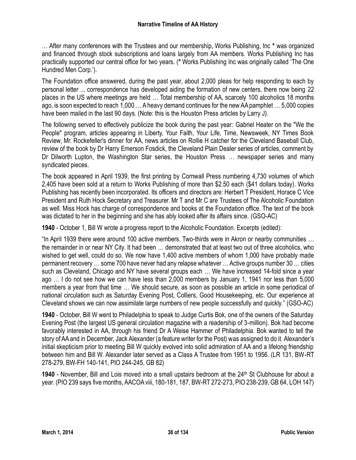… After many conferences with the Trustees and our membership, Works Publishing, Inc **\*** was organized and financed through stock subscriptions and loans largely from AA members. Works Publishing Inc has practically supported our central office for two years. (**\*** Works Publishing Inc was originally called 'The One Hundred Men Corp.').

The Foundation office answered, during the past year, about 2,000 pleas for help responding to each by personal letter ... correspondence has developed aiding the formation of new centers, there now being 22 places in the US where meetings are held … Total membership of AA, scarcely 100 alcoholics 18 months ago, is soon expected to reach 1,000 … A heavy demand continues for the new AA pamphlet … 5,000 copies have been mailed in the last 90 days. (Note: this is the Houston Press articles by Larry J).

The following served to effectively publicize the book during the past year: Gabriel Heater on the "We the People" program, articles appearing in Liberty, Your Faith, Your Life, Time, Newsweek, NY Times Book Review, Mr. Rockefeller's dinner for AA, news articles on Rollie H catcher for the Cleveland Baseball Club, review of the book by Dr Harry Emerson Fosdick, the Cleveland Plain Dealer series of articles, comment by Dr Dilworth Lupton, the Washington Star series, the Houston Press … newspaper series and many syndicated pieces.

The book appeared in April 1939, the first printing by Cornwall Press numbering 4,730 volumes of which 2,405 have been sold at a return to Works Publishing of more than \$2.50 each (\$41 dollars today). Works Publishing has recently been incorporated. Its officers and directors are: Herbert T President, Horace C Vice President and Ruth Hock Secretary and Treasurer. Mr T and Mr C are Trustees of The Alcoholic Foundation as well. Miss Hock has charge of correspondence and books at the Foundation office. The text of the book was dictated to her in the beginning and she has ably looked after its affairs since. (GSO-AC)

**1940** - October 1, Bill W wrote a progress report to the Alcoholic Foundation. Excerpts (edited):

"In April 1939 there were around 100 active members. Two-thirds were in Akron or nearby communities … the remainder in or near NY City. It had been … demonstrated that at least two out of three alcoholics, who wished to get well, could do so. We now have 1,400 active members of whom 1,000 have probably made permanent recovery … some 700 have never had any relapse whatever … Active groups number 30 … cities such as Cleveland, Chicago and NY have several groups each … We have increased 14-fold since a year ago … I do not see how we can have less than 2,000 members by January 1, 1941 nor less than 5,000 members a year from that time … We should secure, as soon as possible an article in some periodical of national circulation such as Saturday Evening Post, Colliers, Good Housekeeping, etc. Our experience at Cleveland shows we can now assimilate large numbers of new people successfully and quickly." (GSO-AC)

**1940** - October, Bill W went to Philadelphia to speak to Judge Curtis Bok, one of the owners of the Saturday Evening Post (the largest US general circulation magazine with a readership of 3-million). Bok had become favorably interested in AA, through his friend Dr A Weise Hammer of Philadelphia. Bok wanted to tell the story of AA and in December, Jack Alexander (a feature writer for the Post) was assigned to do it. Alexander's initial skepticism prior to meeting Bill W quickly evolved into solid admiration of AA and a lifelong friendship between him and Bill W. Alexander later served as a Class A Trustee from 1951 to 1956. (LR 131, BW-RT 278-279, BW-FH 140-141, PIO 244-245, GB 82)

**1940** - November, Bill and Lois moved into a small upstairs bedroom at the 24<sup>th</sup> St Clubhouse for about a year. (PIO 239 says five months, AACOA viii, 180-181, 187, BW-RT 272-273, PIO 238-239, GB 64, LOH 147)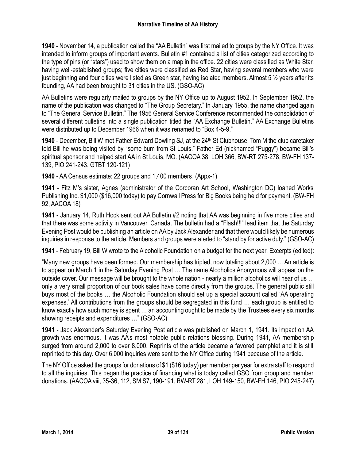**1940** - November 14, a publication called the "AA Bulletin" was first mailed to groups by the NY Office. It was intended to inform groups of important events. Bulletin #1 contained a list of cities categorized according to the type of pins (or "stars") used to show them on a map in the office. 22 cities were classified as White Star, having well-established groups; five cities were classified as Red Star, having several members who were just beginning and four cities were listed as Green star, having isolated members. Almost 5 ½ years after its founding, AA had been brought to 31 cities in the US. (GSO-AC)

AA Bulletins were regularly mailed to groups by the NY Office up to August 1952. In September 1952, the name of the publication was changed to "The Group Secretary." In January 1955, the name changed again to "The General Service Bulletin." The 1956 General Service Conference recommended the consolidation of several different bulletins into a single publication titled the "AA Exchange Bulletin." AA Exchange Bulletins were distributed up to December 1966 when it was renamed to "Box 4-5-9."

**1940** - December, Bill W met Father Edward Dowling SJ, at the 24th St Clubhouse. Tom M the club caretaker told Bill he was being visited by "some bum from St Louis." Father Ed (nicknamed "Puggy") became Bill's spiritual sponsor and helped start AA in St Louis, MO. (AACOA 38, LOH 366, BW-RT 275-278, BW-FH 137- 139, PIO 241-243, GTBT 120-121)

**1940** - AA Census estimate: 22 groups and 1,400 members. (Appx-1)

**1941** - Fitz M's sister, Agnes (administrator of the Corcoran Art School, Washington DC) loaned Works Publishing Inc. \$1,000 (\$16,000 today) to pay Cornwall Press for Big Books being held for payment. (BW-FH 92, AACOA 18)

**1941** - January 14, Ruth Hock sent out AA Bulletin #2 noting that AA was beginning in five more cities and that there was some activity in Vancouver, Canada. The bulletin had a "Flash!!!" lead item that the Saturday Evening Post would be publishing an article on AA by Jack Alexander and that there would likely be numerous inquiries in response to the article. Members and groups were alerted to "stand by for active duty." (GSO-AC)

**1941** - February 19, Bill W wrote to the Alcoholic Foundation on a budget for the next year. Excerpts (edited):

"Many new groups have been formed. Our membership has tripled, now totaling about 2,000 … An article is to appear on March 1 in the Saturday Evening Post … The name Alcoholics Anonymous will appear on the outside cover. Our message will be brought to the whole nation - nearly a million alcoholics will hear of us … only a very small proportion of our book sales have come directly from the groups. The general public still buys most of the books … the Alcoholic Foundation should set up a special account called 'AA operating expenses.' All contributions from the groups should be segregated in this fund … each group is entitled to know exactly how such money is spent … an accounting ought to be made by the Trustees every six months showing receipts and expenditures …" (GSO-AC)

**1941** - Jack Alexander's Saturday Evening Post article was published on March 1, 1941. Its impact on AA growth was enormous. It was AA's most notable public relations blessing. During 1941, AA membership surged from around 2,000 to over 8,000. Reprints of the article became a favored pamphlet and it is still reprinted to this day. Over 6,000 inquiries were sent to the NY Office during 1941 because of the article.

The NY Office asked the groups for donations of \$1 (\$16 today) per member per year for extra staff to respond to all the inquiries. This began the practice of financing what is today called GSO from group and member donations. (AACOA viii, 35-36, 112, SM S7, 190-191, BW-RT 281, LOH 149-150, BW-FH 146, PIO 245-247)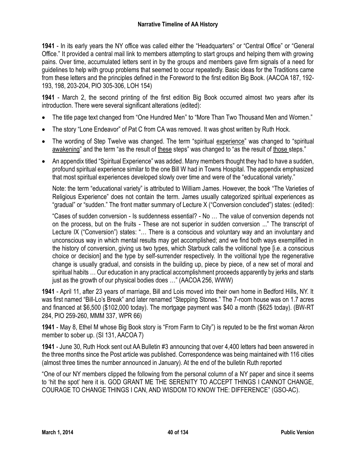**1941** - In its early years the NY office was called either the "Headquarters" or "Central Office" or "General Office." It provided a central mail link to members attempting to start groups and helping them with growing pains. Over time, accumulated letters sent in by the groups and members gave firm signals of a need for guidelines to help with group problems that seemed to occur repeatedly. Basic ideas for the Traditions came from these letters and the principles defined in the Foreword to the first edition Big Book. (AACOA 187, 192- 193, 198, 203-204, PIO 305-306, LOH 154)

**1941** - March 2, the second printing of the first edition Big Book occurred almost two years after its introduction. There were several significant alterations (edited):

- The title page text changed from "One Hundred Men" to "More Than Two Thousand Men and Women."
- The story "Lone Endeavor" of Pat C from CA was removed. It was ghost written by Ruth Hock.
- The wording of Step Twelve was changed. The term "spiritual experience" was changed to "spiritual awakening" and the term "as the result of these steps" was changed to "as the result of those steps."
- An appendix titled "Spiritual Experience" was added. Many members thought they had to have a sudden, profound spiritual experience similar to the one Bill W had in Towns Hospital. The appendix emphasized that most spiritual experiences developed slowly over time and were of the "educational variety."

Note: the term "educational variety" is attributed to William James. However, the book "The Varieties of Religious Experience" does not contain the term. James usually categorized spiritual experiences as "gradual" or "sudden." The front matter summary of Lecture X ("Conversion concluded") states: (edited):

"Cases of sudden conversion - Is suddenness essential? - No … The value of conversion depends not on the process, but on the fruits - These are not superior in sudden conversion ..." The transcript of Lecture IX ("Conversion") states: "… There is a conscious and voluntary way and an involuntary and unconscious way in which mental results may get accomplished; and we find both ways exemplified in the history of conversion, giving us two types, which Starbuck calls the volitional type [i.e. a conscious choice or decision] and the type by self-surrender respectively. In the volitional type the regenerative change is usually gradual, and consists in the building up, piece by piece, of a new set of moral and spiritual habits … Our education in any practical accomplishment proceeds apparently by jerks and starts just as the growth of our physical bodies does …" (AACOA 256, WWW)

**1941** - April 11, after 23 years of marriage, Bill and Lois moved into their own home in Bedford Hills, NY. It was first named "Bill-Lo's Break" and later renamed "Stepping Stones." The 7-room house was on 1.7 acres and financed at \$6,500 (\$102,000 today). The mortgage payment was \$40 a month (\$625 today). (BW-RT 284, PIO 259-260, MMM 337, WPR 66)

**1941** - May 8, Ethel M whose Big Book story is "From Farm to City") is reputed to be the first woman Akron member to sober up. (SI 131, AACOA 7)

**1941** - June 30, Ruth Hock sent out AA Bulletin #3 announcing that over 4,400 letters had been answered in the three months since the Post article was published. Correspondence was being maintained with 116 cities (almost three times the number announced in January). At the end of the bulletin Ruth reported

"One of our NY members clipped the following from the personal column of a NY paper and since it seems to 'hit the spot' here it is. GOD GRANT ME THE SERENITY TO ACCEPT THINGS I CANNOT CHANGE, COURAGE TO CHANGE THINGS I CAN, AND WISDOM TO KNOW THE: DIFFERENCE" (GSO-AC).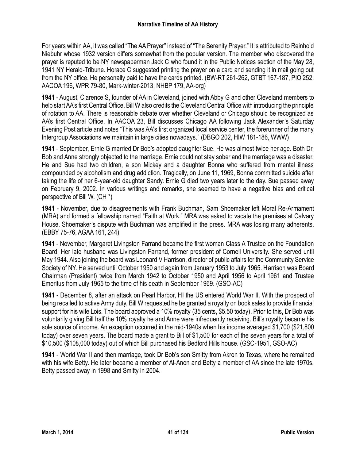For years within AA, it was called "The AA Prayer" instead of "The Serenity Prayer." It is attributed to Reinhold Niebuhr whose 1932 version differs somewhat from the popular version. The member who discovered the prayer is reputed to be NY newspaperman Jack C who found it in the Public Notices section of the May 28, 1941 NY Herald-Tribune. Horace C suggested printing the prayer on a card and sending it in mail going out from the NY office. He personally paid to have the cards printed. (BW-RT 261-262, GTBT 167-187, PIO 252, AACOA 196, WPR 79-80, Mark-winter-2013, NHBP 179, AA-org)

**1941** - August, Clarence S, founder of AA in Cleveland, joined with Abby G and other Cleveland members to help start AA's first Central Office. Bill W also credits the Cleveland Central Office with introducing the principle of rotation to AA. There is reasonable debate over whether Cleveland or Chicago should be recognized as AA's first Central Office. In AACOA 23, Bill discusses Chicago AA following Jack Alexander's Saturday Evening Post article and notes "This was AA's first organized local service center, the forerunner of the many Intergroup Associations we maintain in large cities nowadays." (DBGO 202, HIW 181-186, WWW)

**1941** - September, Ernie G married Dr Bob's adopted daughter Sue. He was almost twice her age. Both Dr. Bob and Anne strongly objected to the marriage. Ernie could not stay sober and the marriage was a disaster. He and Sue had two children, a son Mickey and a daughter Bonna who suffered from mental illness compounded by alcoholism and drug addiction. Tragically, on June 11, 1969, Bonna committed suicide after taking the life of her 6-year-old daughter Sandy. Ernie G died two years later to the day. Sue passed away on February 9, 2002. In various writings and remarks, she seemed to have a negative bias and critical perspective of Bill W. (CH \*)

**1941** - November, due to disagreements with Frank Buchman, Sam Shoemaker left Moral Re-Armament (MRA) and formed a fellowship named "Faith at Work." MRA was asked to vacate the premises at Calvary House. Shoemaker's dispute with Buchman was amplified in the press. MRA was losing many adherents. (EBBY 75-76, AGAA 161, 244)

**1941** - November, Margaret Livingston Farrand became the first woman Class A Trustee on the Foundation Board. Her late husband was Livingston Farrand, former president of Cornell University. She served until May 1944. Also joining the board was Leonard V Harrison, director of public affairs for the Community Service Society of NY. He served until October 1950 and again from January 1953 to July 1965. Harrison was Board Chairman (President) twice from March 1942 to October 1950 and April 1956 to April 1961 and Trustee Emeritus from July 1965 to the time of his death in September 1969. (GSO-AC)

**1941** - December 8, after an attack on Pearl Harbor, HI the US entered World War II. With the prospect of being recalled to active Army duty, Bill W requested he be granted a royalty on book sales to provide financial support for his wife Lois. The board approved a 10% royalty (35 cents, \$5.50 today). Prior to this, Dr Bob was voluntarily giving Bill half the 10% royalty he and Anne were infrequently receiving. Bill's royalty became his sole source of income. An exception occurred in the mid-1940s when his income averaged \$1,700 (\$21,800 today) over seven years. The board made a grant to Bill of \$1,500 for each of the seven years for a total of \$10,500 (\$108,000 today) out of which Bill purchased his Bedford Hills house. (GSC-1951, GSO-AC)

**1941** - World War II and then marriage, took Dr Bob's son Smitty from Akron to Texas, where he remained with his wife Betty. He later became a member of Al-Anon and Betty a member of AA since the late 1970s. Betty passed away in 1998 and Smitty in 2004.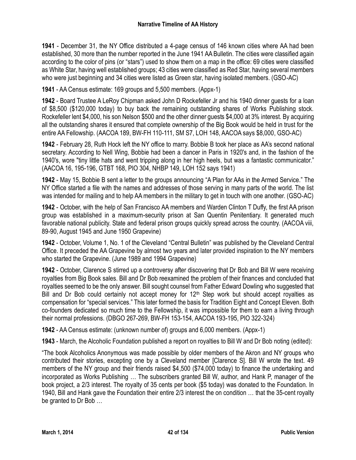**1941** - December 31, the NY Office distributed a 4-page census of 146 known cities where AA had been established, 30 more than the number reported in the June 1941 AA Bulletin. The cities were classified again according to the color of pins (or "stars") used to show them on a map in the office: 69 cities were classified as White Star, having well established groups; 43 cities were classified as Red Star, having several members who were just beginning and 34 cities were listed as Green star, having isolated members. (GSO-AC)

**1941** - AA Census estimate: 169 groups and 5,500 members. (Appx-1)

**1942** - Board Trustee A LeRoy Chipman asked John D Rockefeller Jr and his 1940 dinner guests for a loan of \$8,500 (\$120,000 today) to buy back the remaining outstanding shares of Works Publishing stock. Rockefeller lent \$4,000, his son Nelson \$500 and the other dinner guests \$4,000 at 3% interest. By acquiring all the outstanding shares it ensured that complete ownership of the Big Book would be held in trust for the entire AA Fellowship. (AACOA 189, BW-FH 110-111, SM S7, LOH 148, AACOA says \$8,000, GSO-AC)

**1942** - February 28, Ruth Hock left the NY office to marry. Bobbie B took her place as AA's second national secretary. According to Nell Wing, Bobbie had been a dancer in Paris in 1920's and, in the fashion of the 1940's, wore "tiny little hats and went tripping along in her high heels, but was a fantastic communicator." (AACOA 16, 195-196, GTBT 168, PIO 304, NHBP 149, LOH 152 says 1941)

**1942** - May 15, Bobbie B sent a letter to the groups announcing "A Plan for AAs in the Armed Service." The NY Office started a file with the names and addresses of those serving in many parts of the world. The list was intended for mailing and to help AA members in the military to get in touch with one another. (GSO-AC)

**1942** - October, with the help of San Francisco AA members and Warden Clinton T Duffy, the first AA prison group was established in a maximum-security prison at San Quentin Penitentiary. It generated much favorable national publicity. State and federal prison groups quickly spread across the country. (AACOA viii, 89-90, August 1945 and June 1950 Grapevine)

**1942** - October, Volume 1, No. 1 of the Cleveland "Central Bulletin" was published by the Cleveland Central Office. It preceded the AA Grapevine by almost two years and later provided inspiration to the NY members who started the Grapevine. (June 1989 and 1994 Grapevine)

**1942** - October, Clarence S stirred up a controversy after discovering that Dr Bob and Bill W were receiving royalties from Big Book sales. Bill and Dr Bob reexamined the problem of their finances and concluded that royalties seemed to be the only answer. Bill sought counsel from Father Edward Dowling who suggested that Bill and Dr Bob could certainly not accept money for  $12<sup>th</sup>$  Step work but should accept royalties as compensation for "special services." This later formed the basis for Tradition Eight and Concept Eleven. Both co-founders dedicated so much time to the Fellowship, it was impossible for them to earn a living through their normal professions. (DBGO 267-269, BW-FH 153-154, AACOA 193-195, PIO 322-324)

**1942** - AA Census estimate: (unknown number of) groups and 6,000 members. (Appx-1)

**1943** - March, the Alcoholic Foundation published a report on royalties to Bill W and Dr Bob noting (edited):

"The book Alcoholics Anonymous was made possible by older members of the Akron and NY groups who contributed their stories, excepting one by a Cleveland member [Clarence S]. Bill W wrote the text. 49 members of the NY group and their friends raised \$4,500 (\$74,000 today) to finance the undertaking and incorporated as Works Publishing … The subscribers granted Bill W, author, and Hank P, manager of the book project, a 2/3 interest. The royalty of 35 cents per book (\$5 today) was donated to the Foundation. In 1940, Bill and Hank gave the Foundation their entire 2/3 interest the on condition … that the 35-cent royalty be granted to Dr Bob …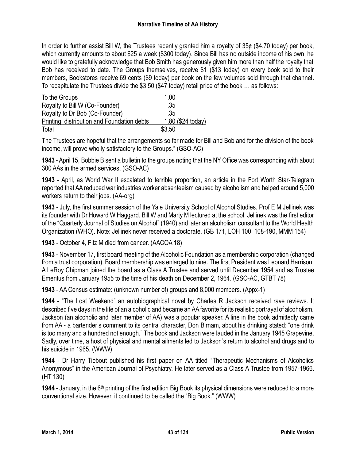In order to further assist Bill W, the Trustees recently granted him a royalty of 35¢ (\$4.70 today) per book, which currently amounts to about \$25 a week (\$300 today). Since Bill has no outside income of his own, he would like to gratefully acknowledge that Bob Smith has generously given him more than half the royalty that Bob has received to date. The Groups themselves, receive \$1 (\$13 today) on every book sold to their members, Bookstores receive 69 cents (\$9 today) per book on the few volumes sold through that channel. To recapitulate the Trustees divide the \$3.50 (\$47 today) retail price of the book … as follows:

| To the Groups                               | 1.00              |
|---------------------------------------------|-------------------|
| Royalty to Bill W (Co-Founder)              | .35               |
| Royalty to Dr Bob (Co-Founder)              | .35               |
| Printing, distribution and Foundation debts | 1.80 (\$24 today) |
| Total                                       | \$3.50            |

The Trustees are hopeful that the arrangements so far made for Bill and Bob and for the division of the book income, will prove wholly satisfactory to the Groups." (GSO-AC)

**1943** - April 15, Bobbie B sent a bulletin to the groups noting that the NY Office was corresponding with about 300 AAs in the armed services. (GSO-AC)

**1943** - April, as World War II escalated to ter**r**ible proportion, an article in the Fort Worth Star-Telegram reported that AA reduced war industries worker absenteeism caused by alcoholism and helped around 5,000 workers return to their jobs. (AA-org)

**1943** - July, the first summer session of the Yale University School of Alcohol Studies. Prof E M Jellinek was its founder with Dr Howard W Haggard. Bill W and Marty M lectured at the school. Jellinek was the first editor of the "Quarterly Journal of Studies on Alcohol" (1940) and later an alcoholism consultant to the World Health Organization (WHO). Note: Jellinek never received a doctorate. (GB 171, LOH 100, 108-190, MMM 154)

**1943** - October 4, Fitz M died from cancer. (AACOA 18)

**1943** - November 17, first board meeting of the Alcoholic Foundation as a membership corporation (changed from a trust corporation). Board membership was enlarged to nine. The first President was Leonard Harrison. A LeRoy Chipman joined the board as a Class A Trustee and served until December 1954 and as Trustee Emeritus from January 1955 to the time of his death on December 2, 1964. (GSO-AC, GTBT 78)

**1943** - AA Census estimate: (unknown number of) groups and 8,000 members. (Appx-1)

**1944** - "The Lost Weekend" an autobiographical novel by Charles R Jackson received rave reviews. It described five days in the life of an alcoholic and became an AAfavorite for its realistic portrayal of alcoholism. Jackson (an alcoholic and later member of AA) was a popular speaker. A line in the book admittedly came from AA - a bartender's comment to its central character, Don Birnam, about his drinking stated: "one drink is too many and a hundred not enough." The book and Jackson were lauded in the January 1945 Grapevine. Sadly, over time, a host of physical and mental ailments led to Jackson's return to alcohol and drugs and to his suicide in 1965. (WWW)

**1944** - Dr Harry Tiebout published his first paper on AA titled "Therapeutic Mechanisms of Alcoholics Anonymous" in the American Journal of Psychiatry. He later served as a Class A Trustee from 1957-1966. (HT 130)

**1944** - January, in the 6<sup>th</sup> printing of the first edition Big Book its physical dimensions were reduced to a more conventional size. However, it continued to be called the "Big Book." (WWW)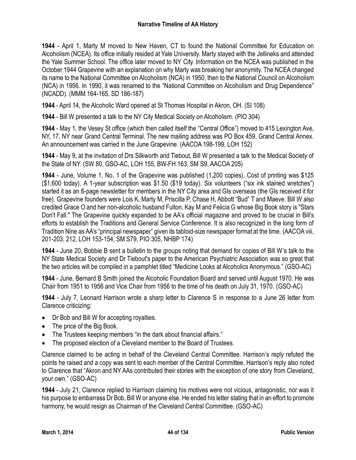**1944** - April 1, Marty M moved to New Haven, CT to found the National Committee for Education on Alcoholism (NCEA). Its office initially resided at Yale University. Marty stayed with the Jellineks and attended the Yale Summer School. The office later moved to NY City. Information on the NCEA was published in the October 1944 Grapevine with an explanation on why Marty was breaking her anonymity. The NCEA changed its name to the National Committee on Alcoholism (NCA) in 1950, then to the National Council on Alcoholism (NCA) in 1956. In 1990, it was renamed to the "National Committee on Alcoholism and Drug Dependence" (NCADD). (MMM 164-165, SD 186-187)

**1944** - April 14, the Alcoholic Ward opened at St Thomas Hospital in Akron, OH. (SI 108)

**1944** - Bill W presented a talk to the NY City Medical Society on Alcoholism. (PIO 304)

**1944** - May 1, the Vesey St office (which then called itself the "Central Office") moved to 415 Lexington Ave, NY, 17, NY near Grand Central Terminal. The new mailing address was PO Box 459, Grand Central Annex. An announcement was carried in the June Grapevine. (AACOA 198-199, LOH 152)

**1944** - May 9, at the invitation of Drs Silkworth and Tiebout, Bill W presented a talk to the Medical Society of the State of NY. (SW 80, GSO-AC, LOH 155, BW-FH 163, SM S9, AACOA 205)

**1944** - June, Volume 1, No. 1 of the Grapevine was published (1,200 copies). Cost of printing was \$125 (\$1,600 today). A 1-year subscription was \$1.50 (\$19 today). Six volunteers ("six ink stained wretches") started it as an 8-page newsletter for members in the NY City area and GIs overseas (the GIs received it for free). Grapevine founders were Lois K, Marty M, Priscilla P, Chase H, Abbott "Bud" T and Maeve. Bill W also credited Grace O and her non-alcoholic husband Fulton, Kay M and Felicia G whose Big Book story is "Stars Don't Fall." The Grapevine quickly expanded to be AA's official magazine and proved to be crucial in Bill's efforts to establish the Traditions and General Service Conference. It is also recognized in the long form of Tradition Nine as AA's "principal newspaper" given its tabloid-size newspaper format at the time. (AACOA viii, 201-203, 212, LOH 153-154, SM S79, PIO 305, NHBP 174)

**1944** - June 20, Bobbie B sent a bulletin to the groups noting that demand for copies of Bill W's talk to the NY State Medical Society and Dr Tiebout's paper to the American Psychiatric Association was so great that the two articles will be compiled in a pamphlet titled "Medicine Looks at Alcoholics Anonymous." (GSO-AC)

**1944** - June, Bernard B Smith joined the Alcoholic Foundation Board and served until August 1970. He was Chair from 1951 to 1956 and Vice Chair from 1956 to the time of his death on July 31, 1970. (GSO-AC)

**1944** - July 7, Leonard Harrison wrote a sharp letter to Clarence S in response to a June 26 letter from Clarence criticizing:

- Dr Bob and Bill W for accepting royalties.
- The price of the Big Book.
- The Trustees keeping members "in the dark about financial affairs."
- The proposed election of a Cleveland member to the Board of Trustees.

Clarence claimed to be acting in behalf of the Cleveland Central Committee. Harrison's reply refuted the points he raised and a copy was sent to each member of the Central Committee. Harrison's reply also noted to Clarence that "Akron and NY AAs contributed their stories with the exception of one story from Cleveland, your own." (GSO-AC)

**1944** - July 21, Clarence replied to Harrison claiming his motives were not vicious, antagonistic, nor was it his purpose to embarrass Dr Bob, Bill W or anyone else. He ended his letter stating that in an effort to promote harmony, he would resign as Chairman of the Cleveland Central Committee. (GSO-AC)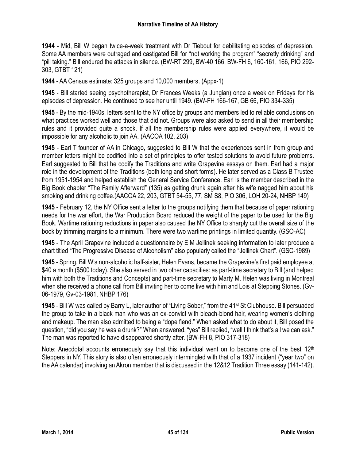**1944** - Mid, Bill W began twice-a-week treatment with Dr Tiebout for debilitating episodes of depression. Some AA members were outraged and castigated Bill for "not working the program" "secretly drinking" and "pill taking." Bill endured the attacks in silence. (BW-RT 299, BW-40 166, BW-FH 6, 160-161, 166, PIO 292- 303, GTBT 121)

**1944** - AA Census estimate: 325 groups and 10,000 members. (Appx-1)

**1945** - Bill started seeing psychotherapist, Dr Frances Weeks (a Jungian) once a week on Fridays for his episodes of depression. He continued to see her until 1949. (BW-FH 166-167, GB 66, PIO 334-335)

**1945** - By the mid-1940s, letters sent to the NY office by groups and members led to reliable conclusions on what practices worked well and those that did not. Groups were also asked to send in all their membership rules and it provided quite a shock. If all the membership rules were applied everywhere, it would be impossible for any alcoholic to join AA. (AACOA 102, 203)

**1945** - Earl T founder of AA in Chicago, suggested to Bill W that the experiences sent in from group and member letters might be codified into a set of principles to offer tested solutions to avoid future problems. Earl suggested to Bill that he codify the Traditions and write Grapevine essays on them. Earl had a major role in the development of the Traditions (both long and short forms). He later served as a Class B Trustee from 1951-1954 and helped establish the General Service Conference. Earl is the member described in the Big Book chapter "The Family Afterward" (135) as getting drunk again after his wife nagged him about his smoking and drinking coffee.(AACOA 22, 203, GTBT 54-55, 77, SM S8, PIO 306, LOH 20-24, NHBP 149)

**1945** - February 12, the NY Office sent a letter to the groups notifying them that because of paper rationing needs for the war effort, the War Production Board reduced the weight of the paper to be used for the Big Book. Wartime rationing reductions in paper also caused the NY Office to sharply cut the overall size of the book by trimming margins to a minimum. There were two wartime printings in limited quantity. (GSO-AC)

**1945** - The April Grapevine included a questionnaire by E M Jellinek seeking information to later produce a chart titled "The Progressive Disease of Alcoholism" also popularly called the "Jellinek Chart". (GSC-1989)

**1945** - Spring, Bill W's non-alcoholic half-sister, Helen Evans, became the Grapevine's first paid employee at \$40 a month (\$500 today). She also served in two other capacities: as part-time secretary to Bill (and helped him with both the Traditions and Concepts) and part-time secretary to Marty M. Helen was living in Montreal when she received a phone call from Bill inviting her to come live with him and Lois at Stepping Stones. (Gv-06-1979, Gv-03-1981, NHBP 176)

**1945** - Bill W was called by Barry L, later author of "Living Sober," from the 41st St Clubhouse. Bill persuaded the group to take in a black man who was an ex-convict with bleach-blond hair, wearing women's clothing and makeup. The man also admitted to being a "dope fiend." When asked what to do about it, Bill posed the question, "did you say he was a drunk?" When answered, "yes" Bill replied, "well I think that's all we can ask." The man was reported to have disappeared shortly after. (BW-FH 8, PIO 317-318)

Note: Anecdotal accounts erroneously say that this individual went on to become one of the best  $12<sup>th</sup>$ Steppers in NY. This story is also often erroneously intermingled with that of a 1937 incident ("year two" on the AA calendar) involving an Akron member that is discussed in the 12&12 Tradition Three essay (141-142).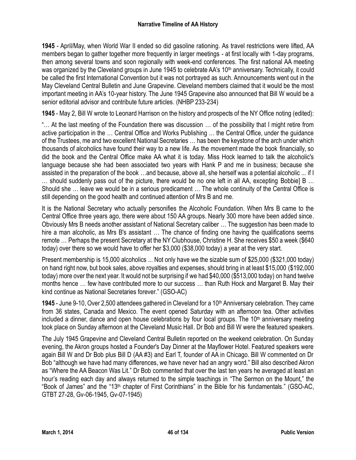**1945** - April/May, when World War II ended so did gasoline rationing. As travel restrictions were lifted, AA members began to gather together more frequently in larger meetings - at first locally with 1-day programs, then among several towns and soon regionally with week-end conferences. The first national AA meeting was organized by the Cleveland groups in June 1945 to celebrate AA's 10<sup>th</sup> anniversary. Technically, it could be called the first International Convention but it was not portrayed as such. Announcements went out in the May Cleveland Central Bulletin and June Grapevine. Cleveland members claimed that it would be the most important meeting in AA's 10-year history. The June 1945 Grapevine also announced that Bill W would be a senior editorial advisor and contribute future articles. (NHBP 233-234)

**1945** - May 2, Bill W wrote to Leonard Harrison on the history and prospects of the NY Office noting (edited):

"… At the last meeting of the Foundation there was discussion … of the possibility that I might retire from active participation in the … Central Office and Works Publishing … the Central Office, under the guidance of the Trustees, me and two excellent National Secretaries … has been the keystone of the arch under which thousands of alcoholics have found their way to a new life. As the movement made the book financially, so did the book and the Central Office make AA what it is today. Miss Hock learned to talk the alcoholic's language because she had been associated two years with Hank P and me in business; because she assisted in the preparation of the book …and because, above all, she herself was a potential alcoholic ... if I … should suddenly pass out of the picture, there would be no one left in all AA, excepting Bobbie] B … Should she … leave we would be in a serious predicament … The whole continuity of the Central Office is still depending on the good health and continued attention of Mrs B and me.

It is the National Secretary who actually personifies the Alcoholic Foundation. When Mrs B came to the Central Office three years ago, there were about 150 AA groups. Nearly 300 more have been added since. Obviously Mrs B needs another assistant of National Secretary caliber … The suggestion has been made to hire a man alcoholic, as Mrs B's assistant ... The chance of finding one having the qualifications seems remote … Perhaps the present Secretary at the NY Clubhouse, Christine H. She receives \$50 a week (\$640 today) over there so we would have to offer her \$3,000 (\$38,000 today) a year at the very start.

Present membership is 15,000 alcoholics ... Not only have we the sizable sum of \$25,000 (\$321,000 today) on hand right now, but book sales, above royalties and expenses, should bring in at least \$15,000 (\$192,000 today) more over the next year. It would not be surprising if we had \$40,000 (\$513,000 today) on hand twelve months hence … few have contributed more to our success … than Ruth Hock and Margaret B. May their kind continue as National Secretaries forever." (GSO-AC)

**1945** - June 9-10, Over 2,500 attendees gathered in Cleveland for a 10th Anniversary celebration. They came from 36 states, Canada and Mexico. The event opened Saturday with an afternoon tea. Other activities included a dinner, dance and open house celebrations by four local groups. The 10<sup>th</sup> anniversary meeting took place on Sunday afternoon at the Cleveland Music Hall. Dr Bob and Bill W were the featured speakers.

The July 1945 Grapevine and Cleveland Central Bulletin reported on the weekend celebration. On Sunday evening, the Akron groups hosted a Founder's Day Dinner at the Mayflower Hotel. Featured speakers were again Bill W and Dr Bob plus Bill D (AA #3) and Earl T, founder of AA in Chicago. Bill W commented on Dr Bob "although we have had many differences, we have never had an angry word." Bill also described Akron as "Where the AA Beacon Was Lit." Dr Bob commented that over the last ten years he averaged at least an hour's reading each day and always returned to the simple teachings in "The Sermon on the Mount," the "Book of James" and the "13th chapter of First Corinthians" in the Bible for his fundamentals." (GSO-AC, GTBT 27-28, Gv-06-1945, Gv-07-1945)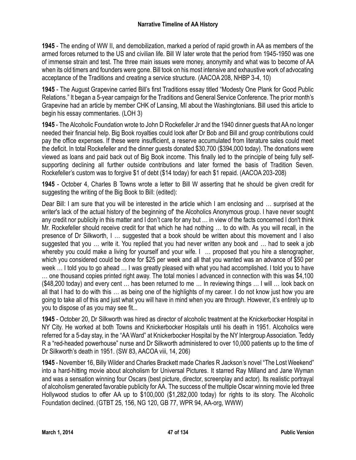**1945** - The ending of WW II, and demobilization, marked a period of rapid growth in AA as members of the armed forces returned to the US and civilian life. Bill W later wrote that the period from 1945-1950 was one of immense strain and test. The three main issues were money, anonymity and what was to become of AA when its old timers and founders were gone. Bill took on his most intensive and exhaustive work of advocating acceptance of the Traditions and creating a service structure. (AACOA 208, NHBP 3-4, 10)

**1945** - The August Grapevine carried Bill's first Traditions essay titled "Modesty One Plank for Good Public Relations." It began a 5-year campaign for the Traditions and General Service Conference. The prior month's Grapevine had an article by member CHK of Lansing, MI about the Washingtonians. Bill used this article to begin his essay commentaries. (LOH 3)

**1945** - The Alcoholic Foundation wrote to John D Rockefeller Jr and the 1940 dinner guests that AA no longer needed their financial help. Big Book royalties could look after Dr Bob and Bill and group contributions could pay the office expenses. If these were insufficient, a reserve accumulated from literature sales could meet the deficit. In total Rockefeller and the dinner guests donated \$30,700 (\$394,000 today). The donations were viewed as loans and paid back out of Big Book income. This finally led to the principle of being fully selfsupporting declining all further outside contributions and later formed the basis of Tradition Seven. Rockefeller's custom was to forgive \$1 of debt (\$14 today) for each \$1 repaid. (AACOA 203-208)

**1945** - October 4, Charles B Towns wrote a letter to Bill W asserting that he should be given credit for suggesting the writing of the Big Book to Bill: (edited):

Dear Bill: I am sure that you will be interested in the article which I am enclosing and … surprised at the writer's lack of the actual history of the beginning of' the Alcoholics Anonymous group. I have never sought any credit nor publicity in this matter and I don't care for any but … in view of the facts concerned I don't think Mr. Rockefeller should receive credit for that which he had nothing … to do with. As you will recall, in the presence of Dr Silkworth, I … suggested that a book should be written about this movement and I also suggested that you … write it. You replied that you had never written any book and … had to seek a job whereby you could make a living for yourself and your wife. I ... proposed that you hire a stenographer, which you considered could be done for \$25 per week and all that you wanted was an advance of \$50 per week … I told you to go ahead … I was greatly pleased with what you had accomplished. I told you to have … one thousand copies printed right away. The total monies l advanced in connection with this was \$4,100 (\$48,200 today) and every cent … has been returned to me … In reviewing things … I will … look back on all that I had to do with this … as being one of the highlights of my career. I do not know just how you are going to take all of this and just what you will have in mind when you are through. However, it's entirely up to you to dispose of as you may see fit...

**1945** - October 20, Dr Silkworth was hired as director of alcoholic treatment at the Knickerbocker Hospital in NY City. He worked at both Towns and Knickerbocker Hospitals until his death in 1951. Alcoholics were referred for a 5-day stay, in the "AA Ward" at Knickerbocker Hospital by the NY Intergroup Association. Teddy R a "red-headed powerhouse" nurse and Dr Silkworth administered to over 10,000 patients up to the time of Dr Silkworth's death in 1951. (SW 83, AACOA viii, 14, 206)

**1945** - November 16, Billy Wilder and Charles Brackett made Charles R Jackson's novel "The Lost Weekend" into a hard-hitting movie about alcoholism for Universal Pictures*.* It starred Ray Milland and Jane Wyman and was a sensation winning four Oscars (best picture, director, screenplay and actor). Its realistic portrayal of alcoholism generated favorable publicity for AA. The success of the multiple Oscar winning movie led three Hollywood studios to offer AA up to \$100,000 (\$1,282,000 today) for rights to its story. The Alcoholic Foundation declined. (GTBT 25, 156, NG 120, GB 77, WPR 94, AA-org, WWW)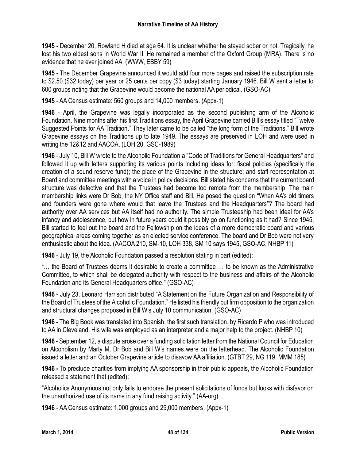**1945** - December 20, Rowland H died at age 64. It is unclear whether he stayed sober or not. Tragically, he lost his two eldest sons in World War II. He remained a member of the Oxford Group (MRA). There is no evidence that he ever joined AA. (WWW, EBBY 59)

**1945** - The December Grapevine announced it would add four more pages and raised the subscription rate to \$2.50 (\$32 today) per year or 25 cents per copy (\$3 today) starting January 1946. Bill W sent a letter to 600 groups noting that the Grapevine would become the national AA periodical. (GSO-AC)

**1945** - AA Census estimate: 560 groups and 14,000 members. (Appx-1)

**1946** - April, the Grapevine was legally incorporated as the second publishing arm of the Alcoholic Foundation. Nine months after his first Traditions essay, the April Grapevine carried Bill's essay titled "Twelve Suggested Points for AA Tradition." They later came to be called "the long form of the Traditions." Bill wrote Grapevine essays on the Traditions up to late 1949. The essays are preserved in LOH and were used in writing the 12&12 and AACOA. (LOH 20, GSC-1989)

**1946** - July 10, Bill W wrote to the Alcoholic Foundation a "Code of Traditions for General Headquarters" and followed it up with letters supporting its various points including ideas for: fiscal policies (specifically the creation of a sound reserve fund); the place of the Grapevine in the structure; and staff representation at Board and committee meetings with a voice in policy decisions. Bill stated his concerns that the current board structure was defective and that the Trustees had become too remote from the membership. The main membership links were Dr Bob, the NY Office staff and Bill. He posed the question "When AA's old timers and founders were gone where would that leave the Trustees and the Headquarters"? The board had authority over AA services but AA itself had no authority. The simple Trusteeship had been ideal for AA's infancy and adolescence, but how in future years could it possibly go on functioning as it had? Since 1945, Bill started to feel out the board and the Fellowship on the ideas of a more democratic board and various geographical areas coming together as an elected service conference. The board and Dr Bob were not very enthusiastic about the idea. (AACOA 210, SM-10, LOH 338, SM 10 says 1945, GSO-AC, NHBP 11)

**1946** - July 19, the Alcoholic Foundation passed a resolution stating in part (edited):

"… the Board of Trustees deems it desirable to create a committee … to be known as the Administrative Committee, to which shall be delegated authority with respect to the business and affairs of the Alcoholic Foundation and its General Headquarters office." (GSO-AC)

**1946** - July 23, Leonard Harrison distributed "A Statement on the Future Organization and Responsibility of the Board of Trustees of the Alcoholic Foundation." He listed his friendly but firm opposition to the organization and structural changes proposed in Bill W's July 10 communication. (GSO-AC)

**1946** - The Big Book was translated into Spanish, the first such translation, by Ricardo P who was introduced to AA in Cleveland. His wife was employed as an interpreter and a major help to the project. (NHBP 10)

**1946** - September 12, a dispute arose over a funding solicitation letter from the National Council for Education on Alcoholism by Marty M. Dr Bob and Bill W's names were on the letterhead. The Alcoholic Foundation issued a letter and an October Grapevine article to disavow AA affiliation. (GTBT 29, NG 119, MMM 185)

**1946 -** To preclude charities from implying AA sponsorship in their public appeals, the Alcoholic Foundation released a statement that (edited):

"Alcoholics Anonymous not only fails to endorse the present solicitations of funds but looks with disfavor on the unauthorized use of its name in any fund raising activity." (AA-org)

**1946** - AA Census estimate: 1,000 groups and 29,000 members. (Appx-1)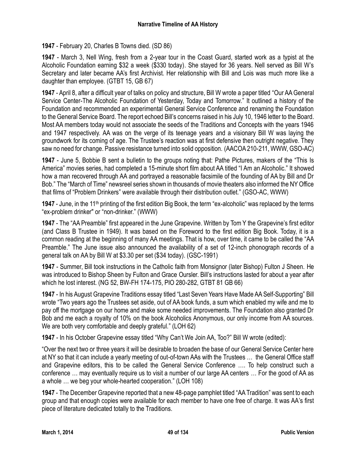**1947** - February 20, Charles B Towns died. (SD 86)

**1947** - March 3, Nell Wing, fresh from a 2-year tour in the Coast Guard, started work as a typist at the Alcoholic Foundation earning \$32 a week (\$330 today). She stayed for 36 years. Nell served as Bill W's Secretary and later became AA's first Archivist. Her relationship with Bill and Lois was much more like a daughter than employee. (GTBT 15, GB 67)

**1947** - April 8, after a difficult year of talks on policy and structure, Bill W wrote a paper titled "Our AA General Service Center-The Alcoholic Foundation of Yesterday, Today and Tomorrow." It outlined a history of the Foundation and recommended an experimental General Service Conference and renaming the Foundation to the General Service Board. The report echoed Bill's concerns raised in his July 10, 1946 letter to the Board. Most AA members today would not associate the seeds of the Traditions and Concepts with the years 1946 and 1947 respectively. AA was on the verge of its teenage years and a visionary Bill W was laying the groundwork for its coming of age. The Trustee's reaction was at first defensive then outright negative. They saw no need for change. Passive resistance turned into solid opposition. (AACOA 210-211, WWW, GSO-AC)

**1947** - June 5, Bobbie B sent a bulletin to the groups noting that: Pathe Pictures, makers of the "This Is America" movies series, had completed a 15-minute short film about AA titled "I Am an Alcoholic." It showed how a man recovered through AA and portrayed a reasonable facsimile of the founding of AA by Bill and Dr Bob." The "March of Time" newsreel series shown in thousands of movie theaters also informed the NY Office that films of "Problem Drinkers" were available through their distribution outlet." (GSO-AC, WWW)

**1947** - June, in the 11th printing of the first edition Big Book, the term "ex-alcoholic" was replaced by the terms "ex-problem drinker" or "non-drinker." (WWW)

**1947** - The "AA Preamble" first appeared in the June Grapevine. Written by Tom Y the Grapevine's first editor (and Class B Trustee in 1949). It was based on the Foreword to the first edition Big Book. Today, it is a common reading at the beginning of many AA meetings. That is how, over time, it came to be called the "AA Preamble." The June issue also announced the availability of a set of 12-inch phonograph records of a general talk on AA by Bill W at \$3.30 per set (\$34 today). (GSC-1991)

**1947** - Summer, Bill took instructions in the Catholic faith from Monsignor (later Bishop) Fulton J Sheen. He was introduced to Bishop Sheen by Fulton and Grace Oursler. Bill's instructions lasted for about a year after which he lost interest. (NG 52, BW-FH 174-175, PIO 280-282, GTBT 81 GB 66)

**1947** - In his August Grapevine Traditions essay titled "Last Seven Years Have Made AA Self-Supporting" Bill wrote "Two years ago the Trustees set aside, out of AA book funds, a sum which enabled my wife and me to pay off the mortgage on our home and make some needed improvements. The Foundation also granted Dr Bob and me each a royalty of 10% on the book Alcoholics Anonymous, our only income from AA sources. We are both very comfortable and deeply grateful." (LOH 62)

**1947** - In his October Grapevine essay titled "Why Can't We Join AA, Too?" Bill W wrote (edited):

"Over the next two or three years it will be desirable to broaden the base of our General Service Center here at NY so that it can include a yearly meeting of out-of-town AAs with the Trustees … the General Office staff and Grapevine editors, this to be called the General Service Conference …. To help construct such a conference … may eventually require us to visit a number of our large AA centers … For the good of AA as a whole … we beg your whole-hearted cooperation." (LOH 108)

**1947** - The December Grapevine reported that a new 48-page pamphlet titled "AA Tradition" was sent to each group and that enough copies were available for each member to have one free of charge. It was AA's first piece of literature dedicated totally to the Traditions.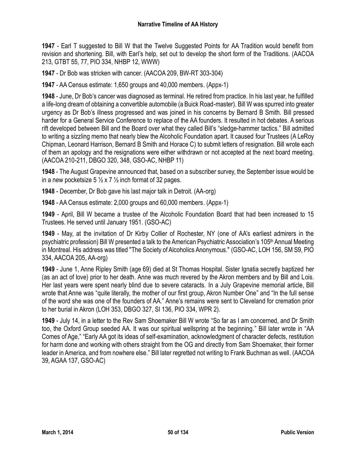**1947** - Earl T suggested to Bill W that the Twelve Suggested Points for AA Tradition would benefit from revision and shortening. Bill, with Earl's help, set out to develop the short form of the Traditions. (AACOA 213, GTBT 55, 77, PIO 334, NHBP 12, WWW)

**1947** - Dr Bob was stricken with cancer. (AACOA 209, BW-RT 303-304)

**1947** - AA Census estimate: 1,650 groups and 40,000 members. (Appx-1)

**1948** - June, Dr Bob's cancer was diagnosed as terminal. He retired from practice. In his last year, he fulfilled a life-long dream of obtaining a convertible automobile (a Buick Road-master). Bill W was spurred into greater urgency as Dr Bob's illness progressed and was joined in his concerns by Bernard B Smith. Bill pressed harder for a General Service Conference to replace of the AA founders. It resulted in hot debates. A serious rift developed between Bill and the Board over what they called Bill's "sledge-hammer tactics." Bill admitted to writing a sizzling memo that nearly blew the Alcoholic Foundation apart. It caused four Trustees (A LeRoy Chipman, Leonard Harrison, Bernard B Smith and Horace C) to submit letters of resignation. Bill wrote each of them an apology and the resignations were either withdrawn or not accepted at the next board meeting. (AACOA 210-211, DBGO 320, 348, GSO-AC, NHBP 11)

**1948** - The August Grapevine announced that, based on a subscriber survey, the September issue would be in a new pocketsize 5  $\frac{1}{2}$  x 7  $\frac{1}{2}$  inch format of 32 pages.

**1948** - December, Dr Bob gave his last major talk in Detroit. (AA-org)

**1948** - AA Census estimate: 2,000 groups and 60,000 members. (Appx-1)

**1949** - April, Bill W became a trustee of the Alcoholic Foundation Board that had been increased to 15 Trustees. He served until January 1951. (GSO-AC)

**1949** - May, at the invitation of Dr Kirby Collier of Rochester, NY (one of AA's earliest admirers in the psychiatric profession) Bill W presented a talk to the American Psychiatric Association's 105th Annual Meeting in Montreal. His address was titled "The Society of Alcoholics Anonymous." (GSO-AC, LOH 156, SM S9, PIO 334, AACOA 205, AA-org)

**1949** - June 1, Anne Ripley Smith (age 69) died at St Thomas Hospital. Sister Ignatia secretly baptized her (as an act of love) prior to her death. Anne was much revered by the Akron members and by Bill and Lois. Her last years were spent nearly blind due to severe cataracts. In a July Grapevine memorial article, Bill wrote that Anne was "quite literally, the mother of our first group, Akron Number One" and "In the full sense of the word she was one of the founders of AA." Anne's remains were sent to Cleveland for cremation prior to her burial in Akron (LOH 353, DBGO 327, SI 136, PIO 334, WPR 2).

**1949** - July 14, in a letter to the Rev Sam Shoemaker Bill W wrote "So far as I am concerned, and Dr Smith too, the Oxford Group seeded AA. It was our spiritual wellspring at the beginning." Bill later wrote in "AA Comes of Age," "Early AA got its ideas of self-examination, acknowledgment of character defects, restitution for harm done and working with others straight from the OG and directly from Sam Shoemaker, their former leader in America, and from nowhere else." Bill later regretted not writing to Frank Buchman as well. (AACOA 39, AGAA 137, GSO-AC)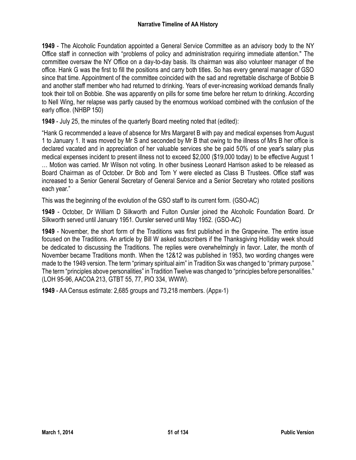**1949** - The Alcoholic Foundation appointed a General Service Committee as an advisory body to the NY Office staff in connection with "problems of policy and administration requiring immediate attention." The committee oversaw the NY Office on a day-to-day basis. Its chairman was also volunteer manager of the office. Hank G was the first to fill the positions and carry both titles. So has every general manager of GSO since that time. Appointment of the committee coincided with the sad and regrettable discharge of Bobbie B and another staff member who had returned to drinking. Years of ever-increasing workload demands finally took their toll on Bobbie. She was apparently on pills for some time before her return to drinking. According to Nell Wing, her relapse was partly caused by the enormous workload combined with the confusion of the early office. (NHBP 150)

**1949** - July 25, the minutes of the quarterly Board meeting noted that (edited):

"Hank G recommended a leave of absence for Mrs Margaret B with pay and medical expenses from August 1 to January 1. It was moved by Mr S and seconded by Mr B that owing to the illness of Mrs B her office is declared vacated and in appreciation of her valuable services she be paid 50% of one year's salary plus medical expenses incident to present illness not to exceed \$2,000 (\$19,000 today) to be effective August 1 … Motion was carried. Mr Wilson not voting. In other business Leonard Harrison asked to be released as Board Chairman as of October. Dr Bob and Tom Y were elected as Class B Trustees. Office staff was increased to a Senior General Secretary of General Service and a Senior Secretary who rotated positions each year."

This was the beginning of the evolution of the GSO staff to its current form. (GSO-AC)

**1949** - October, Dr William D Silkworth and Fulton Oursler joined the Alcoholic Foundation Board. Dr Silkworth served until January 1951. Oursler served until May 1952. (GSO-AC)

**1949** - November, the short form of the Traditions was first published in the Grapevine. The entire issue focused on the Traditions. An article by Bill W asked subscribers if the Thanksgiving Holliday week should be dedicated to discussing the Traditions. The replies were overwhelmingly in favor. Later, the month of November became Traditions month. When the 12&12 was published in 1953, two wording changes were made to the 1949 version. The term "primary spiritual aim" in Tradition Six was changed to "primary purpose." The term "principles above personalities" in Tradition Twelve was changed to "principles before personalities." (LOH 95-96, AACOA 213, GTBT 55, 77, PIO 334, WWW).

**1949** - AA Census estimate: 2,685 groups and 73,218 members. (Appx-1)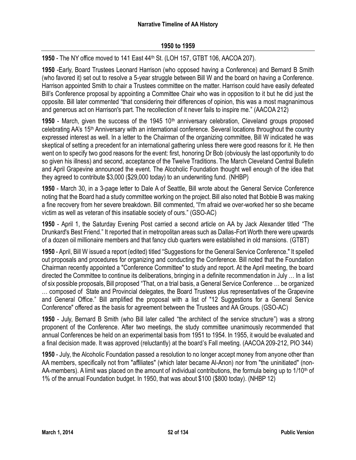**1950** - The NY office moved to 141 East 44th St. (LOH 157, GTBT 106, AACOA 207).

**1950** -Early, Board Trustees Leonard Harrison (who opposed having a Conference) and Bernard B Smith (who favored it) set out to resolve a 5-year struggle between Bill W and the board on having a Conference. Harrison appointed Smith to chair a Trustees committee on the matter. Harrison could have easily defeated Bill's Conference proposal by appointing a Committee Chair who was in opposition to it but he did just the opposite. Bill later commented "that considering their differences of opinion, this was a most magnanimous and generous act on Harrison's part. The recollection of it never fails to inspire me." (AACOA 212)

**1950** - March, given the success of the 1945 10<sup>th</sup> anniversary celebration, Cleveland groups proposed celebrating AA's 15th Anniversary with an international conference. Several locations throughout the country expressed interest as well. In a letter to the Chairman of the organizing committee, Bill W indicated he was skeptical of setting a precedent for an international gathering unless there were good reasons for it. He then went on to specify two good reasons for the event: first, honoring Dr Bob (obviously the last opportunity to do so given his illness) and second, acceptance of the Twelve Traditions. The March Cleveland Central Bulletin and April Grapevine announced the event. The Alcoholic Foundation thought well enough of the idea that they agreed to contribute \$3,000 (\$29,000 today) to an underwriting fund. (NHBP)

**1950** - March 30, in a 3-page letter to Dale A of Seattle, Bill wrote about the General Service Conference noting that the Board had a study committee working on the project. Bill also noted that Bobbie B was making a fine recovery from her severe breakdown. Bill commented, "I'm afraid we over-worked her so she became victim as well as veteran of this insatiable society of ours." (GSO-AC)

**1950** - April 1, the Saturday Evening Post carried a second article on AA by Jack Alexander titled "The Drunkard's Best Friend." It reported that in metropolitan areas such as Dallas-Fort Worth there were upwards of a dozen oil millionaire members and that fancy club quarters were established in old mansions. (GTBT)

**1950** - April, Bill W issued a report (edited) titled "Suggestions for the General Service Conference." It spelled out proposals and procedures for organizing and conducting the Conference. Bill noted that the Foundation Chairman recently appointed a "Conference Committee" to study and report. At the April meeting, the board directed the Committee to continue its deliberations, bringing in a definite recommendation in July … In a list of six possible proposals, Bill proposed "That, on a trial basis, a General Service Conference … be organized … composed of State and Provincial delegates, the Board Trustees plus representatives of the Grapevine and General Office." Bill amplified the proposal with a list of "12 Suggestions for a General Service Conference" offered as the basis for agreement between the Trustees and AA Groups. (GSO-AC)

**1950** - July, Bernard B Smith (who Bill later called "the architect of the service structure") was a strong proponent of the Conference. After two meetings, the study committee unanimously recommended that annual Conferences be held on an experimental basis from 1951 to 1954. In 1955, it would be evaluated and a final decision made. It was approved (reluctantly) at the board's Fall meeting. (AACOA 209-212, PIO 344)

**1950** - July, the Alcoholic Foundation passed a resolution to no longer accept money from anyone other than AA members, specifically not from "affiliates" (which later became Al-Anon) nor from "the uninitiated" (non-AA-members). A limit was placed on the amount of individual contributions, the formula being up to 1/10<sup>th</sup> of 1% of the annual Foundation budget. In 1950, that was about \$100 (\$800 today). (NHBP 12)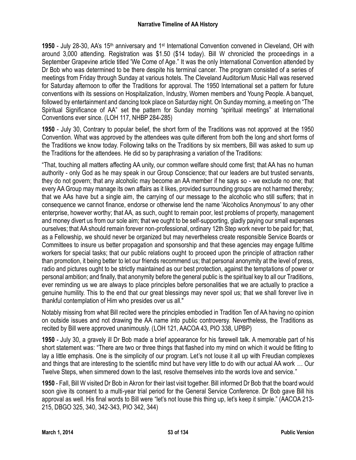1950 - July 28-30, AA's 15<sup>th</sup> anniversary and 1<sup>st</sup> International Convention convened in Cleveland, OH with around 3,000 attending. Registration was \$1.50 (\$14 today). Bill W chronicled the proceedings in a September Grapevine article titled 'We Come of Age." It was the only International Convention attended by Dr Bob who was determined to be there despite his terminal cancer. The program consisted of a series of meetings from Friday through Sunday at various hotels. The Cleveland Auditorium Music Hall was reserved for Saturday afternoon to offer the Traditions for approval. The 1950 International set a pattern for future conventions with its sessions on Hospitalization, Industry, Women members and Young People. A banquet, followed by entertainment and dancing took place on Saturday night. On Sunday morning, a meeting on "The Spiritual Significance of AA" set the pattern for Sunday morning "spiritual meetings" at International Conventions ever since. (LOH 117, NHBP 284-285)

**1950** - July 30, Contrary to popular belief, the short form of the Traditions was not approved at the 1950 Convention. What was approved by the attendees was quite different from both the long and short forms of the Traditions we know today. Following talks on the Traditions by six members, Bill was asked to sum up the Traditions for the attendees. He did so by paraphrasing a variation of the Traditions:

"That, touching all matters affecting AA unity, our common welfare should come first; that AA has no human authority - only God as he may speak in our Group Conscience; that our leaders are but trusted servants, they do not govern; that any alcoholic may become an AA member if he says so - we exclude no one; that every AA Group may manage its own affairs as it likes, provided surrounding groups are not harmed thereby; that we AAs have but a single aim, the carrying of our message to the alcoholic who still suffers; that in consequence we cannot finance, endorse or otherwise lend the name 'Alcoholics Anonymous' to any other enterprise, however worthy; that AA, as such, ought to remain poor, lest problems of property, management and money divert us from our sole aim; that we ought to be self-supporting, gladly paying our small expenses ourselves; that AA should remain forever non-professional, ordinary 12th Step work never to be paid for; that, as a Fellowship, we should never be organized but may nevertheless create responsible Service Boards or Committees to insure us better propagation and sponsorship and that these agencies may engage fulltime workers for special tasks; that our public relations ought to proceed upon the principle of attraction rather than promotion, it being better to let our friends recommend us; that personal anonymity at the level of press, radio and pictures ought to be strictly maintained as our best protection, against the temptations of power or personal ambition; and finally, that anonymity before the general public is the spiritual key to all our Traditions, ever reminding us we are always to place principles before personalities that we are actually to practice a genuine humility. This to the end that our great blessings may never spoil us; that we shall forever live in thankful contemplation of Him who presides over us all."

Notably missing from what Bill recited were the principles embodied in Tradition Ten of AA having no opinion on outside issues and not drawing the AA name into public controversy. Nevertheless, the Traditions as recited by Bill were approved unanimously. (LOH 121, AACOA 43, PIO 338, UPBP)

**1950** - July 30, a gravely ill Dr Bob made a brief appearance for his farewell talk. A memorable part of his short statement was: "There are two or three things that flashed into my mind on which it would be fitting to lay a little emphasis. One is the simplicity of our program. Let's not louse it all up with Freudian complexes and things that are interesting to the scientific mind but have very little to do with our actual AA work … Our Twelve Steps, when simmered down to the last, resolve themselves into the words love and service."

**1950** - Fall, Bill W visited Dr Bob in Akron for their last visit together. Bill informed Dr Bob that the board would soon give its consent to a multi-year trial period for the General Service Conference. Dr Bob gave Bill his approval as well. His final words to Bill were "let's not louse this thing up, let's keep it simple." (AACOA 213- 215, DBGO 325, 340, 342-343, PIO 342, 344)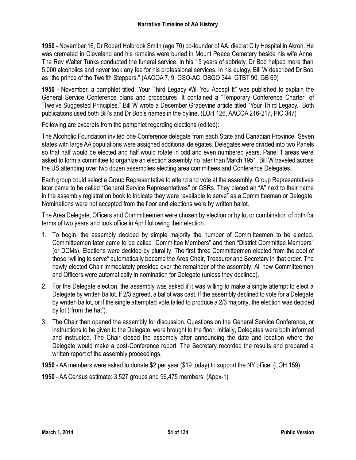**1950** - November 16, Dr Robert Holbrook Smith (age 70) co-founder of AA, died at City Hospital in Akron. He was cremated in Cleveland and his remains were buried in Mount Peace Cemetery beside his wife Anne. The Rev Walter Tunks conducted the funeral service. In his 15 years of sobriety, Dr Bob helped more than 5,000 alcoholics and never took any fee for his professional services. In his eulogy, Bill W described Dr Bob as "the prince of the Twelfth Steppers." (AACOA 7, 9, GSO-AC, DBGO 344, GTBT 90, GB 69)

**1950** - November, a pamphlet titled "Your Third Legacy Will You Accept It" was published to explain the General Service Conference plans and procedures. It contained a "Temporary Conference Charter" of "Twelve Suggested Principles." Bill W wrote a December Grapevine article titled "Your Third Legacy." Both publications used both Bill's and Dr Bob's names in the byline. (LOH 126, AACOA 216-217, PIO 347)

Following are excerpts from the pamphlet regarding elections (edited):

The Alcoholic Foundation invited one Conference delegate from each State and Canadian Province. Seven states with large AA populations were assigned additional delegates. Delegates were divided into two Panels so that half would be elected and half would rotate in odd and even numbered years. Panel 1 areas were asked to form a committee to organize an election assembly no later than March 1951. Bill W traveled across the US attending over two dozen assemblies electing area committees and Conference Delegates.

Each group could select a Group Representative to attend and vote at the assembly. Group Representatives later came to be called "General Service Representatives" or GSRs. They placed an "A" next to their name in the assembly registration book to indicate they were "available to serve" as a Committeeman or Delegate. Nominations were not accepted from the floor and elections were by written ballot.

The Area Delegate, Officers and Committeemen were chosen by election or by lot or combination of both for terms of two years and took office in April following their election.

- 1. To begin, the assembly decided by simple majority the number of Committeemen to be elected. Committeemen later came to be called "Committee Members" and then "District Committee Members" (or DCMs). Elections were decided by plurality. The first three Committeemen elected from the pool of those "willing to serve" automatically became the Area Chair, Treasurer and Secretary in that order. The newly elected Chair immediately presided over the remainder of the assembly. All new Committeemen and Officers were automatically in nomination for Delegate (unless they declined).
- 2. For the Delegate election, the assembly was asked if it was willing to make a single attempt to elect a Delegate by written ballot. If 2/3 agreed, a ballot was cast. If the assembly declined to vote for a Delegate by written ballot, or if the single attempted vote failed to produce a 2/3 majority, the election was decided by lot ("from the hat").
- 3. The Chair then opened the assembly for discussion. Questions on the General Service Conference, or instructions to be given to the Delegate, were brought to the floor. Initially, Delegates were both informed and instructed. The Chair closed the assembly after announcing the date and location where the Delegate would make a post-Conference report. The Secretary recorded the results and prepared a written report of the assembly proceedings.
- **1950** AA members were asked to donate \$2 per year (\$19 today) to support the NY office. (LOH 159)
- **1950** AA Census estimate: 3,527 groups and 96,475 members. (Appx-1)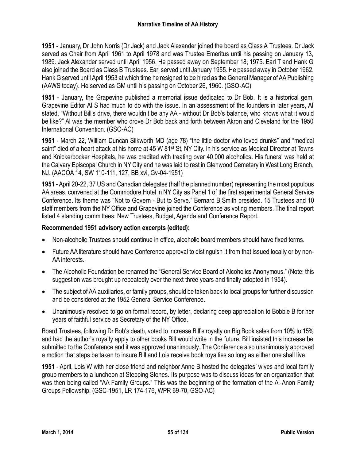**1951** - January, Dr John Norris (Dr Jack) and Jack Alexander joined the board as Class A Trustees. Dr Jack served as Chair from April 1961 to April 1978 and was Trustee Emeritus until his passing on January 13, 1989. Jack Alexander served until April 1956. He passed away on September 18, 1975. Earl T and Hank G also joined the Board as Class B Trustees. Earl served until January 1955. He passed away in October 1962. Hank G served until April 1953 at which time he resigned to be hired as the General Manager of AA Publishing (AAWS today). He served as GM until his passing on October 26, 1960. (GSO-AC)

**1951** - January, the Grapevine published a memorial issue dedicated to Dr Bob. It is a historical gem. Grapevine Editor Al S had much to do with the issue. In an assessment of the founders in later years, Al stated, "Without Bill's drive, there wouldn't be any AA - without Dr Bob's balance, who knows what it would be like?" Al was the member who drove Dr Bob back and forth between Akron and Cleveland for the 1950 International Convention. (GSO-AC)

**1951** - March 22, William Duncan Silkworth MD (age 78) "the little doctor who loved drunks" and "medical saint" died of a heart attack at his home at 45 W 81<sup>st</sup> St, NY City. In his service as Medical Director at Towns and Knickerbocker Hospitals, he was credited with treating over 40,000 alcoholics. His funeral was held at the Calvary Episcopal Church in NY City and he was laid to rest in Glenwood Cemetery in West Long Branch, NJ. (AACOA 14, SW 110-111, 127, BB xvi, Gv-04-1951)

**1951** - April 20-22, 37 US and Canadian delegates (half the planned number) representing the most populous AA areas, convened at the Commodore Hotel in NY City as Panel 1 of the first experimental General Service Conference. Its theme was "Not to Govern - But to Serve." Bernard B Smith presided. 15 Trustees and 10 staff members from the NY Office and Grapevine joined the Conference as voting members. The final report listed 4 standing committees: New Trustees, Budget, Agenda and Conference Report.

# **Recommended 1951 advisory action excerpts (edited):**

- Non-alcoholic Trustees should continue in office, alcoholic board members should have fixed terms.
- Future AA literature should have Conference approval to distinguish it from that issued locally or by non-AA interests.
- The Alcoholic Foundation be renamed the "General Service Board of Alcoholics Anonymous." (Note: this suggestion was brought up repeatedly over the next three years and finally adopted in 1954).
- The subject of AA auxiliaries, or family groups, should be taken back to local groups for further discussion and be considered at the 1952 General Service Conference.
- Unanimously resolved to go on formal record, by letter, declaring deep appreciation to Bobbie B for her years of faithful service as Secretary of the NY Office.

Board Trustees, following Dr Bob's death, voted to increase Bill's royalty on Big Book sales from 10% to 15% and had the author's royalty apply to other books Bill would write in the future. Bill insisted this increase be submitted to the Conference and it was approved unanimously. The Conference also unanimously approved a motion that steps be taken to insure Bill and Lois receive book royalties so long as either one shall live.

**1951** - April, Lois W with her close friend and neighbor Anne B hosted the delegates' wives and local family group members to a luncheon at Stepping Stones. Its purpose was to discuss ideas for an organization that was then being called "AA Family Groups." This was the beginning of the formation of the Al-Anon Family Groups Fellowship. (GSC-1951, LR 174-176, WPR 69-70, GSO-AC)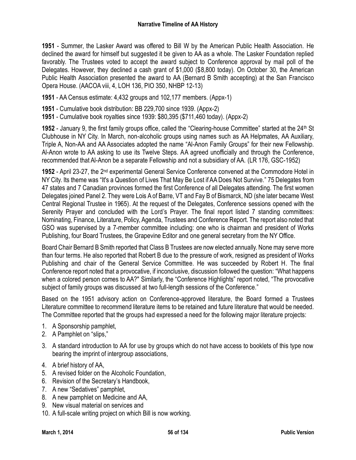**1951** - Summer, the Lasker Award was offered to Bill W by the American Public Health Association. He declined the award for himself but suggested it be given to AA as a whole. The Lasker Foundation replied favorably. The Trustees voted to accept the award subject to Conference approval by mail poll of the Delegates. However, they declined a cash grant of \$1,000 (\$8,800 today). On October 30, the American Public Health Association presented the award to AA (Bernard B Smith accepting) at the San Francisco Opera House. (AACOA viii, 4, LOH 136, PIO 350, NHBP 12-13)

**1951** - AA Census estimate: 4,432 groups and 102,177 members. (Appx-1)

- **1951** Cumulative book distribution: BB 229,700 since 1939. (Appx-2)
- **1951** Cumulative book royalties since 1939: \$80,395 (\$711,460 today). (Appx-2)

**1952** - January 9, the first family groups office, called the "Clearing-house Committee" started at the 24th St Clubhouse in NY City. In March, non-alcoholic groups using names such as AA Helpmates, AA Auxiliary, Triple A, Non-AA and AA Associates adopted the name "Al-Anon Family Groups" for their new Fellowship. Al-Anon wrote to AA asking to use its Twelve Steps. AA agreed unofficially and through the Conference, recommended that Al-Anon be a separate Fellowship and not a subsidiary of AA. (LR 176, GSC-1952)

1952 - April 23-27, the 2<sup>nd</sup> experimental General Service Conference convened at the Commodore Hotel in NY City. Its theme was "It's a Question of Lives That May Be Lost if AA Does Not Survive." 75 Delegates from 47 states and 7 Canadian provinces formed the first Conference of all Delegates attending. The first women Delegates joined Panel 2. They were Lois A of Barre, VT and Fay B of Bismarck, ND (she later became West Central Regional Trustee in 1965). At the request of the Delegates, Conference sessions opened with the Serenity Prayer and concluded with the Lord's Prayer. The final report listed 7 standing committees: Nominating, Finance, Literature, Policy, Agenda, Trustees and Conference Report. The report also noted that GSO was supervised by a 7-member committee including: one who is chairman and president of Works Publishing, four Board Trustees, the Grapevine Editor and one general secretary from the NY Office.

Board Chair Bernard B Smith reported that Class B Trustees are now elected annually. None may serve more than four terms. He also reported that Robert B due to the pressure of work, resigned as president of Works Publishing and chair of the General Service Committee. He was succeeded by Robert H. The final Conference report noted that a provocative, if inconclusive, discussion followed the question: "What happens when a colored person comes to AA?" Similarly, the "Conference Highlights" report noted, "The provocative subject of family groups was discussed at two full-length sessions of the Conference."

Based on the 1951 advisory action on Conference-approved literature, the Board formed a Trustees Literature committee to recommend literature items to be retained and future literature that would be needed. The Committee reported that the groups had expressed a need for the following major literature projects:

- 1. A Sponsorship pamphlet,
- 2. A Pamphlet on "slips,"
- 3. A standard introduction to AA for use by groups which do not have access to booklets of this type now bearing the imprint of intergroup associations,
- 4. A brief history of AA,
- 5. A revised folder on the Alcoholic Foundation,
- 6. Revision of the Secretary's Handbook,
- 7. A new "Sedatives" pamphlet,
- 8. A new pamphlet on Medicine and AA,
- 9. New visual material on services and
- 10. A full-scale writing project on which Bill is now working.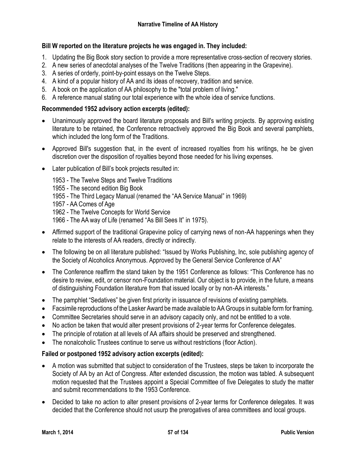# **Bill W reported on the literature projects he was engaged in. They included:**

- 1. Updating the Big Book story section to provide a more representative cross-section of recovery stories.
- 2. A new series of anecdotal analyses of the Twelve Traditions (then appearing in the Grapevine).
- 3. A series of orderly, point-by-point essays on the Twelve Steps.
- 4. A kind of a popular history of AA and its ideas of recovery, tradition and service.
- 5. A book on the application of AA philosophy to the "total problem of living."
- 6. A reference manual stating our total experience with the whole idea of service functions.

## **Recommended 1952 advisory action excerpts (edited):**

- Unanimously approved the board literature proposals and Bill's writing projects. By approving existing literature to be retained, the Conference retroactively approved the Big Book and several pamphlets, which included the long form of the Traditions.
- Approved Bill's suggestion that, in the event of increased royalties from his writings, he be given discretion over the disposition of royalties beyond those needed for his living expenses.
- Later publication of Bill's book projects resulted in:

1953 - The Twelve Steps and Twelve Traditions

- 1955 The second edition Big Book
- 1955 The Third Legacy Manual (renamed the "AA Service Manual" in 1969)
- 1957 AA Comes of Age

1962 - The Twelve Concepts for World Service

- 1966 The AA way of Life (renamed "As Bill Sees It" in 1975).
- Affirmed support of the traditional Grapevine policy of carrying news of non-AA happenings when they relate to the interests of AA readers, directly or indirectly.
- The following be on all literature published: "Issued by Works Publishing, Inc, sole publishing agency of the Society of Alcoholics Anonymous. Approved by the General Service Conference of AA"
- The Conference reaffirm the stand taken by the 1951 Conference as follows: "This Conference has no desire to review, edit, or censor non-Foundation material. Our object is to provide, in the future, a means of distinguishing Foundation literature from that issued locally or by non-AA interests."
- The pamphlet "Sedatives" be given first priority in issuance of revisions of existing pamphlets.
- Facsimile reproductions of the Lasker Award be made available to AA Groups in suitable form for framing.
- Committee Secretaries should serve in an advisory capacity only, and not be entitled to a vote.
- No action be taken that would alter present provisions of 2-year terms for Conference delegates.
- The principle of rotation at all levels of AA affairs should be preserved and strengthened.
- The nonalcoholic Trustees continue to serve us without restrictions (floor Action).

# **Failed or postponed 1952 advisory action excerpts (edited):**

- A motion was submitted that subject to consideration of the Trustees, steps be taken to incorporate the Society of AA by an Act of Congress. After extended discussion, the motion was tabled. A subsequent motion requested that the Trustees appoint a Special Committee of five Delegates to study the matter and submit recommendations to the 1953 Conference.
- Decided to take no action to alter present provisions of 2-year terms for Conference delegates. It was decided that the Conference should not usurp the prerogatives of area committees and local groups.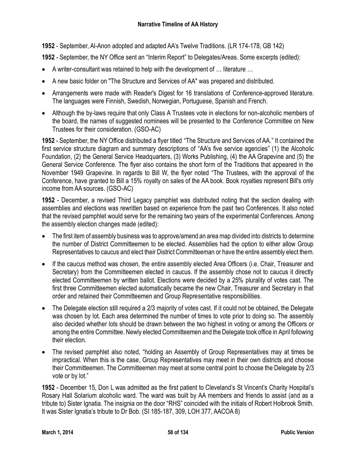**1952** - September, Al-Anon adopted and adapted AA's Twelve Traditions. (LR 174-178, GB 142)

**1952** - September, the NY Office sent an "Interim Report" to Delegates/Areas. Some excerpts (edited):

- A writer-consultant was retained to help with the development of … literature …
- A new basic folder on "The Structure and Services of AA" was prepared and distributed.
- Arrangements were made with Reader's Digest for 16 translations of Conference-approved literature. The languages were Finnish, Swedish, Norwegian, Portuguese, Spanish and French.
- Although the by-laws require that only Class A Trustees vote in elections for non-alcoholic members of the board, the names of suggested nominees will be presented to the Conference Committee on New Trustees for their consideration. (GSO-AC)

**1952** - September, the NY Office distributed a flyer titled "The Structure and Services of AA." It contained the first service structure diagram and summary descriptions of "AA's five service agencies" (1) the Alcoholic Foundation, (2) the General Service Headquarters, (3) Works Publishing, (4) the AA Grapevine and (5) the General Service Conference. The flyer also contains the short form of the Traditions that appeared in the November 1949 Grapevine. In regards to Bill W, the flyer noted "The Trustees, with the approval of the Conference, have granted to Bill a 15% royalty on sales of the AA book. Book royalties represent Bill's only income from AA sources. (GSO-AC)

**1952** - December, a revised Third Legacy pamphlet was distributed noting that the section dealing with assemblies and elections was rewritten based on experience from the past two Conferences. It also noted that the revised pamphlet would serve for the remaining two years of the experimental Conferences. Among the assembly election changes made (edited):

- The first item of assembly business was to approve/amend an area map divided into districts to determine the number of District Committeemen to be elected. Assemblies had the option to either allow Group Representatives to caucus and elect their District Committeeman or have the entire assembly elect them.
- If the caucus method was chosen, the entire assembly elected Area Officers (i.e. Chair, Treasurer and Secretary) from the Committeemen elected in caucus. If the assembly chose not to caucus it directly elected Committeemen by written ballot. Elections were decided by a 25% plurality of votes cast. The first three Committeemen elected automatically became the new Chair, Treasurer and Secretary in that order and retained their Committeemen and Group Representative responsibilities.
- The Delegate election still required a 2/3 majority of votes cast. If it could not be obtained, the Delegate was chosen by lot. Each area determined the number of times to vote prior to doing so. The assembly also decided whether lots should be drawn between the two highest in voting or among the Officers or among the entire Committee. Newly elected Committeemen and the Delegate took office in April following their election.
- The revised pamphlet also noted, "holding an Assembly of Group Representatives may at times be impractical. When this is the case, Group Representatives may meet in their own districts and choose their Committeemen. The Committeemen may meet at some central point to choose the Delegate by 2/3 vote or by lot."

**1952** - December 15, Don L was admitted as the first patient to Cleveland's St Vincent's Charity Hospital's Rosary Hall Solarium alcoholic ward. The ward was built by AA members and friends to assist (and as a tribute to) Sister Ignatia. The insignia on the door "RHS" coincided with the initials of Robert Holbrook Smith. It was Sister Ignatia's tribute to Dr Bob. (SI 185-187, 309, LOH 377, AACOA 8)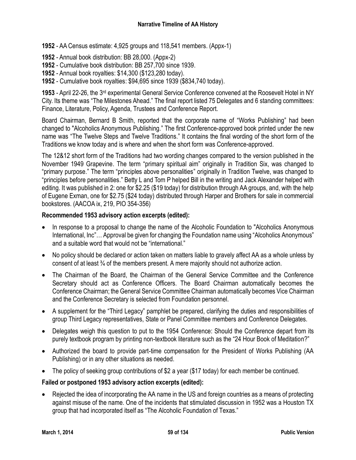- **1952** AA Census estimate: 4,925 groups and 118,541 members. (Appx-1)
- **1952** Annual book distribution: BB 28,000. (Appx-2)
- **1952** Cumulative book distribution: BB 257,700 since 1939.
- **1952** Annual book royalties: \$14,300 (\$123,280 today).
- **1952** Cumulative book royalties: \$94,695 since 1939 (\$834,740 today).

1953 - April 22-26, the 3<sup>rd</sup> experimental General Service Conference convened at the Roosevelt Hotel in NY City. Its theme was "The Milestones Ahead." The final report listed 75 Delegates and 6 standing committees: Finance, Literature, Policy, Agenda, Trustees and Conference Report.

Board Chairman, Bernard B Smith, reported that the corporate name of "Works Publishing" had been changed to "Alcoholics Anonymous Publishing." The first Conference-approved book printed under the new name was "The Twelve Steps and Twelve Traditions." It contains the final wording of the short form of the Traditions we know today and is where and when the short form was Conference-approved.

The 12&12 short form of the Traditions had two wording changes compared to the version published in the November 1949 Grapevine. The term "primary spiritual aim" originally in Tradition Six, was changed to "primary purpose." The term "principles above personalities" originally in Tradition Twelve, was changed to "principles before personalities." Betty L and Tom P helped Bill in the writing and Jack Alexander helped with editing. It was published in 2: one for \$2.25 (\$19 today) for distribution through AA groups, and, with the help of Eugene Exman, one for \$2.75 (\$24 today) distributed through Harper and Brothers for sale in commercial bookstores. (AACOA ix, 219, PIO 354-356)

#### **Recommended 1953 advisory action excerpts (edited):**

- In response to a proposal to change the name of the Alcoholic Foundation to "Alcoholics Anonymous International, Inc"… Approval be given for changing the Foundation name using "Alcoholics Anonymous" and a suitable word that would not be "international."
- No policy should be declared or action taken on matters liable to gravely affect AA as a whole unless by consent of at least ¾ of the members present. A mere majority should not authorize action.
- The Chairman of the Board, the Chairman of the General Service Committee and the Conference Secretary should act as Conference Officers. The Board Chairman automatically becomes the Conference Chairman; the General Service Committee Chairman automatically becomes Vice Chairman and the Conference Secretary is selected from Foundation personnel.
- A supplement for the "Third Legacy" pamphlet be prepared, clarifying the duties and responsibilities of group Third Legacy representatives, State or Panel Committee members and Conference Delegates.
- Delegates weigh this question to put to the 1954 Conference: Should the Conference depart from its purely textbook program by printing non-textbook literature such as the "24 Hour Book of Meditation?"
- Authorized the board to provide part-time compensation for the President of Works Publishing (AA Publishing) or in any other situations as needed.
- The policy of seeking group contributions of \$2 a year (\$17 today) for each member be continued.

### **Failed or postponed 1953 advisory action excerpts (edited):**

 Rejected the idea of incorporating the AA name in the US and foreign countries as a means of protecting against misuse of the name. One of the incidents that stimulated discussion in 1952 was a Houston TX group that had incorporated itself as "The Alcoholic Foundation of Texas."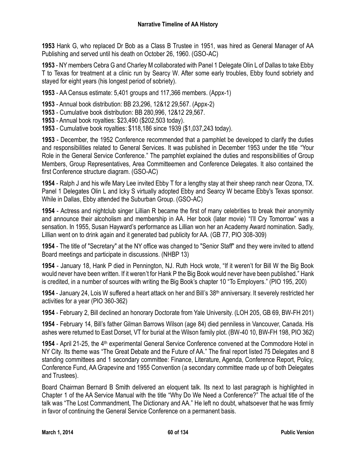**1953** Hank G, who replaced Dr Bob as a Class B Trustee in 1951, was hired as General Manager of AA Publishing and served until his death on October 26, 1960. (GSO-AC)

**1953** - NY members Cebra G and Charley M collaborated with Panel 1 Delegate Olin L of Dallas to take Ebby T to Texas for treatment at a clinic run by Searcy W. After some early troubles, Ebby found sobriety and stayed for eight years (his longest period of sobriety).

**1953** - AA Census estimate: 5,401 groups and 117,366 members. (Appx-1)

**1953** - Annual book distribution: BB 23,296, 12&12 29,567. (Appx-2)

**1953** - Cumulative book distribution: BB 280,996, 12&12 29,567.

**1953** - Annual book royalties: \$23,490 (\$202,503 today).

**1953** - Cumulative book royalties: \$118,186 since 1939 (\$1,037,243 today).

**1953** - December, the 1952 Conference recommended that a pamphlet be developed to clarify the duties and responsibilities related to General Services. It was published in December 1953 under the title "Your Role in the General Service Conference." The pamphlet explained the duties and responsibilities of Group Members, Group Representatives, Area Committeemen and Conference Delegates. It also contained the first Conference structure diagram. (GSO-AC)

**1954** - Ralph J and his wife Mary Lee invited Ebby T for a lengthy stay at their sheep ranch near Ozona, TX. Panel 1 Delegates Olin L and Icky S virtually adopted Ebby and Searcy W became Ebby's Texas sponsor. While in Dallas, Ebby attended the Suburban Group. (GSO-AC)

**1954** - Actress and nightclub singer Lillian R became the first of many celebrities to break their anonymity and announce their alcoholism and membership in AA. Her book (later movie) "I'll Cry Tomorrow" was a sensation. In 1955, Susan Hayward's performance as Lillian won her an Academy Award nomination. Sadly, Lillian went on to drink again and it generated bad publicity for AA. (GB 77, PIO 308-309)

**1954** - The title of "Secretary" at the NY office was changed to "Senior Staff" and they were invited to attend Board meetings and participate in discussions. (NHBP 13)

**1954** - January 18, Hank P died in Pennington, NJ. Ruth Hock wrote, "If it weren't for Bill W the Big Book would never have been written. If it weren't for Hank P the Big Book would never have been published." Hank is credited, in a number of sources with writing the Big Book's chapter 10 "To Employers." (PIO 195, 200)

**1954** - January 24, Lois W suffered a heart attack on her and Bill's 38th anniversary. It severely restricted her activities for a year (PIO 360-362)

**1954** - February 2, Bill declined an honorary Doctorate from Yale University. (LOH 205, GB 69, BW-FH 201)

**1954** - February 14, Bill's father Gilman Barrows Wilson (age 84) died penniless in Vancouver, Canada. His ashes were returned to East Dorset, VT for burial at the Wilson family plot. (BW-40 10, BW-FH 198, PIO 362)

1954 - April 21-25, the 4<sup>th</sup> experimental General Service Conference convened at the Commodore Hotel in NY City. Its theme was "The Great Debate and the Future of AA." The final report listed 75 Delegates and 8 standing committees and 1 secondary committee: Finance, Literature, Agenda, Conference Report, Policy, Conference Fund, AA Grapevine and 1955 Convention (a secondary committee made up of both Delegates and Trustees).

Board Chairman Bernard B Smith delivered an eloquent talk. Its next to last paragraph is highlighted in Chapter 1 of the AA Service Manual with the title "Why Do We Need a Conference?" The actual title of the talk was "The Lost Commandment, The Dictionary and AA." He left no doubt, whatsoever that he was firmly in favor of continuing the General Service Conference on a permanent basis.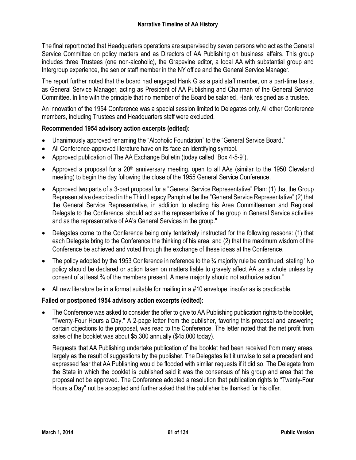The final report noted that Headquarters operations are supervised by seven persons who act as the General Service Committee on policy matters and as Directors of AA Publishing on business affairs. This group includes three Trustees (one non-alcoholic), the Grapevine editor, a local AA with substantial group and Intergroup experience, the senior staff member in the NY office and the General Service Manager.

The report further noted that the board had engaged Hank G as a paid staff member, on a part-time basis, as General Service Manager, acting as President of AA Publishing and Chairman of the General Service Committee. In line with the principle that no member of the Board be salaried, Hank resigned as a trustee.

An innovation of the 1954 Conference was a special session limited to Delegates only. All other Conference members, including Trustees and Headquarters staff were excluded.

### **Recommended 1954 advisory action excerpts (edited):**

- Unanimously approved renaming the "Alcoholic Foundation" to the "General Service Board."
- All Conference-approved literature have on its face an identifying symbol.
- Approved publication of The AA Exchange Bulletin (today called "Box 4-5-9").
- Approved a proposal for a 20<sup>th</sup> anniversary meeting, open to all AAs (similar to the 1950 Cleveland meeting) to begin the day following the close of the 1955 General Service Conference.
- Approved two parts of a 3-part proposal for a "General Service Representative" Plan: (1) that the Group Representative described in the Third Legacy Pamphlet be the "General Service Representative" (2) that the General Service Representative, in addition to electing his Area Committeeman and Regional Delegate to the Conference, should act as the representative of the group in General Service activities and as the representative of AA's General Services in the group."
- Delegates come to the Conference being only tentatively instructed for the following reasons: (1) that each Delegate bring to the Conference the thinking of his area, and (2) that the maximum wisdom of the Conference be achieved and voted through the exchange of these ideas at the Conference.
- The policy adopted by the 1953 Conference in reference to the ¾ majority rule be continued, stating "No policy should be declared or action taken on matters liable to gravely affect AA as a whole unless by consent of at least ¾ of the members present. A mere majority should not authorize action."
- All new literature be in a format suitable for mailing in a #10 envelope, insofar as is practicable.

# **Failed or postponed 1954 advisory action excerpts (edited):**

 The Conference was asked to consider the offer to give to AA Publishing publication rights to the booklet, "Twenty-Four Hours a Day." A 2-page letter from the publisher, favoring this proposal and answering certain objections to the proposal, was read to the Conference. The letter noted that the net profit from sales of the booklet was about \$5,300 annually (\$45,000 today).

Requests that AA Publishing undertake publication of the booklet had been received from many areas, largely as the result of suggestions by the publisher. The Delegates felt it unwise to set a precedent and expressed fear that AA Publishing would be flooded with similar requests if it did so. The Delegate from the State in which the booklet is published said it was the consensus of his group and area that the proposal not be approved. The Conference adopted a resolution that publication rights to "Twenty-Four Hours a Day" not be accepted and further asked that the publisher be thanked for his offer.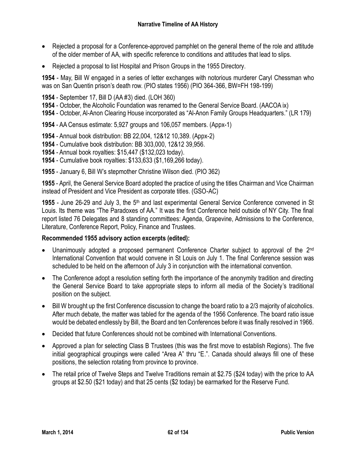- Rejected a proposal for a Conference-approved pamphlet on the general theme of the role and attitude of the older member of AA, with specific reference to conditions and attitudes that lead to slips.
- Rejected a proposal to list Hospital and Prison Groups in the 1955 Directory.

**1954** - May, Bill W engaged in a series of letter exchanges with notorious murderer Caryl Chessman who was on San Quentin prison's death row. (PIO states 1956) (PIO 364-366, BW=FH 198-199)

- **1954** September 17, Bill D (AA #3) died. (LOH 360)
- **1954** October, the Alcoholic Foundation was renamed to the General Service Board. (AACOA ix)
- **1954** October, Al-Anon Clearing House incorporated as "Al-Anon Family Groups Headquarters." (LR 179)
- **1954** AA Census estimate: 5,927 groups and 106,057 members. (Appx-1)
- **1954** Annual book distribution: BB 22,004, 12&12 10,389. (Appx-2)
- **1954** Cumulative book distribution: BB 303,000, 12&12 39,956.
- **1954** Annual book royalties: \$15,447 (\$132,023 today).
- **1954** Cumulative book royalties: \$133,633 (\$1,169,266 today).
- **1955** January 6, Bill W's stepmother Christine Wilson died. (PIO 362)

**1955** - April, the General Service Board adopted the practice of using the titles Chairman and Vice Chairman instead of President and Vice President as corporate titles. (GSO-AC)

1955 - June 26-29 and July 3, the 5<sup>th</sup> and last experimental General Service Conference convened in St Louis. Its theme was "The Paradoxes of AA." It was the first Conference held outside of NY City. The final report listed 76 Delegates and 8 standing committees: Agenda, Grapevine, Admissions to the Conference, Literature, Conference Report, Policy, Finance and Trustees.

#### **Recommended 1955 advisory action excerpts (edited):**

- Unanimously adopted a proposed permanent Conference Charter subject to approval of the 2<sup>nd</sup> International Convention that would convene in St Louis on July 1. The final Conference session was scheduled to be held on the afternoon of July 3 in conjunction with the international convention.
- The Conference adopt a resolution setting forth the importance of the anonymity tradition and directing the General Service Board to take appropriate steps to inform all media of the Society's traditional position on the subject.
- Bill W brought up the first Conference discussion to change the board ratio to a 2/3 majority of alcoholics. After much debate, the matter was tabled for the agenda of the 1956 Conference. The board ratio issue would be debated endlessly by Bill, the Board and ten Conferences before it was finally resolved in 1966.
- Decided that future Conferences should not be combined with International Conventions.
- Approved a plan for selecting Class B Trustees (this was the first move to establish Regions). The five initial geographical groupings were called "Area A" thru "E.". Canada should always fill one of these positions, the selection rotating from province to province.
- The retail price of Twelve Steps and Twelve Traditions remain at \$2.75 (\$24 today) with the price to AA groups at \$2.50 (\$21 today) and that 25 cents (\$2 today) be earmarked for the Reserve Fund.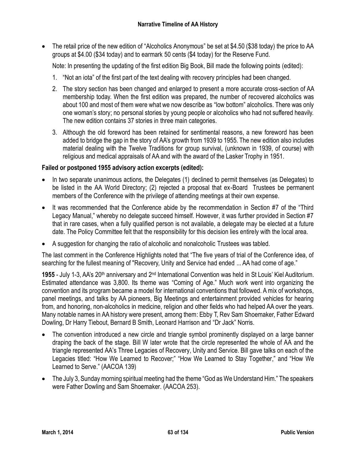The retail price of the new edition of "Alcoholics Anonymous" be set at \$4.50 (\$38 today) the price to AA groups at \$4.00 (\$34 today) and to earmark 50 cents (\$4 today) for the Reserve Fund.

Note: In presenting the updating of the first edition Big Book, Bill made the following points (edited):

- 1. "Not an iota" of the first part of the text dealing with recovery principles had been changed.
- 2. The story section has been changed and enlarged to present a more accurate cross-section of AA membership today. When the first edition was prepared, the number of recovered alcoholics was about 100 and most of them were what we now describe as "low bottom" alcoholics. There was only one woman's story; no personal stories by young people or alcoholics who had not suffered heavily. The new edition contains 37 stories in three main categories.
- 3. Although the old foreword has been retained for sentimental reasons, a new foreword has been added to bridge the gap in the story of AA's growth from 1939 to 1955. The new edition also includes material dealing with the Twelve Traditions for group survival, (unknown in 1939, of course) with religious and medical appraisals of AA and with the award of the Lasker Trophy in 1951.

### **Failed or postponed 1955 advisory action excerpts (edited):**

- In two separate unanimous actions, the Delegates (1) declined to permit themselves (as Delegates) to be listed in the AA World Directory; (2) rejected a proposal that ex-Board Trustees be permanent members of the Conference with the privilege of attending meetings at their own expense.
- It was recommended that the Conference abide by the recommendation in Section #7 of the "Third Legacy Manual," whereby no delegate succeed himself. However, it was further provided in Section #7 that in rare cases, when a fully qualified person is not available, a delegate may be elected at a future date. The Policy Committee felt that the responsibility for this decision lies entirely with the local area.
- A suggestion for changing the ratio of alcoholic and nonalcoholic Trustees was tabled.

The last comment in the Conference Highlights noted that "The five years of trial of the Conference idea, of searching for the fullest meaning of "Recovery, Unity and Service had ended ... AA had come of age."

1955 - July 1-3, AA's 20<sup>th</sup> anniversary and 2<sup>nd</sup> International Convention was held in St Louis' Kiel Auditorium. Estimated attendance was 3,800. Its theme was "Coming of Age." Much work went into organizing the convention and its program became a model for international conventions that followed. A mix of workshops, panel meetings, and talks by AA pioneers, Big Meetings and entertainment provided vehicles for hearing from, and honoring, non-alcoholics in medicine, religion and other fields who had helped AA over the years. Many notable names in AA history were present, among them: Ebby T, Rev Sam Shoemaker, Father Edward Dowling, Dr Harry Tiebout, Bernard B Smith, Leonard Harrison and "Dr Jack" Norris.

- The convention introduced a new circle and triangle symbol prominently displayed on a large banner draping the back of the stage. Bill W later wrote that the circle represented the whole of AA and the triangle represented AA's Three Legacies of Recovery, Unity and Service. Bill gave talks on each of the Legacies titled: "How We Learned to Recover;" "How We Learned to Stay Together," and "How We Learned to Serve." (AACOA 139)
- The July 3, Sunday morning spiritual meeting had the theme "God as We Understand Him." The speakers were Father Dowling and Sam Shoemaker. (AACOA 253).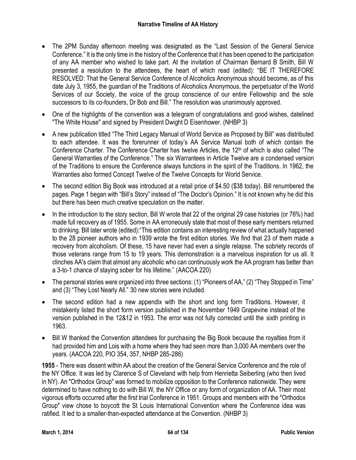- The 2PM Sunday afternoon meeting was designated as the "Last Session of the General Service Conference." It is the only time in the history of the Conference that it has been opened to the participation of any AA member who wished to take part. At the invitation of Chairman Bernard B Smith, Bill W presented a resolution to the attendees, the heart of which read (edited): "BE IT THEREFORE RESOLVED: That the General Service Conference of Alcoholics Anonymous should become, as of this date July 3, 1955, the guardian of the Traditions of Alcoholics Anonymous, the perpetuator of the World Services of our Society, the voice of the group conscience of our entire Fellowship and the sole successors to its co-founders, Dr Bob and Bill." The resolution was unanimously approved.
- One of the highlights of the convention was a telegram of congratulations and good wishes, datelined "The White House" and signed by President Dwight D Eisenhower. (NHBP 3)
- A new publication titled "The Third Legacy Manual of World Service as Proposed by Bill" was distributed to each attendee. It was the forerunner of today's AA Service Manual both of which contain the Conference Charter. The Conference Charter has twelve Articles, the 12th of which is also called "The General Warranties of the Conference." The six Warrantees in Article Twelve are a condensed version of the Traditions to ensure the Conference always functions in the spirit of the Traditions. In 1962, the Warranties also formed Concept Twelve of the Twelve Concepts for World Service.
- The second edition Big Book was introduced at a retail price of \$4.50 (\$38 today). Bill renumbered the pages. Page 1 began with "Bill's Story" instead of "The Doctor's Opinion." It is not known why he did this but there has been much creative speculation on the matter.
- In the introduction to the story section, Bill W wrote that 22 of the original 29 case histories (or 76%) had made full recovery as of 1955. Some in AA erroneously state that most of these early members returned to drinking. Bill later wrote (edited):"This edition contains an interesting review of what actually happened to the 28 pioneer authors who in 1939 wrote the first edition stories. We find that 23 of them made a recovery from alcoholism. Of these, 15 have never had even a single relapse. The sobriety records of those veterans range from 15 to 19 years. This demonstration is a marvelous inspiration for us all. It clinches AA's claim that almost any alcoholic who can continuously work the AA program has better than a 3-to-1 chance of staying sober for his lifetime." (AACOA 220)
- The personal stories were organized into three sections: (1) "Pioneers of AA," (2) "They Stopped in Time" and (3) "They Lost Nearly All." 30 new stories were included.
- The second edition had a new appendix with the short and long form Traditions. However, it mistakenly listed the short form version published in the November 1949 Grapevine instead of the version published in the 12&12 in 1953. The error was not fully corrected until the sixth printing in 1963.
- Bill W thanked the Convention attendees for purchasing the Big Book because the royalties from it had provided him and Lois with a home where they had seen more than 3,000 AA members over the years. (AACOA 220, PIO 354, 357, NHBP 285-286)

**1955** - There was dissent within AA about the creation of the General Service Conference and the role of the NY Office. It was led by Clarence S of Cleveland with help from Henrietta Seiberling (who then lived in NY). An "Orthodox Group" was formed to mobilize opposition to the Conference nationwide. They were determined to have nothing to do with Bill W, the NY Office or any form of organization of AA. Their most vigorous efforts occurred after the first trial Conference in 1951. Groups and members with the "Orthodox Group" view chose to boycott the St Louis International Convention where the Conference idea was ratified. It led to a smaller-than-expected attendance at the Convention. (NHBP 3)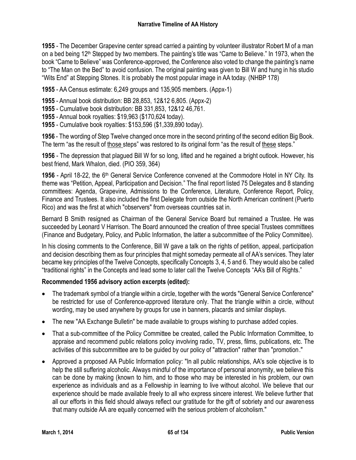**1955** - The December Grapevine center spread carried a painting by volunteer illustrator Robert M of a man on a bed being 12th Stepped by two members. The painting's title was "Came to Believe." In 1973, when the book "Came to Believe" was Conference-approved, the Conference also voted to change the painting's name to "The Man on the Bed" to avoid confusion. The original painting was given to Bill W and hung in his studio "Wits End" at Stepping Stones. It is probably the most popular image in AA today. (NHBP 178)

**1955** - AA Census estimate: 6,249 groups and 135,905 members. (Appx-1)

- **1955** Annual book distribution: BB 28,853, 12&12 6,805. (Appx-2)
- **1955** Cumulative book distribution: BB 331,853, 12&12 46,761.
- **1955** Annual book royalties: \$19,963 (\$170,624 today).
- **1955** Cumulative book royalties: \$153,596 (\$1,339,890 today).

**1956** - The wording of Step Twelve changed once more in the second printing of the second edition Big Book. The term "as the result of those steps" was restored to its original form "as the result of these steps."

**1956** - The depression that plagued Bill W for so long, lifted and he regained a bright outlook. However, his best friend, Mark Whalon, died. (PIO 359, 364)

1956 - April 18-22, the 6<sup>th</sup> General Service Conference convened at the Commodore Hotel in NY City. Its theme was "Petition, Appeal, Participation and Decision." The final report listed 75 Delegates and 8 standing committees: Agenda, Grapevine, Admissions to the Conference, Literature, Conference Report, Policy, Finance and Trustees. It also included the first Delegate from outside the North American continent (Puerto Rico) and was the first at which "observers" from overseas countries sat in.

Bernard B Smith resigned as Chairman of the General Service Board but remained a Trustee. He was succeeded by Leonard V Harrison. The Board announced the creation of three special Trustees committees (Finance and Budgetary, Policy, and Public Information, the latter a subcommittee of the Policy Committee).

In his closing comments to the Conference, Bill W gave a talk on the rights of petition, appeal, participation and decision describing them as four principles that might someday permeate all of AA's services. They later became key principles of the Twelve Concepts, specifically Concepts 3, 4, 5 and 6. They would also be called "traditional rights" in the Concepts and lead some to later call the Twelve Concepts "AA's Bill of Rights."

### **Recommended 1956 advisory action excerpts (edited):**

- The trademark symbol of a triangle within a circle, together with the words "General Service Conference" be restricted for use of Conference-approved literature only. That the triangle within a circle, without wording, may be used anywhere by groups for use in banners, placards and similar displays.
- The new "AA Exchange Bulletin" be made available to groups wishing to purchase added copies.
- That a sub-committee of the Policy Committee be created, called the Public Information Committee, to appraise and recommend public relations policy involving radio, TV, press, films, publications, etc. The activities of this subcommittee are to be guided by our policy of "attraction" rather than "promotion."
- Approved a proposed AA Public Information policy: "In all public relationships, AA's sole objective is to help the still suffering alcoholic. Always mindful of the importance of personal anonymity, we believe this can be done by making (known to him, and to those who may be interested in his problem, our own experience as individuals and as a Fellowship in learning to live without alcohol. We believe that our experience should be made available freely to all who express sincere interest. We believe further that all our efforts in this field should always reflect our gratitude for the gift of sobriety and our awareness that many outside AA are equally concerned with the serious problem of alcoholism."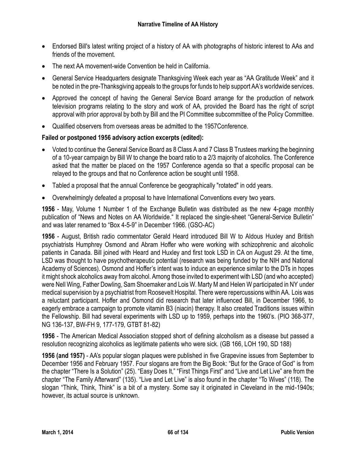- Endorsed Bill's latest writing project of a history of AA with photographs of historic interest to AAs and friends of the movement.
- The next AA movement-wide Convention be held in California.
- General Service Headquarters designate Thanksgiving Week each year as "AA Gratitude Week" and it be noted in the pre-Thanksgiving appeals to the groups for funds to help support AA's worldwide services.
- Approved the concept of having the General Service Board arrange for the production of network television programs relating to the story and work of AA, provided the Board has the right of script approval with prior approval by both by Bill and the PI Committee subcommittee of the Policy Committee.
- Qualified observers from overseas areas be admitted to the 1957Conference.

# **Failed or postponed 1956 advisory action excerpts (edited):**

- Voted to continue the General Service Board as 8 Class A and 7 Class B Trustees marking the beginning of a 10-year campaign by Bill W to change the board ratio to a 2/3 majority of alcoholics. The Conference asked that the matter be placed on the 1957 Conference agenda so that a specific proposal can be relayed to the groups and that no Conference action be sought until 1958.
- Tabled a proposal that the annual Conference be geographically "rotated" in odd years.
- Overwhelmingly defeated a proposal to have International Conventions every two years.

**1956** - May, Volume 1 Number 1 of the Exchange Bulletin was distributed as the new 4-page monthly publication of "News and Notes on AA Worldwide." It replaced the single-sheet "General-Service Bulletin" and was later renamed to "Box 4-5-9" in December 1966. (GSO-AC)

**1956** - August, British radio commentator Gerald Heard introduced Bill W to Aldous Huxley and British psychiatrists Humphrey Osmond and Abram Hoffer who were working with schizophrenic and alcoholic patients in Canada. Bill joined with Heard and Huxley and first took LSD in CA on August 29. At the time, LSD was thought to have psychotherapeutic potential (research was being funded by the NIH and National Academy of Sciences). Osmond and Hoffer's intent was to induce an experience similar to the DTs in hopes it might shock alcoholics away from alcohol. Among those invited to experiment with LSD (and who accepted) were Nell Wing, Father Dowling, Sam Shoemaker and Lois W. Marty M and Helen W participated in NY under medical supervision by a psychiatrist from Roosevelt Hospital. There were repercussions within AA. Lois was a reluctant participant. Hoffer and Osmond did research that later influenced Bill, in December 1966, to eagerly embrace a campaign to promote vitamin B3 (niacin) therapy. It also created Traditions issues within the Fellowship. Bill had several experiments with LSD up to 1959, perhaps into the 1960's. (PIO 368-377, NG 136-137, BW-FH 9, 177-179, GTBT 81-82)

**1956** - The American Medical Association stopped short of defining alcoholism as a disease but passed a resolution recognizing alcoholics as legitimate patients who were sick. (GB 166, LOH 190, SD 188)

**1956 (and 1957)** - AA's popular slogan plaques were published in five Grapevine issues from September to December 1956 and February 1957. Four slogans are from the Big Book: "But for the Grace of God" is from the chapter "There Is a Solution" (25). "Easy Does It," "First Things First" and "Live and Let Live" are from the chapter "The Family Afterward" (135). "Live and Let Live" is also found in the chapter "To Wives" (118). The slogan "Think, Think, Think" is a bit of a mystery. Some say it originated in Cleveland in the mid-1940s; however, its actual source is unknown.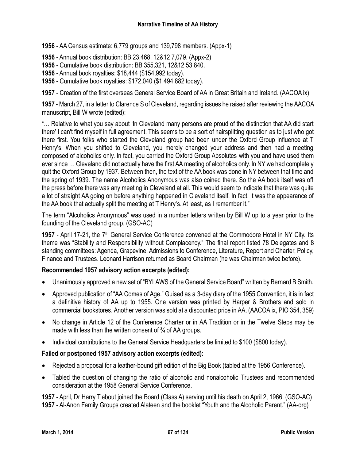**1956** - AA Census estimate: 6,779 groups and 139,798 members. (Appx-1)

**1956** - Annual book distribution: BB 23,468, 12&12 7,079. (Appx-2)

- **1956** Cumulative book distribution: BB 355,321, 12&12 53,840.
- **1956** Annual book royalties: \$18,444 (\$154,992 today).
- **1956** Cumulative book royalties: \$172,040 (\$1,494,882 today).

**1957** - Creation of the first overseas General Service Board of AA in Great Britain and Ireland. (AACOA ix)

**1957** - March 27, in a letter to Clarence S of Cleveland, regarding issues he raised after reviewing the AACOA manuscript, Bill W wrote (edited):

"… Relative to what you say about 'In Cleveland many persons are proud of the distinction that AA did start there' I can't find myself in full agreement. This seems to be a sort of hairsplitting question as to just who got there first. You folks who started the Cleveland group had been under the Oxford Group influence at T Henry's. When you shifted to Cleveland, you merely changed your address and then had a meeting composed of alcoholics only. In fact, you carried the Oxford Group Absolutes with you and have used them ever since … Cleveland did not actually have the first AA meeting of alcoholics only. In NY we had completely quit the Oxford Group by 1937. Between then, the text of the AA book was done in NY between that time and the spring of 1939. The name Alcoholics Anonymous was also coined there. So the AA book itself was off the press before there was any meeting in Cleveland at all. This would seem to indicate that there was quite a lot of straight AA going on before anything happened in Cleveland itself. In fact, it was the appearance of the AA book that actually split the meeting at T Henry's. At least, as I remember it."

The term "Alcoholics Anonymous" was used in a number letters written by Bill W up to a year prior to the founding of the Cleveland group. (GSO-AC)

1957 - April 17-21, the 7<sup>th</sup> General Service Conference convened at the Commodore Hotel in NY City. Its theme was "Stability and Responsibility without Complacency." The final report listed 78 Delegates and 8 standing committees: Agenda, Grapevine, Admissions to Conference, Literature, Report and Charter, Policy, Finance and Trustees. Leonard Harrison returned as Board Chairman (he was Chairman twice before).

### **Recommended 1957 advisory action excerpts (edited):**

- Unanimously approved a new set of "BYLAWS of the General Service Board" written by Bernard B Smith.
- Approved publication of "AA Comes of Age." Guised as a 3-day diary of the 1955 Convention, it is in fact a definitive history of AA up to 1955. One version was printed by Harper & Brothers and sold in commercial bookstores. Another version was sold at a discounted price in AA. (AACOA ix, PIO 354, 359)
- No change in Article 12 of the Conference Charter or in AA Tradition or in the Twelve Steps may be made with less than the written consent of <sup>3</sup>/<sub>4</sub> of AA groups.
- Individual contributions to the General Service Headquarters be limited to \$100 (\$800 today).

### **Failed or postponed 1957 advisory action excerpts (edited):**

- Rejected a proposal for a leather-bound gift edition of the Big Book (tabled at the 1956 Conference).
- Tabled the question of changing the ratio of alcoholic and nonalcoholic Trustees and recommended consideration at the 1958 General Service Conference.

**1957** - April, Dr Harry Tiebout joined the Board (Class A) serving until his death on April 2, 1966. (GSO-AC) **1957** - Al-Anon Family Groups created Alateen and the booklet "Youth and the Alcoholic Parent." (AA-org)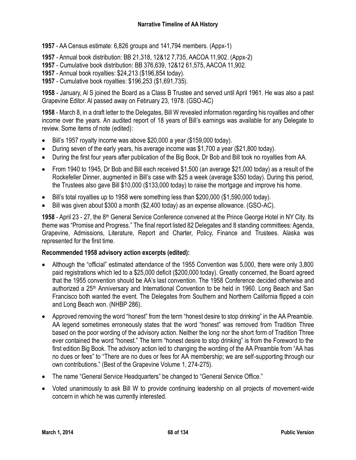- **1957** AA Census estimate: 6,826 groups and 141,794 members. (Appx-1)
- **1957** Annual book distribution: BB 21,318, 12&12 7,735, AACOA 11,902. (Appx-2)
- **1957** Cumulative book distribution: BB 376,639, 12&12 61,575, AACOA 11,902.
- **1957** Annual book royalties: \$24,213 (\$196,854 today).
- **1957** Cumulative book royalties: \$196,253 (\$1,691,735).

**1958** - January, Al S joined the Board as a Class B Trustee and served until April 1961. He was also a past Grapevine Editor. Al passed away on February 23, 1978. (GSO-AC)

**1958** - March 8, in a draft letter to the Delegates, Bill W revealed information regarding his royalties and other income over the years. An audited report of 18 years of Bill's earnings was available for any Delegate to review. Some items of note (edited):

- Bill's 1957 royalty income was above \$20,000 a year (\$159,000 today).
- During seven of the early years, his average income was \$1,700 a year (\$21,800 today).
- During the first four years after publication of the Big Book, Dr Bob and Bill took no royalties from AA.
- From 1940 to 1945, Dr Bob and Bill each received \$1,500 (an average \$21,000 today) as a result of the Rockefeller Dinner, augmented in Bill's case with \$25 a week (average \$350 today). During this period, the Trustees also gave Bill \$10,000 (\$133,000 today) to raise the mortgage and improve his home.
- $\bullet$  Bill's total royalties up to 1958 were something less than \$200,000 (\$1,590,000 today).
- Bill was given about \$300 a month (\$2,400 today) as an expense allowance. (GSO-AC).

**1958** - April 23 - 27, the 8<sup>th</sup> General Service Conference convened at the Prince George Hotel in NY City. Its theme was "Promise and Progress." The final report listed 82 Delegates and 8 standing committees: Agenda, Grapevine, Admissions, Literature, Report and Charter, Policy, Finance and Trustees. Alaska was represented for the first time.

### **Recommended 1958 advisory action excerpts (edited):**

- Although the "official" estimated attendance of the 1955 Convention was 5,000, there were only 3,800 paid registrations which led to a \$25,000 deficit (\$200,000 today). Greatly concerned, the Board agreed that the 1955 convention should be AA's last convention. The 1958 Conference decided otherwise and authorized a 25th Anniversary and International Convention to be held in 1960. Long Beach and San Francisco both wanted the event. The Delegates from Southern and Northern California flipped a coin and Long Beach won. (NHBP 286).
- Approved removing the word "honest" from the term "honest desire to stop drinking" in the AA Preamble. AA legend sometimes erroneously states that the word "honest" was removed from Tradition Three based on the poor wording of the advisory action. Neither the long nor the short form of Tradition Three ever contained the word "honest." The term "honest desire to stop drinking" is from the Foreword to the first edition Big Book. The advisory action led to changing the wording of the AA Preamble from "AA has no dues or fees" to "There are no dues or fees for AA membership; we are self-supporting through our own contributions." (Best of the Grapevine Volume 1, 274-275).
- The name "General Service Headquarters" be changed to "General Service Office."
- Voted unanimously to ask Bill W to provide continuing leadership on all projects of movement-wide concern in which he was currently interested.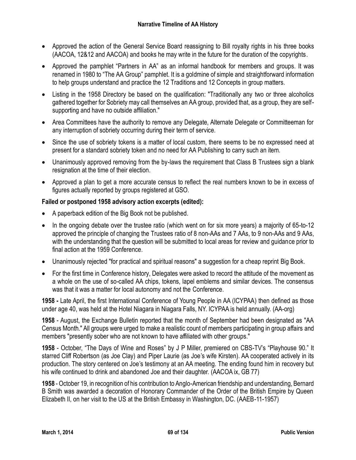- Approved the action of the General Service Board reassigning to Bill royalty rights in his three books (AACOA, 12&12 and AACOA) and books he may write in the future for the duration of the copyrights.
- Approved the pamphlet "Partners in AA" as an informal handbook for members and groups. It was renamed in 1980 to "The AA Group" pamphlet. It is a goldmine of simple and straightforward information to help groups understand and practice the 12 Traditions and 12 Concepts in group matters.
- Listing in the 1958 Directory be based on the qualification: "Traditionally any two or three alcoholics gathered together for Sobriety may call themselves an AA group, provided that, as a group, they are selfsupporting and have no outside affiliation."
- Area Committees have the authority to remove any Delegate, Alternate Delegate or Committeeman for any interruption of sobriety occurring during their term of service.
- Since the use of sobriety tokens is a matter of local custom, there seems to be no expressed need at present for a standard sobriety token and no need for AA Publishing to carry such an item.
- Unanimously approved removing from the by-laws the requirement that Class B Trustees sign a blank resignation at the time of their election.
- Approved a plan to get a more accurate census to reflect the real numbers known to be in excess of figures actually reported by groups registered at GSO.

# **Failed or postponed 1958 advisory action excerpts (edited):**

- A paperback edition of the Big Book not be published.
- In the ongoing debate over the trustee ratio (which went on for six more years) a majority of 65-to-12 approved the principle of changing the Trustees ratio of 8 non-AAs and 7 AAs, to 9 non-AAs and 9 AAs, with the understanding that the question will be submitted to local areas for review and guidance prior to final action at the 1959 Conference.
- Unanimously rejected "for practical and spiritual reasons" a suggestion for a cheap reprint Big Book.
- For the first time in Conference history, Delegates were asked to record the attitude of the movement as a whole on the use of so-called AA chips, tokens, lapel emblems and similar devices. The consensus was that it was a matter for local autonomy and not the Conference.

**1958 -** Late April, the first International Conference of Young People in AA (ICYPAA) then defined as those under age 40, was held at the Hotel Niagara in Niagara Falls, NY. ICYPAA is held annually. (AA-org)

**1958** - August, the Exchange Bulletin reported that the month of September had been designated as "AA Census Month." All groups were urged to make a realistic count of members participating in group affairs and members "presently sober who are not known to have affiliated with other groups."

**1958** - October, "The Days of Wine and Roses" by J P Miller, premiered on CBS-TV's "Playhouse 90." It starred Cliff Robertson (as Joe Clay) and Piper Laurie (as Joe's wife Kirsten). AA cooperated actively in its production. The story centered on Joe's testimony at an AA meeting. The ending found him in recovery but his wife continued to drink and abandoned Joe and their daughter. (AACOA ix, GB 77)

**1958** - October 19, in recognition of his contribution to Anglo-American friendship and understanding, Bernard B Smith was awarded a decoration of Honorary Commander of the Order of the British Empire by Queen Elizabeth II, on her visit to the US at the British Embassy in Washington, DC. (AAEB-11-1957)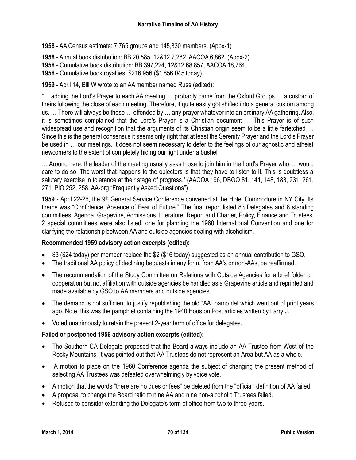- **1958** AA Census estimate: 7,765 groups and 145,830 members. (Appx-1)
- **1958** Annual book distribution: BB 20,585, 12&12 7,282, AACOA 6,862. (Appx-2)
- **1958** Cumulative book distribution: BB 397,224, 12&12 68,857, AACOA 18,764.
- **1958** Cumulative book royalties: \$216,956 (\$1,856,045 today).
- **1959** April 14, Bill W wrote to an AA member named Russ (edited):

"… adding the Lord's Prayer to each AA meeting … probably came from the Oxford Groups … a custom of theirs following the close of each meeting. Therefore, it quite easily got shifted into a general custom among us. … There will always be those … offended by … any prayer whatever into an ordinary AA gathering. Also, it is sometimes complained that the Lord's Prayer is a Christian document … This Prayer is of such widespread use and recognition that the arguments of its Christian origin seem to be a little farfetched ... Since this is the general consensus it seems only right that at least the Serenity Prayer and the Lord's Prayer be used in … our meetings. It does not seem necessary to defer to the feelings of our agnostic and atheist newcomers to the extent of completely hiding our light under a bushel

… Around here, the leader of the meeting usually asks those to join him in the Lord's Prayer who … would care to do so. The worst that happens to the objectors is that they have to listen to it. This is doubtless a salutary exercise in tolerance at their stage of progress." (AACOA 196, DBGO 81, 141, 148, 183, 231, 261, 271, PIO 252, 258, AA-org "Frequently Asked Questions")

1959 - April 22-26, the 9<sup>th</sup> General Service Conference convened at the Hotel Commodore in NY City. Its theme was "Confidence, Absence of Fear of Future." The final report listed 83 Delegates and 8 standing committees: Agenda, Grapevine, Admissions, Literature, Report and Charter, Policy, Finance and Trustees. 2 special committees were also listed; one for planning the 1960 International Convention and one for clarifying the relationship between AA and outside agencies dealing with alcoholism.

### **Recommended 1959 advisory action excerpts (edited):**

- \$3 (\$24 today) per member replace the \$2 (\$16 today) suggested as an annual contribution to GSO.
- The traditional AA policy of declining bequests in any form, from AA's or non-AAs, be reaffirmed.
- The recommendation of the Study Committee on Relations with Outside Agencies for a brief folder on cooperation but not affiliation with outside agencies be handled as a Grapevine article and reprinted and made available by GSO to AA members and outside agencies.
- The demand is not sufficient to justify republishing the old "AA" pamphlet which went out of print years ago. Note: this was the pamphlet containing the 1940 Houston Post articles written by Larry J.
- Voted unanimously to retain the present 2-year term of office for delegates.

### **Failed or postponed 1959 advisory action excerpts (edited):**

- The Southern CA Delegate proposed that the Board always include an AA Trustee from West of the Rocky Mountains. It was pointed out that AA Trustees do not represent an Area but AA as a whole.
- A motion to place on the 1960 Conference agenda the subject of changing the present method of selecting AA Trustees was defeated overwhelmingly by voice vote.
- A motion that the words "there are no dues or fees" be deleted from the "official" definition of AA failed.
- A proposal to change the Board ratio to nine AA and nine non-alcoholic Trustees failed.
- Refused to consider extending the Delegate's term of office from two to three years.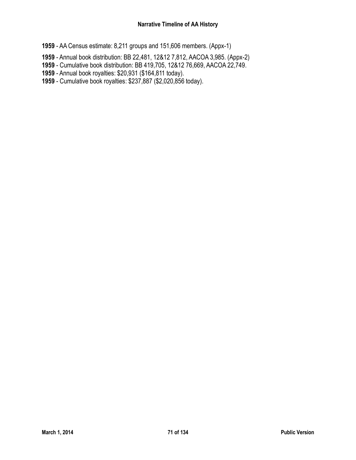- AA Census estimate: 8,211 groups and 151,606 members. (Appx-1)
- Annual book distribution: BB 22,481, 12&12 7,812, AACOA 3,985. (Appx-2)
- Cumulative book distribution: BB 419,705, 12&12 76,669, AACOA 22,749.
- Annual book royalties: \$20,931 (\$164,811 today).
- Cumulative book royalties: \$237,887 (\$2,020,856 today).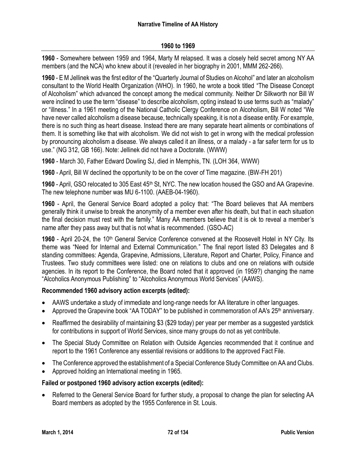**1960** - Somewhere between 1959 and 1964, Marty M relapsed. It was a closely held secret among NY AA members (and the NCA) who knew about it (revealed in her biography in 2001, MMM 262-266).

**1960** - E M Jellinek was the first editor of the "Quarterly Journal of Studies on Alcohol" and later an alcoholism consultant to the World Health Organization (WHO). In 1960, he wrote a book titled "The Disease Concept of Alcoholism" which advanced the concept among the medical community. Neither Dr Silkworth nor Bill W were inclined to use the term "disease" to describe alcoholism, opting instead to use terms such as "malady" or "illness." In a 1961 meeting of the National Catholic Clergy Conference on Alcoholism, Bill W noted "We have never called alcoholism a disease because, technically speaking, it is not a disease entity. For example, there is no such thing as heart disease. Instead there are many separate heart ailments or combinations of them. It is something like that with alcoholism. We did not wish to get in wrong with the medical profession by pronouncing alcoholism a disease. We always called it an illness, or a malady - a far safer term for us to use." (NG 312, GB 166). Note: Jellinek did not have a Doctorate. (WWW)

**1960** - March 30, Father Edward Dowling SJ, died in Memphis, TN. (LOH 364, WWW)

**1960** - April, Bill W declined the opportunity to be on the cover of Time magazine. (BW-FH 201)

1960 - April, GSO relocated to 305 East 45<sup>th</sup> St, NYC. The new location housed the GSO and AA Grapevine. The new telephone number was MU 6-1100. (AAEB-04-1960).

**1960** - April, the General Service Board adopted a policy that: "The Board believes that AA members generally think it unwise to break the anonymity of a member even after his death, but that in each situation the final decision must rest with the family." Many AA members believe that it is ok to reveal a member's name after they pass away but that is not what is recommended. (GSO-AC)

1960 - April 20-24, the 10<sup>th</sup> General Service Conference convened at the Roosevelt Hotel in NY City. Its theme was "Need for Internal and External Communication." The final report listed 83 Delegates and 8 standing committees: Agenda, Grapevine, Admissions, Literature, Report and Charter, Policy, Finance and Trustees. Two study committees were listed: one on relations to clubs and one on relations with outside agencies. In its report to the Conference, the Board noted that it approved (in 1959?) changing the name "Alcoholics Anonymous Publishing" to "Alcoholics Anonymous World Services" (AAWS).

### **Recommended 1960 advisory action excerpts (edited):**

- AAWS undertake a study of immediate and long-range needs for AA literature in other languages.
- Approved the Grapevine book "AA TODAY" to be published in commemoration of AA's 25<sup>th</sup> anniversary.
- Reaffirmed the desirability of maintaining \$3 (\$29 today) per year per member as a suggested yardstick for contributions in support of World Services, since many groups do not as yet contribute.
- The Special Study Committee on Relation with Outside Agencies recommended that it continue and report to the 1961 Conference any essential revisions or additions to the approved Fact File.
- The Conference approved the establishment of a Special Conference Study Committee on AA and Clubs.
- Approved holding an International meeting in 1965.

### **Failed or postponed 1960 advisory action excerpts (edited):**

 Referred to the General Service Board for further study, a proposal to change the plan for selecting AA Board members as adopted by the 1955 Conference in St. Louis.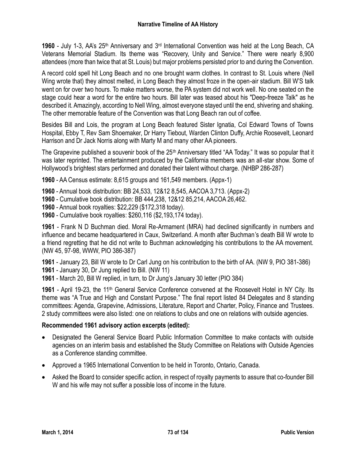1960 - July 1-3, AA's 25<sup>th</sup> Anniversary and 3<sup>rd</sup> International Convention was held at the Long Beach, CA Veterans Memorial Stadium. Its theme was "Recovery, Unity and Service." There were nearly 8,900 attendees (more than twice that at St. Louis) but major problems persisted prior to and during the Convention.

A record cold spell hit Long Beach and no one brought warm clothes. In contrast to St. Louis where (Nell Wing wrote that) they almost melted, in Long Beach they almost froze in the open-air stadium. Bill W'S talk went on for over two hours. To make matters worse, the PA system did not work well. No one seated on the stage could hear a word for the entire two hours. Bill later was teased about his "Deep-freeze Talk" as he described it. Amazingly, according to Nell Wing, almost everyone stayed until the end, shivering and shaking. The other memorable feature of the Convention was that Long Beach ran out of coffee.

Besides Bill and Lois, the program at Long Beach featured Sister Ignatia, Col Edward Towns of Towns Hospital, Ebby T, Rev Sam Shoemaker, Dr Harry Tiebout, Warden Clinton Duffy, Archie Roosevelt, Leonard Harrison and Dr Jack Norris along with Marty M and many other AA pioneers.

The Grapevine published a souvenir book of the 25<sup>th</sup> Anniversary titled "AA Today." It was so popular that it was later reprinted. The entertainment produced by the California members was an all-star show. Some of Hollywood's brightest stars performed and donated their talent without charge. (NHBP 286-287)

**1960** - AA Census estimate: 8,615 groups and 161,549 members. (Appx-1)

- **1960** Annual book distribution: BB 24,533, 12&12 8,545, AACOA 3,713. (Appx-2)
- **1960** Cumulative book distribution: BB 444,238, 12&12 85,214, AACOA 26,462.
- **1960** Annual book royalties: \$22,229 (\$172,318 today).
- **1960** Cumulative book royalties: \$260,116 (\$2,193,174 today).

**1961** - Frank N D Buchman died. Moral Re-Armament (MRA) had declined significantly in numbers and influence and became headquartered in Caux, Switzerland. A month after Buchman's death Bill W wrote to a friend regretting that he did not write to Buchman acknowledging his contributions to the AA movement. (NW 45, 97-98, WWW, PIO 386-387)

**1961** - January 23, Bill W wrote to Dr Carl Jung on his contribution to the birth of AA. (NW 9, PIO 381-386) **1961** - January 30, Dr Jung replied to Bill. (NW 11)

**1961** - March 20, Bill W replied, in turn, to Dr Jung's January 30 letter (PIO 384)

**1961** - April 19-23, the 11th General Service Conference convened at the Roosevelt Hotel in NY City. Its theme was "A True and High and Constant Purpose." The final report listed 84 Delegates and 8 standing committees: Agenda, Grapevine, Admissions, Literature, Report and Charter, Policy, Finance and Trustees. 2 study committees were also listed: one on relations to clubs and one on relations with outside agencies.

## **Recommended 1961 advisory action excerpts (edited):**

- Designated the General Service Board Public Information Committee to make contacts with outside agencies on an interim basis and established the Study Committee on Relations with Outside Agencies as a Conference standing committee.
- Approved a 1965 International Convention to be held in Toronto, Ontario, Canada.
- Asked the Board to consider specific action, in respect of royalty payments to assure that co-founder Bill W and his wife may not suffer a possible loss of income in the future.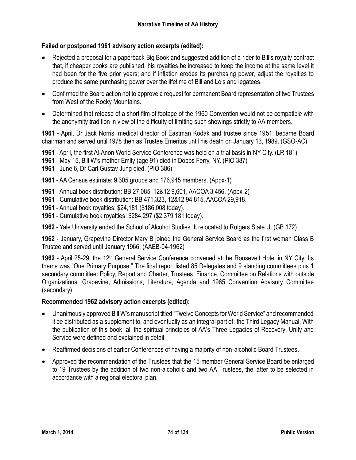# **Failed or postponed 1961 advisory action excerpts (edited):**

- Rejected a proposal for a paperback Big Book and suggested addition of a rider to Bill's royalty contract that, if cheaper books are published, his royalties be increased to keep the income at the same level it had been for the five prior years; and if inflation erodes its purchasing power, adjust the royalties to produce the same purchasing power over the lifetime of Bill and Lois and legatees.
- Confirmed the Board action not to approve a request for permanent Board representation of two Trustees from West of the Rocky Mountains.
- Determined that release of a short film of footage of the 1960 Convention would not be compatible with the anonymity tradition in view of the difficulty of limiting such showings strictly to AA members.

**1961** - April, Dr Jack Norris, medical director of Eastman Kodak and trustee since 1951, became Board chairman and served until 1978 then as Trustee Emeritus until his death on January 13, 1989. (GSO-AC)

**1961** - April, the first Al-Anon World Service Conference was held on a trial basis in NY City. (LR 181)

- **1961** May 15, Bill W's mother Emily (age 91) died in Dobbs Ferry, NY. (PIO 387)
- **1961** June 6, Dr Carl Gustav Jung died. (PIO 386)
- **1961** AA Census estimate: 9,305 groups and 176,945 members. (Appx-1)
- **1961** Annual book distribution: BB 27,085, 12&12 9,601, AACOA 3,456. (Appx-2)
- **1961** Cumulative book distribution: BB 471,323, 12&12 94,815, AACOA 29,918.
- **1961** Annual book royalties: \$24,181 (\$186,008 today).
- **1961** Cumulative book royalties: \$284,297 (\$2,379,181 today).

**1962** - Yale University ended the School of Alcohol Studies. It relocated to Rutgers State U. (GB 172)

**1962** - January, Grapevine Director Mary B joined the General Service Board as the first woman Class B Trustee and served until January 1966. (AAEB-04-1962)

1962 - April 25-29, the 12<sup>th</sup> General Service Conference convened at the Roosevelt Hotel in NY City. Its theme was "One Primary Purpose." The final report listed 85 Delegates and 9 standing committees plus 1 secondary committee: Policy, Report and Charter, Trustees, Finance, Committee on Relations with outside Organizations, Grapevine, Admissions, Literature, Agenda and 1965 Convention Advisory Committee (secondary).

## **Recommended 1962 advisory action excerpts (edited):**

- Unanimously approved Bill W's manuscript titled "Twelve Concepts for World Service" and recommended it be distributed as a supplement to, and eventually as an integral part of, the Third Legacy Manual. With the publication of this book, all the spiritual principles of AA's Three Legacies of Recovery, Unity and Service were defined and explained in detail.
- Reaffirmed decisions of earlier Conferences of having a majority of non-alcoholic Board Trustees.
- Approved the recommendation of the Trustees that the 15-member General Service Board be enlarged to 19 Trustees by the addition of two non-alcoholic and two AA Trustees, the latter to be selected in accordance with a regional electoral plan.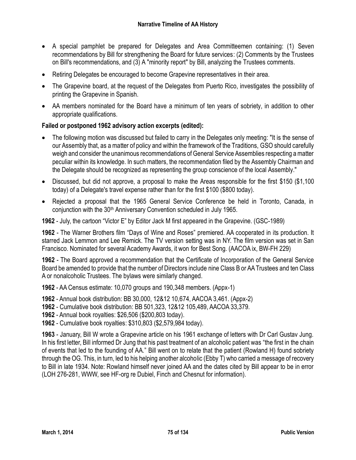- A special pamphlet be prepared for Delegates and Area Committeemen containing: (1) Seven recommendations by Bill for strengthening the Board for future services: (2) Comments by the Trustees on Bill's recommendations, and (3) A "minority report" by Bill, analyzing the Trustees comments.
- Retiring Delegates be encouraged to become Grapevine representatives in their area.
- The Grapevine board, at the request of the Delegates from Puerto Rico, investigates the possibility of printing the Grapevine in Spanish.
- AA members nominated for the Board have a minimum of ten years of sobriety, in addition to other appropriate qualifications.

# **Failed or postponed 1962 advisory action excerpts (edited):**

- The following motion was discussed but failed to carry in the Delegates only meeting: "It is the sense of our Assembly that, as a matter of policy and within the framework of the Traditions, GSO should carefully weigh and consider the unanimous recommendations of General Service Assemblies respecting a matter peculiar within its knowledge. In such matters, the recommendation filed by the Assembly Chairman and the Delegate should be recognized as representing the group conscience of the local Assembly."
- Discussed, but did not approve, a proposal to make the Areas responsible for the first \$150 (\$1,100 today) of a Delegate's travel expense rather than for the first \$100 (\$800 today).
- Rejected a proposal that the 1965 General Service Conference be held in Toronto, Canada, in conjunction with the 30<sup>th</sup> Anniversary Convention scheduled in July 1965.

**1962** - July, the cartoon "Victor E" by Editor Jack M first appeared in the Grapevine. (GSC-1989)

**1962** - The Warner Brothers film "Days of Wine and Roses" premiered. AA cooperated in its production. It starred Jack Lemmon and Lee Remick. The TV version setting was in NY. The film version was set in San Francisco. Nominated for several Academy Awards, it won for Best Song. (AACOA ix, BW-FH 229)

**1962** - The Board approved a recommendation that the Certificate of Incorporation of the General Service Board be amended to provide that the number of Directors include nine Class B or AA Trustees and ten Class A or nonalcoholic Trustees. The bylaws were similarly changed.

**1962** - AA Census estimate: 10,070 groups and 190,348 members. (Appx-1)

**1962** - Annual book distribution: BB 30,000, 12&12 10,674, AACOA 3,461. (Appx-2)

**1962** - Cumulative book distribution: BB 501,323, 12&12 105,489, AACOA 33,379.

**1962** - Annual book royalties: \$26,506 (\$200,803 today).

**1962** - Cumulative book royalties: \$310,803 (\$2,579,984 today).

**1963** - January, Bill W wrote a Grapevine article on his 1961 exchange of letters with Dr Carl Gustav Jung. In his first letter, Bill informed Dr Jung that his past treatment of an alcoholic patient was "the first in the chain of events that led to the founding of AA." Bill went on to relate that the patient (Rowland H) found sobriety through the OG. This, in turn, led to his helping another alcoholic (Ebby T) who carried a message of recovery to Bill in late 1934. Note: Rowland himself never joined AA and the dates cited by Bill appear to be in error (LOH 276-281, WWW, see HF-org re Dubiel, Finch and Chesnut for information).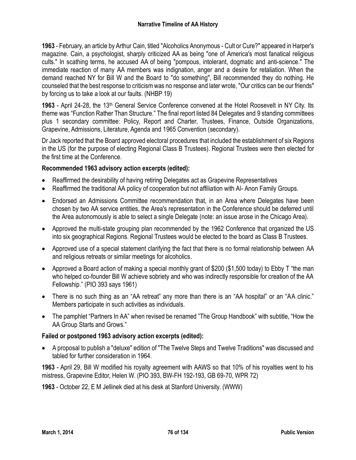**1963** - February, an article by Arthur Cain, titled "Alcoholics Anonymous - Cult or Cure?" appeared in Harper's magazine. Cain, a psychologist, sharply criticized AA as being "one of America's most fanatical religious cults." In scathing terms, he accused AA of being "pompous, intolerant, dogmatic and anti-science." The immediate reaction of many AA members was indignation, anger and a desire for retaliation. When the demand reached NY for Bill W and the Board to "do something", Bill recommended they do nothing. He counseled that the best response to criticism was no response and later wrote, "Our critics can be our friends" by forcing us to take a look at our faults. (NHBP 19)

**1963** - April 24-28, the 13th General Service Conference convened at the Hotel Roosevelt in NY City. Its theme was "Function Rather Than Structure." The final report listed 84 Delegates and 9 standing committees plus 1 secondary committee: Policy, Report and Charter, Trustees, Finance, Outside Organizations, Grapevine, Admissions, Literature, Agenda and 1965 Convention (secondary).

Dr Jack reported that the Board approved electoral procedures that included the establishment of six Regions in the US (for the purpose of electing Regional Class B Trustees). Regional Trustees were then elected for the first time at the Conference.

## **Recommended 1963 advisory action excerpts (edited):**

- Reaffirmed the desirability of having retiring Delegates act as Grapevine Representatives
- Reaffirmed the traditional AA policy of cooperation but not affiliation with Al- Anon Family Groups.
- Endorsed an Admissions Committee recommendation that, in an Area where Delegates have been chosen by two AA service entities, the Area's representation in the Conference should be deferred until the Area autonomously is able to select a single Delegate (note: an issue arose in the Chicago Area).
- Approved the multi-state grouping plan recommended by the 1962 Conference that organized the US into six geographical Regions. Regional Trustees would be elected to the board as Class B Trustees.
- Approved use of a special statement clarifying the fact that there is no formal relationship between AA and religious retreats or similar meetings for alcoholics.
- Approved a Board action of making a special monthly grant of \$200 (\$1,500 today) to Ebby T "the man who helped co-founder Bill W achieve sobriety and who was indirectly responsible for creation of the AA Fellowship." (PIO 393 says 1961)
- There is no such thing as an "AA retreat" any more than there is an "AA hospital" or an "AA clinic." Members participate in such activities as individuals.
- The pamphlet "Partners In AA" when revised be renamed "The Group Handbook" with subtitle, "How the AA Group Starts and Grows."

## **Failed or postponed 1963 advisory action excerpts (edited):**

 A proposal to publish a "deluxe" edition of "The Twelve Steps and Twelve Traditions" was discussed and tabled for further consideration in 1964.

**1963** - April 29, Bill W modified his royalty agreement with AAWS so that 10% of his royalties went to his mistress, Grapevine Editor, Helen W. (PIO 393, BW-FH 192-193, GB 69-70, WPR 72)

**1963** - October 22, E M Jellinek died at his desk at Stanford University. (WWW)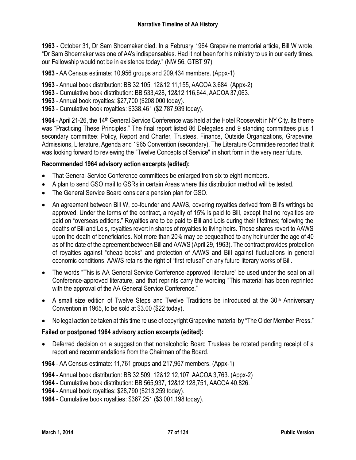**1963** - October 31, Dr Sam Shoemaker died. In a February 1964 Grapevine memorial article, Bill W wrote, "Dr Sam Shoemaker was one of AA's indispensables. Had it not been for his ministry to us in our early times, our Fellowship would not be in existence today." (NW 56, GTBT 97)

**1963** - AA Census estimate: 10,956 groups and 209,434 members. (Appx-1)

- **1963** Annual book distribution: BB 32,105, 12&12 11,155, AACOA 3,684. (Appx-2)
- **1963** Cumulative book distribution: BB 533,428, 12&12 116,644, AACOA 37,063.
- **1963** Annual book royalties: \$27,700 (\$208,000 today).
- **1963** Cumulative book royalties: \$338,461 (\$2,787,939 today).

**1964** - April 21-26, the 14th General Service Conference was held at the Hotel Roosevelt in NY City. Its theme was "Practicing These Principles." The final report listed 86 Delegates and 9 standing committees plus 1 secondary committee: Policy, Report and Charter, Trustees, Finance, Outside Organizations, Grapevine, Admissions, Literature, Agenda and 1965 Convention (secondary). The Literature Committee reported that it was looking forward to reviewing the "Twelve Concepts of Service" in short form in the very near future.

#### **Recommended 1964 advisory action excerpts (edited):**

- That General Service Conference committees be enlarged from six to eight members.
- A plan to send GSO mail to GSRs in certain Areas where this distribution method will be tested.
- The General Service Board consider a pension plan for GSO.
- An agreement between Bill W, co-founder and AAWS, covering royalties derived from Bill's writings be approved. Under the terms of the contract, a royalty of 15% is paid to Bill, except that no royalties are paid on "overseas editions." Royalties are to be paid to Bill and Lois during their lifetimes; following the deaths of Bill and Lois, royalties revert in shares of royalties to living heirs. These shares revert to AAWS upon the death of beneficiaries. Not more than 20% may be bequeathed to any heir under the age of 40 as of the date of the agreement between Bill and AAWS (April 29, 1963). The contract provides protection of royalties against "cheap books" and protection of AAWS and Bill against fluctuations in general economic conditions. AAWS retains the right of "first refusal" on any future literary works of Bill.
- The words "This is AA General Service Conference-approved literature" be used under the seal on all Conference-approved literature, and that reprints carry the wording "This material has been reprinted with the approval of the AA General Service Conference."
- A small size edition of Twelve Steps and Twelve Traditions be introduced at the 30<sup>th</sup> Anniversary Convention in 1965, to be sold at \$3.00 (\$22 today).
- No legal action be taken at this time re use of copyright Grapevine material by "The Older Member Press."

#### **Failed or postponed 1964 advisory action excerpts (edited):**

 Deferred decision on a suggestion that nonalcoholic Board Trustees be rotated pending receipt of a report and recommendations from the Chairman of the Board.

**1964** - AA Census estimate: 11,761 groups and 217,967 members. (Appx-1)

**1964** - Annual book distribution: BB 32,509, 12&12 12,107, AACOA 3,763. (Appx-2)

- **1964** Cumulative book distribution: BB 565,937, 12&12 128,751, AACOA 40,826.
- **1964** Annual book royalties: \$28,790 (\$213,259 today).
- **1964** Cumulative book royalties: \$367,251 (\$3,001,198 today).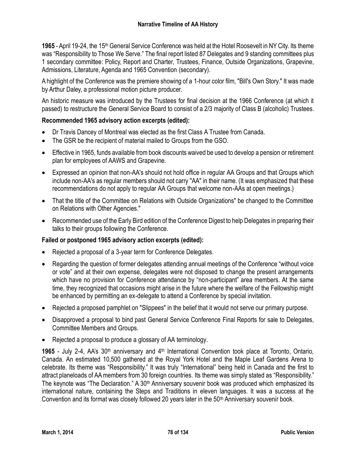**1965** - April 19-24, the 15th General Service Conference was held at the Hotel Roosevelt in NY City. Its theme was "Responsibility to Those We Serve." The final report listed 87 Delegates and 9 standing committees plus 1 secondary committee: Policy, Report and Charter, Trustees, Finance, Outside Organizations, Grapevine, Admissions, Literature, Agenda and 1965 Convention (secondary).

A highlight of the Conference was the premiere showing of a 1-hour color film, "Bill's Own Story." It was made by Arthur Daley, a professional motion picture producer.

An historic measure was introduced by the Trustees for final decision at the 1966 Conference (at which it passed) to restructure the General Service Board to consist of a 2/3 majority of Class B (alcoholic) Trustees.

# **Recommended 1965 advisory action excerpts (edited):**

- Dr Travis Dancey of Montreal was elected as the first Class A Trustee from Canada.
- The GSR be the recipient of material mailed to Groups from the GSO.
- Effective in 1965, funds available from book discounts waived be used to develop a pension or retirement plan for employees of AAWS and Grapevine.
- Expressed an opinion that non-AA's should not hold office in regular AA Groups and that Groups which include non-AA's as regular members should not carry ''AA" in their name. (It was emphasized that these recommendations do not apply to regular AA Groups that welcome non-AAs at open meetings.)
- That the title of the Committee on Relations with Outside Organizations" be changed to the Committee on Relations with Other Agencies."
- Recommended use of the Early Bird edition of the Conference Digest to help Delegates in preparing their talks to their groups following the Conference.

## **Failed or postponed 1965 advisory action excerpts (edited):**

- Rejected a proposal of a 3-year term for Conference Delegates.
- Regarding the question of former delegates attending annual meetings of the Conference "without voice or vote" and at their own expense, delegates were not disposed to change the present arrangements which have no provision for Conference attendance by "non-participant" area members. At the same time, they recognized that occasions might arise in the future where the welfare of the Fellowship might be enhanced by permitting an ex-delegate to attend a Conference by special invitation.
- Rejected a proposed pamphlet on "Slippees" in the belief that it would not serve our primary purpose.
- Disapproved a proposal to bind past General Service Conference Final Reports for sale to Delegates, Committee Members and Groups.
- Rejected a proposal to produce a glossary of AA terminology.

1965 - July 2-4, AA's 30<sup>th</sup> anniversary and 4<sup>th</sup> International Convention took place at Toronto, Ontario, Canada. An estimated 10,500 gathered at the Royal York Hotel and the Maple Leaf Gardens Arena to celebrate. Its theme was "Responsibility." It was truly "International" being held in Canada and the first to attract planeloads of AA members from 30 foreign countries. Its theme was simply stated as "Responsibility." The keynote was "The Declaration." A 30<sup>th</sup> Anniversary souvenir book was produced which emphasized its international nature, containing the Steps and Traditions in eleven languages. It was a success at the Convention and its format was closely followed 20 years later in the 50th Anniversary souvenir book.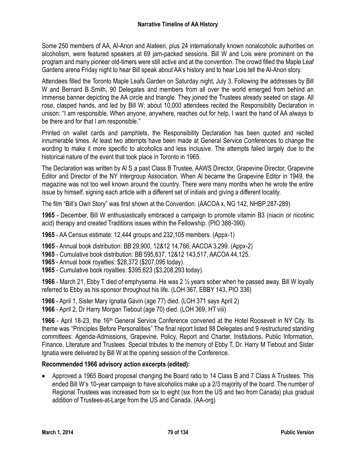Some 250 members of AA, Al-Anon and Alateen, plus 24 internationally known nonalcoholic authorities on alcoholism, were featured speakers at 69 jam-packed sessions. Bill W and Lois were prominent on the program and many pioneer old-timers were still active and at the convention. The crowd filled the Maple Leaf Gardens arena Friday night to hear Bill speak about AA's history and to hear Lois tell the Al-Anon story.

Attendees filled the Toronto Maple Leafs Garden on Saturday night, July 3. Following the addresses by Bill W and Bernard B Smith, 90 Delegates and members from all over the world emerged from behind an immense banner depicting the AA circle and triangle. They joined the Trustees already seated on stage. All rose, clasped hands, and led by Bill W; about 10,000 attendees recited the Responsibility Declaration in unison: "I am responsible. When anyone, anywhere, reaches out for help, I want the hand of AA always to be there and for that I am responsible."

Printed on wallet cards and pamphlets, the Responsibility Declaration has been quoted and recited innumerable times. At least two attempts have been made at General Service Conferences to change the wording to make it more specific to alcoholics and less inclusive. The attempts failed largely due to the historical nature of the event that took place in Toronto in 1965.

The Declaration was written by Al S a past Class B Trustee, AAWS Director, Grapevine Director, Grapevine Editor and Director of the NY Intergroup Association. When Al became the Grapevine Editor in 1949, the magazine was not too well known around the country. There were many months when he wrote the entire issue by himself, signing each article with a different set of initials and giving a different locality.

The film "Bill's Own Story" was first shown at the Convention. (AACOA x, NG 142, NHBP 287-289)

**1965** - December, Bill W enthusiastically embraced a campaign to promote vitamin B3 (niacin or nicotinic acid) therapy and created Traditions issues within the Fellowship. (PIO 388-390)

**1965** - AA Census estimate: 12,444 groups and 232,105 members. (Appx-1)

**1965** - Annual book distribution: BB 29,900, 12&12 14,766, AACOA 3,299. (Appx-2)

**1965** - Cumulative book distribution: BB 595,837, 12&12 143,517, AACOA 44,125.

- **1965** Annual book royalties: \$28,372 (\$207,095 today).
- **1965** Cumulative book royalties: \$395,623 (\$3,208,293 today).

**1966** - March 21, Ebby T died of emphysema. He was 2 ½ years sober when he passed away. Bill W loyally referred to Ebby as his sponsor throughout his life. (LOH 367, EBBY 143, PIO 336)

**1966** - April 1, Sister Mary Ignatia Gavin (age 77) died. (LOH 371 says April 2) **1966** - April 2, Dr Harry Morgan Tiebout (age 70) died. (LOH 369, HT viii)

**1966** - April 18-23, the 16th General Service Conference convened at the Hotel Roosevelt in NY City. Its theme was "Principles Before Personalities" The final report listed 88 Delegates and 9 restructured standing committees: Agenda-Admissions, Grapevine, Policy, Report and Charter, Institutions, Public Information, Finance, Literature and Trustees. Special tributes to the memory of Ebby T, Dr. Harry M Tiebout and Sister Ignatia were delivered by Bill W at the opening session of the Conference.

# **Recommended 1966 advisory action excerpts (edited):**

 Approved a 1965 Board proposal changing the Board ratio to 14 Class B and 7 Class A Trustees. This ended Bill W's 10-year campaign to have alcoholics make up a 2/3 majority of the board. The number of Regional Trustees was increased from six to eight (six from the US and two from Canada) plus gradual addition of Trustees-at-Large from the US and Canada. (AA-org)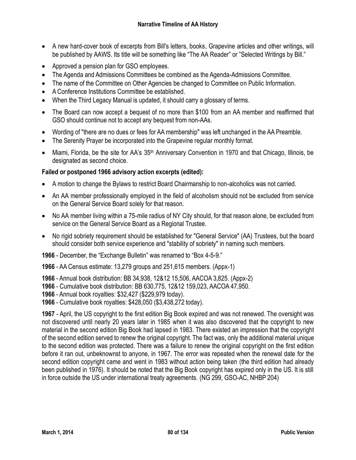- A new hard-cover book of excerpts from Bill's letters, books, Grapevine articles and other writings, will be published by AAWS. Its title will be something like "The AA Reader" or "Selected Writings by Bill."
- Approved a pension plan for GSO employees.
- The Agenda and Admissions Committees be combined as the Agenda-Admissions Committee.
- The name of the Committee on Other Agencies be changed to Committee on Public Information.
- A Conference Institutions Committee be established.
- When the Third Legacy Manual is updated, it should carry a glossary of terms.
- The Board can now accept a bequest of no more than \$100 from an AA member and reaffirmed that GSO should continue not to accept any bequest from non-AAs.
- Wording of "there are no dues or fees for AA membership" was left unchanged in the AA Preamble.
- The Serenity Prayer be incorporated into the Grapevine regular monthly format.
- Miami, Florida, be the site for AA's 35<sup>th</sup> Anniversary Convention in 1970 and that Chicago, Illinois, be designated as second choice.

# **Failed or postponed 1966 advisory action excerpts (edited):**

- A motion to change the Bylaws to restrict Board Chairmanship to non-alcoholics was not carried.
- An AA member professionally employed in the field of alcoholism should not be excluded from service on the General Service Board solely for that reason.
- No AA member living within a 75-mile radius of NY City should, for that reason alone, be excluded from service on the General Service Board as a Regional Trustee.
- No rigid sobriety requirement should be established for "General Service" (AA) Trustees, but the board should consider both service experience and "stability of sobriety" in naming such members.

**1966** - December, the "Exchange Bulletin" was renamed to "Box 4-5-9."

**1966** - AA Census estimate: 13,279 groups and 251,615 members. (Appx-1)

**1966** - Annual book distribution: BB 34,938, 12&12 15,506, AACOA 3,825. (Appx-2)

- **1966** Cumulative book distribution: BB 630,775, 12&12 159,023, AACOA 47,950.
- **1966** Annual book royalties: \$32,427 (\$229,979 today).
- **1966** Cumulative book royalties: \$428,050 (\$3,438,272 today).

**1967** - April, the US copyright to the first edition Big Book expired and was not renewed. The oversight was not discovered until nearly 20 years later in 1985 when it was also discovered that the copyright to new material in the second edition Big Book had lapsed in 1983. There existed an impression that the copyright of the second edition served to renew the original copyright. The fact was, only the additional material unique to the second edition was protected. There was a failure to renew the original copyright on the first edition before it ran out, unbeknownst to anyone, in 1967. The error was repeated when the renewal date for the second edition copyright came and went in 1983 without action being taken (the third edition had already been published in 1976). It should be noted that the Big Book copyright has expired only in the US. It is still in force outside the US under international treaty agreements. (NG 299, GSO-AC, NHBP 204)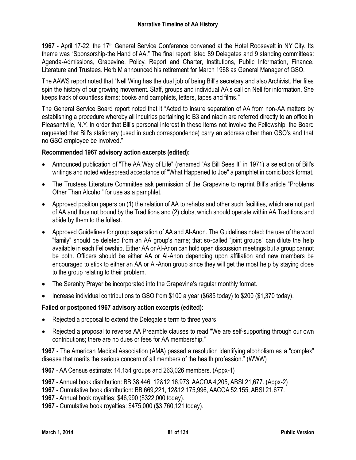**1967** - April 17-22, the 17<sup>th</sup> General Service Conference convened at the Hotel Roosevelt in NY City. Its theme was "Sponsorship-the Hand of AA." The final report listed 89 Delegates and 9 standing committees: Agenda-Admissions, Grapevine, Policy, Report and Charter, Institutions, Public Information, Finance, Literature and Trustees. Herb M announced his retirement for March 1968 as General Manager of GSO.

The AAWS report noted that "Nell Wing has the dual job of being Bill's secretary and also Archivist. Her files spin the history of our growing movement. Staff, groups and individual AA's call on Nell for information. She keeps track of countless items; books and pamphlets, letters, tapes and films."

The General Service Board report noted that it "Acted to insure separation of AA from non-AA matters by establishing a procedure whereby all inquiries pertaining to B3 and niacin are referred directly to an office in Pleasantville, N.Y. In order that Bill's personal interest in these items not involve the Fellowship, the Board requested that Bill's stationery (used in such correspondence) carry an address other than GSO's and that no GSO employee be involved."

#### **Recommended 1967 advisory action excerpts (edited):**

- Announced publication of "The AA Way of Life" (renamed "As Bill Sees It" in 1971) a selection of Bill's writings and noted widespread acceptance of "What Happened to Joe" a pamphlet in comic book format.
- The Trustees Literature Committee ask permission of the Grapevine to reprint Bill's article "Problems" Other Than Alcohol" for use as a pamphlet.
- Approved position papers on (1) the relation of AA to rehabs and other such facilities, which are not part of AA and thus not bound by the Traditions and (2) clubs, which should operate within AA Traditions and abide by them to the fullest.
- Approved Guidelines for group separation of AA and Al-Anon. The Guidelines noted: the use of the word "family" should be deleted from an AA group's name; that so-called "joint groups" can dilute the help available in each Fellowship. Either AA or Al-Anon can hold open discussion meetings but a group cannot be both. Officers should be either AA or Al-Anon depending upon affiliation and new members be encouraged to stick to either an AA or Al-Anon group since they will get the most help by staying close to the group relating to their problem.
- The Serenity Prayer be incorporated into the Grapevine's regular monthly format.
- Increase individual contributions to GSO from \$100 a year (\$685 today) to \$200 (\$1,370 today).

#### **Failed or postponed 1967 advisory action excerpts (edited):**

- Rejected a proposal to extend the Delegate's term to three years.
- Rejected a proposal to reverse AA Preamble clauses to read "We are self-supporting through our own contributions; there are no dues or fees for AA membership."

**1967** - The American Medical Association (AMA) passed a resolution identifying alcoholism as a "complex" disease that merits the serious concern of all members of the health profession." (WWW)

**1967** - AA Census estimate: 14,154 groups and 263,026 members. (Appx-1)

**1967** - Annual book distribution: BB 38,446, 12&12 16,973, AACOA 4,205, ABSI 21,677. (Appx-2)

**1967** - Cumulative book distribution: BB 669,221, 12&12 175,996, AACOA 52,155, ABSI 21,677.

**1967** - Annual book royalties: \$46,990 (\$322,000 today).

**1967** - Cumulative book royalties: \$475,000 (\$3,760,121 today).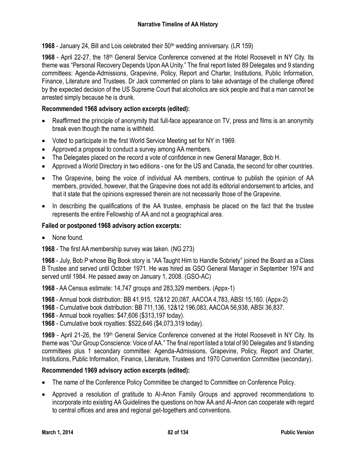**1968** - January 24, Bill and Lois celebrated their 50<sup>th</sup> wedding anniversary. (LR 159)

**1968** - April 22-27, the 18th General Service Conference convened at the Hotel Roosevelt in NY City. Its theme was "Personal Recovery Depends Upon AA Unity." The final report listed 89 Delegates and 9 standing committees: Agenda-Admissions, Grapevine, Policy, Report and Charter, Institutions, Public Information, Finance, Literature and Trustees. Dr Jack commented on plans to take advantage of the challenge offered by the expected decision of the US Supreme Court that alcoholics are sick people and that a man cannot be arrested simply because he is drunk.

# **Recommended 1968 advisory action excerpts (edited):**

- Reaffirmed the principle of anonymity that full-face appearance on TV, press and films is an anonymity break even though the name is withheld.
- Voted to participate in the first World Service Meeting set for NY in 1969.
- Approved a proposal to conduct a survey among AA members.
- The Delegates placed on the record a vote of confidence in new General Manager, Bob H.
- Approved a World Directory in two editions one for the US and Canada, the second for other countries.
- The Grapevine, being the voice of individual AA members, continue to publish the opinion of AA members, provided, however, that the Grapevine does not add its editorial endorsement to articles, and that it state that the opinions expressed therein are not necessarily those of the Grapevine.
- In describing the qualifications of the AA trustee, emphasis be placed on the fact that the trustee represents the entire Fellowship of AA and not a geographical area.

## **Failed or postponed 1968 advisory action excerpts:**

None found.

**1968** - The first AA membership survey was taken. (NG 273)

**1968** - July, Bob P whose Big Book story is "AA Taught Him to Handle Sobriety" joined the Board as a Class B Trustee and served until October 1971. He was hired as GSO General Manager in September 1974 and served until 1984. He passed away on January 1, 2008. (GSO-AC)

**1968** - AA Census estimate: 14,747 groups and 283,329 members. (Appx-1)

**1968** - Annual book distribution: BB 41,915, 12&12 20,087, AACOA 4,783, ABSI 15,160. (Appx-2)

**1968** - Cumulative book distribution: BB 711,136, 12&12 196,083, AACOA 56,938, ABSI 36,837.

**1968** - Annual book royalties: \$47,606 (\$313,197 today).

**1968** - Cumulative book royalties: \$522,646 (\$4,073,319 today).

1969 - April 21-26, the 19<sup>th</sup> General Service Conference convened at the Hotel Roosevelt in NY City. Its theme was "Our Group Conscience: Voice of AA." The final report listed a total of 90 Delegates and 9 standing committees plus 1 secondary committee: Agenda-Admissions, Grapevine, Policy, Report and Charter, Institutions, Public Information, Finance, Literature, Trustees and 1970 Convention Committee (secondary).

## **Recommended 1969 advisory action excerpts (edited):**

- The name of the Conference Policy Committee be changed to Committee on Conference Policy.
- Approved a resolution of gratitude to Al-Anon Family Groups and approved recommendations to incorporate into existing AA Guidelines the questions on how AA and Al-Anon can cooperate with regard to central offices and area and regional get-togethers and conventions.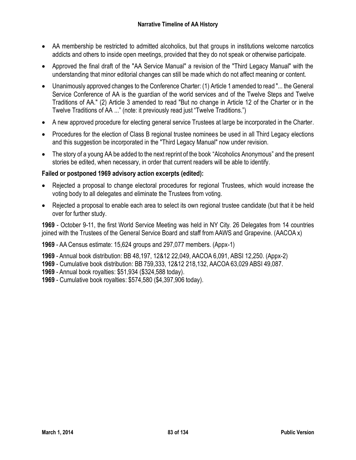- AA membership be restricted to admitted alcoholics, but that groups in institutions welcome narcotics addicts and others to inside open meetings, provided that they do not speak or otherwise participate.
- Approved the final draft of the "AA Service Manual" a revision of the "Third Legacy Manual" with the understanding that minor editorial changes can still be made which do not affect meaning or content.
- Unanimously approved changes to the Conference Charter: (1) Article 1 amended to read "... the General Service Conference of AA is the guardian of the world services and of the Twelve Steps and Twelve Traditions of AA." (2) Article 3 amended to read "But no change in Article 12 of the Charter or in the Twelve Traditions of AA ..." (note: it previously read just "Twelve Traditions.")
- A new approved procedure for electing general service Trustees at large be incorporated in the Charter.
- Procedures for the election of Class B regional trustee nominees be used in all Third Legacy elections and this suggestion be incorporated in the "Third Legacy Manual" now under revision.
- The story of a young AA be added to the next reprint of the book "Alcoholics Anonymous" and the present stories be edited, when necessary, in order that current readers will be able to identify.

## **Failed or postponed 1969 advisory action excerpts (edited):**

- Rejected a proposal to change electoral procedures for regional Trustees, which would increase the voting body to all delegates and eliminate the Trustees from voting.
- Rejected a proposal to enable each area to select its own regional trustee candidate (but that it be held over for further study.

**1969** - October 9-11, the first World Service Meeting was held in NY City. 26 Delegates from 14 countries joined with the Trustees of the General Service Board and staff from AAWS and Grapevine. (AACOA x)

**1969** - AA Census estimate: 15,624 groups and 297,077 members. (Appx-1)

- **1969** Annual book distribution: BB 48,197, 12&12 22,049, AACOA 6,091, ABSI 12,250. (Appx-2)
- **1969** Cumulative book distribution: BB 759,333, 12&12 218,132, AACOA 63,029 ABSI 49,087.

**1969** - Annual book royalties: \$51,934 (\$324,588 today).

**1969** - Cumulative book royalties: \$574,580 (\$4,397,906 today).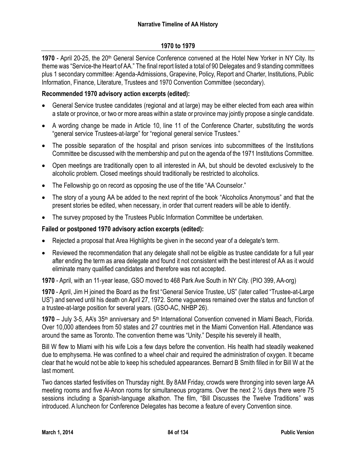#### **1970 to 1979**

**1970** - April 20-25, the 20<sup>th</sup> General Service Conference convened at the Hotel New Yorker in NY City. Its theme was "Service-the Heart of AA." The final report listed a total of 90 Delegates and 9 standing committees plus 1 secondary committee: Agenda-Admissions, Grapevine, Policy, Report and Charter, Institutions, Public Information, Finance, Literature, Trustees and 1970 Convention Committee (secondary).

#### **Recommended 1970 advisory action excerpts (edited):**

- General Service trustee candidates (regional and at large) may be either elected from each area within a state or province, or two or more areas within a state or province may jointly propose a single candidate.
- A wording change be made in Article 10, line 11 of the Conference Charter, substituting the words "general service Trustees-at-large" for "regional general service Trustees."
- The possible separation of the hospital and prison services into subcommittees of the Institutions Committee be discussed with the membership and put on the agenda of the 1971 Institutions Committee.
- Open meetings are traditionally open to all interested in AA, but should be devoted exclusively to the alcoholic problem. Closed meetings should traditionally be restricted to alcoholics.
- The Fellowship go on record as opposing the use of the title "AA Counselor."
- The story of a young AA be added to the next reprint of the book "Alcoholics Anonymous" and that the present stories be edited, when necessary, in order that current readers will be able to identify.
- The survey proposed by the Trustees Public Information Committee be undertaken.

#### **Failed or postponed 1970 advisory action excerpts (edited):**

- Rejected a proposal that Area Highlights be given in the second year of a delegate's term.
- Reviewed the recommendation that any delegate shall not be eligible as trustee candidate for a full year after ending the term as area delegate and found it not consistent with the best interest of AA as it would eliminate many qualified candidates and therefore was not accepted.

**1970** - April, with an 11-year lease, GSO moved to 468 Park Ave South in NY City. (PIO 399, AA-org)

**1970** - April, Jim H joined the Board as the first "General Service Trustee, US" (later called "Trustee-at-Large US") and served until his death on April 27, 1972. Some vagueness remained over the status and function of a trustee-at-large position for several years. (GSO-AC, NHBP 26).

1970 – July 3-5, AA's 35<sup>th</sup> anniversary and 5<sup>th</sup> International Convention convened in Miami Beach, Florida. Over 10,000 attendees from 50 states and 27 countries met in the Miami Convention Hall. Attendance was around the same as Toronto. The convention theme was "Unity." Despite his severely ill health,

Bill W flew to Miami with his wife Lois a few days before the convention. His health had steadily weakened due to emphysema. He was confined to a wheel chair and required the administration of oxygen. It became clear that he would not be able to keep his scheduled appearances. Bernard B Smith filled in for Bill W at the last moment.

Two dances started festivities on Thursday night. By 8AM Friday, crowds were thronging into seven large AA meeting rooms and five Al-Anon rooms for simultaneous programs. Over the next 2 ½ days there were 75 sessions including a Spanish-language alkathon. The film, "Bill Discusses the Twelve Traditions" was introduced. A luncheon for Conference Delegates has become a feature of every Convention since.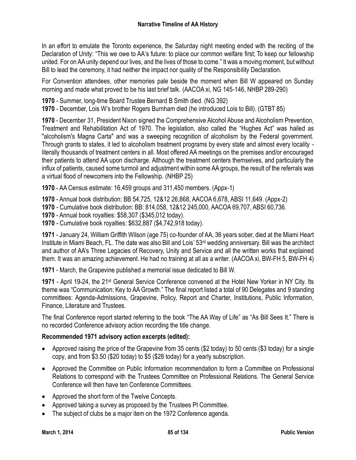In an effort to emulate the Toronto experience, the Saturday night meeting ended with the reciting of the Declaration of Unity: "This we owe to AA's future: to place our common welfare first; To keep our fellowship united. For on AA unity depend our lives, and the lives of those to come." It was a moving moment, but without Bill to lead the ceremony, it had neither the impact nor quality of the Responsibility Declaration.

For Convention attendees, other memories pale beside the moment when Bill W appeared on Sunday morning and made what proved to be his last brief talk. (AACOA xi, NG 145-146, NHBP 289-290)

**1970** - Summer, long-time Board Trustee Bernard B Smith died. (NG 392)

**1970** - December, Lois W's brother Rogers Burnham died (he introduced Lois to Bill). (GTBT 85)

**1970** - December 31, President Nixon signed the Comprehensive Alcohol Abuse and Alcoholism Prevention, Treatment and Rehabilitation Act of 1970. The legislation, also called the "Hughes Act" was hailed as "alcoholism's Magna Carta" and was a sweeping recognition of alcoholism by the Federal government. Through grants to states, it led to alcoholism treatment programs by every state and almost every locality literally thousands of treatment centers in all. Most offered AA meetings on the premises and/or encouraged their patients to attend AA upon discharge. Although the treatment centers themselves, and particularly the influx of patients, caused some turmoil and adjustment within some AA groups, the result of the referrals was a virtual flood of newcomers into the Fellowship. (NHBP 25)

**1970** - AA Census estimate: 16,459 groups and 311,450 members. (Appx-1)

**1970** - Annual book distribution: BB 54,725, 12&12 26,868, AACOA 6,678, ABSI 11,649. (Appx-2)

- **1970** Cumulative book distribution: BB: 814,058, 12&12 245,000, AACOA 69,707, ABSI 60,736.
- **1970** Annual book royalties: \$58,307 (\$345,012 today).
- **1970** Cumulative book royalties: \$632,887 (\$4,742,918 today).

**1971** - January 24, William Griffith Wilson (age 75) co-founder of AA, 36 years sober, died at the Miami Heart Institute in Miami Beach, FL. The date was also Bill and Lois' 53rd wedding anniversary. Bill was the architect and author of AA's Three Legacies of Recovery, Unity and Service and all the written works that explained them. It was an amazing achievement. He had no training at all as a writer. (AACOA xi, BW-FH 5, BW-FH 4)

**1971** - March, the Grapevine published a memorial issue dedicated to Bill W.

1971 - April 19-24, the 21<sup>st</sup> General Service Conference convened at the Hotel New Yorker in NY City. Its theme was "Communication: Key to AA Growth." The final report listed a total of 90 Delegates and 9 standing committees: Agenda-Admissions, Grapevine, Policy, Report and Charter, Institutions, Public Information, Finance, Literature and Trustees.

The final Conference report started referring to the book "The AA Way of Life" as "As Bill Sees It." There is no recorded Conference advisory action recording the title change.

## **Recommended 1971 advisory action excerpts (edited):**

- Approved raising the price of the Grapevine from 35 cents (\$2 today) to 50 cents (\$3 today) for a single copy, and from \$3.50 (\$20 today) to \$5 (\$28 today) for a yearly subscription.
- Approved the Committee on Public Information recommendation to form a Committee on Professional Relations to correspond with the Trustees Committee on Professional Relations. The General Service Conference will then have ten Conference Committees.
- Approved the short form of the Twelve Concepts.
- Approved taking a survey as proposed by the Trustees PI Committee.
- The subject of clubs be a major item on the 1972 Conference agenda.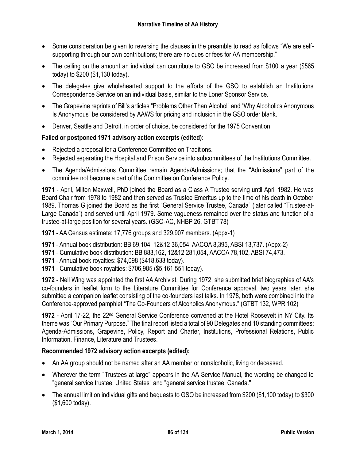- Some consideration be given to reversing the clauses in the preamble to read as follows "We are selfsupporting through our own contributions; there are no dues or fees for AA membership."
- The ceiling on the amount an individual can contribute to GSO be increased from \$100 a year (\$565 today) to \$200 (\$1,130 today).
- The delegates give wholehearted support to the efforts of the GSO to establish an Institutions Correspondence Service on an individual basis, similar to the Loner Sponsor Service.
- The Grapevine reprints of Bill's articles "Problems Other Than Alcohol" and "Why Alcoholics Anonymous Is Anonymous" be considered by AAWS for pricing and inclusion in the GSO order blank.
- Denver, Seattle and Detroit, in order of choice, be considered for the 1975 Convention.

# **Failed or postponed 1971 advisory action excerpts (edited):**

- Rejected a proposal for a Conference Committee on Traditions.
- Rejected separating the Hospital and Prison Service into subcommittees of the Institutions Committee.
- The Agenda/Admissions Committee remain Agenda/Admissions; that the "Admissions" part of the committee not become a part of the Committee on Conference Policy.

**1971** - April, Milton Maxwell, PhD joined the Board as a Class A Trustee serving until April 1982. He was Board Chair from 1978 to 1982 and then served as Trustee Emeritus up to the time of his death in October 1989. Thomas G joined the Board as the first "General Service Trustee, Canada" (later called "Trustee-at-Large Canada") and served until April 1979. Some vagueness remained over the status and function of a trustee-at-large position for several years. (GSO-AC, NHBP 26, GTBT 78)

**1971** - AA Census estimate: 17,776 groups and 329,907 members. (Appx-1)

- **1971** Annual book distribution: BB 69,104, 12&12 36,054, AACOA 8,395, ABSI 13,737. (Appx-2)
- **1971** Cumulative book distribution: BB 883,162, 12&12 281,054, AACOA 78,102, ABSI 74,473.
- **1971** Annual book royalties: \$74,098 (\$418,633 today).
- **1971** Cumulative book royalties: \$706,985 (\$5,161,551 today).

**1972** - Nell Wing was appointed the first AA Archivist. During 1972, she submitted brief biographies of AA's co-founders in leaflet form to the Literature Committee for Conference approval. two years later, she submitted a companion leaflet consisting of the co-founders last talks. In 1978, both were combined into the Conference-approved pamphlet "The Co-Founders of Alcoholics Anonymous." (GTBT 132, WPR 102)

**1972** - April 17-22, the 22nd General Service Conference convened at the Hotel Roosevelt in NY City. Its theme was "Our Primary Purpose." The final report listed a total of 90 Delegates and 10 standing committees: Agenda-Admissions, Grapevine, Policy, Report and Charter, Institutions, Professional Relations, Public Information, Finance, Literature and Trustees.

## **Recommended 1972 advisory action excerpts (edited):**

- An AA group should not be named after an AA member or nonalcoholic, living or deceased.
- Wherever the term "Trustees at large" appears in the AA Service Manual, the wording be changed to "general service trustee, United States" and "general service trustee, Canada."
- The annual limit on individual gifts and bequests to GSO be increased from \$200 (\$1,100 today) to \$300 (\$1,600 today).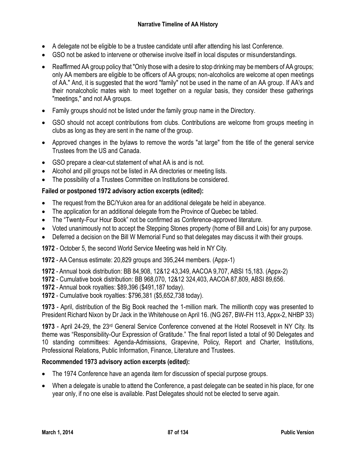- A delegate not be eligible to be a trustee candidate until after attending his last Conference.
- GSO not be asked to intervene or otherwise involve itself in local disputes or misunderstandings.
- Reaffirmed AA group policy that "Only those with a desire to stop drinking may be members of AA groups; only AA members are eligible to be officers of AA groups; non-alcoholics are welcome at open meetings of AA." And, it is suggested that the word "family" not be used in the name of an AA group. If AA's and their nonalcoholic mates wish to meet together on a regular basis, they consider these gatherings "meetings," and not AA groups.
- Family groups should not be listed under the family group name in the Directory.
- GSO should not accept contributions from clubs. Contributions are welcome from groups meeting in clubs as long as they are sent in the name of the group.
- Approved changes in the bylaws to remove the words "at large" from the title of the general service Trustees from the US and Canada.
- GSO prepare a clear-cut statement of what AA is and is not.
- Alcohol and pill groups not be listed in AA directories or meeting lists.
- The possibility of a Trustees Committee on Institutions be considered.

## **Failed or postponed 1972 advisory action excerpts (edited):**

- The request from the BC/Yukon area for an additional delegate be held in abeyance.
- The application for an additional delegate from the Province of Quebec be tabled.
- The "Twenty-Four Hour Book" not be confirmed as Conference-approved literature.
- Voted unanimously not to accept the Stepping Stones property (home of Bill and Lois) for any purpose.
- Deferred a decision on the Bill W Memorial Fund so that delegates may discuss it with their groups.

**1972** - October 5, the second World Service Meeting was held in NY City.

**1972** - AA Census estimate: 20,829 groups and 395,244 members. (Appx-1)

- **1972** Annual book distribution: BB 84,908, 12&12 43,349, AACOA 9,707, ABSI 15,183. (Appx-2)
- **1972** Cumulative book distribution: BB 968,070, 12&12 324,403, AACOA 87,809, ABSI 89,656.
- **1972** Annual book royalties: \$89,396 (\$491,187 today).
- **1972** Cumulative book royalties: \$796,381 (\$5,652,738 today).

**1973** - April, distribution of the Big Book reached the 1-million mark. The millionth copy was presented to President Richard Nixon by Dr Jack in the Whitehouse on April 16. (NG 267, BW-FH 113, Appx-2, NHBP 33)

**1973** - April 24-29, the 23rd General Service Conference convened at the Hotel Roosevelt in NY City. Its theme was "Responsibility-Our Expression of Gratitude." The final report listed a total of 90 Delegates and 10 standing committees: Agenda-Admissions, Grapevine, Policy, Report and Charter, Institutions, Professional Relations, Public Information, Finance, Literature and Trustees.

#### **Recommended 1973 advisory action excerpts (edited):**

- The 1974 Conference have an agenda item for discussion of special purpose groups.
- When a delegate is unable to attend the Conference, a past delegate can be seated in his place, for one year only, if no one else is available. Past Delegates should not be elected to serve again.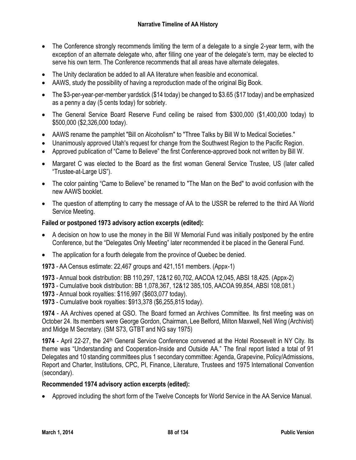- The Conference strongly recommends limiting the term of a delegate to a single 2-year term, with the exception of an alternate delegate who, after filling one year of the delegate's term, may be elected to serve his own term. The Conference recommends that all areas have alternate delegates.
- The Unity declaration be added to all AA literature when feasible and economical.
- AAWS, study the possibility of having a reproduction made of the original Big Book.
- The \$3-per-year-per-member yardstick (\$14 today) be changed to \$3.65 (\$17 today) and be emphasized as a penny a day (5 cents today) for sobriety.
- The General Service Board Reserve Fund ceiling be raised from \$300,000 (\$1,400,000 today) to \$500,000 (\$2,326,000 today).
- AAWS rename the pamphlet "Bill on Alcoholism" to "Three Talks by Bill W to Medical Societies."
- Unanimously approved Utah's request for change from the Southwest Region to the Pacific Region.
- Approved publication of "Came to Believe" the first Conference-approved book not written by Bill W.
- Margaret C was elected to the Board as the first woman General Service Trustee, US (later called "Trustee-at-Large US").
- The color painting "Came to Believe" be renamed to "The Man on the Bed" to avoid confusion with the new AAWS booklet.
- The question of attempting to carry the message of AA to the USSR be referred to the third AA World Service Meeting.

# **Failed or postponed 1973 advisory action excerpts (edited):**

- A decision on how to use the money in the Bill W Memorial Fund was initially postponed by the entire Conference, but the "Delegates Only Meeting" later recommended it be placed in the General Fund.
- The application for a fourth delegate from the province of Quebec be denied.

**1973** - AA Census estimate: 22,467 groups and 421,151 members. (Appx-1)

**1973** - Annual book distribution: BB 110,297, 12&12 60,702, AACOA 12,045, ABSI 18,425. (Appx-2)

- **1973** Cumulative book distribution: BB 1,078,367, 12&12 385,105, AACOA 99,854, ABSI 108,081.)
- **1973** Annual book royalties: \$116,997 (\$603,077 today).
- **1973** Cumulative book royalties: \$913,378 (\$6,255,815 today).

**1974** - AA Archives opened at GSO. The Board formed an Archives Committee. Its first meeting was on October 24. Its members were George Gordon, Chairman, Lee Belford, Milton Maxwell, Nell Wing (Archivist) and Midge M Secretary. (SM S73, GTBT and NG say 1975)

**1974** - April 22-27, the 24th General Service Conference convened at the Hotel Roosevelt in NY City. Its theme was "Understanding and Cooperation-Inside and Outside AA." The final report listed a total of 91 Delegates and 10 standing committees plus 1 secondary committee: Agenda, Grapevine, Policy/Admissions, Report and Charter, Institutions, CPC, PI, Finance, Literature, Trustees and 1975 International Convention (secondary).

## **Recommended 1974 advisory action excerpts (edited):**

Approved including the short form of the Twelve Concepts for World Service in the AA Service Manual.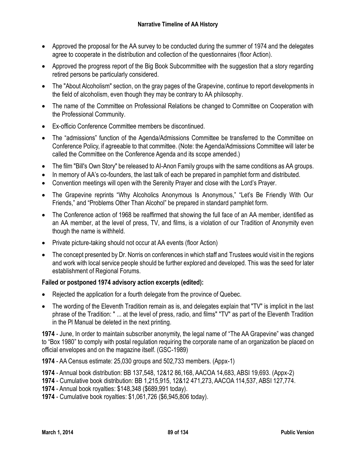- Approved the proposal for the AA survey to be conducted during the summer of 1974 and the delegates agree to cooperate in the distribution and collection of the questionnaires (floor Action).
- Approved the progress report of the Big Book Subcommittee with the suggestion that a story regarding retired persons be particularly considered.
- The "About Alcoholism" section, on the gray pages of the Grapevine, continue to report developments in the field of alcoholism, even though they may be contrary to AA philosophy.
- The name of the Committee on Professional Relations be changed to Committee on Cooperation with the Professional Community.
- Ex-officio Conference Committee members be discontinued.
- The "admissions" function of the Agenda/Admissions Committee be transferred to the Committee on Conference Policy, if agreeable to that committee. (Note: the Agenda/Admissions Committee will later be called the Committee on the Conference Agenda and its scope amended.)
- The film "Bill's Own Story" be released to AI-Anon Family groups with the same conditions as AA groups.
- In memory of AA's co-founders, the last talk of each be prepared in pamphlet form and distributed.
- Convention meetings will open with the Serenity Prayer and close with the Lord's Prayer.
- The Grapevine reprints "Why Alcoholics Anonymous Is Anonymous," "Let's Be Friendly With Our Friends," and "Problems Other Than Alcohol" be prepared in standard pamphlet form.
- The Conference action of 1968 be reaffirmed that showing the full face of an AA member, identified as an AA member, at the level of press, TV, and films, is a violation of our Tradition of Anonymity even though the name is withheld.
- Private picture-taking should not occur at AA events (floor Action)
- The concept presented by Dr. Norris on conferences in which staff and Trustees would visit in the regions and work with local service people should be further explored and developed. This was the seed for later establishment of Regional Forums.

## **Failed or postponed 1974 advisory action excerpts (edited):**

- Rejected the application for a fourth delegate from the province of Quebec.
- The wording of the Eleventh Tradition remain as is, and delegates explain that "TV" is implicit in the last phrase of the Tradition: " ... at the level of press, radio, and films" "TV" as part of the Eleventh Tradition in the Pl Manual be deleted in the next printing.

**1974** - June, In order to maintain subscriber anonymity, the legal name of "The AA Grapevine" was changed to "Box 1980" to comply with postal regulation requiring the corporate name of an organization be placed on official envelopes and on the magazine itself. (GSC-1989)

**1974** - AA Census estimate: 25,030 groups and 502,733 members. (Appx-1)

**1974** - Annual book distribution: BB 137,548, 12&12 86,168, AACOA 14,683, ABSI 19,693. (Appx-2)

**1974** - Cumulative book distribution: BB 1,215,915, 12&12 471,273, AACOA 114,537, ABSI 127,774.

**1974** - Annual book royalties: \$148,348 (\$689,991 today).

**1974** - Cumulative book royalties: \$1,061,726 (\$6,945,806 today).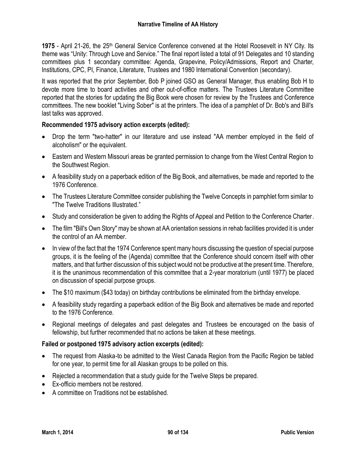**1975** - April 21-26, the 25<sup>th</sup> General Service Conference convened at the Hotel Roosevelt in NY City. Its theme was "Unity: Through Love and Service." The final report listed a total of 91 Delegates and 10 standing committees plus 1 secondary committee: Agenda, Grapevine, Policy/Admissions, Report and Charter, Institutions, CPC, PI, Finance, Literature, Trustees and 1980 International Convention (secondary).

It was reported that the prior September, Bob P joined GSO as General Manager, thus enabling Bob H to devote more time to board activities and other out-of-office matters. The Trustees Literature Committee reported that the stories for updating the Big Book were chosen for review by the Trustees and Conference committees. The new booklet "Living Sober" is at the printers. The idea of a pamphlet of Dr. Bob's and Bill's last talks was approved.

## **Recommended 1975 advisory action excerpts (edited):**

- Drop the term "two-hatter" in our literature and use instead "AA member employed in the field of alcoholism" or the equivalent.
- Eastern and Western Missouri areas be granted permission to change from the West Central Region to the Southwest Region.
- A feasibility study on a paperback edition of the Big Book, and alternatives, be made and reported to the 1976 Conference.
- The Trustees Literature Committee consider publishing the Twelve Concepts in pamphlet form similar to "The Twelve Traditions Illustrated."
- Study and consideration be given to adding the Rights of Appeal and Petition to the Conference Charter.
- The film "Bill's Own Story" may be shown at AA orientation sessions in rehab facilities provided it is under the control of an AA member.
- In view of the fact that the 1974 Conference spent many hours discussing the question of special purpose groups, it is the feeling of the (Agenda) committee that the Conference should concern itself with other matters, and that further discussion of this subject would not be productive at the present time. Therefore, it is the unanimous recommendation of this committee that a 2-year moratorium (until 1977) be placed on discussion of special purpose groups.
- The \$10 maximum (\$43 today) on birthday contributions be eliminated from the birthday envelope.
- A feasibility study regarding a paperback edition of the Big Book and alternatives be made and reported to the 1976 Conference.
- Regional meetings of delegates and past delegates and Trustees be encouraged on the basis of fellowship, but further recommended that no actions be taken at these meetings.

#### **Failed or postponed 1975 advisory action excerpts (edited):**

- The request from Alaska-to be admitted to the West Canada Region from the Pacific Region be tabled for one year, to permit time for all Alaskan groups to be polled on this.
- Rejected a recommendation that a study guide for the Twelve Steps be prepared.
- Ex-officio members not be restored.
- A committee on Traditions not be established.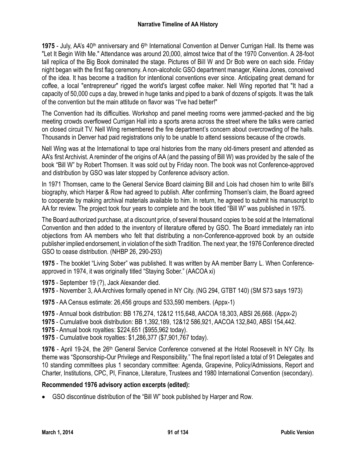1975 - July, AA's 40<sup>th</sup> anniversary and 6<sup>th</sup> International Convention at Denver Currigan Hall. Its theme was "Let It Begin With Me." Attendance was around 20,000, almost twice that of the 1970 Convention. A 28-foot tall replica of the Big Book dominated the stage. Pictures of Bill W and Dr Bob were on each side. Friday night began with the first flag ceremony. A non-alcoholic GSO department manager, Kleina Jones, conceived of the idea. It has become a tradition for intentional conventions ever since. Anticipating great demand for coffee, a local "entrepreneur" rigged the world's largest coffee maker. Nell Wing reported that "It had a capacity of 50,000 cups a day, brewed in huge tanks and piped to a bank of dozens of spigots. It was the talk of the convention but the main attitude on flavor was "I've had better!"

The Convention had its difficulties. Workshop and panel meeting rooms were jammed-packed and the big meeting crowds overflowed Currigan Hall into a sports arena across the street where the talks were carried on closed circuit TV. Nell Wing remembered the fire department's concern about overcrowding of the halls. Thousands in Denver had paid registrations only to be unable to attend sessions because of the crowds.

Nell Wing was at the International to tape oral histories from the many old-timers present and attended as AA's first Archivist. A reminder of the origins of AA (and the passing of Bill W) was provided by the sale of the book "Bill W" by Robert Thomsen. It was sold out by Friday noon. The book was not Conference-approved and distribution by GSO was later stopped by Conference advisory action.

In 1971 Thomsen, came to the General Service Board claiming Bill and Lois had chosen him to write Bill's biography, which Harper & Row had agreed to publish. After confirming Thomsen's claim, the Board agreed to cooperate by making archival materials available to him. In return, he agreed to submit his manuscript to AA for review. The project took four years to complete and the book titled "Bill W" was published in 1975.

The Board authorized purchase, at a discount price, of several thousand copies to be sold at the International Convention and then added to the inventory of literature offered by GSO. The Board immediately ran into objections from AA members who felt that distributing a non-Conference-approved book by an outside publisher implied endorsement, in violation of the sixth Tradition. The next year, the 1976 Conference directed GSO to cease distribution. (NHBP 26, 290-293)

**1975** - The booklet "Living Sober" was published. It was written by AA member Barry L. When Conferenceapproved in 1974, it was originally titled "Staying Sober." (AACOA xi)

**1975** - September 19 (?), Jack Alexander died.

- **1975** November 3, AA Archives formally opened in NY City. (NG 294, GTBT 140) (SM S73 says 1973)
- **1975** AA Census estimate: 26,456 groups and 533,590 members. (Appx-1)
- **1975** Annual book distribution: BB 176,274, 12&12 115,648, AACOA 18,303, ABSI 26,668. (Appx-2)
- **1975** Cumulative book distribution: BB 1,392,189, 12&12 586,921, AACOA 132,840, ABSI 154,442.
- **1975** Annual book royalties: \$224,651 (\$955,962 today).
- **1975** Cumulative book royalties: \$1,286,377 (\$7,901,767 today).

1976 - April 19-24, the 26<sup>th</sup> General Service Conference convened at the Hotel Roosevelt in NY City. Its theme was "Sponsorship-Our Privilege and Responsibility." The final report listed a total of 91 Delegates and 10 standing committees plus 1 secondary committee: Agenda, Grapevine, Policy/Admissions, Report and Charter, Institutions, CPC, PI, Finance, Literature, Trustees and 1980 International Convention (secondary).

## **Recommended 1976 advisory action excerpts (edited):**

GSO discontinue distribution of the "Bill W" book published by Harper and Row.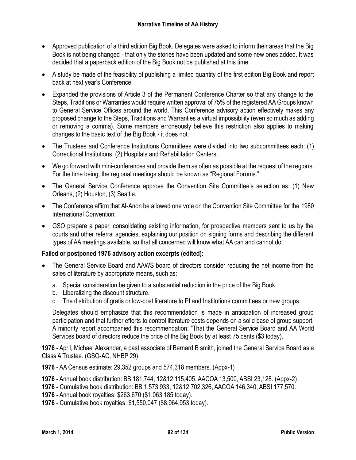- Approved publication of a third edition Big Book. Delegates were asked to inform their areas that the Big Book is not being changed - that only the stories have been updated and some new ones added. It was decided that a paperback edition of the Big Book not be published at this time.
- A study be made of the feasibility of publishing a limited quantity of the first edition Big Book and report back at next year's Conference.
- Expanded the provisions of Article 3 of the Permanent Conference Charter so that any change to the Steps, Traditions or Warranties would require written approval of 75% of the registered AA Groups known to General Service Offices around the world. This Conference advisory action effectively makes any proposed change to the Steps, Traditions and Warranties a virtual impossibility (even so much as adding or removing a comma). Some members erroneously believe this restriction also applies to making changes to the basic text of the Big Book - it does not.
- The Trustees and Conference Institutions Committees were divided into two subcommittees each: (1) Correctional Institutions, (2) Hospitals and Rehabilitation Centers.
- We go forward with mini-conferences and provide them as often as possible at the request of the regions. For the time being, the regional meetings should be known as "Regional Forums."
- The General Service Conference approve the Convention Site Committee's selection as: (1) New Orleans, (2) Houston, (3) Seattle.
- The Conference affirm that Al-Anon be allowed one vote on the Convention Site Committee for the 1980 International Convention.
- GSO prepare a paper, consolidating existing information, for prospective members sent to us by the courts and other referral agencies, explaining our position on signing forms and describing the different types of AA meetings available, so that all concerned will know what AA can and cannot do.

# **Failed or postponed 1976 advisory action excerpts (edited):**

- The General Service Board and AAWS board of directors consider reducing the net income from the sales of literature by appropriate means, such as:
	- a. Special consideration be given to a substantial reduction in the price of the Big Book.
	- b. Liberalizing the discount structure.
	- c. The distribution of gratis or low-cost literature to PI and Institutions committees or new groups.

Delegates should emphasize that this recommendation is made in anticipation of increased group participation and that further efforts to control literature costs depends on a solid base of group support. A minority report accompanied this recommendation: "That the General Service Board and AA World Services board of directors reduce the price of the Big Book by at least 75 cents (\$3 today).

**1976** - April, Michael Alexander, a past associate of Bernard B smith, joined the General Service Board as a Class A Trustee. (GSO-AC, NHBP 29)

- **1976** AA Census estimate: 29,352 groups and 574,318 members. (Appx-1)
- **1976** Annual book distribution: BB 181,744, 12&12 115,405, AACOA 13,500, ABSI 23,128. (Appx-2)
- **1976** Cumulative book distribution: BB 1,573,933, 12&12 702,326, AACOA 146,340, ABSI 177,570.
- **1976** Annual book royalties: \$263,670 (\$1,063,185 today).
- **1976** Cumulative book royalties: \$1,550,047 (\$8,964,953 today).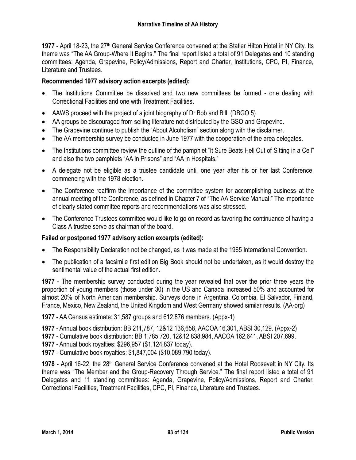**1977** - April 18-23, the 27<sup>th</sup> General Service Conference convened at the Statler Hilton Hotel in NY City. Its theme was "The AA Group-Where It Begins." The final report listed a total of 91 Delegates and 10 standing committees: Agenda, Grapevine, Policy/Admissions, Report and Charter, Institutions, CPC, PI, Finance, Literature and Trustees.

# **Recommended 1977 advisory action excerpts (edited):**

- The Institutions Committee be dissolved and two new committees be formed one dealing with Correctional Facilities and one with Treatment Facilities.
- AAWS proceed with the project of a joint biography of Dr Bob and Bill. (DBGO 5)
- AA groups be discouraged from selling literature not distributed by the GSO and Grapevine.
- The Grapevine continue to publish the "About Alcoholism" section along with the disclaimer.
- The AA membership survey be conducted in June 1977 with the cooperation of the area delegates.
- The Institutions committee review the outline of the pamphlet "It Sure Beats Hell Out of Sitting in a Cell" and also the two pamphlets "AA in Prisons" and "AA in Hospitals."
- A delegate not be eligible as a trustee candidate until one year after his or her last Conference, commencing with the 1978 election.
- The Conference reaffirm the importance of the committee system for accomplishing business at the annual meeting of the Conference, as defined in Chapter 7 of "The AA Service Manual." The importance of clearly stated committee reports and recommendations was also stressed.
- The Conference Trustees committee would like to go on record as favoring the continuance of having a Class A trustee serve as chairman of the board.

## **Failed or postponed 1977 advisory action excerpts (edited):**

- The Responsibility Declaration not be changed, as it was made at the 1965 International Convention.
- The publication of a facsimile first edition Big Book should not be undertaken, as it would destroy the sentimental value of the actual first edition.

**1977** - The membership survey conducted during the year revealed that over the prior three years the proportion of young members (those under 30) in the US and Canada increased 50% and accounted for almost 20% of North American membership. Surveys done in Argentina, Colombia, El Salvador, Finland, France, Mexico, New Zealand, the United Kingdom and West Germany showed similar results. (AA-org)

**1977** - AA Census estimate: 31,587 groups and 612,876 members. (Appx-1)

**1977** - Annual book distribution: BB 211,787, 12&12 136,658, AACOA 16,301, ABSI 30,129. (Appx-2)

**1977** - Cumulative book distribution: BB 1,785,720, 12&12 838,984, AACOA 162,641, ABSI 207,699.

**1977** - Annual book royalties: \$296,957 (\$1,124,837 today).

**1977** - Cumulative book royalties: \$1,847,004 (\$10,089,790 today).

1978 - April 16-22, the 28<sup>th</sup> General Service Conference convened at the Hotel Roosevelt in NY City. Its theme was "The Member and the Group-Recovery Through Service." The final report listed a total of 91 Delegates and 11 standing committees: Agenda, Grapevine, Policy/Admissions, Report and Charter, Correctional Facilities, Treatment Facilities, CPC, PI, Finance, Literature and Trustees.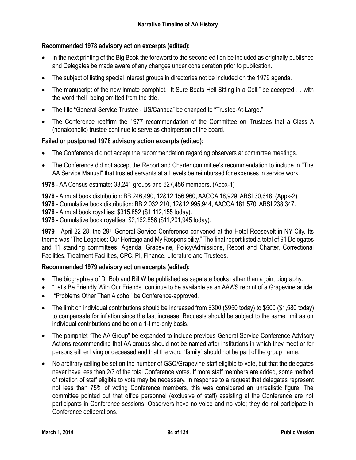# **Recommended 1978 advisory action excerpts (edited):**

- In the next printing of the Big Book the foreword to the second edition be included as originally published and Delegates be made aware of any changes under consideration prior to publication.
- The subject of listing special interest groups in directories not be included on the 1979 agenda.
- The manuscript of the new inmate pamphlet, "It Sure Beats Hell Sitting in a Cell," be accepted … with the word "hell" being omitted from the title.
- The title "General Service Trustee US/Canada" be changed to "Trustee-At-Large."
- The Conference reaffirm the 1977 recommendation of the Committee on Trustees that a Class A (nonalcoholic) trustee continue to serve as chairperson of the board.

# **Failed or postponed 1978 advisory action excerpts (edited):**

- The Conference did not accept the recommendation regarding observers at committee meetings.
- The Conference did not accept the Report and Charter committee's recommendation to include in "The AA Service Manual" that trusted servants at all levels be reimbursed for expenses in service work.

**1978** - AA Census estimate: 33,241 groups and 627,456 members. (Appx-1)

**1978** - Annual book distribution: BB 246,490, 12&12 156,960, AACOA 18,929, ABSI 30,648. (Appx-2)

**1978** - Cumulative book distribution: BB 2,032,210, 12&12 995,944, AACOA 181,570, ABSI 238,347.

**1978** - Annual book royalties: \$315,852 (\$1,112,155 today).

**1978** - Cumulative book royalties: \$2,162,856 (\$11,201,945 today).

1979 - April 22-28, the 29th General Service Conference convened at the Hotel Roosevelt in NY City. Its theme was "The Legacies: Our Heritage and My Responsibility." The final report listed a total of 91 Delegates and 11 standing committees: Agenda, Grapevine, Policy/Admissions, Report and Charter, Correctional Facilities, Treatment Facilities, CPC, PI, Finance, Literature and Trustees.

## **Recommended 1979 advisory action excerpts (edited):**

- The biographies of Dr Bob and Bill W be published as separate books rather than a joint biography.
- "Let's Be Friendly With Our Friends" continue to be available as an AAWS reprint of a Grapevine article.
- "Problems Other Than Alcohol" be Conference-approved.
- The limit on individual contributions should be increased from \$300 (\$950 today) to \$500 (\$1,580 today) to compensate for inflation since the last increase. Bequests should be subject to the same limit as on individual contributions and be on a 1-time-only basis.
- The pamphlet "The AA Group" be expanded to include previous General Service Conference Advisory Actions recommending that AA groups should not be named after institutions in which they meet or for persons either living or deceased and that the word "family" should not be part of the group name.
- No arbitrary ceiling be set on the number of GSO/Grapevine staff eligible to vote, but that the delegates never have less than 2/3 of the total Conference votes. If more staff members are added, some method of rotation of staff eligible to vote may be necessary. In response to a request that delegates represent not less than 75% of voting Conference members, this was considered an unrealistic figure. The committee pointed out that office personnel (exclusive of staff) assisting at the Conference are not participants in Conference sessions. Observers have no voice and no vote; they do not participate in Conference deliberations.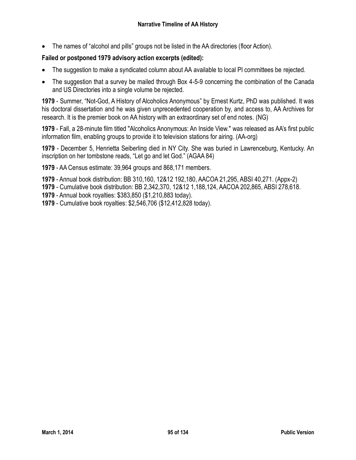The names of "alcohol and pills" groups not be listed in the AA directories (floor Action).

# **Failed or postponed 1979 advisory action excerpts (edited):**

- The suggestion to make a syndicated column about AA available to local PI committees be rejected.
- The suggestion that a survey be mailed through Box 4-5-9 concerning the combination of the Canada and US Directories into a single volume be rejected.

**1979** - Summer, "Not-God, A History of Alcoholics Anonymous" by Ernest Kurtz, PhD was published. It was his doctoral dissertation and he was given unprecedented cooperation by, and access to, AA Archives for research. It is the premier book on AA history with an extraordinary set of end notes. (NG)

**1979** - Fall, a 28-minute film titled "Alcoholics Anonymous: An Inside View." was released as AA's first public information film, enabling groups to provide it to television stations for airing. (AA-org)

**1979** - December 5, Henrietta Seiberling died in NY City. She was buried in Lawrenceburg, Kentucky. An inscription on her tombstone reads, "Let go and let God." (AGAA 84)

**1979** - AA Census estimate: 39,964 groups and 868,171 members.

- **1979** Annual book distribution: BB 310,160, 12&12 192,180, AACOA 21,295, ABSI 40,271. (Appx-2)
- **1979** Cumulative book distribution: BB 2,342,370, 12&12 1,188,124, AACOA 202,865, ABSI 278,618.
- **1979** Annual book royalties: \$383,850 (\$1,210,883 today).
- **1979** Cumulative book royalties: \$2,546,706 (\$12,412,828 today).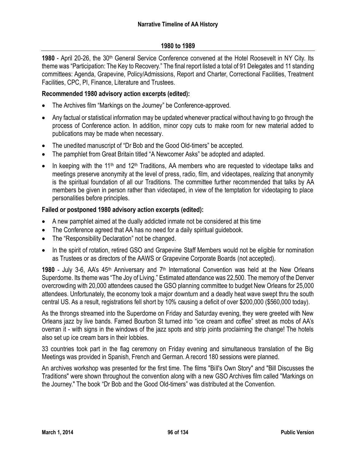#### **1980 to 1989**

**1980** - April 20-26, the 30th General Service Conference convened at the Hotel Roosevelt in NY City. Its theme was "Participation: The Key to Recovery." The final report listed a total of 91 Delegates and 11 standing committees: Agenda, Grapevine, Policy/Admissions, Report and Charter, Correctional Facilities, Treatment Facilities, CPC, PI, Finance, Literature and Trustees.

#### **Recommended 1980 advisory action excerpts (edited):**

- The Archives film "Markings on the Journey" be Conference-approved.
- Any factual or statistical information may be updated whenever practical without having to go through the process of Conference action. In addition, minor copy cuts to make room for new material added to publications may be made when necessary.
- The unedited manuscript of "Dr Bob and the Good Old-timers" be accepted.
- The pamphlet from Great Britain titled "A Newcomer Asks" be adopted and adapted.
- In keeping with the 11<sup>th</sup> and 12<sup>th</sup> Traditions, AA members who are requested to videotape talks and meetings preserve anonymity at the level of press, radio, film, and videotapes, realizing that anonymity is the spiritual foundation of all our Traditions. The committee further recommended that talks by AA members be given in person rather than videotaped, in view of the temptation for videotaping to place personalities before principles.

#### **Failed or postponed 1980 advisory action excerpts (edited):**

- A new pamphlet aimed at the dually addicted inmate not be considered at this time
- The Conference agreed that AA has no need for a daily spiritual quidebook.
- The "Responsibility Declaration" not be changed.
- In the spirit of rotation, retired GSO and Grapevine Staff Members would not be eligible for nomination as Trustees or as directors of the AAWS or Grapevine Corporate Boards (not accepted).

1980 - July 3-6, AA's 45<sup>th</sup> Anniversary and 7<sup>th</sup> International Convention was held at the New Orleans Superdome. Its theme was "The Joy of Living." Estimated attendance was 22,500. The memory of the Denver overcrowding with 20,000 attendees caused the GSO planning committee to budget New Orleans for 25,000 attendees. Unfortunately, the economy took a major downturn and a deadly heat wave swept thru the south central US. As a result, registrations fell short by 10% causing a deficit of over \$200,000 (\$560,000 today).

As the throngs streamed into the Superdome on Friday and Saturday evening, they were greeted with New Orleans jazz by live bands. Famed Bourbon St turned into "ice cream and coffee" street as mobs of AA's overran it - with signs in the windows of the jazz spots and strip joints proclaiming the change! The hotels also set up ice cream bars in their lobbies.

33 countries took part in the flag ceremony on Friday evening and simultaneous translation of the Big Meetings was provided in Spanish, French and German. A record 180 sessions were planned.

An archives workshop was presented for the first time. The films "Bill's Own Story" and "Bill Discusses the Traditions" were shown throughout the convention along with a new GSO Archives film called "Markings on the Journey." The book "Dr Bob and the Good Old-timers" was distributed at the Convention.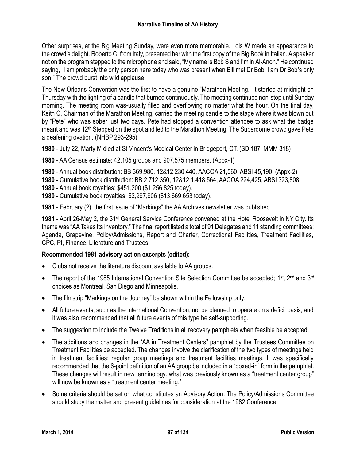Other surprises, at the Big Meeting Sunday, were even more memorable. Lois W made an appearance to the crowd's delight. Roberto C, from Italy, presented her with the first copy of the Big Book in Italian. A speaker not on the program stepped to the microphone and said, "My name is Bob S and I'm in Al-Anon." He continued saying, "I am probably the only person here today who was present when Bill met Dr Bob. I am Dr Bob's only son!" The crowd burst into wild applause.

The New Orleans Convention was the first to have a genuine "Marathon Meeting." It started at midnight on Thursday with the lighting of a candle that burned continuously. The meeting continued non-stop until Sunday morning. The meeting room was-usually filled and overflowing no matter what the hour. On the final day, Keith C, Chairman of the Marathon Meeting, carried the meeting candle to the stage where it was blown out by "Pete" who was sober just two days. Pete had stopped a convention attendee to ask what the badge meant and was 12<sup>th</sup> Stepped on the spot and led to the Marathon Meeting. The Superdome crowd gave Pete a deafening ovation. (NHBP 293-295)

**1980** - July 22, Marty M died at St Vincent's Medical Center in Bridgeport, CT. (SD 187, MMM 318)

**1980** - AA Census estimate: 42,105 groups and 907,575 members. (Appx-1)

- **1980** Annual book distribution: BB 369,980, 12&12 230,440, AACOA 21,560, ABSI 45,190. (Appx-2)
- **1980** Cumulative book distribution: BB 2,712,350, 12&12 1,418,564, AACOA 224,425, ABSI 323,808.
- **1980** Annual book royalties: \$451,200 (\$1,256,825 today).
- **1980** Cumulative book royalties: \$2,997,906 (\$13,669,653 today).

**1981** - February (?), the first issue of "Markings" the AA Archives newsletter was published.

**1981** - April 26-May 2, the 31st General Service Conference convened at the Hotel Roosevelt in NY City. Its theme was "AA Takes Its Inventory." The final report listed a total of 91 Delegates and 11 standing committees: Agenda, Grapevine, Policy/Admissions, Report and Charter, Correctional Facilities, Treatment Facilities, CPC, PI, Finance, Literature and Trustees.

## **Recommended 1981 advisory action excerpts (edited):**

- Clubs not receive the literature discount available to AA groups.
- The report of the 1985 International Convention Site Selection Committee be accepted; 1<sup>st</sup>, 2<sup>nd</sup> and 3<sup>rd</sup> choices as Montreal, San Diego and Minneapolis.
- The filmstrip "Markings on the Journey" be shown within the Fellowship only.
- All future events, such as the International Convention, not be planned to operate on a deficit basis, and it was also recommended that all future events of this type be self-supporting.
- The suggestion to include the Twelve Traditions in all recovery pamphlets when feasible be accepted.
- The additions and changes in the "AA in Treatment Centers" pamphlet by the Trustees Committee on Treatment Facilities be accepted. The changes involve the clarification of the two types of meetings held in treatment facilities: regular group meetings and treatment facilities meetings. It was specifically recommended that the 6-point definition of an AA group be included in a "boxed-in" form in the pamphlet. These changes will result in new terminology, what was previously known as a "treatment center group" will now be known as a "treatment center meeting."
- Some criteria should be set on what constitutes an Advisory Action. The Policy/Admissions Committee should study the matter and present guidelines for consideration at the 1982 Conference.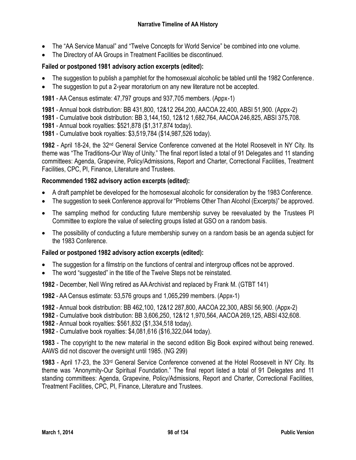- The "AA Service Manual" and "Twelve Concepts for World Service" be combined into one volume.
- The Directory of AA Groups in Treatment Facilities be discontinued.

# **Failed or postponed 1981 advisory action excerpts (edited):**

- The suggestion to publish a pamphlet for the homosexual alcoholic be tabled until the 1982 Conference.
- The suggestion to put a 2-year moratorium on any new literature not be accepted.

**1981** - AA Census estimate: 47,797 groups and 937,705 members. (Appx-1)

**1981** - Annual book distribution: BB 431,800, 12&12 264,200, AACOA 22,400, ABSI 51,900. (Appx-2)

**1981** - Cumulative book distribution: BB 3,144,150, 12&12 1,682,764, AACOA 246,825, ABSI 375,708.

**1981** - Annual book royalties: \$521,878 (\$1,317,874 today).

**1981** - Cumulative book royalties: \$3,519,784 (\$14,987,526 today).

**1982** - April 18-24, the 32nd General Service Conference convened at the Hotel Roosevelt in NY City. Its theme was "The Traditions-Our Way of Unity." The final report listed a total of 91 Delegates and 11 standing committees: Agenda, Grapevine, Policy/Admissions, Report and Charter, Correctional Facilities, Treatment Facilities, CPC, PI, Finance, Literature and Trustees.

## **Recommended 1982 advisory action excerpts (edited):**

- A draft pamphlet be developed for the homosexual alcoholic for consideration by the 1983 Conference.
- The suggestion to seek Conference approval for "Problems Other Than Alcohol (Excerpts)" be approved.
- The sampling method for conducting future membership survey be reevaluated by the Trustees PI Committee to explore the value of selecting groups listed at GSO on a random basis.
- The possibility of conducting a future membership survey on a random basis be an agenda subject for the 1983 Conference.

## **Failed or postponed 1982 advisory action excerpts (edited):**

- The suggestion for a filmstrip on the functions of central and intergroup offices not be approved.
- The word "suggested" in the title of the Twelve Steps not be reinstated.

**1982** - December, Nell Wing retired as AA Archivist and replaced by Frank M. (GTBT 141)

**1982** - AA Census estimate: 53,576 groups and 1,065,299 members. (Appx-1)

**1982** - Annual book distribution: BB 462,100, 12&12 287,800, AACOA 22,300, ABSI 56,900. (Appx-2)

**1982** - Cumulative book distribution: BB 3,606,250, 12&12 1,970,564, AACOA 269,125, ABSI 432,608.

**1982** - Annual book royalties: \$561,832 (\$1,334,518 today).

**1982** - Cumulative book royalties: \$4,081,616 (\$16,322,044 today).

**1983** - The copyright to the new material in the second edition Big Book expired without being renewed. AAWS did not discover the oversight until 1985. (NG 299)

**1983** - April 17-23, the 33rd General Service Conference convened at the Hotel Roosevelt in NY City. Its theme was "Anonymity-Our Spiritual Foundation." The final report listed a total of 91 Delegates and 11 standing committees: Agenda, Grapevine, Policy/Admissions, Report and Charter, Correctional Facilities, Treatment Facilities, CPC, PI, Finance, Literature and Trustees.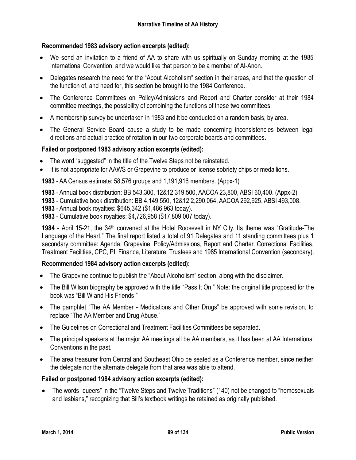# **Recommended 1983 advisory action excerpts (edited):**

- We send an invitation to a friend of AA to share with us spiritually on Sunday morning at the 1985 International Convention; and we would like that person to be a member of Al-Anon.
- Delegates research the need for the "About Alcoholism" section in their areas, and that the question of the function of, and need for, this section be brought to the 1984 Conference.
- The Conference Committees on Policy/Admissions and Report and Charter consider at their 1984 committee meetings, the possibility of combining the functions of these two committees.
- A membership survey be undertaken in 1983 and it be conducted on a random basis, by area.
- The General Service Board cause a study to be made concerning inconsistencies between legal directions and actual practice of rotation in our two corporate boards and committees.

# **Failed or postponed 1983 advisory action excerpts (edited):**

- The word "suggested" in the title of the Twelve Steps not be reinstated.
- It is not appropriate for AAWS or Grapevine to produce or license sobriety chips or medallions.

**1983** - AA Census estimate: 58,576 groups and 1,191,916 members. (Appx-1)

**1983** - Annual book distribution: BB 543,300, 12&12 319,500, AACOA 23,800, ABSI 60,400. (Appx-2)

**1983** - Cumulative book distribution: BB 4,149,550, 12&12 2,290,064, AACOA 292,925, ABSI 493,008.

**1983** - Annual book royalties: \$645,342 (\$1,486,963 today).

**1983** - Cumulative book royalties: \$4,726,958 (\$17,809,007 today).

**1984** - April 15-21, the 34th convened at the Hotel Roosevelt in NY City. Its theme was "Gratitude-The Language of the Heart." The final report listed a total of 91 Delegates and 11 standing committees plus 1 secondary committee: Agenda, Grapevine, Policy/Admissions, Report and Charter, Correctional Facilities, Treatment Facilities, CPC, PI, Finance, Literature, Trustees and 1985 International Convention (secondary).

## **Recommended 1984 advisory action excerpts (edited):**

- The Grapevine continue to publish the "About Alcoholism" section, along with the disclaimer.
- The Bill Wilson biography be approved with the title "Pass It On." Note: the original title proposed for the book was "Bill W and His Friends."
- The pamphlet "The AA Member Medications and Other Drugs" be approved with some revision, to replace "The AA Member and Drug Abuse."
- The Guidelines on Correctional and Treatment Facilities Committees be separated.
- The principal speakers at the major AA meetings all be AA members, as it has been at AA International Conventions in the past.
- The area treasurer from Central and Southeast Ohio be seated as a Conference member, since neither the delegate nor the alternate delegate from that area was able to attend.

## **Failed or postponed 1984 advisory action excerpts (edited):**

 The words "queers" in the "Twelve Steps and Twelve Traditions" (140) not be changed to "homosexuals and lesbians," recognizing that Bill's textbook writings be retained as originally published.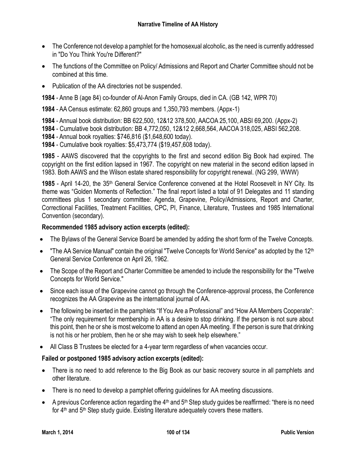- The Conference not develop a pamphlet for the homosexual alcoholic, as the need is currently addressed in "Do You Think You're Different?"
- The functions of the Committee on Policy/ Admissions and Report and Charter Committee should not be combined at this time.
- Publication of the AA directories not be suspended.

**1984** - Anne B (age 84) co-founder of Al-Anon Family Groups, died in CA. (GB 142, WPR 70)

**1984** - AA Census estimate: 62,860 groups and 1,350,793 members. (Appx-1)

**1984** - Annual book distribution: BB 622,500, 12&12 378,500, AACOA 25,100, ABSI 69,200. (Appx-2)

**1984** - Cumulative book distribution: BB 4,772,050, 12&12 2,668,564, AACOA 318,025, ABSI 562,208.

**1984** - Annual book royalties: \$746,816 (\$1,648,600 today).

**1984** - Cumulative book royalties: \$5,473,774 (\$19,457,608 today).

**1985** - AAWS discovered that the copyrights to the first and second edition Big Book had expired. The copyright on the first edition lapsed in 1967. The copyright on new material in the second edition lapsed in 1983. Both AAWS and the Wilson estate shared responsibility for copyright renewal. (NG 299, WWW)

**1985** - April 14-20, the 35th General Service Conference convened at the Hotel Roosevelt in NY City. Its theme was "Golden Moments of Reflection." The final report listed a total of 91 Delegates and 11 standing committees plus 1 secondary committee: Agenda, Grapevine, Policy/Admissions, Report and Charter, Correctional Facilities, Treatment Facilities, CPC, PI, Finance, Literature, Trustees and 1985 International Convention (secondary).

## **Recommended 1985 advisory action excerpts (edited):**

- The Bylaws of the General Service Board be amended by adding the short form of the Twelve Concepts.
- "The AA Service Manual" contain the original "Twelve Concepts for World Service" as adopted by the 12<sup>th</sup> General Service Conference on April 26, 1962.
- The Scope of the Report and Charter Committee be amended to include the responsibility for the "Twelve Concepts for World Service."
- Since each issue of the Grapevine cannot go through the Conference-approval process, the Conference recognizes the AA Grapevine as the international journal of AA.
- The following be inserted in the pamphlets "If You Are a Professional" and "How AA Members Cooperate": "The only requirement for membership in AA is a desire to stop drinking. If the person is not sure about this point, then he or she is most welcome to attend an open AA meeting. If the person is sure that drinking is not his or her problem, then he or she may wish to seek help elsewhere."
- All Class B Trustees be elected for a 4-year term regardless of when vacancies occur.

## **Failed or postponed 1985 advisory action excerpts (edited):**

- There is no need to add reference to the Big Book as our basic recovery source in all pamphlets and other literature.
- There is no need to develop a pamphlet offering guidelines for AA meeting discussions.
- A previous Conference action regarding the  $4<sup>th</sup>$  and  $5<sup>th</sup>$  Step study guides be reaffirmed: "there is no need for 4<sup>th</sup> and 5<sup>th</sup> Step study guide. Existing literature adequately covers these matters.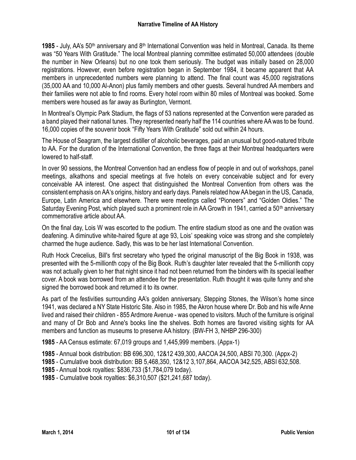1985 - July, AA's 50<sup>th</sup> anniversary and 8<sup>th</sup> International Convention was held in Montreal, Canada. Its theme was "50 Years With Gratitude." The local Montreal planning committee estimated 50,000 attendees (double the number in New Orleans) but no one took them seriously. The budget was initially based on 28,000 registrations. However, even before registration began in September 1984, it became apparent that AA members in unprecedented numbers were planning to attend. The final count was 45,000 registrations (35,000 AA and 10,000 Al-Anon) plus family members and other guests. Several hundred AA members and their families were not able to find rooms. Every hotel room within 80 miles of Montreal was booked. Some members were housed as far away as Burlington, Vermont.

In Montreal's Olympic Park Stadium, the flags of 53 nations represented at the Convention were paraded as a band played their national tunes. They represented nearly half the 114 countries where AA was to be found. 16,000 copies of the souvenir book "Fifty Years With Gratitude" sold out within 24 hours.

The House of Seagram, the largest distiller of alcoholic beverages, paid an unusual but good-natured tribute to AA. For the duration of the International Convention, the three flags at their Montreal headquarters were lowered to half-staff.

In over 90 sessions, the Montreal Convention had an endless flow of people in and out of workshops, panel meetings, alkathons and special meetings at five hotels on every conceivable subject and for every conceivable AA interest. One aspect that distinguished the Montreal Convention from others was the consistent emphasis on AA's origins, history and early days. Panels related how AA began in the US, Canada, Europe, Latin America and elsewhere. There were meetings called "Pioneers" and "Golden Oldies." The Saturday Evening Post, which played such a prominent role in AA Growth in 1941, carried a 50<sup>th</sup> anniversary commemorative article about AA.

On the final day, Lois W was escorted to the podium. The entire stadium stood as one and the ovation was deafening. A diminutive white-haired figure at age 93, Lois' speaking voice was strong and she completely charmed the huge audience. Sadly, this was to be her last International Convention.

Ruth Hock Crecelius, Bill's first secretary who typed the original manuscript of the Big Book in 1938, was presented with the 5-millionth copy of the Big Book. Ruth's daughter later revealed that the 5-millionth copy was not actually given to her that night since it had not been returned from the binders with its special leather cover. A book was borrowed from an attendee for the presentation. Ruth thought it was quite funny and she signed the borrowed book and returned it to its owner.

As part of the festivities surrounding AA's golden anniversary, Stepping Stones, the Wilson's home since 1941, was declared a NY State Historic Site. Also in 1985, the Akron house where Dr. Bob and his wife Anne lived and raised their children - 855 Ardmore Avenue - was opened to visitors. Much of the furniture is original and many of Dr Bob and Anne's books line the shelves. Both homes are favored visiting sights for AA members and function as museums to preserve AA history. (BW-FH 3, NHBP 296-300)

**1985** - AA Census estimate: 67,019 groups and 1,445,999 members. (Appx-1)

**1985** - Annual book distribution: BB 696,300, 12&12 439,300, AACOA 24,500, ABSI 70,300. (Appx-2)

**1985** - Cumulative book distribution: BB 5,468,350, 12&12 3,107,864, AACOA 342,525, ABSI 632,508.

**1985** - Annual book royalties: \$836,733 (\$1,784,079 today).

**1985** - Cumulative book royalties: \$6,310,507 (\$21,241,687 today).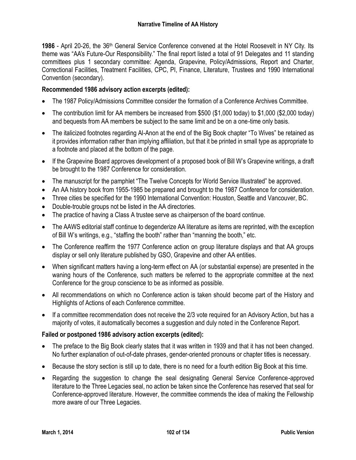**1986** - April 20-26, the 36th General Service Conference convened at the Hotel Roosevelt in NY City. Its theme was "AA's Future-Our Responsibility." The final report listed a total of 91 Delegates and 11 standing committees plus 1 secondary committee: Agenda, Grapevine, Policy/Admissions, Report and Charter, Correctional Facilities, Treatment Facilities, CPC, PI, Finance, Literature, Trustees and 1990 International Convention (secondary).

# **Recommended 1986 advisory action excerpts (edited):**

- The 1987 Policy/Admissions Committee consider the formation of a Conference Archives Committee.
- The contribution limit for AA members be increased from \$500 (\$1,000 today) to \$1,000 (\$2,000 today) and bequests from AA members be subject to the same limit and be on a one-time only basis.
- The italicized footnotes regarding Al-Anon at the end of the Big Book chapter "To Wives" be retained as it provides information rather than implying affiliation, but that it be printed in small type as appropriate to a footnote and placed at the bottom of the page.
- If the Grapevine Board approves development of a proposed book of Bill W's Grapevine writings, a draft be brought to the 1987 Conference for consideration.
- The manuscript for the pamphlet "The Twelve Concepts for World Service Illustrated" be approved.
- An AA history book from 1955-1985 be prepared and brought to the 1987 Conference for consideration.
- Three cities be specified for the 1990 International Convention: Houston, Seattle and Vancouver, BC.
- Double-trouble groups not be listed in the AA directories.
- The practice of having a Class A trustee serve as chairperson of the board continue.
- The AAWS editorial staff continue to degenderize AA literature as items are reprinted, with the exception of Bill W's writings, e.g., "staffing the booth" rather than "manning the booth," etc.
- The Conference reaffirm the 1977 Conference action on group literature displays and that AA groups display or sell only literature published by GSO, Grapevine and other AA entities.
- When significant matters having a long-term effect on AA (or substantial expense) are presented in the waning hours of the Conference, such matters be referred to the appropriate committee at the next Conference for the group conscience to be as informed as possible.
- All recommendations on which no Conference action is taken should become part of the History and Highlights of Actions of each Conference committee.
- If a committee recommendation does not receive the 2/3 vote required for an Advisory Action, but has a majority of votes, it automatically becomes a suggestion and duly noted in the Conference Report.

## **Failed or postponed 1986 advisory action excerpts (edited):**

- The preface to the Big Book clearly states that it was written in 1939 and that it has not been changed. No further explanation of out-of-date phrases, gender-oriented pronouns or chapter titles is necessary.
- Because the story section is still up to date, there is no need for a fourth edition Big Book at this time.
- Regarding the suggestion to change the seal designating General Service Conference-approved literature to the Three Legacies seal, no action be taken since the Conference has reserved that seal for Conference-approved literature. However, the committee commends the idea of making the Fellowship more aware of our Three Legacies.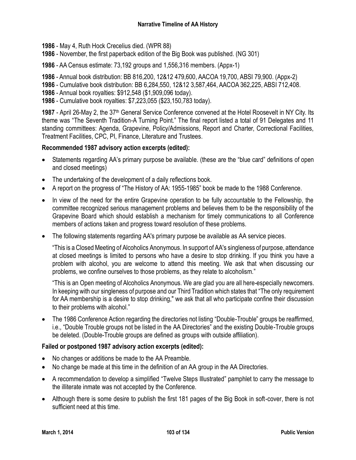**1986** - May 4, Ruth Hock Crecelius died. (WPR 88)

- **1986** November, the first paperback edition of the Big Book was published. (NG 301)
- **1986** AA Census estimate: 73,192 groups and 1,556,316 members. (Appx-1)

**1986** - Annual book distribution: BB 816,200, 12&12 479,600, AACOA 19,700, ABSI 79,900. (Appx-2)

- **1986** Cumulative book distribution: BB 6,284,550, 12&12 3,587,464, AACOA 362,225, ABSI 712,408.
- **1986** Annual book royalties: \$912,548 (\$1,909,096 today).
- **1986** Cumulative book royalties: \$7,223,055 (\$23,150,783 today).

**1987** - April 26-May 2, the 37th General Service Conference convened at the Hotel Roosevelt in NY City. Its theme was "The Seventh Tradition-A Turning Point." The final report listed a total of 91 Delegates and 11 standing committees: Agenda, Grapevine, Policy/Admissions, Report and Charter, Correctional Facilities, Treatment Facilities, CPC, PI, Finance, Literature and Trustees.

#### **Recommended 1987 advisory action excerpts (edited):**

- Statements regarding AA's primary purpose be available. (these are the "blue card" definitions of open and closed meetings)
- The undertaking of the development of a daily reflections book.
- A report on the progress of "The History of AA: 1955-1985" book be made to the 1988 Conference.
- In view of the need for the entire Grapevine operation to be fully accountable to the Fellowship, the committee recognized serious management problems and believes them to be the responsibility of the Grapevine Board which should establish a mechanism for timely communications to all Conference members of actions taken and progress toward resolution of these problems.
- The following statements regarding AA's primary purpose be available as AA service pieces.

"This is a Closed Meeting of Alcoholics Anonymous. In support of AA's singleness of purpose, attendance at closed meetings is limited to persons who have a desire to stop drinking. If you think you have a problem with alcohol, you are welcome to attend this meeting. We ask that when discussing our problems, we confine ourselves to those problems, as they relate to alcoholism."

"This is an Open meeting of Alcoholics Anonymous. We are glad you are all here-especially newcomers. In keeping with our singleness of purpose and our Third Tradition which states that "The only requirement for AA membership is a desire to stop drinking," we ask that all who participate confine their discussion to their problems with alcohol."

 The 1986 Conference Action regarding the directories not listing "Double-Trouble" groups be reaffirmed, i.e., "Double Trouble groups not be listed in the AA Directories" and the existing Double-Trouble groups be deleted. (Double-Trouble groups are defined as groups with outside affiliation).

#### **Failed or postponed 1987 advisory action excerpts (edited):**

- No changes or additions be made to the AA Preamble.
- No change be made at this time in the definition of an AA group in the AA Directories.
- A recommendation to develop a simplified "Twelve Steps Illustrated" pamphlet to carry the message to the illiterate inmate was not accepted by the Conference.
- Although there is some desire to publish the first 181 pages of the Big Book in soft-cover, there is not sufficient need at this time.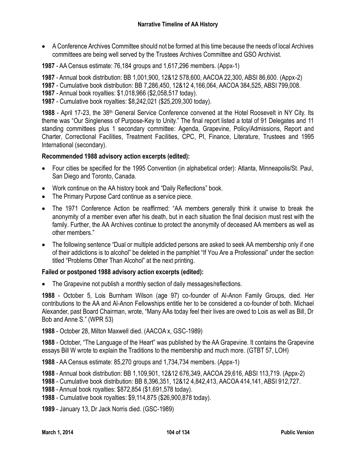- A Conference Archives Committee should not be formed at this time because the needs of local Archives committees are being well served by the Trustees Archives Committee and GSO Archivist.
- **1987** AA Census estimate: 76,184 groups and 1,617,296 members. (Appx-1)

**1987** - Annual book distribution: BB 1,001,900, 12&12 578,600, AACOA 22,300, ABSI 86,600. (Appx-2)

- **1987** Cumulative book distribution: BB 7,286,450, 12&12 4,166,064, AACOA 384,525, ABSI 799,008.
- **1987** Annual book royalties: \$1,018,966 (\$2,058,517 today).
- **1987** Cumulative book royalties: \$8,242,021 (\$25,209,300 today).

1988 - April 17-23, the 38<sup>th</sup> General Service Conference convened at the Hotel Roosevelt in NY City. Its theme was "Our Singleness of Purpose-Key to Unity." The final report listed a total of 91 Delegates and 11 standing committees plus 1 secondary committee: Agenda, Grapevine, Policy/Admissions, Report and Charter, Correctional Facilities, Treatment Facilities, CPC, PI, Finance, Literature, Trustees and 1995 International (secondary).

#### **Recommended 1988 advisory action excerpts (edited):**

- Four cities be specified for the 1995 Convention (in alphabetical order): Atlanta, Minneapolis/St. Paul, San Diego and Toronto, Canada.
- Work continue on the AA history book and "Daily Reflections" book.
- The Primary Purpose Card continue as a service piece.
- The 1971 Conference Action be reaffirmed: "AA members generally think it unwise to break the anonymity of a member even after his death, but in each situation the final decision must rest with the family. Further, the AA Archives continue to protect the anonymity of deceased AA members as well as other members."
- The following sentence "Dual or multiple addicted persons are asked to seek AA membership only if one of their addictions is to alcohol" be deleted in the pamphlet "If You Are a Professional" under the section titled "Problems Other Than Alcohol" at the next printing.

#### **Failed or postponed 1988 advisory action excerpts (edited):**

The Grapevine not publish a monthly section of daily messages/reflections.

**1988** - October 5, Lois Burnham Wilson (age 97) co-founder of Al-Anon Family Groups, died. Her contributions to the AA and Al-Anon Fellowships entitle her to be considered a co-founder of both. Michael Alexander, past Board Chairman, wrote, "Many AAs today feel their lives are owed to Lois as well as Bill, Dr Bob and Anne S." (WPR 53)

**1988** - October 28, Milton Maxwell died. (AACOA x, GSC-1989)

**1988** - October, "The Language of the Heart" was published by the AA Grapevine. It contains the Grapevine essays Bill W wrote to explain the Traditions to the membership and much more. (GTBT 57, LOH)

**1988** - AA Census estimate: 85,270 groups and 1,734,734 members. (Appx-1)

**1988** - Annual book distribution: BB 1,109,901, 12&12 676,349, AACOA 29,616, ABSI 113,719. (Appx-2)

**1988** - Cumulative book distribution: BB 8,396,351, 12&12 4,842,413, AACOA 414,141, ABSI 912,727.

- **1988** Annual book royalties: \$872,854 (\$1,691,578 today).
- **1988** Cumulative book royalties: \$9,114,875 (\$26,900,878 today).
- **1989** January 13, Dr Jack Norris died. (GSC-1989)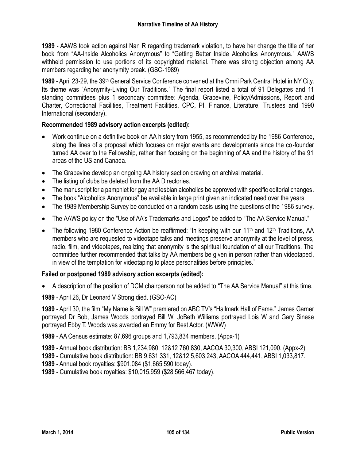**1989** - AAWS took action against Nan R regarding trademark violation, to have her change the title of her book from "AA-Inside Alcoholics Anonymous" to "Getting Better Inside Alcoholics Anonymous." AAWS withheld permission to use portions of its copyrighted material. There was strong objection among AA members regarding her anonymity break. (GSC-1989)

**1989** - April 23-29, the 39th General Service Conference convened at the Omni Park Central Hotel in NY City. Its theme was "Anonymity-Living Our Traditions." The final report listed a total of 91 Delegates and 11 standing committees plus 1 secondary committee: Agenda, Grapevine, Policy/Admissions, Report and Charter, Correctional Facilities, Treatment Facilities, CPC, PI, Finance, Literature, Trustees and 1990 International (secondary).

# **Recommended 1989 advisory action excerpts (edited):**

- Work continue on a definitive book on AA history from 1955, as recommended by the 1986 Conference, along the lines of a proposal which focuses on major events and developments since the co-founder turned AA over to the Fellowship, rather than focusing on the beginning of AA and the history of the 91 areas of the US and Canada.
- The Grapevine develop an ongoing AA history section drawing on archival material.
- The listing of clubs be deleted from the AA Directories.
- The manuscript for a pamphlet for gay and lesbian alcoholics be approved with specific editorial changes.
- The book "Alcoholics Anonymous" be available in large print given an indicated need over the years.
- The 1989 Membership Survey be conducted on a random basis using the questions of the 1986 survey.
- The AAWS policy on the "Use of AA's Trademarks and Logos" be added to "The AA Service Manual."
- The following 1980 Conference Action be reaffirmed: "In keeping with our 11<sup>th</sup> and 12<sup>th</sup> Traditions, AA members who are requested to videotape talks and meetings preserve anonymity at the level of press, radio, film, and videotapes, realizing that anonymity is the spiritual foundation of all our Traditions. The committee further recommended that talks by AA members be given in person rather than videotaped, in view of the temptation for videotaping to place personalities before principles."

## **Failed or postponed 1989 advisory action excerpts (edited):**

A description of the position of DCM chairperson not be added to "The AA Service Manual" at this time.

**1989** - April 26, Dr Leonard V Strong died. (GSO-AC)

**1989** - April 30, the film "My Name is Bill W" premiered on ABC TV's "Hallmark Hall of Fame." James Garner portrayed Dr Bob, James Woods portrayed Bill W, JoBeth Williams portrayed Lois W and Gary Sinese portrayed Ebby T. Woods was awarded an Emmy for Best Actor. (WWW)

**1989** - AA Census estimate: 87,696 groups and 1,793,834 members. (Appx-1)

- **1989** Annual book distribution: BB 1,234,980, 12&12 760,830, AACOA 30,300, ABSI 121,090. (Appx-2)
- **1989** Cumulative book distribution: BB 9,631,331, 12&12 5,603,243, AACOA 444,441, ABSI 1,033,817.
- **1989** Annual book royalties: \$901,084 (\$1,665,590 today).
- **1989** Cumulative book royalties: \$10,015,959 (\$28,566,467 today).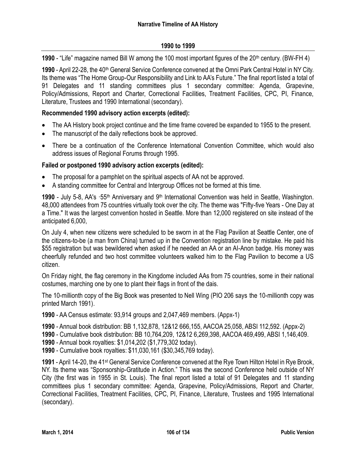#### **1990 to 1999**

**1990** - "Life" magazine named Bill W among the 100 most important figures of the 20<sup>th</sup> century. (BW-FH 4)

**1990** - April 22-28, the 40th General Service Conference convened at the Omni Park Central Hotel in NY City. Its theme was "The Home Group-Our Responsibility and Link to AA's Future." The final report listed a total of 91 Delegates and 11 standing committees plus 1 secondary committee: Agenda, Grapevine, Policy/Admissions, Report and Charter, Correctional Facilities, Treatment Facilities, CPC, PI, Finance, Literature, Trustees and 1990 International (secondary).

#### **Recommended 1990 advisory action excerpts (edited):**

- The AA History book project continue and the time frame covered be expanded to 1955 to the present.
- The manuscript of the daily reflections book be approved.
- There be a continuation of the Conference International Convention Committee, which would also address issues of Regional Forums through 1995.

#### **Failed or postponed 1990 advisory action excerpts (edited):**

- The proposal for a pamphlet on the spiritual aspects of AA not be approved.
- A standing committee for Central and Intergroup Offices not be formed at this time.

1990 - July 5-8, AA's ·55<sup>th</sup> Anniversary and 9<sup>th</sup> International Convention was held in Seattle, Washington. 48,000 attendees from 75 countries virtually took over the city. The theme was "Fifty-five Years - One Day at a Time." It was the largest convention hosted in Seattle. More than 12,000 registered on site instead of the anticipated 6,000,

On July 4, when new citizens were scheduled to be sworn in at the Flag Pavilion at Seattle Center, one of the citizens-to-be (a man from China) turned up in the Convention registration line by mistake. He paid his \$55 registration but was bewildered when asked if he needed an AA or an AI-Anon badge. His money was cheerfully refunded and two host committee volunteers walked him to the Flag Pavilion to become a US citizen.

On Friday night, the flag ceremony in the Kingdome included AAs from 75 countries, some in their national costumes, marching one by one to plant their flags in front of the dais.

The 10-millionth copy of the Big Book was presented to Nell Wing (PIO 206 says the 10-millionth copy was printed March 1991).

**1990** - AA Census estimate: 93,914 groups and 2,047,469 members. (Appx-1)

- **1990** Annual book distribution: BB 1,132,878, 12&12 666,155, AACOA 25,058, ABSI 112,592. (Appx-2)
- **1990** Cumulative book distribution: BB 10,764,209, 12&12 6,269,398, AACOA 469,499, ABSI 1,146,409.
- **1990** Annual book royalties: \$1,014,202 (\$1,779,302 today).
- **1990** Cumulative book royalties: \$11,030,161 (\$30,345,769 today).

**1991** - April 14-20, the 41st General Service Conference convened at the Rye Town Hilton Hotel in Rye Brook, NY. Its theme was "Sponsorship-Gratitude in Action." This was the second Conference held outside of NY City (the first was in 1955 in St. Louis). The final report listed a total of 91 Delegates and 11 standing committees plus 1 secondary committee: Agenda, Grapevine, Policy/Admissions, Report and Charter, Correctional Facilities, Treatment Facilities, CPC, PI, Finance, Literature, Trustees and 1995 International (secondary).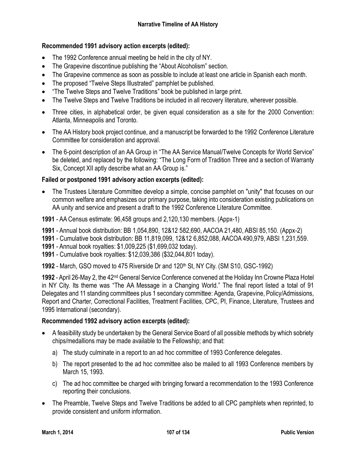# **Recommended 1991 advisory action excerpts (edited):**

- The 1992 Conference annual meeting be held in the city of NY.
- The Grapevine discontinue publishing the "About Alcoholism" section.
- The Grapevine commence as soon as possible to include at least one article in Spanish each month.
- The proposed "Twelve Steps Illustrated" pamphlet be published.
- "The Twelve Steps and Twelve Traditions" book be published in large print.
- The Twelve Steps and Twelve Traditions be included in all recovery literature, wherever possible.
- Three cities, in alphabetical order, be given equal consideration as a site for the 2000 Convention: Atlanta, Minneapolis and Toronto.
- The AA History book project continue, and a manuscript be forwarded to the 1992 Conference Literature Committee for consideration and approval.
- The 6-point description of an AA Group in "The AA Service Manual/Twelve Concepts for World Service" be deleted, and replaced by the following: "The Long Form of Tradition Three and a section of Warranty Six, Concept XII aptly describe what an AA Group is."

# **Failed or postponed 1991 advisory action excerpts (edited):**

- The Trustees Literature Committee develop a simple, concise pamphlet on "unity" that focuses on our common welfare and emphasizes our primary purpose, taking into consideration existing publications on AA unity and service and present a draft to the 1992 Conference Literature Committee.
- **1991** AA Census estimate: 96,458 groups and 2,120,130 members. (Appx-1)
- **1991** Annual book distribution: BB 1,054,890, 12&12 582,690, AACOA 21,480, ABSI 85,150. (Appx-2)
- **1991** Cumulative book distribution: BB 11,819,099, 12&12 6,852,088, AACOA 490,979, ABSI 1,231,559.
- **1991** Annual book royalties: \$1,009,225 (\$1,699,032 today).
- **1991** Cumulative book royalties: \$12,039,386 (\$32,044,801 today).
- **1992** March, GSO moved to 475 Riverside Dr and 120<sup>th</sup> St, NY City. (SM S10, GSC-1992)

**1992** - April 26-May 2, the 42nd General Service Conference convened at the Holiday Inn Crowne Plaza Hotel in NY City. Its theme was "The AA Message in a Changing World." The final report listed a total of 91 Delegates and 11 standing committees plus 1 secondary committee: Agenda, Grapevine, Policy/Admissions, Report and Charter, Correctional Facilities, Treatment Facilities, CPC, PI, Finance, Literature, Trustees and 1995 International (secondary).

## **Recommended 1992 advisory action excerpts (edited):**

- A feasibility study be undertaken by the General Service Board of all possible methods by which sobriety chips/medallions may be made available to the Fellowship; and that:
	- a) The study culminate in a report to an ad hoc committee of 1993 Conference delegates.
	- b) The report presented to the ad hoc committee also be mailed to all 1993 Conference members by March 15, 1993.
	- c) The ad hoc committee be charged with bringing forward a recommendation to the 1993 Conference reporting their conclusions.
- The Preamble, Twelve Steps and Twelve Traditions be added to all CPC pamphlets when reprinted, to provide consistent and uniform information.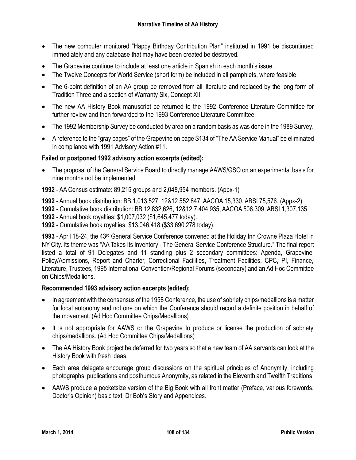- The new computer monitored "Happy Birthday Contribution Plan" instituted in 1991 be discontinued immediately and any database that may have been created be destroyed.
- The Grapevine continue to include at least one article in Spanish in each month's issue.
- The Twelve Concepts for World Service (short form) be included in all pamphlets, where feasible.
- The 6-point definition of an AA group be removed from all literature and replaced by the long form of Tradition Three and a section of Warranty Six, Concept XII.
- The new AA History Book manuscript be returned to the 1992 Conference Literature Committee for further review and then forwarded to the 1993 Conference Literature Committee.
- The 1992 Membership Survey be conducted by area on a random basis as was done in the 1989 Survey.
- A reference to the "gray pages" of the Grapevine on page S134 of "The AA Service Manual" be eliminated in compliance with 1991 Advisory Action #11.

## **Failed or postponed 1992 advisory action excerpts (edited):**

 The proposal of the General Service Board to directly manage AAWS/GSO on an experimental basis for nine months not be implemented.

**1992** - AA Census estimate: 89,215 groups and 2,048,954 members. (Appx-1)

- **1992** Annual book distribution: BB 1,013,527, 12&12 552,847, AACOA 15,330, ABSI 75,576. (Appx-2)
- **1992** Cumulative book distribution: BB 12,832,626, 12&12 7,404,935, AACOA 506,309, ABSI 1,307,135.
- **1992** Annual book royalties: \$1,007,032 (\$1,645,477 today).
- **1992** Cumulative book royalties: \$13,046,418 (\$33,690,278 today).

**1993** - April 18-24, the 43rd General Service Conference convened at the Holiday Inn Crowne Plaza Hotel in NY City. Its theme was "AA Takes Its Inventory - The General Service Conference Structure." The final report listed a total of 91 Delegates and 11 standing plus 2 secondary committees: Agenda, Grapevine, Policy/Admissions, Report and Charter, Correctional Facilities, Treatment Facilities, CPC, PI, Finance, Literature, Trustees, 1995 International Convention/Regional Forums (secondary) and an Ad Hoc Committee on Chips/Medallions.

#### **Recommended 1993 advisory action excerpts (edited):**

- In agreement with the consensus of the 1958 Conference, the use of sobriety chips/medallions is a matter for local autonomy and not one on which the Conference should record a definite position in behalf of the movement. (Ad Hoc Committee Chips/Medallions)
- It is not appropriate for AAWS or the Grapevine to produce or license the production of sobriety chips/medallions. (Ad Hoc Committee Chips/Medallions)
- The AA History Book project be deferred for two years so that a new team of AA servants can look at the History Book with fresh ideas.
- Each area delegate encourage group discussions on the spiritual principles of Anonymity, including photographs, publications and posthumous Anonymity, as related in the Eleventh and Twelfth Traditions.
- AAWS produce a pocketsize version of the Big Book with all front matter (Preface, various forewords, Doctor's Opinion) basic text, Dr Bob's Story and Appendices.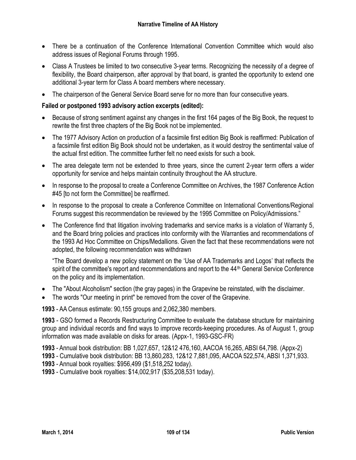- There be a continuation of the Conference International Convention Committee which would also address issues of Regional Forums through 1995.
- Class A Trustees be limited to two consecutive 3-year terms. Recognizing the necessity of a degree of flexibility, the Board chairperson, after approval by that board, is granted the opportunity to extend one additional 3-year term for Class A board members where necessary.
- The chairperson of the General Service Board serve for no more than four consecutive years.

# **Failed or postponed 1993 advisory action excerpts (edited):**

- Because of strong sentiment against any changes in the first 164 pages of the Big Book, the request to rewrite the first three chapters of the Big Book not be implemented.
- The 1977 Advisory Action on production of a facsimile first edition Big Book is reaffirmed: Publication of a facsimile first edition Big Book should not be undertaken, as it would destroy the sentimental value of the actual first edition. The committee further felt no need exists for such a book.
- The area delegate term not be extended to three years, since the current 2-year term offers a wider opportunity for service and helps maintain continuity throughout the AA structure.
- In response to the proposal to create a Conference Committee on Archives, the 1987 Conference Action #45 [to not form the Committee] be reaffirmed.
- In response to the proposal to create a Conference Committee on International Conventions/Regional Forums suggest this recommendation be reviewed by the 1995 Committee on Policy/Admissions."
- The Conference find that litigation involving trademarks and service marks is a violation of Warranty 5, and the Board bring policies and practices into conformity with the Warranties and recommendations of the 1993 Ad Hoc Committee on Chips/Medallions. Given the fact that these recommendations were not adopted, the following recommendation was withdrawn

"The Board develop a new policy statement on the 'Use of AA Trademarks and Logos' that reflects the spirit of the committee's report and recommendations and report to the 44<sup>th</sup> General Service Conference on the policy and its implementation.

- The "About Alcoholism" section (the gray pages) in the Grapevine be reinstated, with the disclaimer.
- The words "Our meeting in print" be removed from the cover of the Grapevine.

**1993** - AA Census estimate: 90,155 groups and 2,062,380 members.

**1993** - GSO formed a Records Restructuring Committee to evaluate the database structure for maintaining group and individual records and find ways to improve records-keeping procedures. As of August 1, group information was made available on disks for areas. (Appx-1, 1993-GSC-FR)

**1993** - Annual book distribution: BB 1,027,657, 12&12 476,160, AACOA 16,265, ABSI 64,798. (Appx-2)

**1993** - Cumulative book distribution: BB 13,860,283, 12&12 7,881,095, AACOA 522,574, ABSI 1,371,933.

- **1993** Annual book royalties: \$956,499 (\$1,518,252 today).
- **1993** Cumulative book royalties: \$14,002,917 (\$35,208,531 today).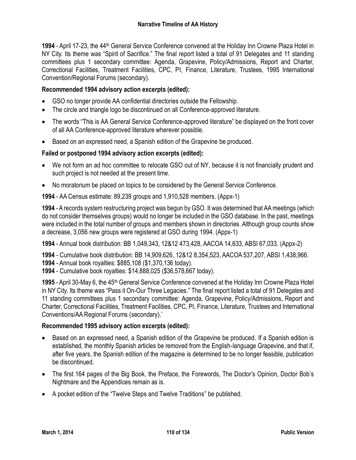**1994** - April 17-23, the 44th General Service Conference convened at the Holiday Inn Crowne Plaza Hotel in NY City. Its theme was "Spirit of Sacrifice." The final report listed a total of 91 Delegates and 11 standing committees plus 1 secondary committee: Agenda, Grapevine, Policy/Admissions, Report and Charter, Correctional Facilities, Treatment Facilities, CPC, PI, Finance, Literature, Trustees, 1995 International Convention/Regional Forums (secondary).

# **Recommended 1994 advisory action excerpts (edited):**

- GSO no longer provide AA confidential directories outside the Fellowship.
- The circle and triangle logo be discontinued on all Conference-approved literature.
- The words "This is AA General Service Conference-approved literature" be displayed on the front cover of all AA Conference-approved literature wherever possible.
- Based on an expressed need, a Spanish edition of the Grapevine be produced.

# **Failed or postponed 1994 advisory action excerpts (edited):**

- We not form an ad hoc committee to relocate GSO out of NY, because it is not financially prudent and such project is not needed at the present time.
- No moratorium be placed on topics to be considered by the General Service Conference.

**1994** - AA Census estimate: 89,239 groups and 1,910,528 members. (Appx-1)

**1994** - A records system restructuring project was begun by GSO. It was determined that AA meetings (which do not consider themselves groups) would no longer be included in the GSO database. In the past, meetings were included in the total number of groups and members shown in directories. Although group counts show a decrease, 3,056 new groups were registered at GSO during 1994. (Appx-1)

**1994** - Annual book distribution: BB 1,049,343, 12&12 473,428, AACOA 14,633, ABSI 67,033. (Appx-2)

**1994** - Cumulative book distribution: BB 14,909,626, 12&12 8,354,523, AACOA 537,207, ABSI 1,438,966.

**1994** - Annual book royalties: \$885,108 (\$1,370,136 today).

**1994** - Cumulative book royalties: \$14,888,025 (\$36,578,667 today).

**1995** - April 30-May 6, the 45th General Service Conference convened at the Holiday Inn Crowne Plaza Hotel in NY City. Its theme was "Pass it On-Our Three Legacies." The final report listed a total of 91 Delegates and 11 standing committees plus 1 secondary committee: Agenda, Grapevine, Policy/Admissions, Report and Charter, Correctional Facilities, Treatment Facilities, CPC, PI, Finance, Literature, Trustees and International Conventions/AA Regional Forums (secondary).'

## **Recommended 1995 advisory action excerpts (edited):**

- Based on an expressed need, a Spanish edition of the Grapevine be produced. If a Spanish edition is established, the monthly Spanish articles be removed from the English-language Grapevine, and that if, after five years, the Spanish edition of the magazine is determined to be no longer feasible, publication be discontinued.
- The first 164 pages of the Big Book, the Preface, the Forewords, The Doctor's Opinion, Doctor Bob's Nightmare and the Appendices remain as is.
- A pocket edition of the "Twelve Steps and Twelve Traditions" be published.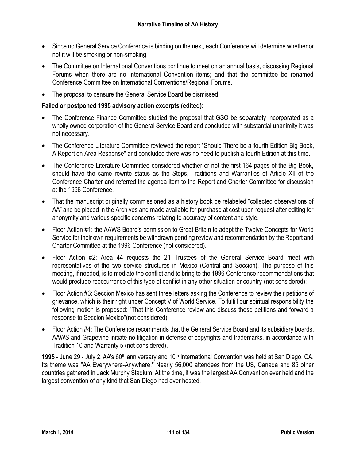- Since no General Service Conference is binding on the next, each Conference will determine whether or not it will be smoking or non-smoking.
- The Committee on International Conventions continue to meet on an annual basis, discussing Regional Forums when there are no International Convention items; and that the committee be renamed Conference Committee on International Conventions/Regional Forums.
- The proposal to censure the General Service Board be dismissed.

# **Failed or postponed 1995 advisory action excerpts (edited):**

- The Conference Finance Committee studied the proposal that GSO be separately incorporated as a wholly owned corporation of the General Service Board and concluded with substantial unanimity it was not necessary.
- The Conference Literature Committee reviewed the report "Should There be a fourth Edition Big Book, A Report on Area Response" and concluded there was no need to publish a fourth Edition at this time.
- The Conference Literature Committee considered whether or not the first 164 pages of the Big Book, should have the same rewrite status as the Steps, Traditions and Warranties of Article XII of the Conference Charter and referred the agenda item to the Report and Charter Committee for discussion at the 1996 Conference.
- That the manuscript originally commissioned as a history book be relabeled "collected observations of AA" and be placed in the Archives and made available for purchase at cost upon request after editing for anonymity and various specific concerns relating to accuracy of content and style.
- Floor Action #1: the AAWS Board's permission to Great Britain to adapt the Twelve Concepts for World Service for their own requirements be withdrawn pending review and recommendation by the Report and Charter Committee at the 1996 Conference (not considered).
- Floor Action #2: Area 44 requests the 21 Trustees of the General Service Board meet with representatives of the two service structures in Mexico (Central and Seccion). The purpose of this meeting, if needed, is to mediate the conflict and to bring to the 1996 Conference recommendations that would preclude reoccurrence of this type of conflict in any other situation or country (not considered):
- Floor Action #3: Seccion Mexico has sent three letters asking the Conference to review their petitions of grievance, which is their right under Concept V of World Service. To fulfill our spiritual responsibility the following motion is proposed: "That this Conference review and discuss these petitions and forward a response to Seccion Mexico"(not considered).
- Floor Action #4: The Conference recommends that the General Service Board and its subsidiary boards, AAWS and Grapevine initiate no litigation in defense of copyrights and trademarks, in accordance with Tradition 10 and Warranty 5 (not considered).

**1995** - June 29 - July 2, AA's 60<sup>th</sup> anniversary and 10<sup>th</sup> International Convention was held at San Diego, CA. Its theme was "AA Everywhere-Anywhere." Nearly 56,000 attendees from the US, Canada and 85 other countries gathered in Jack Murphy Stadium. At the time, it was the largest AA Convention ever held and the largest convention of any kind that San Diego had ever hosted.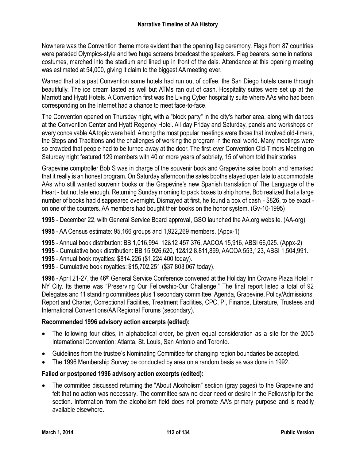Nowhere was the Convention theme more evident than the opening flag ceremony. Flags from 87 countries were paraded Olympics-style and two huge screens broadcast the speakers. Flag bearers, some in national costumes, marched into the stadium and lined up in front of the dais. Attendance at this opening meeting was estimated at 54,000, giving it claim to the biggest AA meeting ever.

Warned that at a past Convention some hotels had run out of coffee, the San Diego hotels came through beautifully. The ice cream lasted as well but ATMs ran out of cash. Hospitality suites were set up at the Marriott and Hyatt Hotels. A Convention first was the Living Cyber hospitality suite where AAs who had been corresponding on the Internet had a chance to meet face-to-face.

The Convention opened on Thursday night, with a "block party" in the city's harbor area, along with dances at the Convention Center and Hyatt Regency Hotel. All day Friday and Saturday, panels and workshops on every conceivable AA topic were held. Among the most popular meetings were those that involved old-timers, the Steps and Traditions and the challenges of working the program in the real world. Many meetings were so crowded that people had to be turned away at the door. The first-ever Convention Old-Timers Meeting on Saturday night featured 129 members with 40 or more years of sobriety, 15 of whom told their stories

Grapevine comptroller Bob S was in charge of the souvenir book and Grapevine sales booth and remarked that it really is an honest program. On Saturday afternoon the sales booths stayed open late to accommodate AAs who still wanted souvenir books or the Grapevine's new Spanish translation of The Language of the Heart - but not late enough. Returning Sunday morning to pack boxes to ship home, Bob realized that a large number of books had disappeared overnight. Dismayed at first, he found a box of cash - \$826, to be exact on one of the counters. AA members had bought their books on the honor system. (Gv-10-1995)

**1995** - December 22, with General Service Board approval, GSO launched the AA.org website. (AA-org)

**1995** - AA Census estimate: 95,166 groups and 1,922,269 members. (Appx-1)

**1995** - Annual book distribution: BB 1,016,994, 12&12 457,376, AACOA 15,916, ABSI 66,025. (Appx-2)

**1995** - Cumulative book distribution: BB 15,926,620, 12&12 8,811,899, AACOA 553,123, ABSI 1,504,991.

- **1995** Annual book royalties: \$814,226 (\$1,224,400 today).
- **1995** Cumulative book royalties: \$15,702,251 (\$37,803,067 today).

**1996** - April 21-27, the 46th General Service Conference convened at the Holiday Inn Crowne Plaza Hotel in NY City. Its theme was "Preserving Our Fellowship-Our Challenge." The final report listed a total of 92 Delegates and 11 standing committees plus 1 secondary committee: Agenda, Grapevine, Policy/Admissions, Report and Charter, Correctional Facilities, Treatment Facilities, CPC, PI, Finance, Literature, Trustees and International Conventions/AA Regional Forums (secondary).'

# **Recommended 1996 advisory action excerpts (edited):**

- The following four cities, in alphabetical order, be given equal consideration as a site for the 2005 International Convention: Atlanta, St. Louis, San Antonio and Toronto.
- Guidelines from the trustee's Nominating Committee for changing region boundaries be accepted.
- The 1996 Membership Survey be conducted by area on a random basis as was done in 1992.

# **Failed or postponed 1996 advisory action excerpts (edited):**

 The committee discussed returning the "About Alcoholism" section (gray pages) to the Grapevine and felt that no action was necessary. The committee saw no clear need or desire in the Fellowship for the section. Information from the alcoholism field does not promote AA's primary purpose and is readily available elsewhere.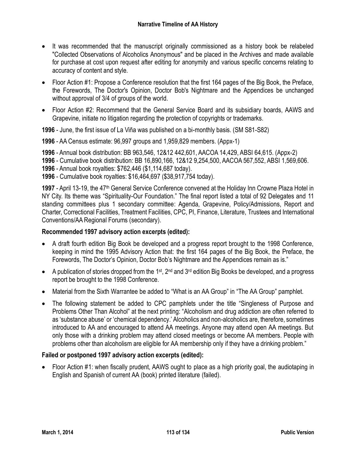- It was recommended that the manuscript originally commissioned as a history book be relabeled "Collected Observations of Alcoholics Anonymous" and be placed in the Archives and made available for purchase at cost upon request after editing for anonymity and various specific concerns relating to accuracy of content and style.
- Floor Action #1: Propose a Conference resolution that the first 164 pages of the Big Book, the Preface, the Forewords, The Doctor's Opinion, Doctor Bob's Nightmare and the Appendices be unchanged without approval of 3/4 of groups of the world.
- Floor Action #2: Recommend that the General Service Board and its subsidiary boards, AAWS and Grapevine, initiate no litigation regarding the protection of copyrights or trademarks.

**1996** - June, the first issue of La Viña was published on a bi-monthly basis. (SM S81-S82)

**1996** - AA Census estimate: 96,997 groups and 1,959,829 members. (Appx-1)

**1996** - Annual book distribution: BB 963,546, 12&12 442,601, AACOA 14,429, ABSI 64,615. (Appx-2)

**1996** - Cumulative book distribution: BB 16,890,166, 12&12 9,254,500, AACOA 567,552, ABSI 1,569,606.

**1996** - Annual book royalties: \$762,446 (\$1,114,687 today).

**1996** - Cumulative book royalties: \$16,464,697 (\$38,917,754 today).

**1997** - April 13-19, the 47th General Service Conference convened at the Holiday Inn Crowne Plaza Hotel in NY City. Its theme was "Spirituality-Our Foundation." The final report listed a total of 92 Delegates and 11 standing committees plus 1 secondary committee: Agenda, Grapevine, Policy/Admissions, Report and Charter, Correctional Facilities, Treatment Facilities, CPC, PI, Finance, Literature, Trustees and International Conventions/AA Regional Forums (secondary).

## **Recommended 1997 advisory action excerpts (edited):**

- A draft fourth edition Big Book be developed and a progress report brought to the 1998 Conference, keeping in mind the 1995 Advisory Action that: the first 164 pages of the Big Book, the Preface, the Forewords, The Doctor's Opinion, Doctor Bob's Nightmare and the Appendices remain as is."
- A publication of stories dropped from the 1<sup>st</sup>, 2<sup>nd</sup> and 3<sup>rd</sup> edition Big Books be developed, and a progress report be brought to the 1998 Conference.
- Material from the Sixth Warrantee be added to "What is an AA Group" in "The AA Group" pamphlet.
- The following statement be added to CPC pamphlets under the title "Singleness of Purpose and Problems Other Than Alcohol" at the next printing: "Alcoholism and drug addiction are often referred to as 'substance abuse' or 'chemical dependency.' Alcoholics and non-alcoholics are, therefore, sometimes introduced to AA and encouraged to attend AA meetings. Anyone may attend open AA meetings. But only those with a drinking problem may attend closed meetings or become AA members. People with problems other than alcoholism are eligible for AA membership only if they have a drinking problem."

## **Failed or postponed 1997 advisory action excerpts (edited):**

 Floor Action #1: when fiscally prudent, AAWS ought to place as a high priority goal, the audiotaping in English and Spanish of current AA (book) printed literature (failed).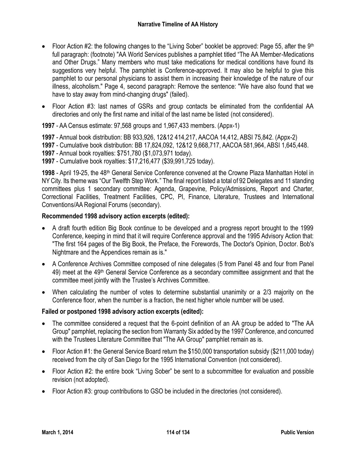- Floor Action #2: the following changes to the "Living Sober" booklet be approved: Page 55, after the 9<sup>th</sup> full paragraph: (footnote) "AA World Services publishes a pamphlet titled "The AA Member-Medications and Other Drugs." Many members who must take medications for medical conditions have found its suggestions very helpful. The pamphlet is Conference-approved. It may also be helpful to give this pamphlet to our personal physicians to assist them in increasing their knowledge of the nature of our illness, alcoholism." Page 4, second paragraph: Remove the sentence: "We have also found that we have to stay away from mind-changing drugs" (failed).
- Floor Action #3: last names of GSRs and group contacts be eliminated from the confidential AA directories and only the first name and initial of the last name be listed (not considered).

**1997** - AA Census estimate: 97,568 groups and 1,967,433 members. (Appx-1)

**1997** - Annual book distribution: BB 933,926, 12&12 414,217, AACOA 14,412, ABSI 75,842. (Appx-2)

**1997** - Cumulative book distribution: BB 17,824,092, 12&12 9,668,717, AACOA 581,964, ABSI 1,645,448.

**1997** - Annual book royalties: \$751,780 (\$1,073,971 today).

**1997** - Cumulative book royalties: \$17,216,477 (\$39,991,725 today).

**1998** - April 19-25, the 48th General Service Conference convened at the Crowne Plaza Manhattan Hotel in NY City. Its theme was "Our Twelfth Step Work." The final report listed a total of 92 Delegates and 11 standing committees plus 1 secondary committee: Agenda, Grapevine, Policy/Admissions, Report and Charter, Correctional Facilities, Treatment Facilities, CPC, PI, Finance, Literature, Trustees and International Conventions/AA Regional Forums (secondary).

## **Recommended 1998 advisory action excerpts (edited):**

- A draft fourth edition Big Book continue to be developed and a progress report brought to the 1999 Conference, keeping in mind that it will require Conference approval and the 1995 Advisory Action that: "The first 164 pages of the Big Book, the Preface, the Forewords, The Doctor's Opinion, Doctor. Bob's Nightmare and the Appendices remain as is."
- A Conference Archives Committee composed of nine delegates (5 from Panel 48 and four from Panel 49) meet at the 49<sup>th</sup> General Service Conference as a secondary committee assignment and that the committee meet jointly with the Trustee's Archives Committee.
- When calculating the number of votes to determine substantial unanimity or a 2/3 majority on the Conference floor, when the number is a fraction, the next higher whole number will be used.

## **Failed or postponed 1998 advisory action excerpts (edited):**

- The committee considered a request that the 6-point definition of an AA group be added to "The AA Group" pamphlet, replacing the section from Warranty Six added by the 1997 Conference, and concurred with the Trustees Literature Committee that "The AA Group" pamphlet remain as is.
- Floor Action #1: the General Service Board return the \$150,000 transportation subsidy (\$211,000 today) received from the city of San Diego for the 1995 International Convention (not considered).
- Floor Action #2: the entire book "Living Sober" be sent to a subcommittee for evaluation and possible revision (not adopted).
- Floor Action #3: group contributions to GSO be included in the directories (not considered).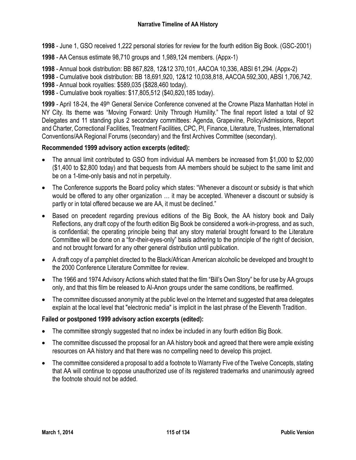- **1998** June 1, GSO received 1,222 personal stories for review for the fourth edition Big Book. (GSC-2001)
- **1998** AA Census estimate 98,710 groups and 1,989,124 members. (Appx-1)

**1998** - Annual book distribution: BB 867,828, 12&12 370,101, AACOA 10,336, ABSI 61,294. (Appx-2)

**1998** - Cumulative book distribution: BB 18,691,920, 12&12 10,038,818, AACOA 592,300, ABSI 1,706,742.

**1998** - Annual book royalties: \$589,035 (\$828,460 today).

**1998** - Cumulative book royalties: \$17,805,512 (\$40,820,185 today).

**1999** - April 18-24, the 49th General Service Conference convened at the Crowne Plaza Manhattan Hotel in NY City. Its theme was "Moving Forward: Unity Through Humility." The final report listed a total of 92 Delegates and 11 standing plus 2 secondary committees: Agenda, Grapevine, Policy/Admissions, Report and Charter, Correctional Facilities, Treatment Facilities, CPC, PI, Finance, Literature, Trustees, International Conventions/AA Regional Forums (secondary) and the first Archives Committee (secondary).

# **Recommended 1999 advisory action excerpts (edited):**

- The annual limit contributed to GSO from individual AA members be increased from \$1,000 to \$2,000 (\$1,400 to \$2,800 today) and that bequests from AA members should be subject to the same limit and be on a 1-time-only basis and not in perpetuity.
- The Conference supports the Board policy which states: "Whenever a discount or subsidy is that which would be offered to any other organization … it may be accepted. Whenever a discount or subsidy is partly or in total offered because we are AA, it must be declined."
- Based on precedent regarding previous editions of the Big Book, the AA history book and Daily Reflections, any draft copy of the fourth edition Big Book be considered a work-in-progress, and as such, is confidential; the operating principle being that any story material brought forward to the Literature Committee will be done on a "for-their-eyes-only" basis adhering to the principle of the right of decision, and not brought forward for any other general distribution until publication.
- A draft copy of a pamphlet directed to the Black/African American alcoholic be developed and brought to the 2000 Conference Literature Committee for review.
- The 1966 and 1974 Advisory Actions which stated that the film "Bill's Own Story" be for use by AA groups only, and that this film be released to Al-Anon groups under the same conditions, be reaffirmed.
- The committee discussed anonymity at the public level on the Internet and suggested that area delegates explain at the local level that "electronic media" is implicit in the last phrase of the Eleventh Tradition.

## **Failed or postponed 1999 advisory action excerpts (edited):**

- The committee strongly suggested that no index be included in any fourth edition Big Book.
- The committee discussed the proposal for an AA history book and agreed that there were ample existing resources on AA history and that there was no compelling need to develop this project.
- The committee considered a proposal to add a footnote to Warranty Five of the Twelve Concepts, stating that AA will continue to oppose unauthorized use of its registered trademarks and unanimously agreed the footnote should not be added.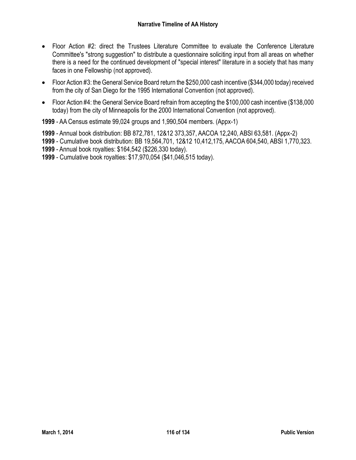- Floor Action #2: direct the Trustees Literature Committee to evaluate the Conference Literature Committee's "strong suggestion" to distribute a questionnaire soliciting input from all areas on whether there is a need for the continued development of "special interest" literature in a society that has many faces in one Fellowship (not approved).
- Floor Action #3: the General Service Board return the \$250,000 cash incentive (\$344,000 today) received from the city of San Diego for the 1995 International Convention (not approved).
- Floor Action #4: the General Service Board refrain from accepting the \$100,000 cash incentive (\$138,000 today) from the city of Minneapolis for the 2000 International Convention (not approved).

**1999** - AA Census estimate 99,024 groups and 1,990,504 members. (Appx-1)

**1999** - Annual book distribution: BB 872,781, 12&12 373,357, AACOA 12,240, ABSI 63,581. (Appx-2)

**1999** - Cumulative book distribution: BB 19,564,701, 12&12 10,412,175, AACOA 604,540, ABSI 1,770,323.

**1999** - Annual book royalties: \$164,542 (\$226,330 today).

**1999** - Cumulative book royalties: \$17,970,054 (\$41,046,515 today).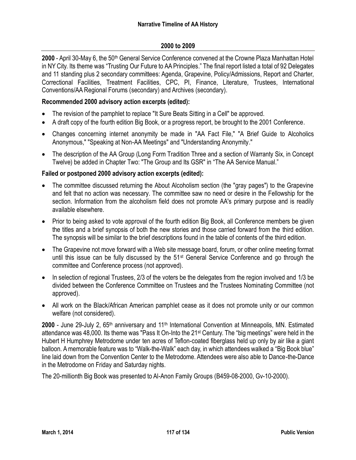### **2000 to 2009**

**2000** - April 30-May 6, the 50th General Service Conference convened at the Crowne Plaza Manhattan Hotel in NY City. Its theme was "Trusting Our Future to AA Principles." The final report listed a total of 92 Delegates and 11 standing plus 2 secondary committees: Agenda, Grapevine, Policy/Admissions, Report and Charter, Correctional Facilities, Treatment Facilities, CPC, PI, Finance, Literature, Trustees, International Conventions/AA Regional Forums (secondary) and Archives (secondary).

### **Recommended 2000 advisory action excerpts (edited):**

- The revision of the pamphlet to replace "It Sure Beats Sitting in a Cell" be approved.
- A draft copy of the fourth edition Big Book, or a progress report, be brought to the 2001 Conference.
- Changes concerning internet anonymity be made in "AA Fact File," "A Brief Guide to Alcoholics Anonymous," "Speaking at Non-AA Meetings" and "Understanding Anonymity."
- The description of the AA Group (Long Form Tradition Three and a section of Warranty Six, in Concept Twelve) be added in Chapter Two: "The Group and Its GSR" in "The AA Service Manual."

### **Failed or postponed 2000 advisory action excerpts (edited):**

- The committee discussed returning the About Alcoholism section (the "gray pages") to the Grapevine and felt that no action was necessary. The committee saw no need or desire in the Fellowship for the section. Information from the alcoholism field does not promote AA's primary purpose and is readily available elsewhere.
- Prior to being asked to vote approval of the fourth edition Big Book, all Conference members be given the titles and a brief synopsis of both the new stories and those carried forward from the third edition. The synopsis will be similar to the brief descriptions found in the table of contents of the third edition.
- The Grapevine not move forward with a Web site message board, forum, or other online meeting format until this issue can be fully discussed by the 51st General Service Conference and go through the committee and Conference process (not approved).
- In selection of regional Trustees, 2/3 of the voters be the delegates from the region involved and 1/3 be divided between the Conference Committee on Trustees and the Trustees Nominating Committee (not approved).
- All work on the Black/African American pamphlet cease as it does not promote unity or our common welfare (not considered).

**2000** - June 29-July 2, 65<sup>th</sup> anniversary and 11<sup>th</sup> International Convention at Minneapolis, MN. Estimated attendance was 48,000. Its theme was "Pass It On-Into the 21st Century. The "big meetings" were held in the Hubert H Humphrey Metrodome under ten acres of Teflon-coated fiberglass held up only by air like a giant balloon. Amemorable feature was to "Walk-the-Walk" each day, in which attendees walked a "Big Book blue" line laid down from the Convention Center to the Metrodome. Attendees were also able to Dance-the-Dance in the Metrodome on Friday and Saturday nights.

The 20-millionth Big Book was presented to Al-Anon Family Groups (B459-08-2000, Gv-10-2000).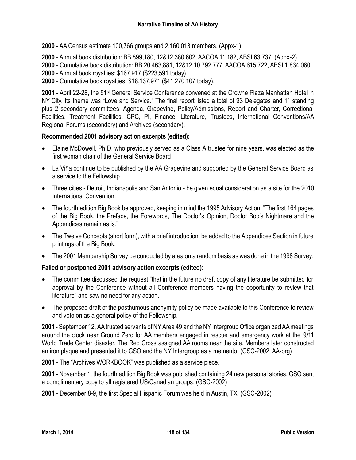**2000** - AA Census estimate 100,766 groups and 2,160,013 members. (Appx-1)

**2000** - Annual book distribution: BB 899,180, 12&12 380,602, AACOA 11,182, ABSI 63,737. (Appx-2)

**2000** - Cumulative book distribution: BB 20,463,881, 12&12 10,792,777, AACOA 615,722, ABSI 1,834,060.

**2000** - Annual book royalties: \$167,917 (\$223,591 today).

**2000** - Cumulative book royalties: \$18,137,971 (\$41,270,107 today).

**2001** - April 22-28, the 51st General Service Conference convened at the Crowne Plaza Manhattan Hotel in NY City. Its theme was "Love and Service." The final report listed a total of 93 Delegates and 11 standing plus 2 secondary committees: Agenda, Grapevine, Policy/Admissions, Report and Charter, Correctional Facilities, Treatment Facilities, CPC, PI, Finance, Literature, Trustees, International Conventions/AA Regional Forums (secondary) and Archives (secondary).

### **Recommended 2001 advisory action excerpts (edited):**

- Elaine McDowell, Ph D, who previously served as a Class A trustee for nine years, was elected as the first woman chair of the General Service Board.
- La Viña continue to be published by the AA Grapevine and supported by the General Service Board as a service to the Fellowship.
- Three cities Detroit, Indianapolis and San Antonio be given equal consideration as a site for the 2010 International Convention.
- The fourth edition Big Book be approved, keeping in mind the 1995 Advisory Action, "The first 164 pages of the Big Book, the Preface, the Forewords, The Doctor's Opinion, Doctor Bob's Nightmare and the Appendices remain as is."
- The Twelve Concepts (short form), with a brief introduction, be added to the Appendices Section in future printings of the Big Book.
- The 2001 Membership Survey be conducted by area on a random basis as was done in the 1998 Survey.

## **Failed or postponed 2001 advisory action excerpts (edited):**

- The committee discussed the request "that in the future no draft copy of any literature be submitted for approval by the Conference without all Conference members having the opportunity to review that literature" and saw no need for any action.
- The proposed draft of the posthumous anonymity policy be made available to this Conference to review and vote on as a general policy of the Fellowship.

**2001** - September 12, AA trusted servants of NY Area 49 and the NY Intergroup Office organized AA meetings around the clock near Ground Zero for AA members engaged in rescue and emergency work at the 9/11 World Trade Center disaster. The Red Cross assigned AA rooms near the site. Members later constructed an iron plaque and presented it to GSO and the NY Intergroup as a memento. (GSC-2002, AA-org)

**2001** - The "Archives WORKBOOK" was published as a service piece.

**2001** - November 1, the fourth edition Big Book was published containing 24 new personal stories. GSO sent a complimentary copy to all registered US/Canadian groups. (GSC-2002)

**2001** - December 8-9, the first Special Hispanic Forum was held in Austin, TX. (GSC-2002)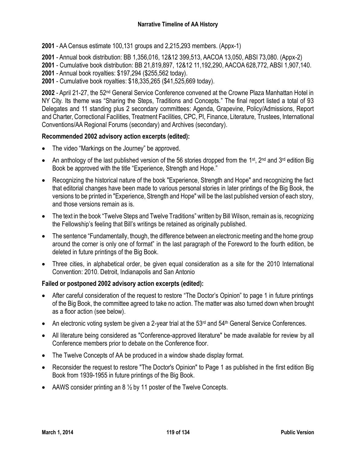**2001** - AA Census estimate 100,131 groups and 2,215,293 members. (Appx-1)

**2001** - Annual book distribution: BB 1,356,016, 12&12 399,513, AACOA 13,050, ABSI 73,080. (Appx-2)

**2001** - Cumulative book distribution: BB 21,819,897, 12&12 11,192,290, AACOA 628,772, ABSI 1,907,140.

**2001** - Annual book royalties: \$197,294 (\$255,562 today).

**2001** - Cumulative book royalties: \$18,335,265 (\$41,525,669 today).

**2002** - April 21-27, the 52nd General Service Conference convened at the Crowne Plaza Manhattan Hotel in NY City. Its theme was "Sharing the Steps, Traditions and Concepts." The final report listed a total of 93 Delegates and 11 standing plus 2 secondary committees: Agenda, Grapevine, Policy/Admissions, Report and Charter, Correctional Facilities, Treatment Facilities, CPC, PI, Finance, Literature, Trustees, International Conventions/AA Regional Forums (secondary) and Archives (secondary).

### **Recommended 2002 advisory action excerpts (edited):**

- The video "Markings on the Journey" be approved.
- An anthology of the last published version of the 56 stories dropped from the 1<sup>st</sup>, 2<sup>nd</sup> and 3<sup>rd</sup> edition Big Book be approved with the title "Experience, Strength and Hope."
- Recognizing the historical nature of the book "Experience, Strength and Hope" and recognizing the fact that editorial changes have been made to various personal stories in later printings of the Big Book, the versions to be printed in "Experience, Strength and Hope" will be the last published version of each story, and those versions remain as is.
- The text in the book "Twelve Steps and Twelve Traditions" written by Bill Wilson, remain as is, recognizing the Fellowship's feeling that Bill's writings be retained as originally published.
- The sentence "Fundamentally, though, the difference between an electronic meeting and the home group around the corner is only one of format" in the last paragraph of the Foreword to the fourth edition, be deleted in future printings of the Big Book.
- Three cities, in alphabetical order, be given equal consideration as a site for the 2010 International Convention: 2010. Detroit, Indianapolis and San Antonio

### **Failed or postponed 2002 advisory action excerpts (edited):**

- After careful consideration of the request to restore "The Doctor's Opinion" to page 1 in future printings of the Big Book, the committee agreed to take no action. The matter was also turned down when brought as a floor action (see below).
- $\bullet$  An electronic voting system be given a 2-year trial at the 53<sup>rd</sup> and 54<sup>th</sup> General Service Conferences.
- All literature being considered as "Conference-approved literature" be made available for review by all Conference members prior to debate on the Conference floor.
- The Twelve Concepts of AA be produced in a window shade display format.
- Reconsider the request to restore "The Doctor's Opinion" to Page 1 as published in the first edition Big Book from 1939-1955 in future printings of the Big Book.
- AAWS consider printing an  $8\frac{1}{2}$  by 11 poster of the Twelve Concepts.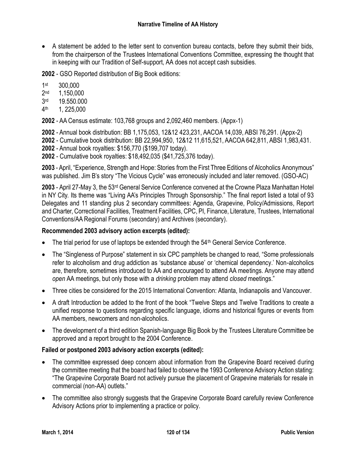A statement be added to the letter sent to convention bureau contacts, before they submit their bids, from the chairperson of the Trustees International Conventions Committee, expressing the thought that in keeping with our Tradition of Self-support, AA does not accept cash subsidies.

**2002** - GSO Reported distribution of Big Book editions:

1st 300,000

- $2<sub>nd</sub>$ 1,150,000
- 3rd 19.550.000
- $4<sup>th</sup>$ th 1, 225,000

**2002** - AA Census estimate: 103,768 groups and 2,092,460 members. (Appx-1)

**2002** - Annual book distribution: BB 1,175,053, 12&12 423,231, AACOA 14,039, ABSI 76,291. (Appx-2)

**2002** - Cumulative book distribution: BB 22,994,950, 12&12 11,615,521, AACOA 642,811, ABSI 1,983,431.

**2002** - Annual book royalties: \$156,770 (\$199,707 today).

**2002** - Cumulative book royalties: \$18,492,035 (\$41,725,376 today).

**2003** - April, "Experience, Strength and Hope: Stories from the First Three Editions of Alcoholics Anonymous" was published. Jim B's story "The Vicious Cycle" was erroneously included and later removed. (GSO-AC)

**2003** - April 27-May 3, the 53rd General Service Conference convened at the Crowne Plaza Manhattan Hotel in NY City. Its theme was "Living AA's Principles Through Sponsorship." The final report listed a total of 93 Delegates and 11 standing plus 2 secondary committees: Agenda, Grapevine, Policy/Admissions, Report and Charter, Correctional Facilities, Treatment Facilities, CPC, PI, Finance, Literature, Trustees, International Conventions/AA Regional Forums (secondary) and Archives (secondary).

## **Recommended 2003 advisory action excerpts (edited):**

- The trial period for use of laptops be extended through the 54<sup>th</sup> General Service Conference.
- The "Singleness of Purpose" statement in six CPC pamphlets be changed to read, "Some professionals refer to alcoholism and drug addiction as 'substance abuse' or 'chemical dependency.' Non-alcoholics are, therefore, sometimes introduced to AA and encouraged to attend AA meetings. Anyone may attend *open* AA meetings, but only those with a *drinking* problem may attend *closed* meetings."
- Three cities be considered for the 2015 International Convention: Atlanta, Indianapolis and Vancouver.
- A draft Introduction be added to the front of the book "Twelve Steps and Twelve Traditions to create a unified response to questions regarding specific language, idioms and historical figures or events from AA members, newcomers and non-alcoholics.
- The development of a third edition Spanish-language Big Book by the Trustees Literature Committee be approved and a report brought to the 2004 Conference.

# **Failed or postponed 2003 advisory action excerpts (edited):**

- The committee expressed deep concern about information from the Grapevine Board received during the committee meeting that the board had failed to observe the 1993 Conference Advisory Action stating: "The Grapevine Corporate Board not actively pursue the placement of Grapevine materials for resale in commercial (non-AA) outlets."
- The committee also strongly suggests that the Grapevine Corporate Board carefully review Conference Advisory Actions prior to implementing a practice or policy.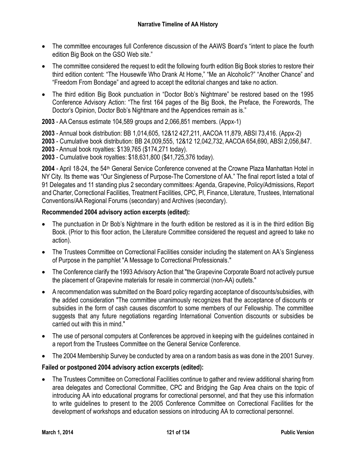- The committee encourages full Conference discussion of the AAWS Board's "intent to place the fourth edition Big Book on the GSO Web site."
- The committee considered the request to edit the following fourth edition Big Book stories to restore their third edition content: "The Housewife Who Drank At Home," "Me an Alcoholic?" "Another Chance" and "Freedom From Bondage" and agreed to accept the editorial changes and take no action.
- The third edition Big Book punctuation in "Doctor Bob's Nightmare" be restored based on the 1995 Conference Advisory Action: "The first 164 pages of the Big Book, the Preface, the Forewords, The Doctor's Opinion, Doctor Bob's Nightmare and the Appendices remain as is."

**2003** - AA Census estimate 104,589 groups and 2,066,851 members. (Appx-1)

**2003** - Annual book distribution: BB 1,014,605, 12&12 427,211, AACOA 11,879, ABSI 73,416. (Appx-2) **2003** - Cumulative book distribution: BB 24,009,555, 12&12 12,042,732, AACOA 654,690, ABSI 2,056,847. **2003** - Annual book royalties: \$139,765 (\$174,271 today).

**2003** - Cumulative book royalties: \$18,631,800 (\$41,725,376 today).

**2004** - April 18-24, the 54th General Service Conference convened at the Crowne Plaza Manhattan Hotel in NY City. Its theme was "Our Singleness of Purpose-The Cornerstone of AA." The final report listed a total of 91 Delegates and 11 standing plus 2 secondary committees: Agenda, Grapevine, Policy/Admissions, Report and Charter, Correctional Facilities, Treatment Facilities, CPC, PI, Finance, Literature, Trustees, International Conventions/AA Regional Forums (secondary) and Archives (secondary).

# **Recommended 2004 advisory action excerpts (edited):**

- The punctuation in Dr Bob's Nightmare in the fourth edition be restored as it is in the third edition Big Book. (Prior to this floor action, the Literature Committee considered the request and agreed to take no action).
- The Trustees Committee on Correctional Facilities consider including the statement on AA's Singleness of Purpose in the pamphlet "A Message to Correctional Professionals."
- The Conference clarify the 1993 Advisory Action that "the Grapevine Corporate Board not actively pursue the placement of Grapevine materials for resale in commercial (non-AA) outlets."
- A recommendation was submitted on the Board policy regarding acceptance of discounts/subsidies, with the added consideration "The committee unanimously recognizes that the acceptance of discounts or subsidies in the form of cash causes discomfort to some members of our Fellowship. The committee suggests that any future negotiations regarding International Convention discounts or subsidies be carried out with this in mind."
- The use of personal computers at Conferences be approved in keeping with the guidelines contained in a report from the Trustees Committee on the General Service Conference.
- The 2004 Membership Survey be conducted by area on a random basis as was done in the 2001 Survey.

# **Failed or postponed 2004 advisory action excerpts (edited):**

 The Trustees Committee on Correctional Facilities continue to gather and review additional sharing from area delegates and Correctional Committee, CPC and Bridging the Gap Area chairs on the topic of introducing AA into educational programs for correctional personnel, and that they use this information to write guidelines to present to the 2005 Conference Committee on Correctional Facilities for the development of workshops and education sessions on introducing AA to correctional personnel.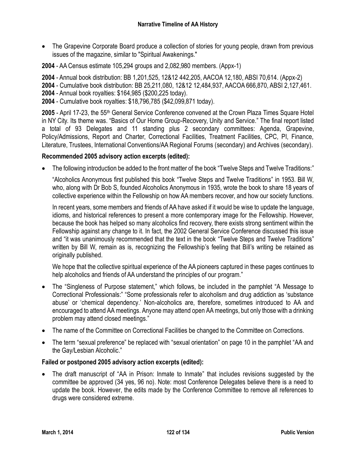• The Grapevine Corporate Board produce a collection of stories for young people, drawn from previous issues of the magazine, similar to "Spiritual Awakenings."

**2004** - AA Census estimate 105,294 groups and 2,082,980 members. (Appx-1)

**2004** - Annual book distribution: BB 1,201,525, 12&12 442,205, AACOA 12,180, ABSI 70,614. (Appx-2)

**2004** - Cumulative book distribution: BB 25,211,080, 12&12 12,484,937, AACOA 666,870, ABSI 2,127,461.

**2004** - Annual book royalties: \$164,985 (\$200,225 today).

**2004** - Cumulative book royalties: \$18,796,785 (\$42,099,871 today).

**2005** - April 17-23, the 55th General Service Conference convened at the Crown Plaza Times Square Hotel in NY City. Its theme was. "Basics of Our Home Group-Recovery, Unity and Service." The final report listed a total of 93 Delegates and 11 standing plus 2 secondary committees: Agenda, Grapevine, Policy/Admissions, Report and Charter, Correctional Facilities, Treatment Facilities, CPC, PI, Finance, Literature, Trustees, International Conventions/AA Regional Forums (secondary) and Archives (secondary).

# **Recommended 2005 advisory action excerpts (edited):**

The following introduction be added to the front matter of the book "Twelve Steps and Twelve Traditions:"

"Alcoholics Anonymous first published this book "Twelve Steps and Twelve Traditions" in 1953. Bill W, who, along with Dr Bob S, founded Alcoholics Anonymous in 1935, wrote the book to share 18 years of collective experience within the Fellowship on how AA members recover, and how our society functions.

In recent years, some members and friends of AA have asked if it would be wise to update the language, idioms, and historical references to present a more contemporary image for the Fellowship. However, because the book has helped so many alcoholics find recovery, there exists strong sentiment within the Fellowship against any change to it. In fact, the 2002 General Service Conference discussed this issue and "it was unanimously recommended that the text in the book "Twelve Steps and Twelve Traditions" written by Bill W, remain as is, recognizing the Fellowship's feeling that Bill's writing be retained as originally published.

We hope that the collective spiritual experience of the AA pioneers captured in these pages continues to help alcoholics and friends of AA understand the principles of our program."

- The "Singleness of Purpose statement," which follows, be included in the pamphlet "A Message to Correctional Professionals:" "Some professionals refer to alcoholism and drug addiction as 'substance abuse' or 'chemical dependency.' Non-alcoholics are, therefore, sometimes introduced to AA and encouraged to attend AA meetings. Anyone may attend open AA meetings, but only those with a drinking problem may attend closed meetings."
- The name of the Committee on Correctional Facilities be changed to the Committee on Corrections.
- The term "sexual preference" be replaced with "sexual orientation" on page 10 in the pamphlet "AA and the Gay/Lesbian Alcoholic."

## **Failed or postponed 2005 advisory action excerpts (edited):**

 The draft manuscript of "AA in Prison: Inmate to Inmate" that includes revisions suggested by the committee be approved (34 yes, 96 no). Note: most Conference Delegates believe there is a need to update the book. However, the edits made by the Conference Committee to remove all references to drugs were considered extreme.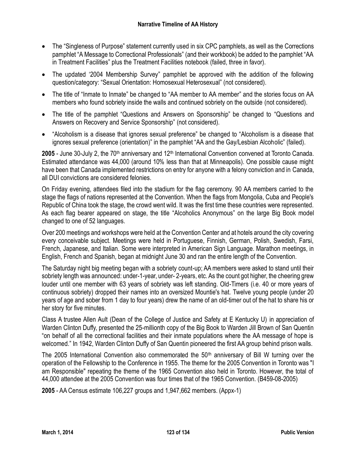- The "Singleness of Purpose" statement currently used in six CPC pamphlets, as well as the Corrections pamphlet "A Message to Correctional Professionals" (and their workbook) be added to the pamphlet "AA in Treatment Facilities" plus the Treatment Facilities notebook (failed, three in favor).
- The updated '2004 Membership Survey" pamphlet be approved with the addition of the following question/category: "Sexual Orientation: Homosexual Heterosexual" (not considered).
- The title of "Inmate to Inmate" be changed to "AA member to AA member" and the stories focus on AA members who found sobriety inside the walls and continued sobriety on the outside (not considered).
- The title of the pamphlet "Questions and Answers on Sponsorship" be changed to "Questions and Answers on Recovery and Service Sponsorship" (not considered).
- "Alcoholism is a disease that ignores sexual preference" be changed to "Alcoholism is a disease that ignores sexual preference (orientation)" in the pamphlet "AA and the Gay/Lesbian Alcoholic" (failed).

2005 - June 30-July 2, the 70<sup>th</sup> anniversary and 12<sup>th</sup> International Convention convened at Toronto Canada. Estimated attendance was 44,000 (around 10% less than that at Minneapolis). One possible cause might have been that Canada implemented restrictions on entry for anyone with a felony conviction and in Canada, all DUI convictions are considered felonies.

On Friday evening, attendees filed into the stadium for the flag ceremony. 90 AA members carried to the stage the flags of nations represented at the Convention. When the flags from Mongolia, Cuba and People's Republic of China took the stage, the crowd went wild. It was the first time these countries were represented. As each flag bearer appeared on stage, the title "Alcoholics Anonymous" on the large Big Book model changed to one of 52 languages.

Over 200 meetings and workshops were held at the Convention Center and at hotels around the city covering every conceivable subject. Meetings were held in Portuguese, Finnish, German, Polish, Swedish, Farsi, French, Japanese, and Italian. Some were interpreted in American Sign Language. Marathon meetings, in English, French and Spanish, began at midnight June 30 and ran the entire length of the Convention.

The Saturday night big meeting began with a sobriety count-up; AA members were asked to stand until their sobriety length was announced: under-1-year, under- 2-years, etc. As the count got higher, the cheering grew louder until one member with 63 years of sobriety was left standing. Old-Timers (i.e. 40 or more years of continuous sobriety) dropped their names into an oversized Mountie's hat. Twelve young people (under 20 years of age and sober from 1 day to four years) drew the name of an old-timer out of the hat to share his or her story for five minutes.

Class A trustee Allen Ault (Dean of the College of Justice and Safety at E Kentucky U) in appreciation of Warden Clinton Duffy, presented the 25-millionth copy of the Big Book to Warden Jill Brown of San Quentin "on behalf of all the correctional facilities and their inmate populations where the AA message of hope is welcomed." In 1942, Warden Clinton Duffy of San Quentin pioneered the first AA group behind prison walls.

The 2005 International Convention also commemorated the 50<sup>th</sup> anniversary of Bill W turning over the operation of the Fellowship to the Conference in 1955. The theme for the 2005 Convention in Toronto was "I am Responsible" repeating the theme of the 1965 Convention also held in Toronto. However, the total of 44,000 attendee at the 2005 Convention was four times that of the 1965 Convention. (B459-08-2005)

**2005** - AA Census estimate 106,227 groups and 1,947,662 members. (Appx-1)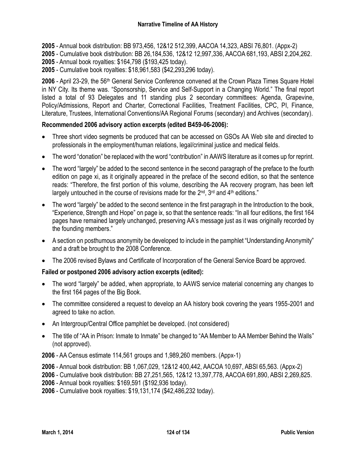**2005** - Annual book distribution: BB 973,456, 12&12 512,399, AACOA 14,323, ABSI 76,801. (Appx-2)

**2005** - Cumulative book distribution: BB 26,184,536, 12&12 12,997,336, AACOA 681,193, ABSI 2,204,262.

**2005** - Annual book royalties: \$164,798 (\$193,425 today).

**2005** - Cumulative book royalties: \$18,961,583 (\$42,293,296 today).

**2006** - April 23-29, the 56th General Service Conference convened at the Crown Plaza Times Square Hotel in NY City. Its theme was. "Sponsorship, Service and Self-Support in a Changing World." The final report listed a total of 93 Delegates and 11 standing plus 2 secondary committees: Agenda, Grapevine, Policy/Admissions, Report and Charter, Correctional Facilities, Treatment Facilities, CPC, PI, Finance, Literature, Trustees, International Conventions/AA Regional Forums (secondary) and Archives (secondary).

## **Recommended 2006 advisory action excerpts (edited B459-06-2006):**

- Three short video segments be produced that can be accessed on GSOs AA Web site and directed to professionals in the employment/human relations, legal/criminal justice and medical fields.
- The word "donation" be replaced with the word "contribution" in AAWS literature as it comes up for reprint.
- The word "largely" be added to the second sentence in the second paragraph of the preface to the fourth edition on page xi, as it originally appeared in the preface of the second edition, so that the sentence reads: "Therefore, the first portion of this volume, describing the AA recovery program, has been left largely untouched in the course of revisions made for the 2<sup>nd</sup>, 3<sup>rd</sup> and 4<sup>th</sup> editions."
- The word "largely" be added to the second sentence in the first paragraph in the Introduction to the book, "Experience, Strength and Hope" on page ix, so that the sentence reads: "In all four editions, the first 164 pages have remained largely unchanged, preserving AA's message just as it was originally recorded by the founding members."
- A section on posthumous anonymity be developed to include in the pamphlet "Understanding Anonymity" and a draft be brought to the 2008 Conference.
- The 2006 revised Bylaws and Certificate of Incorporation of the General Service Board be approved.

## **Failed or postponed 2006 advisory action excerpts (edited):**

- The word "largely" be added, when appropriate, to AAWS service material concerning any changes to the first 164 pages of the Big Book.
- The committee considered a request to develop an AA history book covering the years 1955-2001 and agreed to take no action.
- An Intergroup/Central Office pamphlet be developed. (not considered)
- The title of "AA in Prison: Inmate to Inmate" be changed to "AA Member to AA Member Behind the Walls" (not approved).

**2006** - AA Census estimate 114,561 groups and 1,989,260 members. (Appx-1)

**2006** - Annual book distribution: BB 1,067,029, 12&12 400,442, AACOA 10,697, ABSI 65,563. (Appx-2)

**2006** - Cumulative book distribution: BB 27,251,565, 12&12 13,397,778, AACOA 691,890, ABSI 2,269,825.

**2006** - Annual book royalties: \$169,591 (\$192,936 today).

**2006** - Cumulative book royalties: \$19,131,174 (\$42,486,232 today).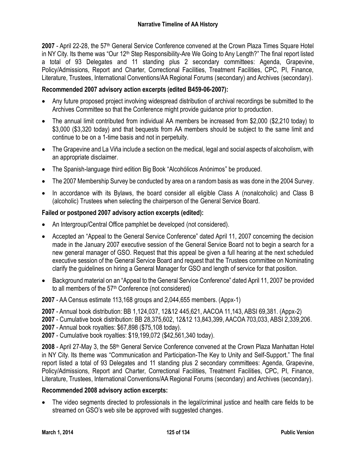**2007** - April 22-28, the 57th General Service Conference convened at the Crown Plaza Times Square Hotel in NY City. Its theme was "Our 12<sup>th</sup> Step Responsibility-Are We Going to Any Length?" The final report listed a total of 93 Delegates and 11 standing plus 2 secondary committees: Agenda, Grapevine, Policy/Admissions, Report and Charter, Correctional Facilities, Treatment Facilities, CPC, PI, Finance, Literature, Trustees, International Conventions/AA Regional Forums (secondary) and Archives (secondary).

## **Recommended 2007 advisory action excerpts (edited B459-06-2007):**

- Any future proposed project involving widespread distribution of archival recordings be submitted to the Archives Committee so that the Conference might provide guidance prior to production.
- The annual limit contributed from individual AA members be increased from \$2,000 (\$2,210 today) to \$3,000 (\$3,320 today) and that bequests from AA members should be subject to the same limit and continue to be on a 1-time basis and not in perpetuity.
- The Grapevine and La Viña include a section on the medical, legal and social aspects of alcoholism, with an appropriate disclaimer.
- The Spanish-language third edition Big Book "Alcohólicos Anónimos" be produced.
- The 2007 Membership Survey be conducted by area on a random basis as was done in the 2004 Survey.
- In accordance with its Bylaws, the board consider all eligible Class A (nonalcoholic) and Class B (alcoholic) Trustees when selecting the chairperson of the General Service Board.

### **Failed or postponed 2007 advisory action excerpts (edited):**

- An Intergroup/Central Office pamphlet be developed (not considered).
- Accepted an "Appeal to the General Service Conference" dated April 11, 2007 concerning the decision made in the January 2007 executive session of the General Service Board not to begin a search for a new general manager of GSO. Request that this appeal be given a full hearing at the next scheduled executive session of the General Service Board and request that the Trustees committee on Nominating clarify the guidelines on hiring a General Manager for GSO and length of service for that position.
- Background material on an "Appeal to the General Service Conference" dated April 11, 2007 be provided to all members of the 57<sup>th</sup> Conference (not considered)

**2007** - AA Census estimate 113,168 groups and 2,044,655 members. (Appx-1)

**2007** - Annual book distribution: BB 1,124,037, 12&12 445,621, AACOA 11,143, ABSI 69,381. (Appx-2)

**2007** - Cumulative book distribution: BB 28,375,602, 12&12 13,843,399, AACOA 703,033, ABSI 2,339,206.

**2007** - Annual book royalties: \$67,898 (\$75,108 today).

**2007** - Cumulative book royalties: \$19,199,072 (\$42,561,340 today).

**2008** - April 27-May 3, the 58th General Service Conference convened at the Crown Plaza Manhattan Hotel in NY City. Its theme was "Communication and Participation-The Key to Unity and Self-Support." The final report listed a total of 93 Delegates and 11 standing plus 2 secondary committees: Agenda, Grapevine, Policy/Admissions, Report and Charter, Correctional Facilities, Treatment Facilities, CPC, PI, Finance, Literature, Trustees, International Conventions/AA Regional Forums (secondary) and Archives (secondary).

### **Recommended 2008 advisory action excerpts:**

 The video segments directed to professionals in the legal/criminal justice and health care fields to be streamed on GSO's web site be approved with suggested changes.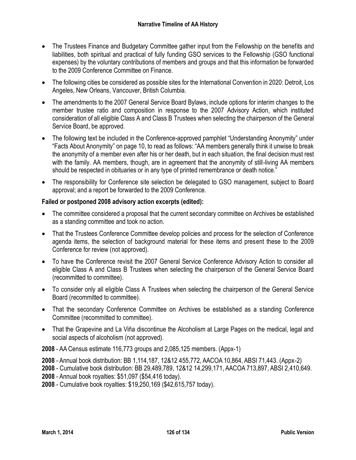- The Trustees Finance and Budgetary Committee gather input from the Fellowship on the benefits and liabilities, both spiritual and practical of fully funding GSO services to the Fellowship (GSO functional expenses) by the voluntary contributions of members and groups and that this information be forwarded to the 2009 Conference Committee on Finance.
- The following cities be considered as possible sites for the International Convention in 2020: Detroit, Los Angeles, New Orleans, Vancouver, British Columbia.
- The amendments to the 2007 General Service Board Bylaws, include options for interim changes to the member trustee ratio and composition in response to the 2007 Advisory Action, which instituted consideration of all eligible Class A and Class B Trustees when selecting the chairperson of the General Service Board, be approved.
- The following text be included in the Conference-approved pamphlet "Understanding Anonymity" under "Facts About Anonymity" on page 10, to read as follows: "AA members generally think it unwise to break the anonymity of a member even after his or her death, but in each situation, the final decision must rest with the family. AA members, though, are in agreement that the anonymity of still-living AA members should be respected in obituaries or in any type of printed remembrance or death notice."
- The responsibility for Conference site selection be delegated to GSO management, subject to Board approval; and a report be forwarded to the 2009 Conference.

# **Failed or postponed 2008 advisory action excerpts (edited):**

- The committee considered a proposal that the current secondary committee on Archives be established as a standing committee and took no action.
- That the Trustees Conference Committee develop policies and process for the selection of Conference agenda items, the selection of background material for these items and present these to the 2009 Conference for review (not approved).
- To have the Conference revisit the 2007 General Service Conference Advisory Action to consider all eligible Class A and Class B Trustees when selecting the chairperson of the General Service Board (recommitted to committee).
- To consider only all eligible Class A Trustees when selecting the chairperson of the General Service Board (recommitted to committee).
- That the secondary Conference Committee on Archives be established as a standing Conference Committee (recommitted to committee).
- That the Grapevine and La Viña discontinue the Alcoholism at Large Pages on the medical, legal and social aspects of alcoholism (not approved).

**2008** - AA Census estimate 116,773 groups and 2,085,125 members. (Appx-1)

**2008** - Annual book distribution: BB 1,114,187, 12&12 455,772, AACOA 10,864, ABSI 71,443. (Appx-2)

**2008** - Cumulative book distribution: BB 29,489,789, 12&12 14,299,171, AACOA 713,897, ABSI 2,410,649.

**2008** - Annual book royalties: \$51,097 (\$54,416 today).

**2008** - Cumulative book royalties: \$19,250,169 (\$42,615,757 today).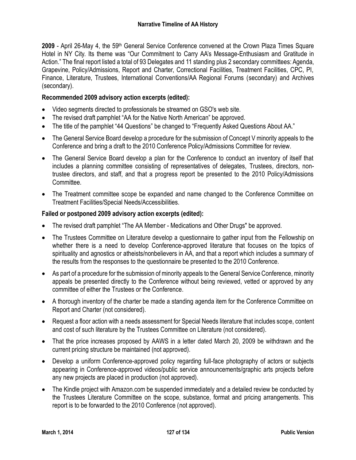**2009** - April 26-May 4, the 59th General Service Conference convened at the Crown Plaza Times Square Hotel in NY City. Its theme was "Our Commitment to Carry AA's Message-Enthusiasm and Gratitude in Action." The final report listed a total of 93 Delegates and 11 standing plus 2 secondary committees: Agenda, Grapevine, Policy/Admissions, Report and Charter, Correctional Facilities, Treatment Facilities, CPC, PI, Finance, Literature, Trustees, International Conventions/AA Regional Forums (secondary) and Archives (secondary).

### **Recommended 2009 advisory action excerpts (edited):**

- Video segments directed to professionals be streamed on GSO's web site.
- The revised draft pamphlet "AA for the Native North American" be approved.
- The title of the pamphlet "44 Questions" be changed to "Frequently Asked Questions About AA."
- The General Service Board develop a procedure for the submission of Concept V minority appeals to the Conference and bring a draft to the 2010 Conference Policy/Admissions Committee for review.
- The General Service Board develop a plan for the Conference to conduct an inventory of itself that includes a planning committee consisting of representatives of delegates, Trustees, directors, nontrustee directors, and staff, and that a progress report be presented to the 2010 Policy/Admissions Committee.
- The Treatment committee scope be expanded and name changed to the Conference Committee on Treatment Facilities/Special Needs/Accessibilities.

### **Failed or postponed 2009 advisory action excerpts (edited):**

- The revised draft pamphlet "The AA Member Medications and Other Drugs" be approved.
- The Trustees Committee on Literature develop a questionnaire to gather input from the Fellowship on whether there is a need to develop Conference-approved literature that focuses on the topics of spirituality and agnostics or atheists/nonbelievers in AA, and that a report which includes a summary of the results from the responses to the questionnaire be presented to the 2010 Conference.
- As part of a procedure for the submission of minority appeals to the General Service Conference, minority appeals be presented directly to the Conference without being reviewed, vetted or approved by any committee of either the Trustees or the Conference.
- A thorough inventory of the charter be made a standing agenda item for the Conference Committee on Report and Charter (not considered).
- Request a floor action with a needs assessment for Special Needs literature that includes scope, content and cost of such literature by the Trustees Committee on Literature (not considered).
- That the price increases proposed by AAWS in a letter dated March 20, 2009 be withdrawn and the current pricing structure be maintained (not approved).
- Develop a uniform Conference-approved policy regarding full-face photography of actors or subjects appearing in Conference-approved videos/public service announcements/graphic arts projects before any new projects are placed in production (not approved).
- The Kindle project with Amazon.com be suspended immediately and a detailed review be conducted by the Trustees Literature Committee on the scope, substance, format and pricing arrangements. This report is to be forwarded to the 2010 Conference (not approved).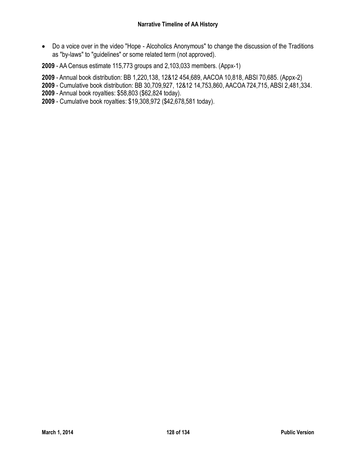Do a voice over in the video "Hope - Alcoholics Anonymous" to change the discussion of the Traditions as "by-laws" to "guidelines" or some related term (not approved).

**2009** - AA Census estimate 115,773 groups and 2,103,033 members. (Appx-1)

**2009** - Annual book distribution: BB 1,220,138, 12&12 454,689, AACOA 10,818, ABSI 70,685. (Appx-2)

**2009** - Cumulative book distribution: BB 30,709,927, 12&12 14,753,860, AACOA 724,715, ABSI 2,481,334.

**2009** - Annual book royalties: \$58,803 (\$62,824 today).

**2009** - Cumulative book royalties: \$19,308,972 (\$42,678,581 today).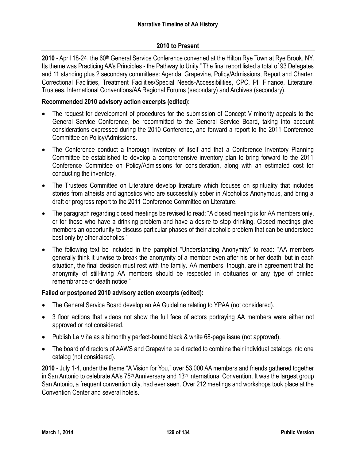### **2010 to Present**

**2010** - April 18-24, the 60th General Service Conference convened at the Hilton Rye Town at Rye Brook, NY. Its theme was Practicing AA's Principles - the Pathway to Unity." The final report listed a total of 93 Delegates and 11 standing plus 2 secondary committees: Agenda, Grapevine, Policy/Admissions, Report and Charter, Correctional Facilities, Treatment Facilities/Special Needs-Accessibilities, CPC, PI, Finance, Literature, Trustees, International Conventions/AA Regional Forums (secondary) and Archives (secondary).

### **Recommended 2010 advisory action excerpts (edited):**

- The request for development of procedures for the submission of Concept V minority appeals to the General Service Conference, be recommitted to the General Service Board, taking into account considerations expressed during the 2010 Conference, and forward a report to the 2011 Conference Committee on Policy/Admissions.
- The Conference conduct a thorough inventory of itself and that a Conference Inventory Planning Committee be established to develop a comprehensive inventory plan to bring forward to the 2011 Conference Committee on Policy/Admissions for consideration, along with an estimated cost for conducting the inventory.
- The Trustees Committee on Literature develop literature which focuses on spirituality that includes stories from atheists and agnostics who are successfully sober in Alcoholics Anonymous, and bring a draft or progress report to the 2011 Conference Committee on Literature.
- The paragraph regarding closed meetings be revised to read: "A closed meeting is for AA members only, or for those who have a drinking problem and have a desire to stop drinking. Closed meetings give members an opportunity to discuss particular phases of their alcoholic problem that can be understood best only by other alcoholics."
- The following text be included in the pamphlet "Understanding Anonymity" to read: "AA members generally think it unwise to break the anonymity of a member even after his or her death, but in each situation, the final decision must rest with the family. AA members, though, are in agreement that the anonymity of still-living AA members should be respected in obituaries or any type of printed remembrance or death notice."

### **Failed or postponed 2010 advisory action excerpts (edited):**

- The General Service Board develop an AA Guideline relating to YPAA (not considered).
- 3 floor actions that videos not show the full face of actors portraying AA members were either not approved or not considered.
- Publish La Viña as a bimonthly perfect-bound black & white 68-page issue (not approved).
- The board of directors of AAWS and Grapevine be directed to combine their individual catalogs into one catalog (not considered).

**2010** - July 1-4, under the theme "A Vision for You," over 53,000 AA members and friends gathered together in San Antonio to celebrate AA's 75<sup>th</sup> Anniversary and 13<sup>th</sup> International Convention. It was the largest group San Antonio, a frequent convention city, had ever seen. Over 212 meetings and workshops took place at the Convention Center and several hotels.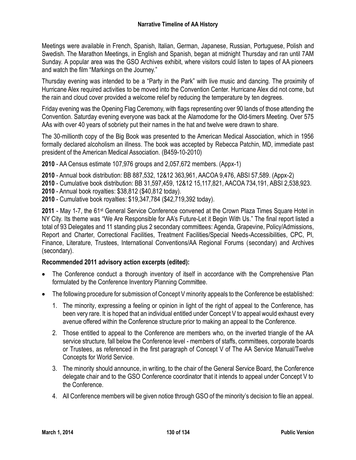Meetings were available in French, Spanish, Italian, German, Japanese, Russian, Portuguese, Polish and Swedish. The Marathon Meetings, in English and Spanish, began at midnight Thursday and ran until 7AM Sunday. A popular area was the GSO Archives exhibit, where visitors could listen to tapes of AA pioneers and watch the film "Markings on the Journey."

Thursday evening was intended to be a "Party in the Park" with live music and dancing. The proximity of Hurricane Alex required activities to be moved into the Convention Center. Hurricane Alex did not come, but the rain and cloud cover provided a welcome relief by reducing the temperature by ten degrees.

Friday evening was the Opening Flag Ceremony, with flags representing over 90 lands of those attending the Convention. Saturday evening everyone was back at the Alamodome for the Old-timers Meeting. Over 575 AAs with over 40 years of sobriety put their names in the hat and twelve were drawn to share.

The 30-millionth copy of the Big Book was presented to the American Medical Association, which in 1956 formally declared alcoholism an illness. The book was accepted by Rebecca Patchin, MD, immediate past president of the American Medical Association. (B459-10-2010)

**2010** - AA Census estimate 107,976 groups and 2,057,672 members. (Appx-1)

**2010** - Annual book distribution: BB 887,532, 12&12 363,961, AACOA 9,476, ABSI 57,589. (Appx-2)

**2010** - Cumulative book distribution: BB 31,597,459, 12&12 15,117,821, AACOA 734,191, ABSI 2,538,923.

**2010** - Annual book royalties: \$38,812 (\$40,812 today).

**2010** - Cumulative book royalties: \$19,347,784 (\$42,719,392 today).

2011 - May 1-7, the 61<sup>st</sup> General Service Conference convened at the Crown Plaza Times Square Hotel in NY City. Its theme was "We Are Responsible for AA's Future-Let it Begin With Us." The final report listed a total of 93 Delegates and 11 standing plus 2 secondary committees: Agenda, Grapevine, Policy/Admissions, Report and Charter, Correctional Facilities, Treatment Facilities/Special Needs-Accessibilities, CPC, PI, Finance, Literature, Trustees, International Conventions/AA Regional Forums (secondary) and Archives (secondary).

## **Recommended 2011 advisory action excerpts (edited):**

- The Conference conduct a thorough inventory of itself in accordance with the Comprehensive Plan formulated by the Conference Inventory Planning Committee.
- The following procedure for submission of Concept V minority appeals to the Conference be established:
	- 1. The minority, expressing a feeling or opinion in light of the right of appeal to the Conference, has been very rare. It is hoped that an individual entitled under Concept V to appeal would exhaust every avenue offered within the Conference structure prior to making an appeal to the Conference.
	- 2. Those entitled to appeal to the Conference are members who, on the inverted triangle of the AA service structure, fall below the Conference level - members of staffs, committees, corporate boards or Trustees, as referenced in the first paragraph of Concept V of The AA Service Manual/Twelve Concepts for World Service.
	- 3. The minority should announce, in writing, to the chair of the General Service Board, the Conference delegate chair and to the GSO Conference coordinator that it intends to appeal under Concept V to the Conference.
	- 4. All Conference members will be given notice through GSO of the minority's decision to file an appeal.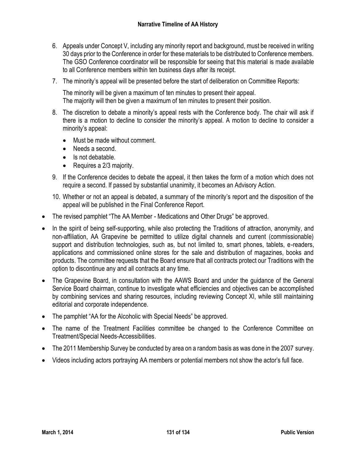- 6. Appeals under Concept V, including any minority report and background, must be received in writing 30 days prior to the Conference in order for these materials to be distributed to Conference members. The GSO Conference coordinator will be responsible for seeing that this material is made available to all Conference members within ten business days after its receipt.
- 7. The minority's appeal will be presented before the start of deliberation on Committee Reports:

The minority will be given a maximum of ten minutes to present their appeal. The majority will then be given a maximum of ten minutes to present their position.

- 8. The discretion to debate a minority's appeal rests with the Conference body. The chair will ask if there is a motion to decline to consider the minority's appeal. A motion to decline to consider a minority's appeal:
	- Must be made without comment.
	- Needs a second.
	- $\bullet$  Is not debatable.
	- Requires a 2/3 majority.
- 9. If the Conference decides to debate the appeal, it then takes the form of a motion which does not require a second. If passed by substantial unanimity, it becomes an Advisory Action.
- 10. Whether or not an appeal is debated, a summary of the minority's report and the disposition of the appeal will be published in the Final Conference Report.
- The revised pamphlet "The AA Member Medications and Other Drugs" be approved.
- In the spirit of being self-supporting, while also protecting the Traditions of attraction, anonymity, and non-affiliation, AA Grapevine be permitted to utilize digital channels and current (commissionable) support and distribution technologies, such as, but not limited to, smart phones, tablets, e-readers, applications and commissioned online stores for the sale and distribution of magazines, books and products. The committee requests that the Board ensure that all contracts protect our Traditions with the option to discontinue any and all contracts at any time.
- The Grapevine Board, in consultation with the AAWS Board and under the guidance of the General Service Board chairman, continue to investigate what efficiencies and objectives can be accomplished by combining services and sharing resources, including reviewing Concept XI, while still maintaining editorial and corporate independence.
- The pamphlet "AA for the Alcoholic with Special Needs" be approved.
- The name of the Treatment Facilities committee be changed to the Conference Committee on Treatment/Special Needs-Accessibilities.
- The 2011 Membership Survey be conducted by area on a random basis as was done in the 2007 survey.
- Videos including actors portraying AA members or potential members not show the actor's full face.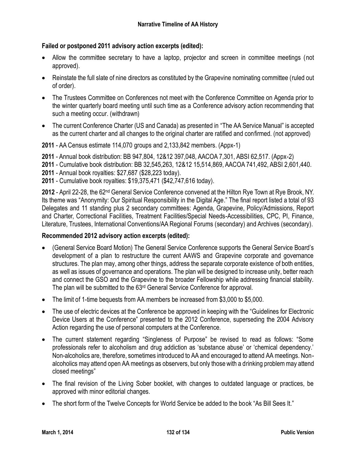# **Failed or postponed 2011 advisory action excerpts (edited):**

- Allow the committee secretary to have a laptop, projector and screen in committee meetings (not approved).
- Reinstate the full slate of nine directors as constituted by the Grapevine nominating committee (ruled out of order).
- The Trustees Committee on Conferences not meet with the Conference Committee on Agenda prior to the winter quarterly board meeting until such time as a Conference advisory action recommending that such a meeting occur. (withdrawn)
- The current Conference Charter (US and Canada) as presented in "The AA Service Manual" is accepted as the current charter and all changes to the original charter are ratified and confirmed. (not approved)

**2011** - AA Census estimate 114,070 groups and 2,133,842 members. (Appx-1)

- **2011** Annual book distribution: BB 947,804, 12&12 397,048, AACOA 7,301, ABSI 62,517. (Appx-2)
- **2011** Cumulative book distribution: BB 32,545,263, 12&12 15,514,869, AACOA 741,492, ABSI 2,601,440.
- **2011** Annual book royalties: \$27,687 (\$28,223 today).
- **2011** Cumulative book royalties: \$19,375,471 (\$42,747,616 today).

**2012** - April 22-28, the 62nd General Service Conference convened at the Hilton Rye Town at Rye Brook, NY. Its theme was "Anonymity: Our Spiritual Responsibility in the Digital Age." The final report listed a total of 93 Delegates and 11 standing plus 2 secondary committees: Agenda, Grapevine, Policy/Admissions, Report and Charter, Correctional Facilities, Treatment Facilities/Special Needs-Accessibilities, CPC, PI, Finance, Literature, Trustees, International Conventions/AA Regional Forums (secondary) and Archives (secondary).

## **Recommended 2012 advisory action excerpts (edited):**

- (General Service Board Motion) The General Service Conference supports the General Service Board's development of a plan to restructure the current AAWS and Grapevine corporate and governance structures. The plan may, among other things, address the separate corporate existence of both entities, as well as issues of governance and operations. The plan will be designed to increase unity, better reach and connect the GSO and the Grapevine to the broader Fellowship while addressing financial stability. The plan will be submitted to the 63<sup>rd</sup> General Service Conference for approval.
- The limit of 1-time bequests from AA members be increased from \$3,000 to \$5,000.
- The use of electric devices at the Conference be approved in keeping with the "Guidelines for Electronic Device Users at the Conference" presented to the 2012 Conference, superseding the 2004 Advisory Action regarding the use of personal computers at the Conference.
- The current statement regarding "Singleness of Purpose" be revised to read as follows: "Some professionals refer to alcoholism and drug addiction as 'substance abuse' or 'chemical dependency.' Non-alcoholics are, therefore, sometimes introduced to AA and encouraged to attend AA meetings. Nonalcoholics may attend open AA meetings as observers, but only those with a drinking problem may attend closed meetings"
- The final revision of the Living Sober booklet, with changes to outdated language or practices, be approved with minor editorial changes.
- The short form of the Twelve Concepts for World Service be added to the book "As Bill Sees It."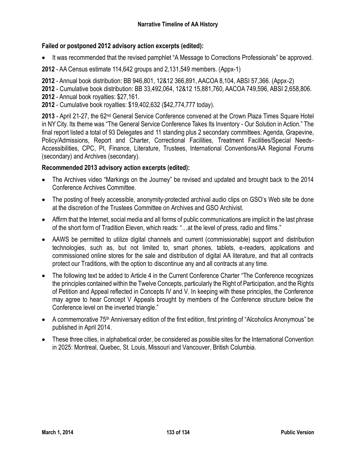# **Failed or postponed 2012 advisory action excerpts (edited):**

• It was recommended that the revised pamphlet "A Message to Corrections Professionals" be approved.

**2012** - AA Census estimate 114,642 groups and 2,131,549 members. (Appx-1)

**2012** - Annual book distribution: BB 946,801, 12&12 366,891, AACOA 8,104, ABSI 57,366. (Appx-2)

**2012** - Cumulative book distribution: BB 33,492,064, 12&12 15,881,760, AACOA 749,596, ABSI 2,658,806.

- **2012** Annual book royalties: \$27,161.
- **2012** Cumulative book royalties: \$19,402,632 (\$42,774,777 today).

**2013** - April 21-27, the 62nd General Service Conference convened at the Crown Plaza Times Square Hotel in NY City. Its theme was "The General Service Conference Takes Its Inventory - Our Solution in Action." The final report listed a total of 93 Delegates and 11 standing plus 2 secondary committees: Agenda, Grapevine, Policy/Admissions, Report and Charter, Correctional Facilities, Treatment Facilities/Special Needs-Accessibilities, CPC, PI, Finance, Literature, Trustees, International Conventions/AA Regional Forums (secondary) and Archives (secondary).

# **Recommended 2013 advisory action excerpts (edited):**

- The Archives video "Markings on the Journey" be revised and updated and brought back to the 2014 Conference Archives Committee.
- The posting of freely accessible, anonymity-protected archival audio clips on GSO's Web site be done at the discretion of the Trustees Committee on Archives and GSO Archivist.
- Affirm that the Internet, social media and all forms of public communications are implicit in the last phrase of the short form of Tradition Eleven, which reads: "…at the level of press, radio and films."
- AAWS be permitted to utilize digital channels and current (commissionable) support and distribution technologies, such as, but not limited to, smart phones, tablets, e-readers, applications and commissioned online stores for the sale and distribution of digital AA literature, and that all contracts protect our Traditions, with the option to discontinue any and all contracts at any time.
- The following text be added to Article 4 in the Current Conference Charter "The Conference recognizes the principles contained within the Twelve Concepts, particularly the Right of Participation, and the Rights of Petition and Appeal reflected in Concepts IV and V. In keeping with these principles, the Conference may agree to hear Concept V Appeals brought by members of the Conference structure below the Conference level on the inverted triangle."
- A commemorative 75<sup>th</sup> Anniversary edition of the first edition, first printing of "Alcoholics Anonymous" be published in April 2014.
- These three cities, in alphabetical order, be considered as possible sites for the International Convention in 2025: Montreal, Quebec, St. Louis, Missouri and Vancouver, British Columbia.